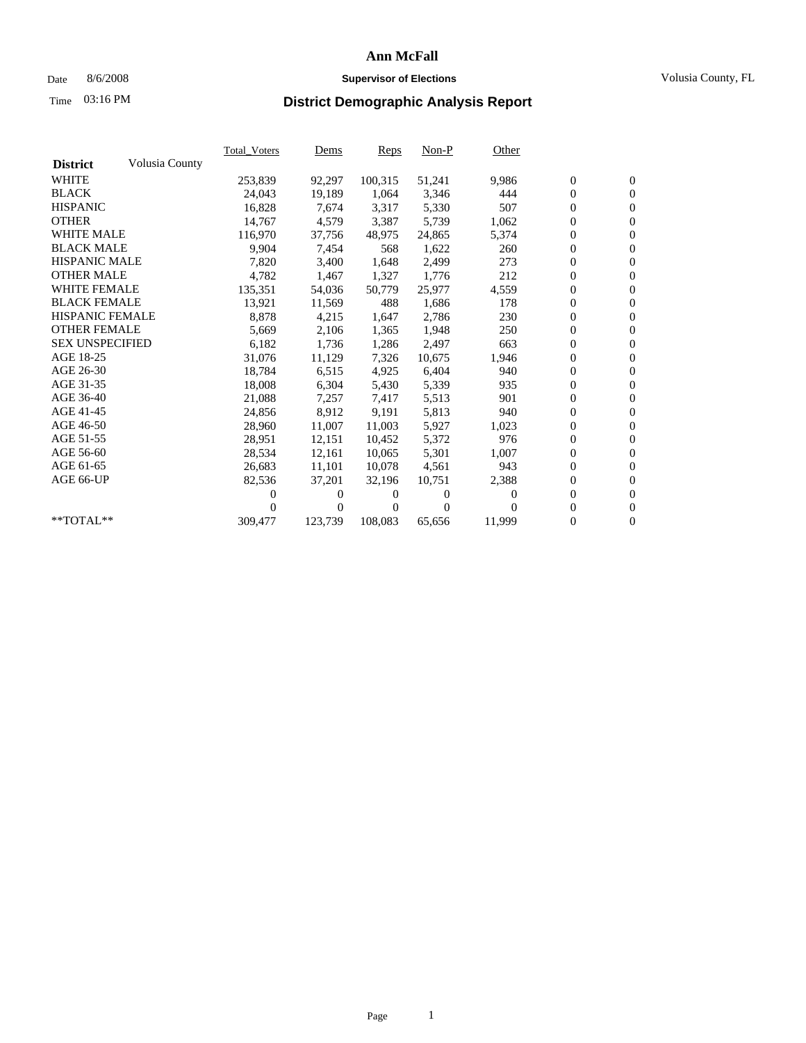## Date 8/6/2008 **Supervisor of Elections** Volusia County, FL

# Time **District Demographic Analysis Report** 03:16 PM

|                        |                | <b>Total_Voters</b> | <u>Dems</u>      | Reps     | $Non-P$  | Other    |                  |                  |  |
|------------------------|----------------|---------------------|------------------|----------|----------|----------|------------------|------------------|--|
| <b>District</b>        | Volusia County |                     |                  |          |          |          |                  |                  |  |
| <b>WHITE</b>           |                | 253,839             | 92,297           | 100,315  | 51,241   | 9,986    | $\boldsymbol{0}$ | $\boldsymbol{0}$ |  |
| <b>BLACK</b>           |                | 24,043              | 19,189           | 1.064    | 3,346    | 444      | 0                | $\mathbf{0}$     |  |
| <b>HISPANIC</b>        |                | 16,828              | 7.674            | 3,317    | 5,330    | 507      | $\overline{0}$   | $\mathbf{0}$     |  |
| <b>OTHER</b>           |                | 14,767              | 4,579            | 3,387    | 5,739    | 1,062    | $\mathbf{0}$     | $\mathbf{0}$     |  |
| <b>WHITE MALE</b>      |                | 116,970             | 37,756           | 48,975   | 24,865   | 5,374    | 0                | $\mathbf{0}$     |  |
| <b>BLACK MALE</b>      |                | 9,904               | 7,454            | 568      | 1,622    | 260      | $\overline{0}$   | $\mathbf{0}$     |  |
| <b>HISPANIC MALE</b>   |                | 7,820               | 3,400            | 1,648    | 2,499    | 273      | $\overline{0}$   | $\overline{0}$   |  |
| <b>OTHER MALE</b>      |                | 4,782               | 1,467            | 1,327    | 1,776    | 212      | 0                | $\mathbf{0}$     |  |
| <b>WHITE FEMALE</b>    |                | 135,351             | 54,036           | 50,779   | 25,977   | 4,559    | 0                | $\mathbf{0}$     |  |
| <b>BLACK FEMALE</b>    |                | 13,921              | 11,569           | 488      | 1,686    | 178      | $\boldsymbol{0}$ | $\mathbf{0}$     |  |
| <b>HISPANIC FEMALE</b> |                | 8,878               | 4,215            | 1.647    | 2,786    | 230      | 0                | $\mathbf{0}$     |  |
| <b>OTHER FEMALE</b>    |                | 5,669               | 2,106            | 1,365    | 1,948    | 250      | 0                | $\overline{0}$   |  |
| <b>SEX UNSPECIFIED</b> |                | 6,182               | 1,736            | 1,286    | 2,497    | 663      | $\overline{0}$   | $\mathbf{0}$     |  |
| AGE 18-25              |                | 31,076              | 11,129           | 7,326    | 10,675   | 1,946    | 0                | $\boldsymbol{0}$ |  |
| AGE 26-30              |                | 18,784              | 6,515            | 4,925    | 6,404    | 940      | 0                | $\mathbf{0}$     |  |
| AGE 31-35              |                | 18,008              | 6,304            | 5,430    | 5,339    | 935      | $\boldsymbol{0}$ | $\overline{0}$   |  |
| AGE 36-40              |                | 21,088              | 7,257            | 7,417    | 5,513    | 901      | 0                | $\mathbf{0}$     |  |
| AGE 41-45              |                | 24,856              | 8,912            | 9,191    | 5,813    | 940      | 0                | $\mathbf{0}$     |  |
| AGE 46-50              |                | 28,960              | 11,007           | 11,003   | 5,927    | 1,023    | $\mathbf{0}$     | $\mathbf{0}$     |  |
| AGE 51-55              |                | 28,951              | 12,151           | 10,452   | 5,372    | 976      | $\boldsymbol{0}$ | $\boldsymbol{0}$ |  |
| AGE 56-60              |                | 28,534              | 12,161           | 10.065   | 5,301    | 1,007    | 0                | $\mathbf{0}$     |  |
| AGE 61-65              |                | 26,683              | 11,101           | 10,078   | 4,561    | 943      | $\boldsymbol{0}$ | $\mathbf{0}$     |  |
| AGE 66-UP              |                | 82,536              | 37,201           | 32,196   | 10,751   | 2,388    | 0                | $\boldsymbol{0}$ |  |
|                        |                | 0                   | 0                | $^{(1)}$ | 0        | $\Omega$ | 0                | $\mathbf{0}$     |  |
|                        |                | 0                   | $\boldsymbol{0}$ | 0        | $\Omega$ | 0        | $\overline{0}$   | $\mathbf{0}$     |  |
| **TOTAL**              |                | 309,477             | 123,739          | 108,083  | 65,656   | 11,999   | 0                | $\mathbf{0}$     |  |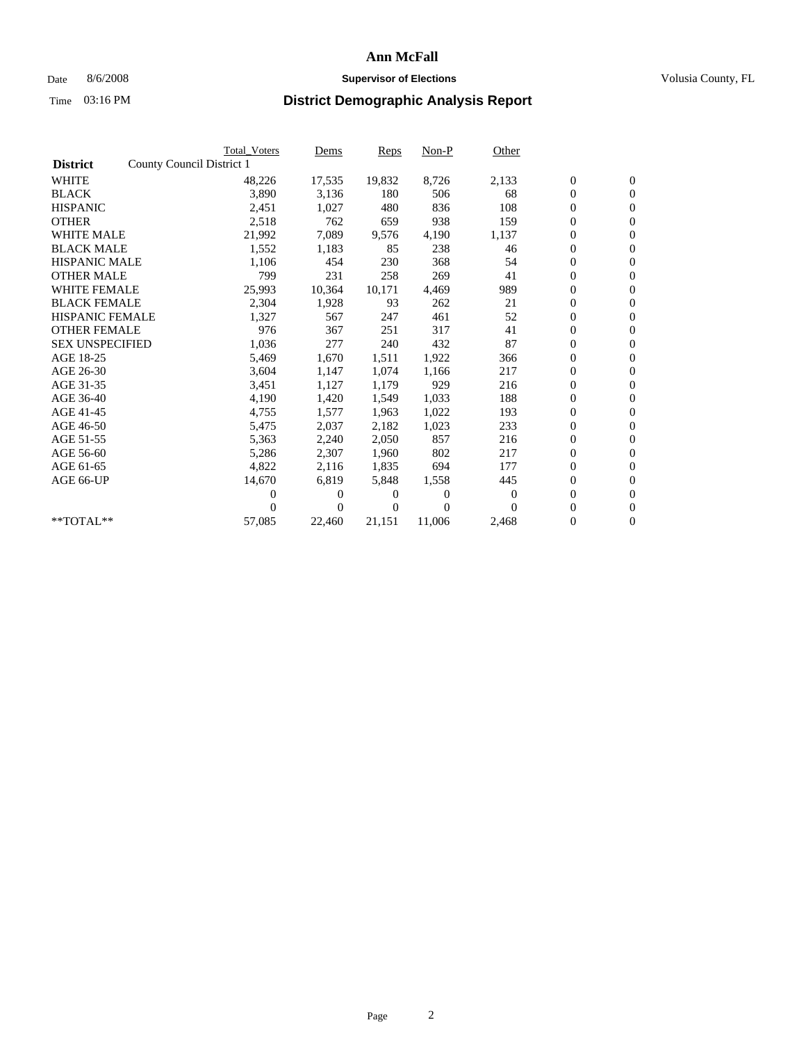## Date 8/6/2008 **Supervisor of Elections Supervisor of Elections** Volusia County, FL

|                        | <b>Total Voters</b>       | Dems           | Reps   | $Non-P$  | Other    |                  |                  |  |
|------------------------|---------------------------|----------------|--------|----------|----------|------------------|------------------|--|
| <b>District</b>        | County Council District 1 |                |        |          |          |                  |                  |  |
| <b>WHITE</b>           | 48,226                    | 17,535         | 19,832 | 8,726    | 2,133    | $\boldsymbol{0}$ | $\boldsymbol{0}$ |  |
| <b>BLACK</b>           | 3,890                     | 3,136          | 180    | 506      | 68       | $\overline{0}$   | $\mathbf{0}$     |  |
| <b>HISPANIC</b>        | 2,451                     | 1,027          | 480    | 836      | 108      | $\overline{0}$   | $\mathbf{0}$     |  |
| <b>OTHER</b>           | 2,518                     | 762            | 659    | 938      | 159      | 0                | $\mathbf{0}$     |  |
| <b>WHITE MALE</b>      | 21,992                    | 7,089          | 9,576  | 4,190    | 1,137    | $\boldsymbol{0}$ | $\mathbf{0}$     |  |
| <b>BLACK MALE</b>      | 1,552                     | 1,183          | 85     | 238      | 46       | $\boldsymbol{0}$ | $\mathbf{0}$     |  |
| <b>HISPANIC MALE</b>   | 1,106                     | 454            | 230    | 368      | 54       | 0                | $\mathbf{0}$     |  |
| <b>OTHER MALE</b>      | 799                       | 231            | 258    | 269      | 41       | $\boldsymbol{0}$ | $\mathbf{0}$     |  |
| <b>WHITE FEMALE</b>    | 25,993                    | 10,364         | 10,171 | 4.469    | 989      | 0                | $\mathbf{0}$     |  |
| <b>BLACK FEMALE</b>    | 2,304                     | 1,928          | 93     | 262      | 21       | 0                | $\Omega$         |  |
| <b>HISPANIC FEMALE</b> | 1,327                     | 567            | 247    | 461      | 52       | $\boldsymbol{0}$ | $\mathbf{0}$     |  |
| <b>OTHER FEMALE</b>    | 976                       | 367            | 251    | 317      | 41       | $\boldsymbol{0}$ | $\mathbf{0}$     |  |
| <b>SEX UNSPECIFIED</b> | 1,036                     | 277            | 240    | 432      | 87       | 0                | $\mathbf{0}$     |  |
| AGE 18-25              | 5,469                     | 1,670          | 1,511  | 1,922    | 366      | $\boldsymbol{0}$ | $\mathbf{0}$     |  |
| AGE 26-30              | 3,604                     | 1,147          | 1,074  | 1,166    | 217      | $\boldsymbol{0}$ | $\mathbf{0}$     |  |
| AGE 31-35              | 3,451                     | 1,127          | 1,179  | 929      | 216      | 0                | $\mathbf{0}$     |  |
| AGE 36-40              | 4,190                     | 1,420          | 1,549  | 1,033    | 188      | $\overline{0}$   | $\mathbf{0}$     |  |
| AGE 41-45              | 4,755                     | 1,577          | 1,963  | 1,022    | 193      | $\boldsymbol{0}$ | $\mathbf{0}$     |  |
| AGE 46-50              | 5,475                     | 2,037          | 2,182  | 1,023    | 233      | 0                | $\Omega$         |  |
| AGE 51-55              | 5,363                     | 2,240          | 2,050  | 857      | 216      | $\boldsymbol{0}$ | $\mathbf{0}$     |  |
| AGE 56-60              | 5,286                     | 2,307          | 1.960  | 802      | 217      | $\overline{0}$   | $\mathbf{0}$     |  |
| AGE 61-65              | 4,822                     | 2,116          | 1,835  | 694      | 177      | 0                | $\mathbf{0}$     |  |
| AGE 66-UP              | 14,670                    | 6,819          | 5,848  | 1,558    | 445      | $\overline{0}$   | $\mathbf{0}$     |  |
|                        | 0                         | 0              | 0      | $\theta$ | $\bf{0}$ | $\boldsymbol{0}$ | $\mathbf{0}$     |  |
|                        | 0                         | $\overline{0}$ | 0      | $\Omega$ | $\Omega$ | 0                | $\mathbf{0}$     |  |
| $*$ TOTAL $**$         | 57,085                    | 22,460         | 21,151 | 11,006   | 2,468    | $\overline{0}$   | $\boldsymbol{0}$ |  |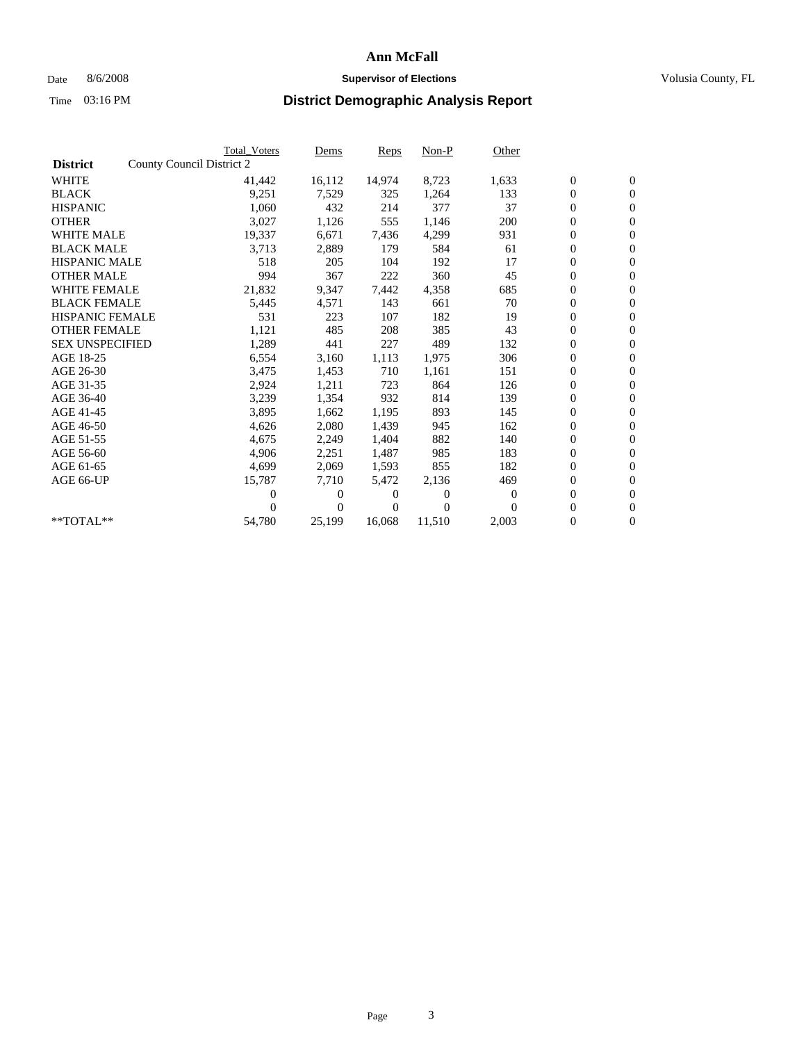## Date 8/6/2008 **Supervisor of Elections Supervisor of Elections** Volusia County, FL

|                        |                           | <b>Total Voters</b> | Dems   | Reps   | Non-P    | Other    |                  |                  |  |
|------------------------|---------------------------|---------------------|--------|--------|----------|----------|------------------|------------------|--|
| <b>District</b>        | County Council District 2 |                     |        |        |          |          |                  |                  |  |
| <b>WHITE</b>           |                           | 41,442              | 16,112 | 14,974 | 8,723    | 1,633    | $\boldsymbol{0}$ | $\boldsymbol{0}$ |  |
| <b>BLACK</b>           |                           | 9,251               | 7,529  | 325    | 1,264    | 133      | $\boldsymbol{0}$ | $\mathbf{0}$     |  |
| <b>HISPANIC</b>        |                           | 1,060               | 432    | 214    | 377      | 37       | $\boldsymbol{0}$ | $\mathbf{0}$     |  |
| <b>OTHER</b>           |                           | 3,027               | 1,126  | 555    | 1,146    | 200      | 0                | $\mathbf{0}$     |  |
| <b>WHITE MALE</b>      |                           | 19,337              | 6,671  | 7,436  | 4,299    | 931      | $\boldsymbol{0}$ | $\mathbf{0}$     |  |
| <b>BLACK MALE</b>      |                           | 3,713               | 2,889  | 179    | 584      | 61       | $\overline{0}$   | $\mathbf{0}$     |  |
| <b>HISPANIC MALE</b>   |                           | 518                 | 205    | 104    | 192      | 17       | $\boldsymbol{0}$ | $\mathbf{0}$     |  |
| <b>OTHER MALE</b>      |                           | 994                 | 367    | 222    | 360      | 45       | $\overline{0}$   | $\mathbf{0}$     |  |
| <b>WHITE FEMALE</b>    |                           | 21,832              | 9,347  | 7,442  | 4,358    | 685      | $\boldsymbol{0}$ | $\mathbf{0}$     |  |
| <b>BLACK FEMALE</b>    |                           | 5,445               | 4,571  | 143    | 661      | 70       | 0                | $\mathbf{0}$     |  |
| <b>HISPANIC FEMALE</b> |                           | 531                 | 223    | 107    | 182      | 19       | $\boldsymbol{0}$ | $\mathbf{0}$     |  |
| <b>OTHER FEMALE</b>    |                           | 1,121               | 485    | 208    | 385      | 43       | $\overline{0}$   | $\mathbf{0}$     |  |
| <b>SEX UNSPECIFIED</b> |                           | 1,289               | 441    | 227    | 489      | 132      | 0                | $\mathbf{0}$     |  |
| AGE 18-25              |                           | 6,554               | 3,160  | 1,113  | 1,975    | 306      | $\overline{0}$   | $\mathbf{0}$     |  |
| AGE 26-30              |                           | 3,475               | 1,453  | 710    | 1,161    | 151      | 0                | $\mathbf{0}$     |  |
| AGE 31-35              |                           | 2,924               | 1,211  | 723    | 864      | 126      | $\boldsymbol{0}$ | $\mathbf{0}$     |  |
| AGE 36-40              |                           | 3,239               | 1,354  | 932    | 814      | 139      | 0                | $\mathbf{0}$     |  |
| AGE 41-45              |                           | 3,895               | 1,662  | 1,195  | 893      | 145      | 0                | $\mathbf{0}$     |  |
| AGE 46-50              |                           | 4,626               | 2,080  | 1,439  | 945      | 162      | 0                | $\mathbf{0}$     |  |
| AGE 51-55              |                           | 4,675               | 2,249  | 1,404  | 882      | 140      | $\boldsymbol{0}$ | $\mathbf{0}$     |  |
| AGE 56-60              |                           | 4.906               | 2,251  | 1,487  | 985      | 183      | 0                | $\mathbf{0}$     |  |
| AGE 61-65              |                           | 4,699               | 2,069  | 1,593  | 855      | 182      | 0                | $\mathbf{0}$     |  |
| AGE 66-UP              |                           | 15,787              | 7,710  | 5,472  | 2,136    | 469      | 0                | $\mathbf{0}$     |  |
|                        |                           | 0                   | 0      | 0      | $\theta$ | $\bf{0}$ | $\overline{0}$   | $\mathbf{0}$     |  |
|                        |                           | 0                   | 0      | 0      | $\Omega$ | $\Omega$ | 0                | $\mathbf{0}$     |  |
| **TOTAL**              |                           | 54,780              | 25,199 | 16,068 | 11,510   | 2,003    | 0                | $\boldsymbol{0}$ |  |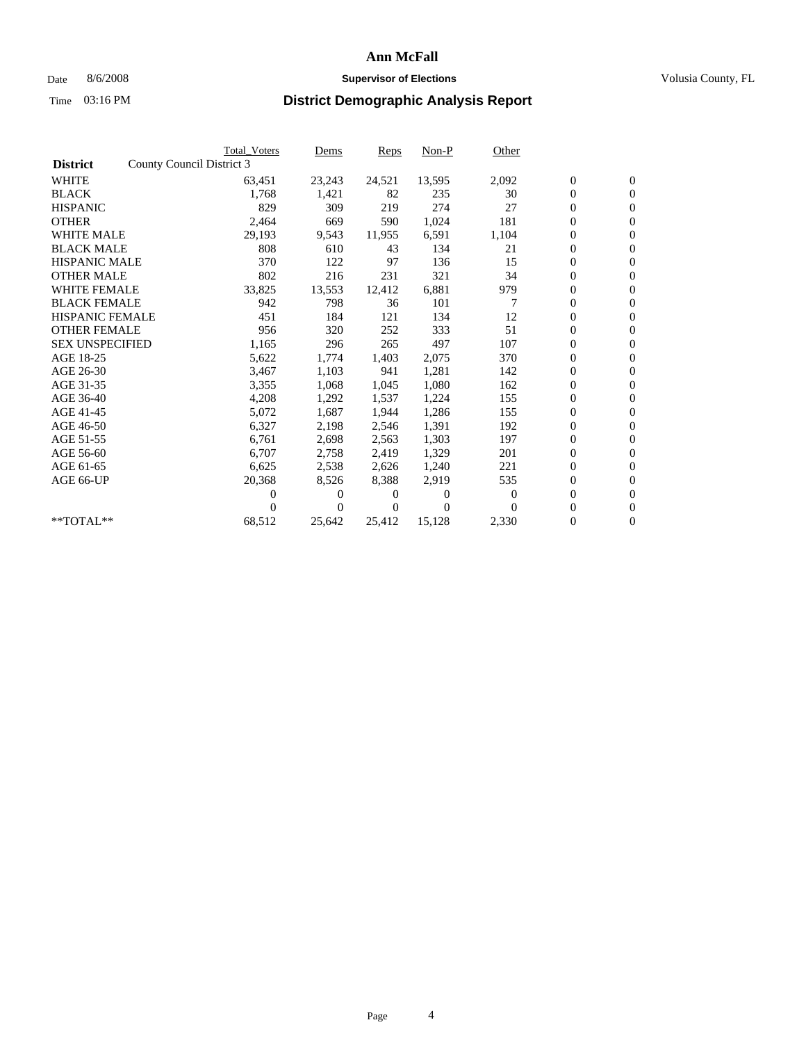## Date 8/6/2008 **Supervisor of Elections Supervisor of Elections** Volusia County, FL

|                        |                           | <b>Total Voters</b> | Dems           | Reps   | $Non-P$        | Other    |                  |                  |  |
|------------------------|---------------------------|---------------------|----------------|--------|----------------|----------|------------------|------------------|--|
| <b>District</b>        | County Council District 3 |                     |                |        |                |          |                  |                  |  |
| <b>WHITE</b>           |                           | 63,451              | 23,243         | 24,521 | 13,595         | 2,092    | $\boldsymbol{0}$ | $\boldsymbol{0}$ |  |
| <b>BLACK</b>           |                           | 1,768               | 1,421          | 82     | 235            | 30       | $\overline{0}$   | $\mathbf{0}$     |  |
| <b>HISPANIC</b>        |                           | 829                 | 309            | 219    | 274            | 27       | $\overline{0}$   | $\mathbf{0}$     |  |
| <b>OTHER</b>           |                           | 2,464               | 669            | 590    | 1,024          | 181      | 0                | $\mathbf{0}$     |  |
| <b>WHITE MALE</b>      |                           | 29,193              | 9,543          | 11,955 | 6,591          | 1,104    | $\boldsymbol{0}$ | $\mathbf{0}$     |  |
| <b>BLACK MALE</b>      |                           | 808                 | 610            | 43     | 134            | 21       | $\boldsymbol{0}$ | $\mathbf{0}$     |  |
| <b>HISPANIC MALE</b>   |                           | 370                 | 122            | 97     | 136            | 15       | $\boldsymbol{0}$ | $\mathbf{0}$     |  |
| <b>OTHER MALE</b>      |                           | 802                 | 216            | 231    | 321            | 34       | $\boldsymbol{0}$ | $\mathbf{0}$     |  |
| <b>WHITE FEMALE</b>    |                           | 33,825              | 13,553         | 12,412 | 6,881          | 979      | 0                | $\mathbf{0}$     |  |
| <b>BLACK FEMALE</b>    |                           | 942                 | 798            | 36     | 101            | 7        | 0                | $\Omega$         |  |
| <b>HISPANIC FEMALE</b> |                           | 451                 | 184            | 121    | 134            | 12       | $\boldsymbol{0}$ | $\mathbf{0}$     |  |
| <b>OTHER FEMALE</b>    |                           | 956                 | 320            | 252    | 333            | 51       | 0                | $\mathbf{0}$     |  |
| <b>SEX UNSPECIFIED</b> |                           | 1,165               | 296            | 265    | 497            | 107      | 0                | $\Omega$         |  |
| AGE 18-25              |                           | 5,622               | 1,774          | 1,403  | 2,075          | 370      | $\overline{0}$   | $\mathbf{0}$     |  |
| AGE 26-30              |                           | 3,467               | 1,103          | 941    | 1,281          | 142      | 0                | $\mathbf{0}$     |  |
| AGE 31-35              |                           | 3,355               | 1,068          | 1,045  | 1,080          | 162      | 0                | $\mathbf{0}$     |  |
| AGE 36-40              |                           | 4,208               | 1,292          | 1,537  | 1,224          | 155      | $\overline{0}$   | $\mathbf{0}$     |  |
| AGE 41-45              |                           | 5,072               | 1,687          | 1,944  | 1,286          | 155      | 0                | $\mathbf{0}$     |  |
| AGE 46-50              |                           | 6,327               | 2,198          | 2,546  | 1,391          | 192      | 0                | $\Omega$         |  |
| AGE 51-55              |                           | 6,761               | 2,698          | 2,563  | 1,303          | 197      | $\boldsymbol{0}$ | $\mathbf{0}$     |  |
| AGE 56-60              |                           | 6,707               | 2,758          | 2.419  | 1,329          | 201      | 0                | $\mathbf{0}$     |  |
| AGE 61-65              |                           | 6,625               | 2,538          | 2,626  | 1,240          | 221      | 0                | $\Omega$         |  |
| AGE 66-UP              |                           | 20,368              | 8,526          | 8,388  | 2,919          | 535      | $\overline{0}$   | $\mathbf{0}$     |  |
|                        |                           | 0                   | 0              | 0      | $\overline{0}$ | $\bf{0}$ | 0                | $\mathbf{0}$     |  |
|                        |                           | 0                   | $\overline{0}$ | 0      | $\Omega$       | $\Omega$ | 0                | $\mathbf{0}$     |  |
| $*$ TOTAL $**$         |                           | 68,512              | 25,642         | 25,412 | 15,128         | 2,330    | 0                | $\boldsymbol{0}$ |  |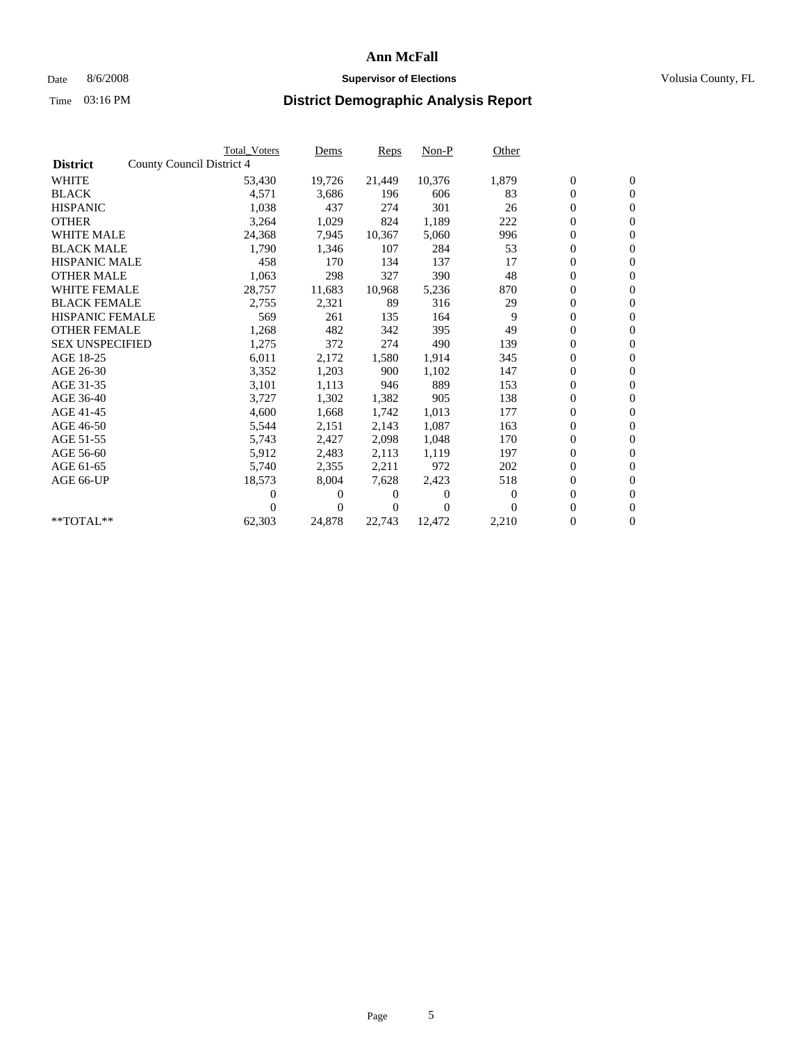## Date 8/6/2008 **Supervisor of Elections Supervisor of Elections** Volusia County, FL

|                        |                           | <b>Total Voters</b> | Dems   | Reps   | Non-P            | Other          |                  |                  |  |
|------------------------|---------------------------|---------------------|--------|--------|------------------|----------------|------------------|------------------|--|
| <b>District</b>        | County Council District 4 |                     |        |        |                  |                |                  |                  |  |
| <b>WHITE</b>           |                           | 53,430              | 19,726 | 21,449 | 10,376           | 1,879          | $\boldsymbol{0}$ | $\boldsymbol{0}$ |  |
| <b>BLACK</b>           |                           | 4,571               | 3,686  | 196    | 606              | 83             | $\boldsymbol{0}$ | $\overline{0}$   |  |
| <b>HISPANIC</b>        |                           | 1,038               | 437    | 274    | 301              | 26             | $\boldsymbol{0}$ | $\mathbf{0}$     |  |
| <b>OTHER</b>           |                           | 3,264               | 1,029  | 824    | 1,189            | 222            | $\boldsymbol{0}$ | $\overline{0}$   |  |
| <b>WHITE MALE</b>      |                           | 24,368              | 7,945  | 10,367 | 5,060            | 996            | $\boldsymbol{0}$ | $\mathbf{0}$     |  |
| <b>BLACK MALE</b>      |                           | 1,790               | 1,346  | 107    | 284              | 53             | $\overline{0}$   | $\mathbf{0}$     |  |
| <b>HISPANIC MALE</b>   |                           | 458                 | 170    | 134    | 137              | 17             | $\boldsymbol{0}$ | $\overline{0}$   |  |
| <b>OTHER MALE</b>      |                           | 1,063               | 298    | 327    | 390              | 48             | $\boldsymbol{0}$ | $\overline{0}$   |  |
| <b>WHITE FEMALE</b>    |                           | 28,757              | 11,683 | 10,968 | 5,236            | 870            | $\boldsymbol{0}$ | $\overline{0}$   |  |
| <b>BLACK FEMALE</b>    |                           | 2,755               | 2,321  | 89     | 316              | 29             | $\boldsymbol{0}$ | $\mathbf{0}$     |  |
| <b>HISPANIC FEMALE</b> |                           | 569                 | 261    | 135    | 164              | 9              | $\boldsymbol{0}$ | $\overline{0}$   |  |
| <b>OTHER FEMALE</b>    |                           | 1,268               | 482    | 342    | 395              | 49             | $\overline{0}$   | $\overline{0}$   |  |
| <b>SEX UNSPECIFIED</b> |                           | 1,275               | 372    | 274    | 490              | 139            | $\boldsymbol{0}$ | $\overline{0}$   |  |
| AGE 18-25              |                           | 6,011               | 2,172  | 1,580  | 1,914            | 345            | $\overline{0}$   | $\mathbf{0}$     |  |
| AGE 26-30              |                           | 3,352               | 1,203  | 900    | 1,102            | 147            | $\boldsymbol{0}$ | $\overline{0}$   |  |
| AGE 31-35              |                           | 3,101               | 1,113  | 946    | 889              | 153            | $\boldsymbol{0}$ | $\overline{0}$   |  |
| AGE 36-40              |                           | 3,727               | 1,302  | 1,382  | 905              | 138            | $\boldsymbol{0}$ | $\mathbf{0}$     |  |
| AGE 41-45              |                           | 4,600               | 1,668  | 1,742  | 1,013            | 177            | $\boldsymbol{0}$ | $\mathbf{0}$     |  |
| AGE 46-50              |                           | 5,544               | 2,151  | 2,143  | 1,087            | 163            | $\boldsymbol{0}$ | $\overline{0}$   |  |
| AGE 51-55              |                           | 5,743               | 2,427  | 2,098  | 1.048            | 170            | $\boldsymbol{0}$ | $\mathbf{0}$     |  |
| AGE 56-60              |                           | 5,912               | 2,483  | 2.113  | 1,119            | 197            | $\overline{0}$   | $\mathbf{0}$     |  |
| AGE 61-65              |                           | 5,740               | 2,355  | 2,211  | 972              | 202            | $\boldsymbol{0}$ | $\mathbf{0}$     |  |
| AGE 66-UP              |                           | 18,573              | 8,004  | 7,628  | 2,423            | 518            | $\boldsymbol{0}$ | $\overline{0}$   |  |
|                        |                           | 0                   | $_{0}$ | 0      | $\boldsymbol{0}$ | $\overline{0}$ | $\overline{0}$   | $\mathbf{0}$     |  |
|                        |                           | 0                   | 0      | 0      | $\theta$         | $\Omega$       | $\boldsymbol{0}$ | $\overline{0}$   |  |
| **TOTAL**              |                           | 62,303              | 24,878 | 22,743 | 12,472           | 2,210          | 0                | $\boldsymbol{0}$ |  |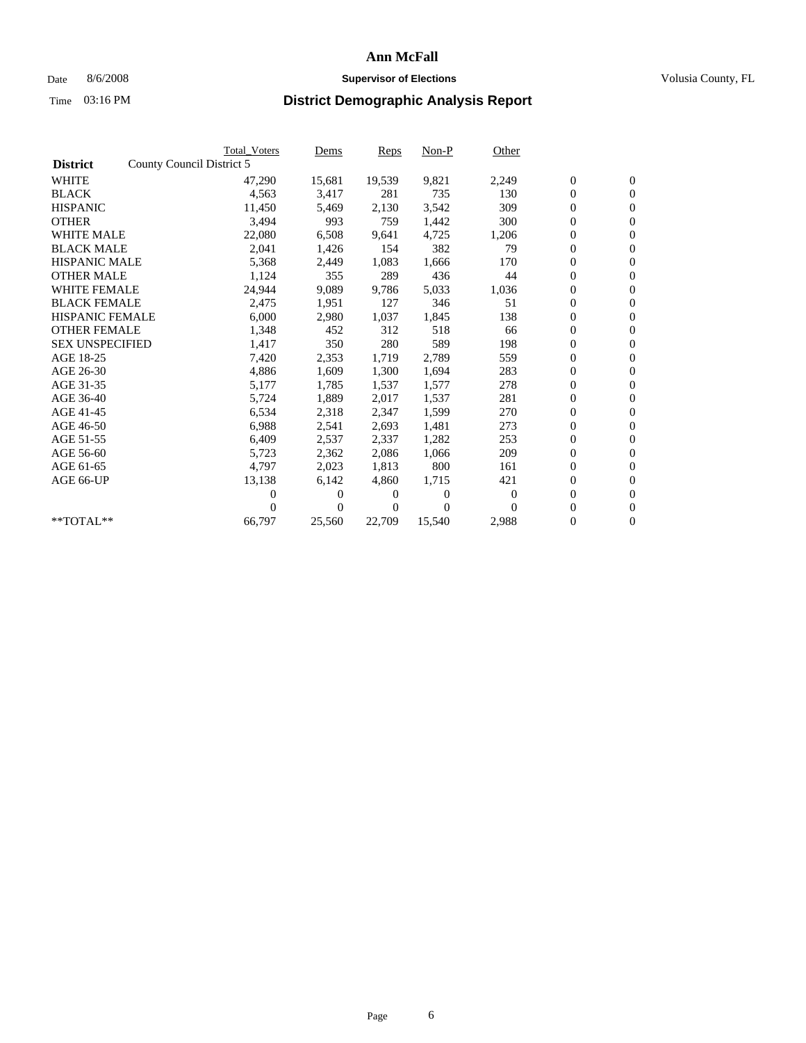## Date 8/6/2008 **Supervisor of Elections Supervisor of Elections** Volusia County, FL

|                        |                           | <b>Total Voters</b> | Dems           | Reps   | Non-P    | Other    |                  |                  |  |
|------------------------|---------------------------|---------------------|----------------|--------|----------|----------|------------------|------------------|--|
| <b>District</b>        | County Council District 5 |                     |                |        |          |          |                  |                  |  |
| <b>WHITE</b>           |                           | 47,290              | 15,681         | 19,539 | 9,821    | 2,249    | $\boldsymbol{0}$ | $\boldsymbol{0}$ |  |
| <b>BLACK</b>           |                           | 4,563               | 3,417          | 281    | 735      | 130      | $\boldsymbol{0}$ | $\mathbf{0}$     |  |
| <b>HISPANIC</b>        |                           | 11,450              | 5,469          | 2,130  | 3,542    | 309      | $\boldsymbol{0}$ | $\mathbf{0}$     |  |
| <b>OTHER</b>           |                           | 3,494               | 993            | 759    | 1,442    | 300      | 0                | $\mathbf{0}$     |  |
| <b>WHITE MALE</b>      |                           | 22,080              | 6,508          | 9,641  | 4,725    | 1,206    | 0                | $\mathbf{0}$     |  |
| <b>BLACK MALE</b>      |                           | 2,041               | 1,426          | 154    | 382      | 79       | $\overline{0}$   | $\mathbf{0}$     |  |
| <b>HISPANIC MALE</b>   |                           | 5,368               | 2,449          | 1,083  | 1,666    | 170      | 0                | $\mathbf{0}$     |  |
| <b>OTHER MALE</b>      |                           | 1,124               | 355            | 289    | 436      | 44       | 0                | $\mathbf{0}$     |  |
| <b>WHITE FEMALE</b>    |                           | 24,944              | 9,089          | 9,786  | 5,033    | 1,036    | $\boldsymbol{0}$ | $\mathbf{0}$     |  |
| <b>BLACK FEMALE</b>    |                           | 2,475               | 1,951          | 127    | 346      | 51       | $\boldsymbol{0}$ | $\mathbf{0}$     |  |
| <b>HISPANIC FEMALE</b> |                           | 6,000               | 2,980          | 1,037  | 1,845    | 138      | $\boldsymbol{0}$ | $\mathbf{0}$     |  |
| <b>OTHER FEMALE</b>    |                           | 1,348               | 452            | 312    | 518      | 66       | $\overline{0}$   | $\mathbf{0}$     |  |
| <b>SEX UNSPECIFIED</b> |                           | 1,417               | 350            | 280    | 589      | 198      | 0                | $\mathbf{0}$     |  |
| AGE 18-25              |                           | 7,420               | 2,353          | 1,719  | 2,789    | 559      | $\overline{0}$   | $\mathbf{0}$     |  |
| AGE 26-30              |                           | 4,886               | 1,609          | 1,300  | 1,694    | 283      | 0                | $\mathbf{0}$     |  |
| AGE 31-35              |                           | 5,177               | 1,785          | 1,537  | 1,577    | 278      | $\boldsymbol{0}$ | $\mathbf{0}$     |  |
| AGE 36-40              |                           | 5,724               | 1,889          | 2,017  | 1,537    | 281      | 0                | $\mathbf{0}$     |  |
| AGE 41-45              |                           | 6,534               | 2,318          | 2,347  | 1,599    | 270      | 0                | $\mathbf{0}$     |  |
| AGE 46-50              |                           | 6,988               | 2,541          | 2,693  | 1,481    | 273      | 0                | $\mathbf{0}$     |  |
| AGE 51-55              |                           | 6,409               | 2,537          | 2,337  | 1,282    | 253      | $\boldsymbol{0}$ | $\mathbf{0}$     |  |
| AGE 56-60              |                           | 5,723               | 2,362          | 2.086  | 1.066    | 209      | 0                | $\mathbf{0}$     |  |
| AGE 61-65              |                           | 4,797               | 2,023          | 1,813  | 800      | 161      | 0                | $\mathbf{0}$     |  |
| AGE 66-UP              |                           | 13,138              | 6,142          | 4,860  | 1,715    | 421      | $\boldsymbol{0}$ | $\mathbf{0}$     |  |
|                        |                           | 0                   | 0              | 0      | $\theta$ | $\theta$ | $\overline{0}$   | $\mathbf{0}$     |  |
|                        |                           | 0                   | $\overline{0}$ | 0      | $\Omega$ | $\Omega$ | 0                | $\mathbf{0}$     |  |
| **TOTAL**              |                           | 66,797              | 25,560         | 22,709 | 15,540   | 2,988    | 0                | $\boldsymbol{0}$ |  |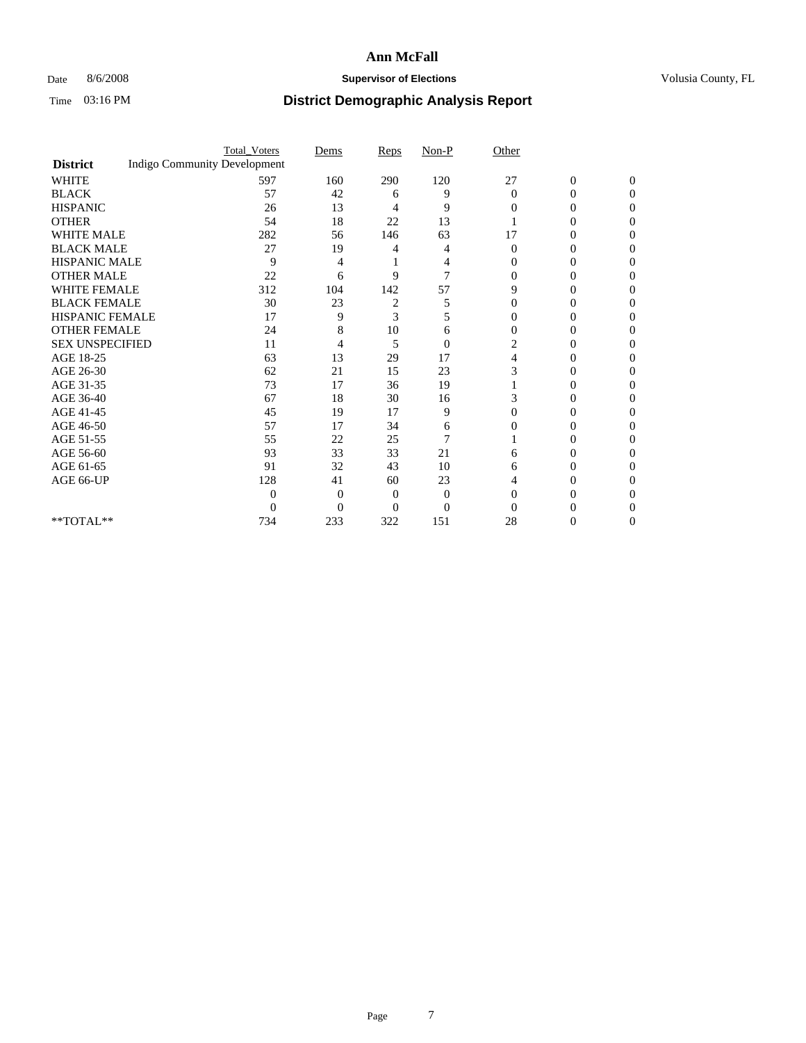### Date 8/6/2008 **Supervisor of Elections Supervisor of Elections** Volusia County, FL

|                        |                                     | <b>Total_Voters</b> | Dems     | Reps | $Non-P$        | Other          |                  |              |  |
|------------------------|-------------------------------------|---------------------|----------|------|----------------|----------------|------------------|--------------|--|
| <b>District</b>        | <b>Indigo Community Development</b> |                     |          |      |                |                |                  |              |  |
| <b>WHITE</b>           |                                     | 597                 | 160      | 290  | 120            | 27             | $\boldsymbol{0}$ | $\mathbf{0}$ |  |
| <b>BLACK</b>           |                                     | 57                  | 42       | 6    | 9              | $\Omega$       | 0                | $\Omega$     |  |
| <b>HISPANIC</b>        |                                     | 26                  | 13       | 4    | 9              | $\Omega$       | 0                | 0            |  |
| <b>OTHER</b>           |                                     | 54                  | 18       | 22   | 13             |                | 0                | 0            |  |
| <b>WHITE MALE</b>      |                                     | 282                 | 56       | 146  | 63             | 17             | 0                | 0            |  |
| <b>BLACK MALE</b>      |                                     | 27                  | 19       | 4    | 4              | $\Omega$       | 0                | 0            |  |
| HISPANIC MALE          |                                     | 9                   | 4        |      | 4              | $\Omega$       | 0                | 0            |  |
| <b>OTHER MALE</b>      |                                     | 22                  | 6        | 9    | 7              |                | 0                | 0            |  |
| <b>WHITE FEMALE</b>    |                                     | 312                 | 104      | 142  | 57             | 9              | $\theta$         | 0            |  |
| <b>BLACK FEMALE</b>    |                                     | 30                  | 23       | 2    | 5              | $\overline{0}$ | 0                | 0            |  |
| <b>HISPANIC FEMALE</b> |                                     | 17                  | 9        | 3    | 5              | 0              | 0                | 0            |  |
| <b>OTHER FEMALE</b>    |                                     | 24                  | 8        | 10   | 6              | 0              |                  | 0            |  |
| <b>SEX UNSPECIFIED</b> |                                     | 11                  | 4        | 5    | $\overline{0}$ | 2              |                  | 0            |  |
| AGE 18-25              |                                     | 63                  | 13       | 29   | 17             | 4              | 0                | 0            |  |
| AGE 26-30              |                                     | 62                  | 21       | 15   | 23             | 3              | 0                | 0            |  |
| AGE 31-35              |                                     | 73                  | 17       | 36   | 19             |                | 0                | 0            |  |
| AGE 36-40              |                                     | 67                  | 18       | 30   | 16             | 3              | 0                | 0            |  |
| AGE 41-45              |                                     | 45                  | 19       | 17   | 9              | 0              | $\theta$         | 0            |  |
| AGE 46-50              |                                     | 57                  | 17       | 34   | 6              | $\Omega$       | 0                | 0            |  |
| AGE 51-55              |                                     | 55                  | 22       | 25   | 7              |                | 0                | 0            |  |
| AGE 56-60              |                                     | 93                  | 33       | 33   | 21             | 6              |                  | 0            |  |
| AGE 61-65              |                                     | 91                  | 32       | 43   | 10             | 6              | 0                | 0            |  |
| AGE 66-UP              |                                     | 128                 | 41       | 60   | 23             |                | 0                | 0            |  |
|                        |                                     | $\Omega$            | 0        | 0    | $\Omega$       | $\Omega$       |                  | 0            |  |
|                        |                                     | $\overline{0}$      | $\Omega$ | 0    | $\overline{0}$ |                |                  |              |  |
| $**TOTAL**$            |                                     | 734                 | 233      | 322  | 151            | 28             | 0                | 0            |  |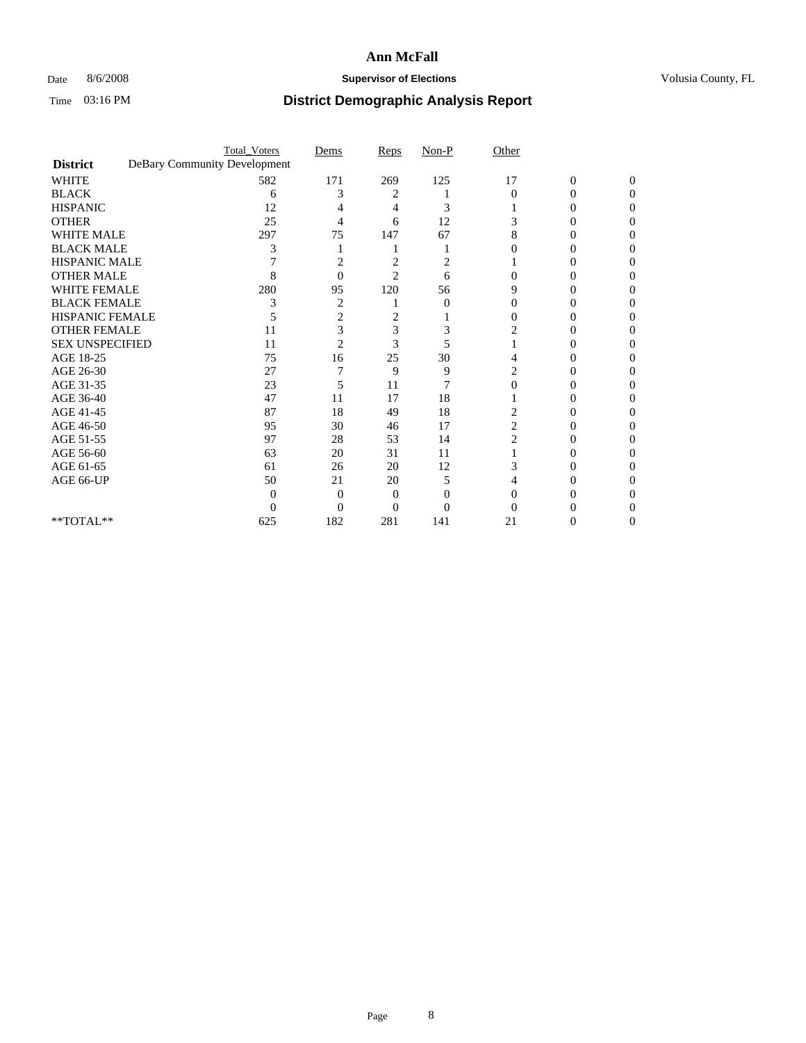## Date 8/6/2008 **Supervisor of Elections Supervisor of Elections** Volusia County, FL

|                        | <b>Total_Voters</b>          | Dems           | Reps           | $Non-P$  | Other    |                  |              |
|------------------------|------------------------------|----------------|----------------|----------|----------|------------------|--------------|
| <b>District</b>        | DeBary Community Development |                |                |          |          |                  |              |
| <b>WHITE</b>           | 582                          | 171            | 269            | 125      | 17       | $\boldsymbol{0}$ | $\mathbf{0}$ |
| <b>BLACK</b>           | 6                            | 3              | 2              |          | $\Omega$ | 0                | 0            |
| <b>HISPANIC</b>        | 12                           |                | 4              | 3        |          |                  | 0            |
| <b>OTHER</b>           | 25                           | 4              | 6              | 12       |          |                  | 0            |
| <b>WHITE MALE</b>      | 297                          | 75             | 147            | 67       |          | 0                | 0            |
| <b>BLACK MALE</b>      | 3                            |                |                |          |          |                  | 0            |
| HISPANIC MALE          |                              | 2              | 2              | 2        |          |                  |              |
| <b>OTHER MALE</b>      | 8                            | $\Omega$       | $\overline{2}$ | 6        |          |                  |              |
| <b>WHITE FEMALE</b>    | 280                          | 95             | 120            | 56       | 9        |                  | 0            |
| <b>BLACK FEMALE</b>    | 3                            | 2              |                | $\theta$ | 0        |                  | 0            |
| <b>HISPANIC FEMALE</b> |                              | 2              | 2              |          |          | 0                | 0            |
| <b>OTHER FEMALE</b>    | 11                           | 3              | 3              | 3        |          |                  |              |
| <b>SEX UNSPECIFIED</b> | 11                           | $\overline{2}$ | 3              | 5        |          |                  |              |
| AGE 18-25              | 75                           | 16             | 25             | 30       |          | 0                | 0            |
| AGE 26-30              | 27                           |                | 9              | 9        |          |                  | 0            |
| AGE 31-35              | 23                           | 5              | 11             | 7        |          |                  |              |
| AGE 36-40              | 47                           | 11             | 17             | 18       |          | 0                | 0            |
| AGE 41-45              | 87                           | 18             | 49             | 18       |          |                  | 0            |
| AGE 46-50              | 95                           | 30             | 46             | 17       | 2        |                  |              |
| AGE 51-55              | 97                           | 28             | 53             | 14       | 2        | 0                |              |
| AGE 56-60              | 63                           | 20             | 31             | 11       |          |                  |              |
| AGE 61-65              | 61                           | 26             | 20             | 12       | 3        |                  |              |
| AGE 66-UP              | 50                           | 21             | 20             | 5        |          |                  |              |
|                        | 0                            | 0              | 0              | 0        |          |                  |              |
|                        | 0                            | 0              | 0              | 0        |          |                  |              |
| **TOTAL**              | 625                          | 182            | 281            | 141      | 21       | $_{0}$           | 0            |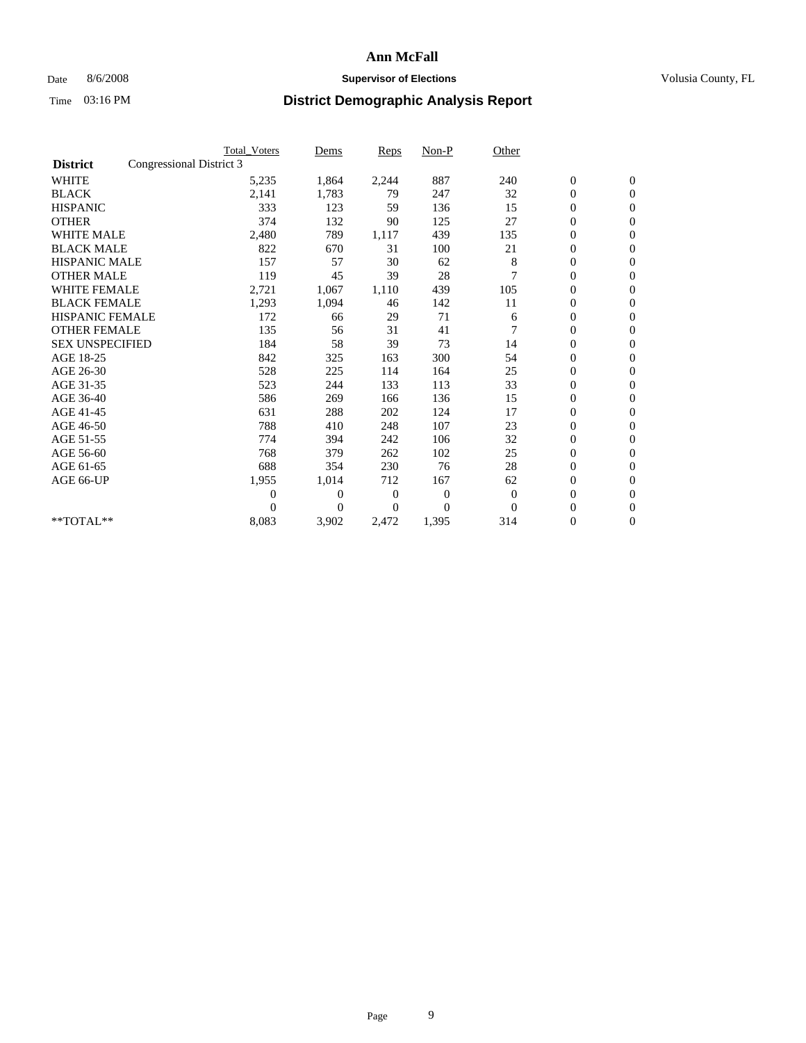## Date 8/6/2008 **Supervisor of Elections Supervisor of Elections** Volusia County, FL

|                        | <b>Total Voters</b>      | Dems           | <b>Reps</b>  | $Non-P$        | Other        |                  |                |  |
|------------------------|--------------------------|----------------|--------------|----------------|--------------|------------------|----------------|--|
| <b>District</b>        | Congressional District 3 |                |              |                |              |                  |                |  |
| <b>WHITE</b>           | 5,235                    | 1,864          | 2,244        | 887            | 240          | $\boldsymbol{0}$ | $\mathbf{0}$   |  |
| <b>BLACK</b>           | 2,141                    | 1,783          | 79           | 247            | 32           | $\boldsymbol{0}$ | $\mathbf{0}$   |  |
| <b>HISPANIC</b>        | 333                      | 123            | 59           | 136            | 15           | $\overline{0}$   | $\mathbf{0}$   |  |
| <b>OTHER</b>           | 374                      | 132            | 90           | 125            | 27           | $\overline{0}$   | $\mathbf{0}$   |  |
| <b>WHITE MALE</b>      | 2,480                    | 789            | 1,117        | 439            | 135          | $\boldsymbol{0}$ | $\mathbf{0}$   |  |
| <b>BLACK MALE</b>      | 822                      | 670            | 31           | 100            | 21           | $\boldsymbol{0}$ | $\mathbf{0}$   |  |
| <b>HISPANIC MALE</b>   | 157                      | 57             | 30           | 62             | 8            | $\boldsymbol{0}$ | $\mathbf{0}$   |  |
| <b>OTHER MALE</b>      | 119                      | 45             | 39           | 28             | 7            | 0                | $\mathbf{0}$   |  |
| <b>WHITE FEMALE</b>    | 2,721                    | 1,067          | 1,110        | 439            | 105          | $\overline{0}$   | $\mathbf{0}$   |  |
| <b>BLACK FEMALE</b>    | 1,293                    | 1,094          | 46           | 142            | 11           | $\boldsymbol{0}$ | $\mathbf{0}$   |  |
| <b>HISPANIC FEMALE</b> | 172                      | 66             | 29           | 71             | 6            | $\boldsymbol{0}$ | $\mathbf{0}$   |  |
| <b>OTHER FEMALE</b>    | 135                      | 56             | 31           | 41             |              | $\overline{0}$   | $\Omega$       |  |
| <b>SEX UNSPECIFIED</b> | 184                      | 58             | 39           | 73             | 14           | $\overline{0}$   | $\mathbf{0}$   |  |
| AGE 18-25              | 842                      | 325            | 163          | 300            | 54           | $\boldsymbol{0}$ | $\mathbf{0}$   |  |
| AGE 26-30              | 528                      | 225            | 114          | 164            | 25           | $\overline{0}$   | $\mathbf{0}$   |  |
| AGE 31-35              | 523                      | 244            | 133          | 113            | 33           | $\boldsymbol{0}$ | $\mathbf{0}$   |  |
| AGE 36-40              | 586                      | 269            | 166          | 136            | 15           | $\boldsymbol{0}$ | $\mathbf{0}$   |  |
| AGE 41-45              | 631                      | 288            | 202          | 124            | 17           | $\overline{0}$   | $\mathbf{0}$   |  |
| AGE 46-50              | 788                      | 410            | 248          | 107            | 23           | $\mathbf{0}$     | $\mathbf{0}$   |  |
| AGE 51-55              | 774                      | 394            | 242          | 106            | 32           | $\boldsymbol{0}$ | $\mathbf{0}$   |  |
| AGE 56-60              | 768                      | 379            | 262          | 102            | 25           | $\boldsymbol{0}$ | $\mathbf{0}$   |  |
| AGE 61-65              | 688                      | 354            | 230          | 76             | 28           | $\boldsymbol{0}$ | $\overline{0}$ |  |
| AGE 66-UP              | 1,955                    | 1,014          | 712          | 167            | 62           | $\boldsymbol{0}$ | $\mathbf{0}$   |  |
|                        | $\overline{0}$           | $\overline{0}$ | $\mathbf{0}$ | $\mathbf{0}$   | $\mathbf{0}$ | $\boldsymbol{0}$ | $\mathbf{0}$   |  |
|                        | $\Omega$                 | $\overline{0}$ | 0            | $\overline{0}$ | $\Omega$     | $\overline{0}$   | $\mathbf{0}$   |  |
| **TOTAL**              | 8,083                    | 3,902          | 2,472        | 1,395          | 314          | 0                | $\mathbf{0}$   |  |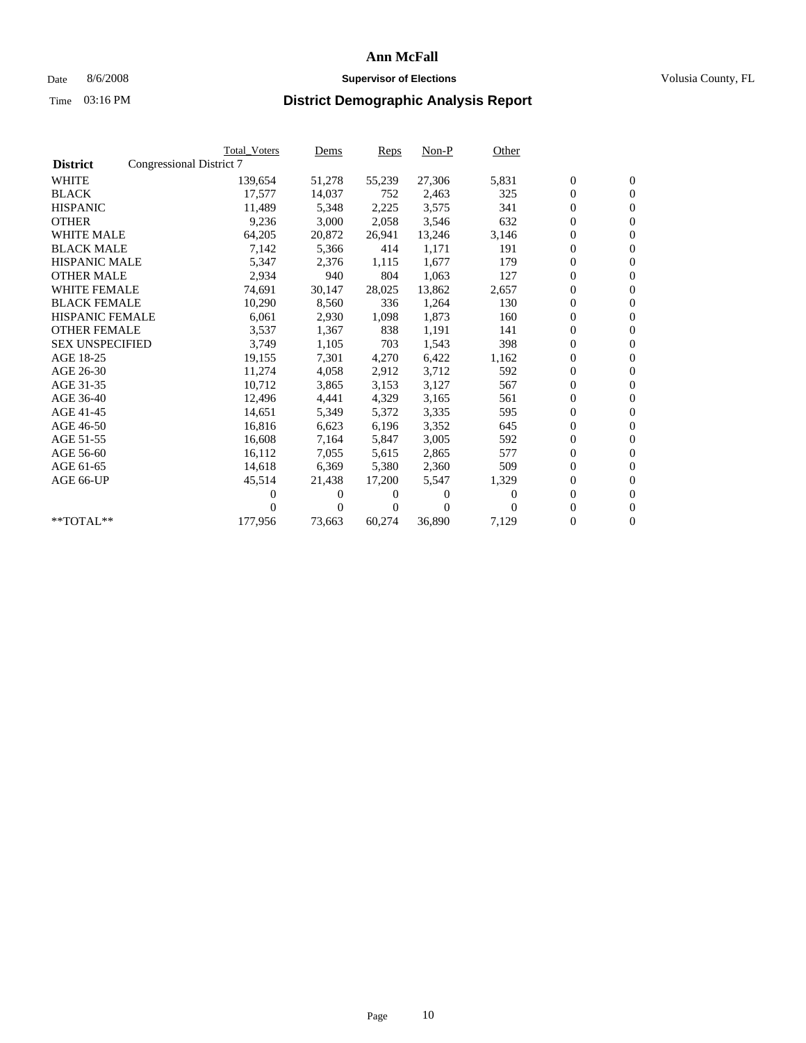## Date 8/6/2008 **Supervisor of Elections Supervisor of Elections** Volusia County, FL

|                        |                          | <b>Total Voters</b> | <u>Dems</u> | <b>Reps</b> | $Non-P$  | Other    |                  |                  |  |
|------------------------|--------------------------|---------------------|-------------|-------------|----------|----------|------------------|------------------|--|
| <b>District</b>        | Congressional District 7 |                     |             |             |          |          |                  |                  |  |
| <b>WHITE</b>           |                          | 139,654             | 51,278      | 55,239      | 27,306   | 5,831    | $\boldsymbol{0}$ | $\boldsymbol{0}$ |  |
| <b>BLACK</b>           |                          | 17,577              | 14,037      | 752         | 2,463    | 325      | $\boldsymbol{0}$ | $\mathbf{0}$     |  |
| <b>HISPANIC</b>        |                          | 11,489              | 5,348       | 2,225       | 3,575    | 341      | $\overline{0}$   | $\mathbf{0}$     |  |
| <b>OTHER</b>           |                          | 9,236               | 3,000       | 2,058       | 3,546    | 632      | $\boldsymbol{0}$ | $\mathbf{0}$     |  |
| <b>WHITE MALE</b>      |                          | 64,205              | 20,872      | 26,941      | 13,246   | 3,146    | $\boldsymbol{0}$ | $\mathbf{0}$     |  |
| <b>BLACK MALE</b>      |                          | 7,142               | 5,366       | 414         | 1,171    | 191      | $\boldsymbol{0}$ | $\mathbf{0}$     |  |
| <b>HISPANIC MALE</b>   |                          | 5,347               | 2,376       | 1,115       | 1,677    | 179      | $\boldsymbol{0}$ | $\overline{0}$   |  |
| <b>OTHER MALE</b>      |                          | 2,934               | 940         | 804         | 1,063    | 127      | 0                | $\mathbf{0}$     |  |
| <b>WHITE FEMALE</b>    |                          | 74,691              | 30,147      | 28,025      | 13,862   | 2,657    | $\mathbf{0}$     | $\mathbf{0}$     |  |
| <b>BLACK FEMALE</b>    |                          | 10,290              | 8,560       | 336         | 1,264    | 130      | $\boldsymbol{0}$ | $\mathbf{0}$     |  |
| <b>HISPANIC FEMALE</b> |                          | 6,061               | 2,930       | 1,098       | 1,873    | 160      | 0                | $\mathbf{0}$     |  |
| <b>OTHER FEMALE</b>    |                          | 3,537               | 1,367       | 838         | 1,191    | 141      | $\overline{0}$   | $\mathbf{0}$     |  |
| <b>SEX UNSPECIFIED</b> |                          | 3,749               | 1,105       | 703         | 1,543    | 398      | $\boldsymbol{0}$ | $\mathbf{0}$     |  |
| AGE 18-25              |                          | 19,155              | 7,301       | 4,270       | 6,422    | 1,162    | 0                | $\mathbf{0}$     |  |
| AGE 26-30              |                          | 11,274              | 4,058       | 2,912       | 3,712    | 592      | 0                | $\mathbf{0}$     |  |
| AGE 31-35              |                          | 10,712              | 3,865       | 3,153       | 3,127    | 567      | $\boldsymbol{0}$ | $\mathbf{0}$     |  |
| AGE 36-40              |                          | 12,496              | 4,441       | 4,329       | 3,165    | 561      | 0                | $\mathbf{0}$     |  |
| AGE 41-45              |                          | 14,651              | 5,349       | 5,372       | 3,335    | 595      | 0                | $\mathbf{0}$     |  |
| AGE 46-50              |                          | 16,816              | 6,623       | 6,196       | 3,352    | 645      | $\boldsymbol{0}$ | $\mathbf{0}$     |  |
| AGE 51-55              |                          | 16,608              | 7,164       | 5,847       | 3,005    | 592      | $\boldsymbol{0}$ | $\mathbf{0}$     |  |
| AGE 56-60              |                          | 16,112              | 7,055       | 5,615       | 2,865    | 577      | 0                | $\mathbf{0}$     |  |
| AGE 61-65              |                          | 14,618              | 6,369       | 5,380       | 2,360    | 509      | $\mathbf{0}$     | $\mathbf{0}$     |  |
| AGE 66-UP              |                          | 45,514              | 21,438      | 17,200      | 5,547    | 1,329    | 0                | $\boldsymbol{0}$ |  |
|                        |                          | 0                   | 0           | 0           | 0        | $\Omega$ | $\overline{0}$   | $\mathbf{0}$     |  |
|                        |                          | $\theta$            | $\theta$    | 0           | $\Omega$ | $\Omega$ | $\boldsymbol{0}$ | $\boldsymbol{0}$ |  |
| $*$ TOTAL $**$         |                          | 177,956             | 73,663      | 60,274      | 36,890   | 7,129    | 0                | $\mathbf{0}$     |  |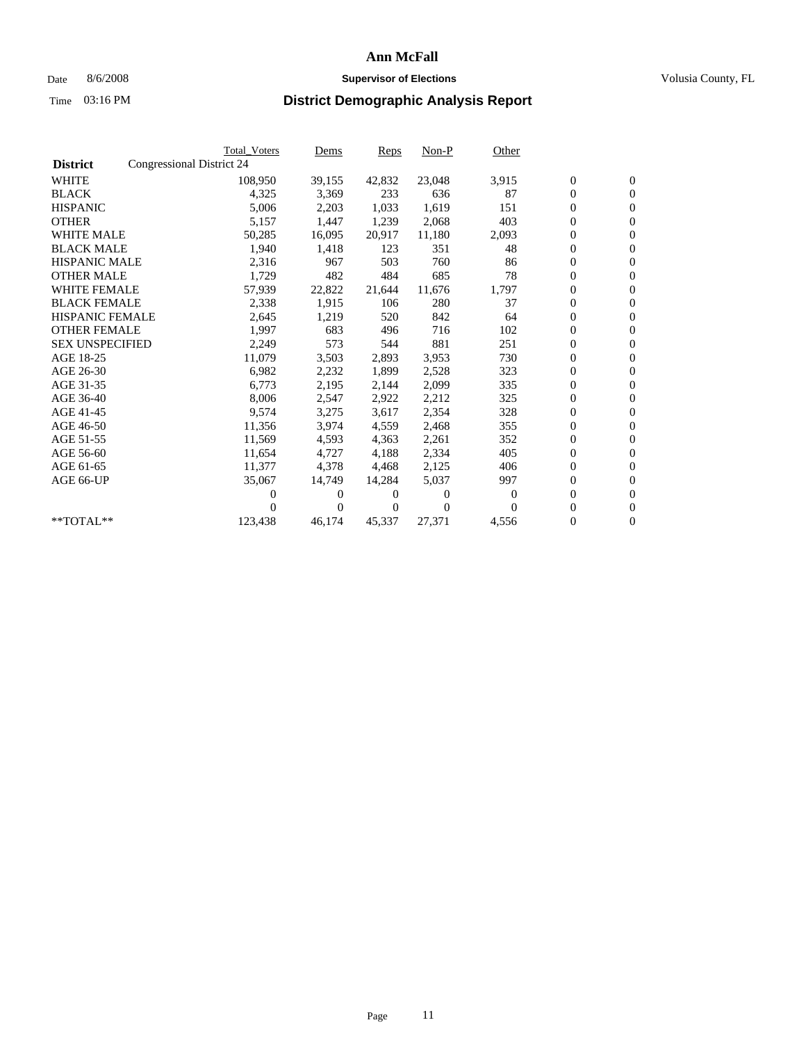## Date 8/6/2008 **Supervisor of Elections Supervisor of Elections** Volusia County, FL

|                        |                           | <b>Total Voters</b> | Dems     | Reps   | $Non-P$  | Other    |                  |                  |
|------------------------|---------------------------|---------------------|----------|--------|----------|----------|------------------|------------------|
| <b>District</b>        | Congressional District 24 |                     |          |        |          |          |                  |                  |
| <b>WHITE</b>           |                           | 108,950             | 39,155   | 42,832 | 23,048   | 3,915    | $\boldsymbol{0}$ | $\boldsymbol{0}$ |
| <b>BLACK</b>           |                           | 4,325               | 3,369    | 233    | 636      | 87       | $\overline{0}$   | $\mathbf{0}$     |
| <b>HISPANIC</b>        |                           | 5,006               | 2,203    | 1,033  | 1,619    | 151      | $\overline{0}$   | $\mathbf{0}$     |
| <b>OTHER</b>           |                           | 5,157               | 1,447    | 1,239  | 2,068    | 403      | 0                | $\mathbf{0}$     |
| <b>WHITE MALE</b>      |                           | 50,285              | 16,095   | 20,917 | 11,180   | 2,093    | $\boldsymbol{0}$ | $\mathbf{0}$     |
| <b>BLACK MALE</b>      |                           | 1,940               | 1,418    | 123    | 351      | 48       | $\boldsymbol{0}$ | $\mathbf{0}$     |
| <b>HISPANIC MALE</b>   |                           | 2,316               | 967      | 503    | 760      | 86       | 0                | $\mathbf{0}$     |
| <b>OTHER MALE</b>      |                           | 1,729               | 482      | 484    | 685      | 78       | $\boldsymbol{0}$ | $\mathbf{0}$     |
| <b>WHITE FEMALE</b>    |                           | 57,939              | 22,822   | 21,644 | 11,676   | 1,797    | 0                | $\mathbf{0}$     |
| <b>BLACK FEMALE</b>    |                           | 2,338               | 1,915    | 106    | 280      | 37       | 0                | $\Omega$         |
| <b>HISPANIC FEMALE</b> |                           | 2,645               | 1,219    | 520    | 842      | 64       | $\boldsymbol{0}$ | $\mathbf{0}$     |
| <b>OTHER FEMALE</b>    |                           | 1,997               | 683      | 496    | 716      | 102      | 0                | $\mathbf{0}$     |
| <b>SEX UNSPECIFIED</b> |                           | 2,249               | 573      | 544    | 881      | 251      | 0                | $\mathbf{0}$     |
| AGE 18-25              |                           | 11,079              | 3,503    | 2,893  | 3,953    | 730      | $\overline{0}$   | $\mathbf{0}$     |
| AGE 26-30              |                           | 6,982               | 2,232    | 1,899  | 2,528    | 323      | 0                | $\mathbf{0}$     |
| AGE 31-35              |                           | 6,773               | 2,195    | 2,144  | 2,099    | 335      | 0                | $\mathbf{0}$     |
| AGE 36-40              |                           | 8,006               | 2,547    | 2,922  | 2,212    | 325      | $\overline{0}$   | $\mathbf{0}$     |
| AGE 41-45              |                           | 9,574               | 3,275    | 3,617  | 2,354    | 328      | $\boldsymbol{0}$ | $\mathbf{0}$     |
| AGE 46-50              |                           | 11,356              | 3,974    | 4,559  | 2,468    | 355      | 0                | $\Omega$         |
| AGE 51-55              |                           | 11,569              | 4,593    | 4,363  | 2,261    | 352      | $\boldsymbol{0}$ | $\mathbf{0}$     |
| AGE 56-60              |                           | 11.654              | 4.727    | 4,188  | 2,334    | 405      | 0                | $\mathbf{0}$     |
| AGE 61-65              |                           | 11,377              | 4,378    | 4,468  | 2,125    | 406      | 0                | $\Omega$         |
| AGE 66-UP              |                           | 35,067              | 14,749   | 14,284 | 5,037    | 997      | $\overline{0}$   | $\mathbf{0}$     |
|                        |                           | 0                   | 0        | 0      | $\theta$ | $\Omega$ | 0                | $\mathbf{0}$     |
|                        |                           | 0                   | $\Omega$ | 0      | $\Omega$ | $\Omega$ | 0                | $\mathbf{0}$     |
| $*$ TOTAL $**$         |                           | 123,438             | 46,174   | 45,337 | 27,371   | 4,556    | 0                | $\boldsymbol{0}$ |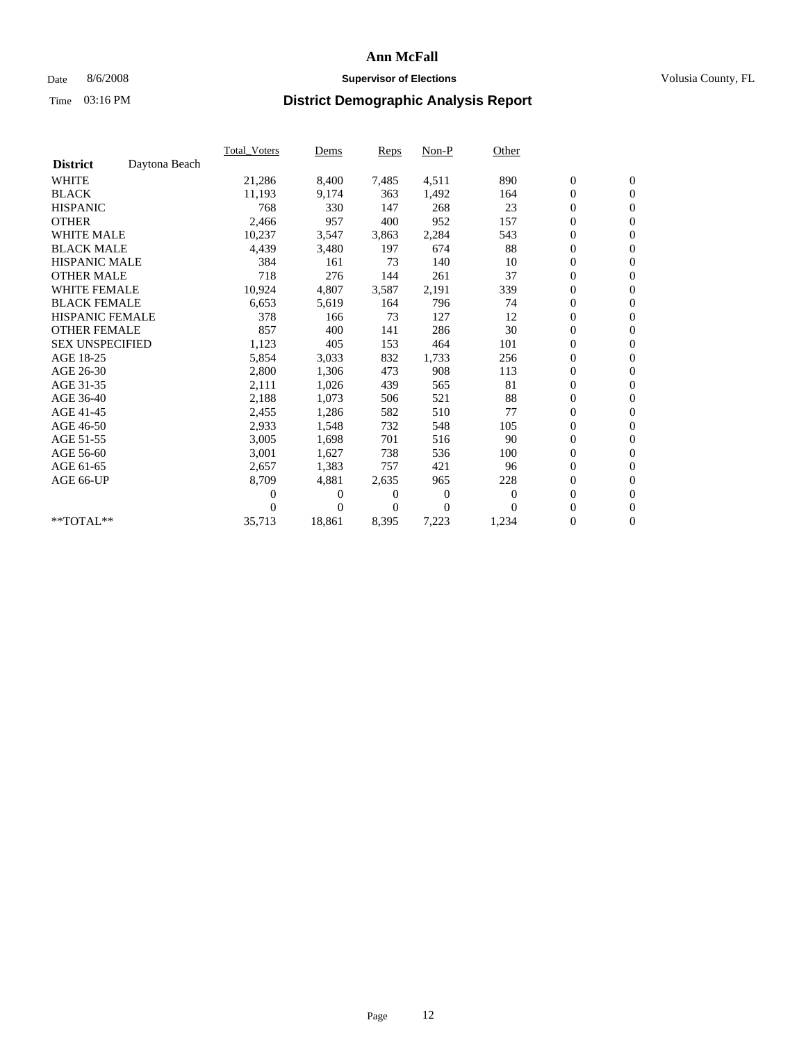## Date 8/6/2008 **Supervisor of Elections Supervisor of Elections** Volusia County, FL

|                        |               | Total Voters | Dems           | <b>Reps</b>  | Non-P        | Other    |                  |                  |  |
|------------------------|---------------|--------------|----------------|--------------|--------------|----------|------------------|------------------|--|
| <b>District</b>        | Daytona Beach |              |                |              |              |          |                  |                  |  |
| <b>WHITE</b>           |               | 21,286       | 8,400          | 7,485        | 4,511        | 890      | $\boldsymbol{0}$ | $\boldsymbol{0}$ |  |
| <b>BLACK</b>           |               | 11,193       | 9,174          | 363          | 1,492        | 164      | $\boldsymbol{0}$ | $\mathbf{0}$     |  |
| <b>HISPANIC</b>        |               | 768          | 330            | 147          | 268          | 23       | $\boldsymbol{0}$ | $\mathbf{0}$     |  |
| <b>OTHER</b>           |               | 2,466        | 957            | 400          | 952          | 157      | $\boldsymbol{0}$ | $\mathbf{0}$     |  |
| <b>WHITE MALE</b>      |               | 10,237       | 3,547          | 3,863        | 2,284        | 543      | $\boldsymbol{0}$ | $\mathbf{0}$     |  |
| <b>BLACK MALE</b>      |               | 4,439        | 3,480          | 197          | 674          | 88       | $\mathbf{0}$     | $\mathbf{0}$     |  |
| <b>HISPANIC MALE</b>   |               | 384          | 161            | 73           | 140          | 10       | $\boldsymbol{0}$ | $\mathbf{0}$     |  |
| <b>OTHER MALE</b>      |               | 718          | 276            | 144          | 261          | 37       | $\boldsymbol{0}$ | $\mathbf{0}$     |  |
| <b>WHITE FEMALE</b>    |               | 10,924       | 4,807          | 3,587        | 2,191        | 339      | $\boldsymbol{0}$ | $\mathbf{0}$     |  |
| <b>BLACK FEMALE</b>    |               | 6,653        | 5,619          | 164          | 796          | 74       | $\boldsymbol{0}$ | $\mathbf{0}$     |  |
| <b>HISPANIC FEMALE</b> |               | 378          | 166            | 73           | 127          | 12       | $\boldsymbol{0}$ | $\mathbf{0}$     |  |
| <b>OTHER FEMALE</b>    |               | 857          | 400            | 141          | 286          | 30       | $\mathbf{0}$     | $\mathbf{0}$     |  |
| <b>SEX UNSPECIFIED</b> |               | 1,123        | 405            | 153          | 464          | 101      | $\boldsymbol{0}$ | $\mathbf{0}$     |  |
| AGE 18-25              |               | 5,854        | 3,033          | 832          | 1,733        | 256      | $\boldsymbol{0}$ | $\mathbf{0}$     |  |
| AGE 26-30              |               | 2,800        | 1,306          | 473          | 908          | 113      | $\boldsymbol{0}$ | $\mathbf{0}$     |  |
| AGE 31-35              |               | 2,111        | 1,026          | 439          | 565          | 81       | $\boldsymbol{0}$ | $\mathbf{0}$     |  |
| AGE 36-40              |               | 2,188        | 1,073          | 506          | 521          | 88       | $\boldsymbol{0}$ | $\mathbf{0}$     |  |
| AGE 41-45              |               | 2,455        | 1,286          | 582          | 510          | 77       | $\boldsymbol{0}$ | $\mathbf{0}$     |  |
| AGE 46-50              |               | 2,933        | 1,548          | 732          | 548          | 105      | $\boldsymbol{0}$ | $\mathbf{0}$     |  |
| AGE 51-55              |               | 3,005        | 1,698          | 701          | 516          | 90       | $\boldsymbol{0}$ | $\mathbf{0}$     |  |
| AGE 56-60              |               | 3,001        | 1,627          | 738          | 536          | 100      | $\boldsymbol{0}$ | $\mathbf{0}$     |  |
| AGE 61-65              |               | 2,657        | 1,383          | 757          | 421          | 96       | $\overline{0}$   | $\mathbf{0}$     |  |
| AGE 66-UP              |               | 8,709        | 4,881          | 2,635        | 965          | 228      | $\boldsymbol{0}$ | $\mathbf{0}$     |  |
|                        |               | 0            | $\overline{0}$ | 0            | $\mathbf{0}$ | 0        | $\mathbf{0}$     | $\mathbf{0}$     |  |
|                        |               | 0            | $\overline{0}$ | $\mathbf{0}$ | $\mathbf{0}$ | $\Omega$ | $\boldsymbol{0}$ | $\mathbf{0}$     |  |
| **TOTAL**              |               | 35,713       | 18,861         | 8,395        | 7,223        | 1,234    | 0                | $\boldsymbol{0}$ |  |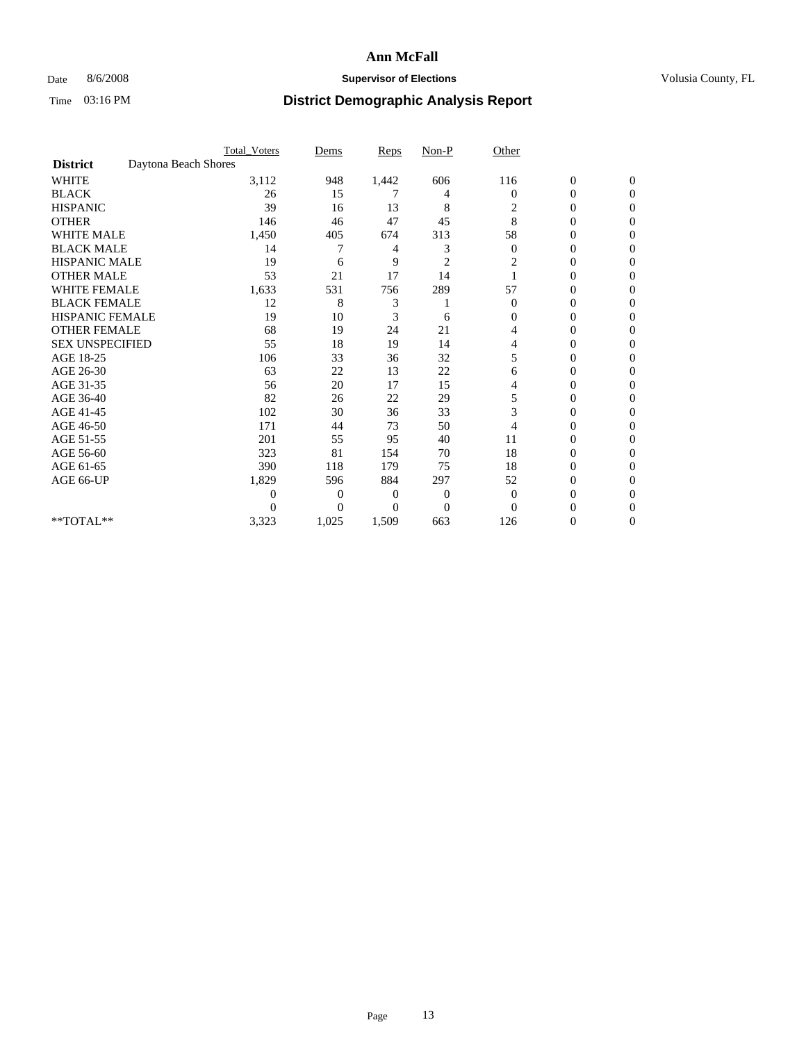### Date 8/6/2008 **Supervisor of Elections Supervisor of Elections** Volusia County, FL

|                        |                      | <b>Total_Voters</b> | Dems           | <b>Reps</b> | $Non-P$        | Other          |                  |              |  |
|------------------------|----------------------|---------------------|----------------|-------------|----------------|----------------|------------------|--------------|--|
| <b>District</b>        | Daytona Beach Shores |                     |                |             |                |                |                  |              |  |
| <b>WHITE</b>           |                      | 3,112               | 948            | 1,442       | 606            | 116            | $\boldsymbol{0}$ | $\mathbf{0}$ |  |
| <b>BLACK</b>           |                      | 26                  | 15             | 7           | 4              | $\Omega$       | $\overline{0}$   | $\Omega$     |  |
| <b>HISPANIC</b>        |                      | 39                  | 16             | 13          | 8              | 2              | 0                | $\Omega$     |  |
| <b>OTHER</b>           |                      | 146                 | 46             | 47          | 45             | 8              | 0                | $\Omega$     |  |
| <b>WHITE MALE</b>      |                      | 1,450               | 405            | 674         | 313            | 58             | 0                | 0            |  |
| <b>BLACK MALE</b>      |                      | 14                  |                | 4           | 3              | $\theta$       | 0                | $\Omega$     |  |
| HISPANIC MALE          |                      | 19                  | 6              | 9           | $\overline{c}$ | 2              | 0                | $\Omega$     |  |
| <b>OTHER MALE</b>      |                      | 53                  | 21             | 17          | 14             |                | 0                | 0            |  |
| <b>WHITE FEMALE</b>    |                      | 1,633               | 531            | 756         | 289            | 57             | 0                | $\Omega$     |  |
| <b>BLACK FEMALE</b>    |                      | 12                  | 8              | 3           |                | $\overline{0}$ | $\overline{0}$   | $\Omega$     |  |
| <b>HISPANIC FEMALE</b> |                      | 19                  | 10             | 3           | 6              | 0              | 0                | 0            |  |
| <b>OTHER FEMALE</b>    |                      | 68                  | 19             | 24          | 21             | 4              | 0                | 0            |  |
| <b>SEX UNSPECIFIED</b> |                      | 55                  | 18             | 19          | 14             | 4              | 0                | $\Omega$     |  |
| AGE 18-25              |                      | 106                 | 33             | 36          | 32             | 5              | 0                | $\Omega$     |  |
| AGE 26-30              |                      | 63                  | 22             | 13          | 22             | 6              | 0                | 0            |  |
| AGE 31-35              |                      | 56                  | 20             | 17          | 15             | 4              | 0                | $\Omega$     |  |
| AGE 36-40              |                      | 82                  | 26             | 22          | 29             | 5              | 0                | 0            |  |
| AGE 41-45              |                      | 102                 | 30             | 36          | 33             | 3              | 0                | $\Omega$     |  |
| AGE 46-50              |                      | 171                 | 44             | 73          | 50             | 4              | $\overline{0}$   | $\Omega$     |  |
| AGE 51-55              |                      | 201                 | 55             | 95          | 40             | 11             | 0                | 0            |  |
| AGE 56-60              |                      | 323                 | 81             | 154         | 70             | 18             | 0                | $\Omega$     |  |
| AGE 61-65              |                      | 390                 | 118            | 179         | 75             | 18             | $\overline{0}$   | $\Omega$     |  |
| AGE 66-UP              |                      | 1,829               | 596            | 884         | 297            | 52             | 0                | 0            |  |
|                        |                      | 0                   | $\overline{0}$ | 0           | $\mathbf{0}$   | $\overline{0}$ | 0                | $\Omega$     |  |
|                        |                      | 0                   | $\overline{0}$ | $\Omega$    | $\overline{0}$ | $\Omega$       | 0                | 0            |  |
| **TOTAL**              |                      | 3,323               | 1,025          | 1,509       | 663            | 126            | 0                | 0            |  |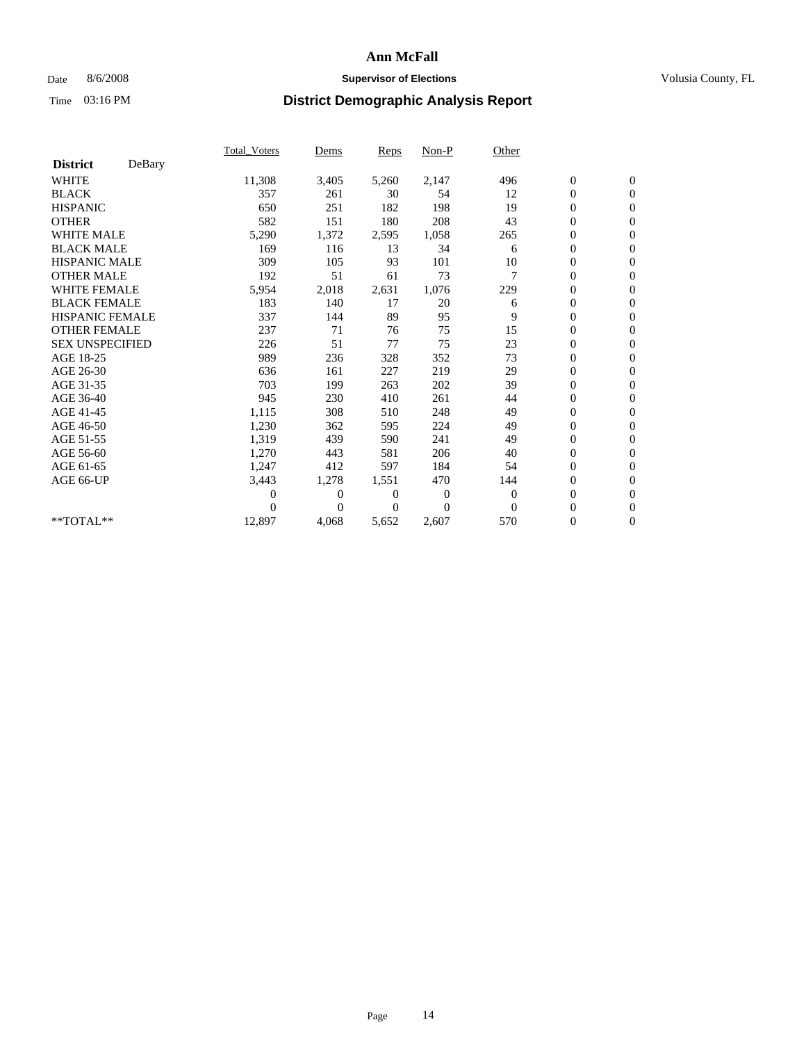## Date 8/6/2008 **Supervisor of Elections Supervisor of Elections** Volusia County, FL

|                        |        | Total Voters   | Dems           | <b>Reps</b> | Non-P          | Other        |                  |                  |  |
|------------------------|--------|----------------|----------------|-------------|----------------|--------------|------------------|------------------|--|
| <b>District</b>        | DeBary |                |                |             |                |              |                  |                  |  |
| <b>WHITE</b>           |        | 11,308         | 3,405          | 5,260       | 2,147          | 496          | $\boldsymbol{0}$ | $\boldsymbol{0}$ |  |
| <b>BLACK</b>           |        | 357            | 261            | 30          | 54             | 12           | $\boldsymbol{0}$ | $\mathbf{0}$     |  |
| <b>HISPANIC</b>        |        | 650            | 251            | 182         | 198            | 19           | $\overline{0}$   | $\mathbf{0}$     |  |
| <b>OTHER</b>           |        | 582            | 151            | 180         | 208            | 43           | $\boldsymbol{0}$ | $\Omega$         |  |
| <b>WHITE MALE</b>      |        | 5,290          | 1,372          | 2,595       | 1,058          | 265          | $\boldsymbol{0}$ | $\mathbf{0}$     |  |
| <b>BLACK MALE</b>      |        | 169            | 116            | 13          | 34             | 6            | $\boldsymbol{0}$ | $\mathbf{0}$     |  |
| <b>HISPANIC MALE</b>   |        | 309            | 105            | 93          | 101            | 10           | $\boldsymbol{0}$ | $\mathbf{0}$     |  |
| <b>OTHER MALE</b>      |        | 192            | 51             | 61          | 73             | 7            | $\boldsymbol{0}$ | $\mathbf{0}$     |  |
| <b>WHITE FEMALE</b>    |        | 5,954          | 2,018          | 2,631       | 1,076          | 229          | $\mathbf{0}$     | $\mathbf{0}$     |  |
| <b>BLACK FEMALE</b>    |        | 183            | 140            | 17          | 20             | 6            | $\boldsymbol{0}$ | $\mathbf{0}$     |  |
| <b>HISPANIC FEMALE</b> |        | 337            | 144            | 89          | 95             | 9            | $\boldsymbol{0}$ | $\mathbf{0}$     |  |
| <b>OTHER FEMALE</b>    |        | 237            | 71             | 76          | 75             | 15           | $\mathbf{0}$     | $\mathbf{0}$     |  |
| <b>SEX UNSPECIFIED</b> |        | 226            | 51             | 77          | 75             | 23           | $\boldsymbol{0}$ | $\mathbf{0}$     |  |
| AGE 18-25              |        | 989            | 236            | 328         | 352            | 73           | $\overline{0}$   | $\mathbf{0}$     |  |
| AGE 26-30              |        | 636            | 161            | 227         | 219            | 29           | $\overline{0}$   | $\mathbf{0}$     |  |
| AGE 31-35              |        | 703            | 199            | 263         | 202            | 39           | $\boldsymbol{0}$ | $\mathbf{0}$     |  |
| AGE 36-40              |        | 945            | 230            | 410         | 261            | 44           | $\boldsymbol{0}$ | $\mathbf{0}$     |  |
| AGE 41-45              |        | 1,115          | 308            | 510         | 248            | 49           | $\overline{0}$   | $\mathbf{0}$     |  |
| AGE 46-50              |        | 1,230          | 362            | 595         | 224            | 49           | $\boldsymbol{0}$ | $\mathbf{0}$     |  |
| AGE 51-55              |        | 1,319          | 439            | 590         | 241            | 49           | $\boldsymbol{0}$ | $\mathbf{0}$     |  |
| AGE 56-60              |        | 1,270          | 443            | 581         | 206            | 40           | $\overline{0}$   | $\Omega$         |  |
| AGE 61-65              |        | 1,247          | 412            | 597         | 184            | 54           | $\mathbf{0}$     | $\mathbf{0}$     |  |
| AGE 66-UP              |        | 3,443          | 1,278          | 1,551       | 470            | 144          | $\boldsymbol{0}$ | $\mathbf{0}$     |  |
|                        |        | $\overline{0}$ | $\overline{0}$ | 0           | $\overline{0}$ | $\mathbf{0}$ | $\overline{0}$   | $\mathbf{0}$     |  |
|                        |        | $\theta$       | $\theta$       | $\Omega$    | $\theta$       | $\Omega$     | $\boldsymbol{0}$ | $\mathbf{0}$     |  |
| **TOTAL**              |        | 12,897         | 4,068          | 5,652       | 2,607          | 570          | 0                | $\mathbf{0}$     |  |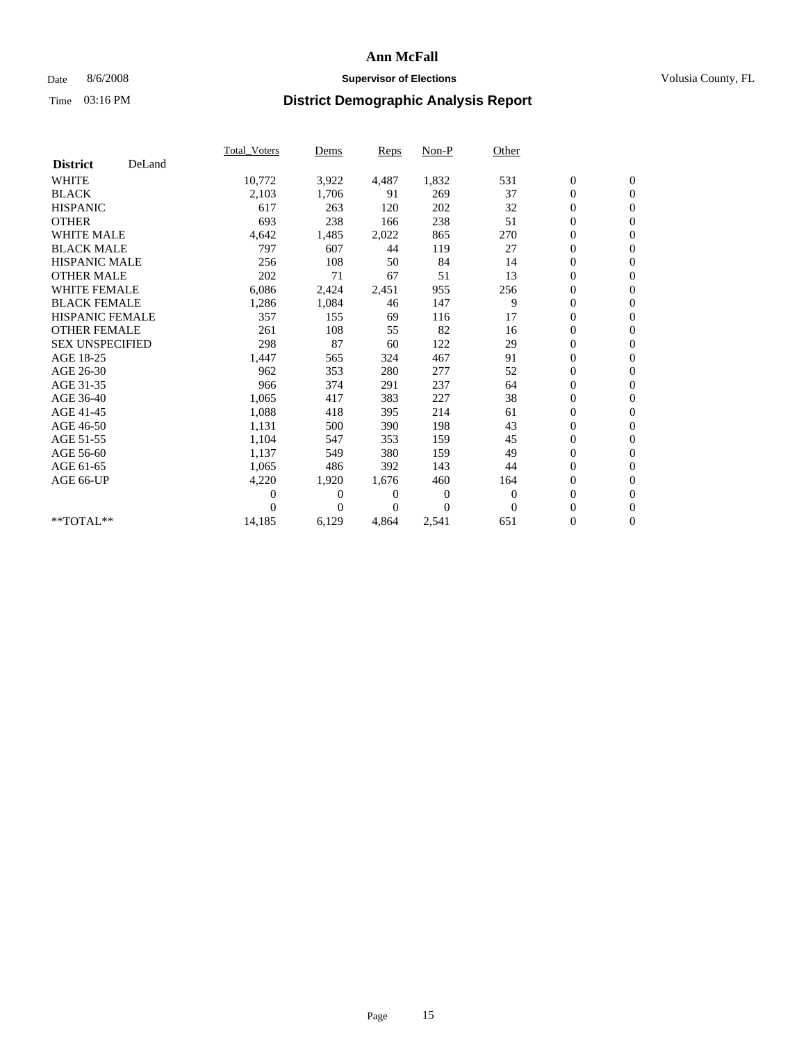## Date 8/6/2008 **Supervisor of Elections Supervisor of Elections** Volusia County, FL

|                        |        | <b>Total Voters</b> | Dems         | Reps  | Non-P          | Other    |                  |                  |  |
|------------------------|--------|---------------------|--------------|-------|----------------|----------|------------------|------------------|--|
| <b>District</b>        | DeLand |                     |              |       |                |          |                  |                  |  |
| <b>WHITE</b>           |        | 10,772              | 3,922        | 4,487 | 1,832          | 531      | $\boldsymbol{0}$ | $\boldsymbol{0}$ |  |
| <b>BLACK</b>           |        | 2,103               | 1,706        | 91    | 269            | 37       | $\boldsymbol{0}$ | $\mathbf{0}$     |  |
| <b>HISPANIC</b>        |        | 617                 | 263          | 120   | 202            | 32       | $\overline{0}$   | $\mathbf{0}$     |  |
| <b>OTHER</b>           |        | 693                 | 238          | 166   | 238            | 51       | 0                | $\mathbf{0}$     |  |
| WHITE MALE             |        | 4,642               | 1,485        | 2,022 | 865            | 270      | 0                | $\mathbf{0}$     |  |
| <b>BLACK MALE</b>      |        | 797                 | 607          | 44    | 119            | 27       | $\overline{0}$   | $\mathbf{0}$     |  |
| <b>HISPANIC MALE</b>   |        | 256                 | 108          | 50    | 84             | 14       | 0                | $\mathbf{0}$     |  |
| <b>OTHER MALE</b>      |        | 202                 | 71           | 67    | 51             | 13       | 0                | $\mathbf{0}$     |  |
| <b>WHITE FEMALE</b>    |        | 6,086               | 2,424        | 2,451 | 955            | 256      | $\boldsymbol{0}$ | $\mathbf{0}$     |  |
| <b>BLACK FEMALE</b>    |        | 1,286               | 1,084        | 46    | 147            | 9        | 0                | $\mathbf{0}$     |  |
| <b>HISPANIC FEMALE</b> |        | 357                 | 155          | 69    | 116            | 17       | 0                | $\mathbf{0}$     |  |
| <b>OTHER FEMALE</b>    |        | 261                 | 108          | 55    | 82             | 16       | 0                | $\mathbf{0}$     |  |
| <b>SEX UNSPECIFIED</b> |        | 298                 | 87           | 60    | 122            | 29       | 0                | $\mathbf{0}$     |  |
| AGE 18-25              |        | 1,447               | 565          | 324   | 467            | 91       | 0                | $\mathbf{0}$     |  |
| AGE 26-30              |        | 962                 | 353          | 280   | 277            | 52       | $\overline{0}$   | $\Omega$         |  |
| AGE 31-35              |        | 966                 | 374          | 291   | 237            | 64       | 0                | $\mathbf{0}$     |  |
| AGE 36-40              |        | 1,065               | 417          | 383   | 227            | 38       | 0                | $\mathbf{0}$     |  |
| AGE 41-45              |        | 1,088               | 418          | 395   | 214            | 61       | 0                | $\mathbf{0}$     |  |
| AGE 46-50              |        | 1,131               | 500          | 390   | 198            | 43       | 0                | $\mathbf{0}$     |  |
| AGE 51-55              |        | 1,104               | 547          | 353   | 159            | 45       | $\boldsymbol{0}$ | $\mathbf{0}$     |  |
| AGE 56-60              |        | 1,137               | 549          | 380   | 159            | 49       | 0                | $\mathbf{0}$     |  |
| AGE 61-65              |        | 1,065               | 486          | 392   | 143            | 44       | 0                | $\mathbf{0}$     |  |
| AGE 66-UP              |        | 4,220               | 1,920        | 1,676 | 460            | 164      | 0                | $\mathbf{0}$     |  |
|                        |        | 0                   | $\mathbf{0}$ | 0     | $\overline{0}$ | $\theta$ | $\overline{0}$   | $\mathbf{0}$     |  |
|                        |        | 0                   | $\Omega$     | 0     | $\Omega$       | $\theta$ | 0                | $\mathbf{0}$     |  |
| **TOTAL**              |        | 14,185              | 6,129        | 4,864 | 2,541          | 651      | 0                | $\boldsymbol{0}$ |  |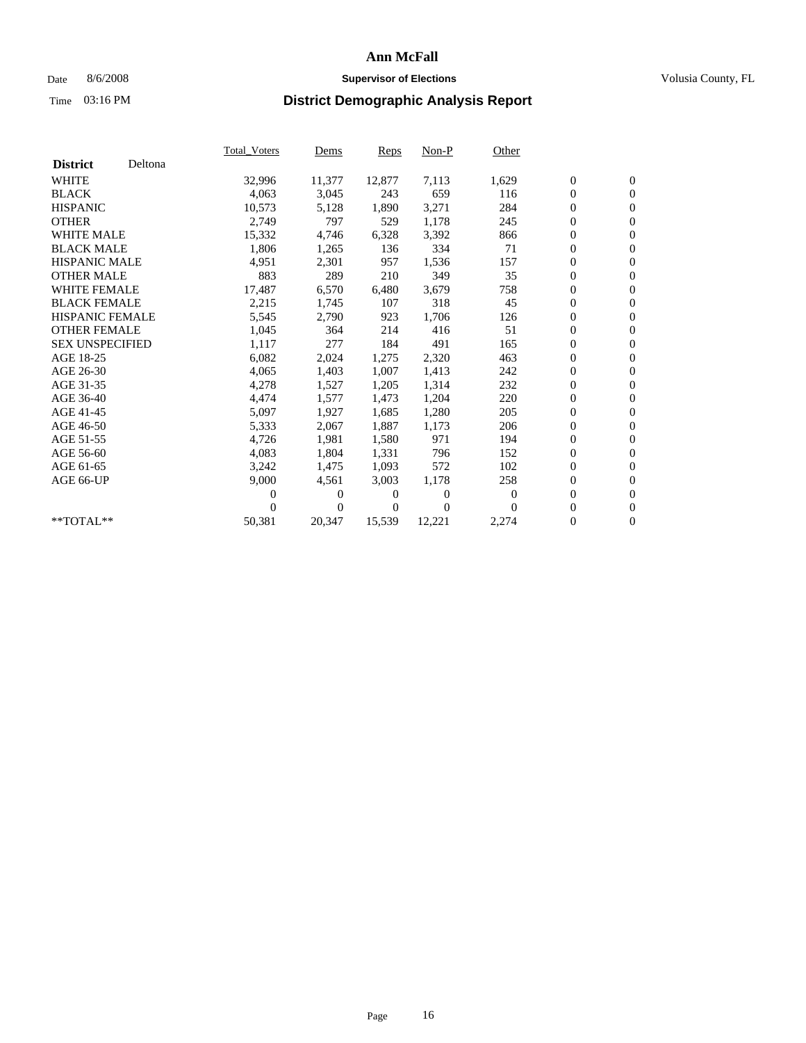## Date 8/6/2008 **Supervisor of Elections Supervisor of Elections** Volusia County, FL

|                        |         | <b>Total Voters</b> | Dems   | Reps   | $Non-P$  | Other    |                  |                  |  |
|------------------------|---------|---------------------|--------|--------|----------|----------|------------------|------------------|--|
| <b>District</b>        | Deltona |                     |        |        |          |          |                  |                  |  |
| <b>WHITE</b>           |         | 32,996              | 11,377 | 12,877 | 7,113    | 1,629    | $\boldsymbol{0}$ | $\boldsymbol{0}$ |  |
| <b>BLACK</b>           |         | 4,063               | 3,045  | 243    | 659      | 116      | 0                | $\mathbf{0}$     |  |
| <b>HISPANIC</b>        |         | 10,573              | 5,128  | 1,890  | 3,271    | 284      | 0                | $\mathbf{0}$     |  |
| <b>OTHER</b>           |         | 2,749               | 797    | 529    | 1,178    | 245      | 0                | $\mathbf{0}$     |  |
| <b>WHITE MALE</b>      |         | 15,332              | 4,746  | 6,328  | 3,392    | 866      | 0                | $\mathbf{0}$     |  |
| <b>BLACK MALE</b>      |         | 1,806               | 1,265  | 136    | 334      | 71       | $\overline{0}$   | $\mathbf{0}$     |  |
| <b>HISPANIC MALE</b>   |         | 4,951               | 2,301  | 957    | 1,536    | 157      | 0                | $\mathbf{0}$     |  |
| <b>OTHER MALE</b>      |         | 883                 | 289    | 210    | 349      | 35       | 0                | $\mathbf{0}$     |  |
| <b>WHITE FEMALE</b>    |         | 17,487              | 6,570  | 6,480  | 3,679    | 758      | $\overline{0}$   | $\mathbf{0}$     |  |
| <b>BLACK FEMALE</b>    |         | 2,215               | 1,745  | 107    | 318      | 45       | 0                | $\mathbf{0}$     |  |
| <b>HISPANIC FEMALE</b> |         | 5,545               | 2,790  | 923    | 1,706    | 126      | 0                | $\mathbf{0}$     |  |
| <b>OTHER FEMALE</b>    |         | 1,045               | 364    | 214    | 416      | 51       | 0                | $\mathbf{0}$     |  |
| <b>SEX UNSPECIFIED</b> |         | 1,117               | 277    | 184    | 491      | 165      | 0                | $\mathbf{0}$     |  |
| AGE 18-25              |         | 6,082               | 2,024  | 1,275  | 2,320    | 463      | 0                | $\mathbf{0}$     |  |
| AGE 26-30              |         | 4,065               | 1,403  | 1,007  | 1,413    | 242      | 0                | $\mathbf{0}$     |  |
| AGE 31-35              |         | 4,278               | 1,527  | 1,205  | 1,314    | 232      | 0                | $\mathbf{0}$     |  |
| AGE 36-40              |         | 4,474               | 1,577  | 1,473  | 1,204    | 220      | 0                | $\mathbf{0}$     |  |
| AGE 41-45              |         | 5,097               | 1,927  | 1,685  | 1,280    | 205      | 0                | $\mathbf{0}$     |  |
| AGE 46-50              |         | 5,333               | 2,067  | 1,887  | 1,173    | 206      | 0                | $\mathbf{0}$     |  |
| AGE 51-55              |         | 4,726               | 1,981  | 1,580  | 971      | 194      | 0                | $\mathbf{0}$     |  |
| AGE 56-60              |         | 4.083               | 1.804  | 1,331  | 796      | 152      | 0                | $\mathbf{0}$     |  |
| AGE 61-65              |         | 3,242               | 1,475  | 1,093  | 572      | 102      | 0                | $\mathbf{0}$     |  |
| AGE 66-UP              |         | 9,000               | 4,561  | 3,003  | 1,178    | 258      | 0                | $\mathbf{0}$     |  |
|                        |         | 0                   | 0      | 0      | $\theta$ | $\theta$ | $\overline{0}$   | $\mathbf{0}$     |  |
|                        |         | 0                   | 0      | 0      | $\theta$ | $\Omega$ | 0                | $\mathbf{0}$     |  |
| **TOTAL**              |         | 50,381              | 20,347 | 15,539 | 12,221   | 2,274    | 0                | $\boldsymbol{0}$ |  |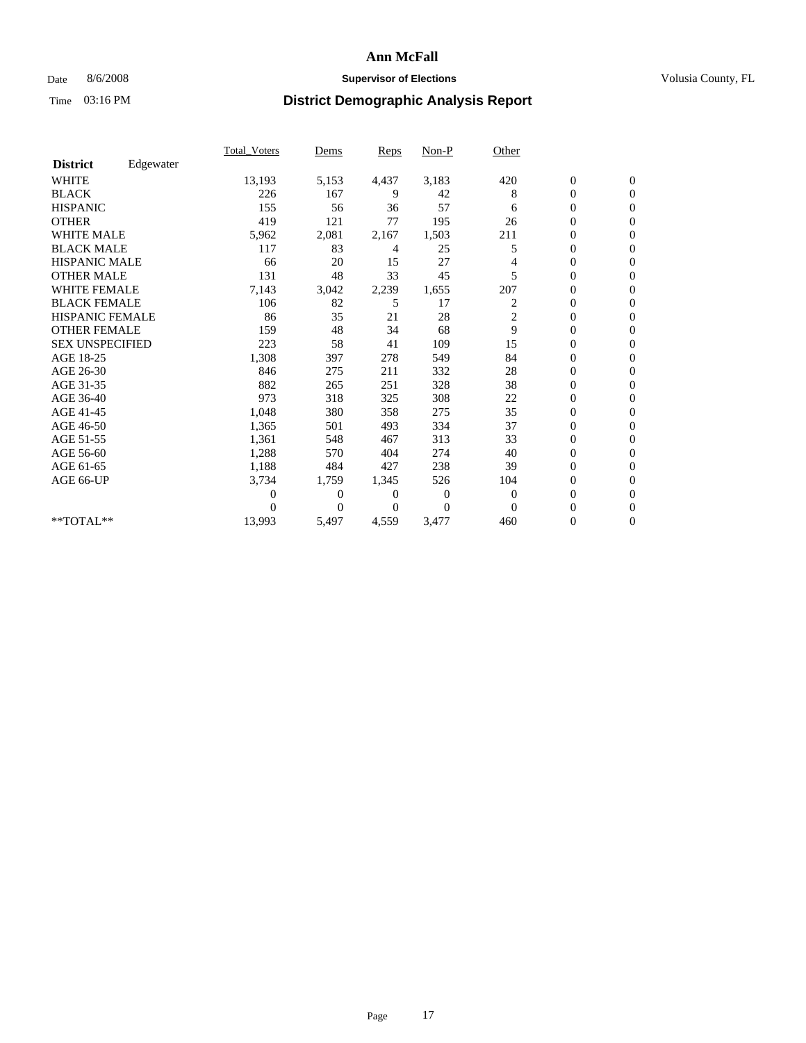## Date 8/6/2008 **Supervisor of Elections Supervisor of Elections** Volusia County, FL

|                        |           | <b>Total_Voters</b> | Dems           | Reps  | $Non-P$          | Other    |                  |                  |  |
|------------------------|-----------|---------------------|----------------|-------|------------------|----------|------------------|------------------|--|
| <b>District</b>        | Edgewater |                     |                |       |                  |          |                  |                  |  |
| <b>WHITE</b>           |           | 13,193              | 5,153          | 4,437 | 3,183            | 420      | $\boldsymbol{0}$ | $\mathbf{0}$     |  |
| <b>BLACK</b>           |           | 226                 | 167            | 9     | 42               | 8        | $\overline{0}$   | $\mathbf{0}$     |  |
| <b>HISPANIC</b>        |           | 155                 | 56             | 36    | 57               | 6        | $\overline{0}$   | $\mathbf{0}$     |  |
| <b>OTHER</b>           |           | 419                 | 121            | 77    | 195              | 26       | 0                | $\mathbf{0}$     |  |
| <b>WHITE MALE</b>      |           | 5,962               | 2,081          | 2,167 | 1,503            | 211      | $\boldsymbol{0}$ | $\mathbf{0}$     |  |
| <b>BLACK MALE</b>      |           | 117                 | 83             | 4     | 25               | 5        | $\overline{0}$   | $\Omega$         |  |
| <b>HISPANIC MALE</b>   |           | 66                  | 20             | 15    | 27               | 4        | 0                | $\mathbf{0}$     |  |
| <b>OTHER MALE</b>      |           | 131                 | 48             | 33    | 45               | 5        | $\boldsymbol{0}$ | $\mathbf{0}$     |  |
| WHITE FEMALE           |           | 7,143               | 3,042          | 2,239 | 1,655            | 207      | 0                | $\mathbf{0}$     |  |
| <b>BLACK FEMALE</b>    |           | 106                 | 82             | 5     | 17               | 2        | 0                | $\Omega$         |  |
| <b>HISPANIC FEMALE</b> |           | 86                  | 35             | 21    | 28               | 2        | $\boldsymbol{0}$ | $\mathbf{0}$     |  |
| <b>OTHER FEMALE</b>    |           | 159                 | 48             | 34    | 68               | 9        | 0                | $\mathbf{0}$     |  |
| <b>SEX UNSPECIFIED</b> |           | 223                 | 58             | 41    | 109              | 15       | 0                | $\Omega$         |  |
| AGE 18-25              |           | 1,308               | 397            | 278   | 549              | 84       | $\overline{0}$   | $\mathbf{0}$     |  |
| AGE 26-30              |           | 846                 | 275            | 211   | 332              | 28       | 0                | $\mathbf{0}$     |  |
| AGE 31-35              |           | 882                 | 265            | 251   | 328              | 38       | 0                | $\Omega$         |  |
| AGE 36-40              |           | 973                 | 318            | 325   | 308              | 22       | $\overline{0}$   | $\mathbf{0}$     |  |
| AGE 41-45              |           | 1,048               | 380            | 358   | 275              | 35       | $\boldsymbol{0}$ | $\Omega$         |  |
| AGE 46-50              |           | 1,365               | 501            | 493   | 334              | 37       | 0                | $\Omega$         |  |
| AGE 51-55              |           | 1,361               | 548            | 467   | 313              | 33       | $\boldsymbol{0}$ | $\mathbf{0}$     |  |
| AGE 56-60              |           | 1,288               | 570            | 404   | 274              | 40       | 0                | $\mathbf{0}$     |  |
| AGE 61-65              |           | 1,188               | 484            | 427   | 238              | 39       | 0                | $\Omega$         |  |
| AGE 66-UP              |           | 3,734               | 1,759          | 1,345 | 526              | 104      | $\overline{0}$   | $\mathbf{0}$     |  |
|                        |           | 0                   | 0              | 0     | $\boldsymbol{0}$ | $\theta$ | $\boldsymbol{0}$ | $\mathbf{0}$     |  |
|                        |           | 0                   | $\overline{0}$ | 0     | $\Omega$         | $\Omega$ | 0                | $\mathbf{0}$     |  |
| **TOTAL**              |           | 13,993              | 5,497          | 4,559 | 3,477            | 460      | $\overline{0}$   | $\boldsymbol{0}$ |  |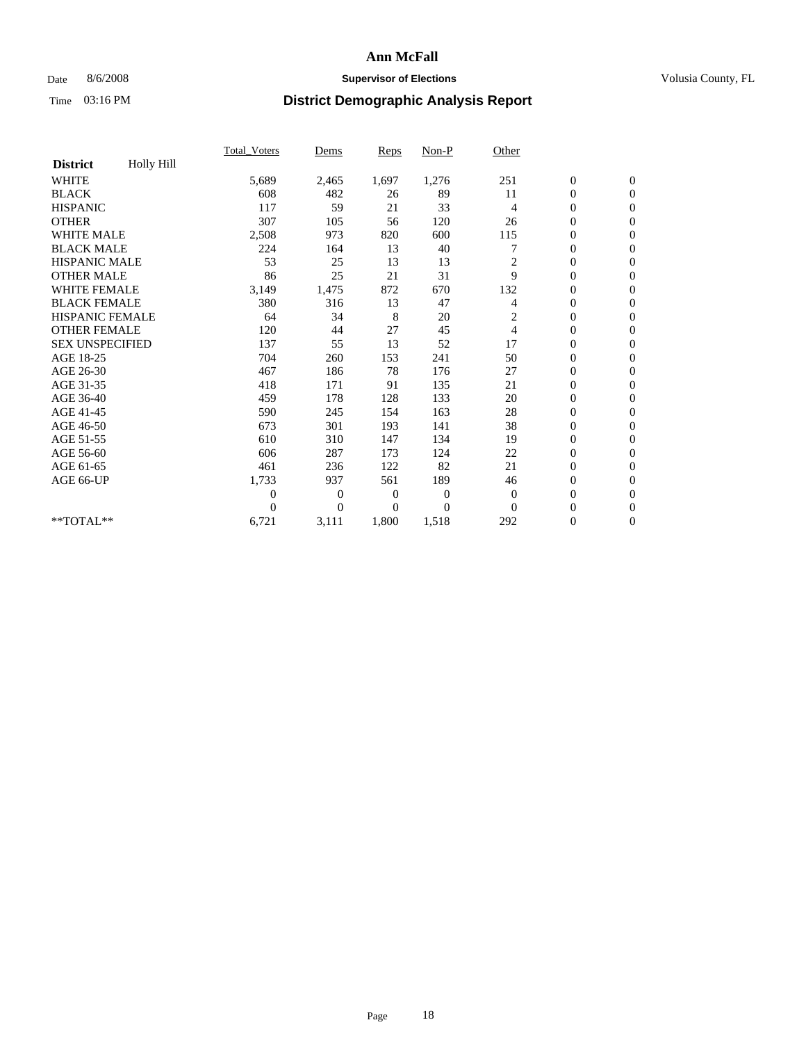## Date 8/6/2008 **Supervisor of Elections Supervisor of Elections** Volusia County, FL

|                        |            | <b>Total_Voters</b> | Dems         | Reps     | Non-P          | Other          |                  |                  |  |
|------------------------|------------|---------------------|--------------|----------|----------------|----------------|------------------|------------------|--|
| <b>District</b>        | Holly Hill |                     |              |          |                |                |                  |                  |  |
| <b>WHITE</b>           |            | 5,689               | 2,465        | 1,697    | 1,276          | 251            | $\boldsymbol{0}$ | $\boldsymbol{0}$ |  |
| <b>BLACK</b>           |            | 608                 | 482          | 26       | 89             | 11             | 0                | $\mathbf{0}$     |  |
| <b>HISPANIC</b>        |            | 117                 | 59           | 21       | 33             | $\overline{4}$ | $\overline{0}$   | $\mathbf{0}$     |  |
| <b>OTHER</b>           |            | 307                 | 105          | 56       | 120            | 26             | 0                | $\Omega$         |  |
| <b>WHITE MALE</b>      |            | 2,508               | 973          | 820      | 600            | 115            | 0                | $\mathbf{0}$     |  |
| <b>BLACK MALE</b>      |            | 224                 | 164          | 13       | 40             |                | $\overline{0}$   | $\mathbf{0}$     |  |
| <b>HISPANIC MALE</b>   |            | 53                  | 25           | 13       | 13             | $\overline{c}$ | 0                | $\mathbf{0}$     |  |
| <b>OTHER MALE</b>      |            | 86                  | 25           | 21       | 31             | $\mathbf Q$    | 0                | $\mathbf{0}$     |  |
| <b>WHITE FEMALE</b>    |            | 3,149               | 1,475        | 872      | 670            | 132            | 0                | $\mathbf{0}$     |  |
| <b>BLACK FEMALE</b>    |            | 380                 | 316          | 13       | 47             | 4              | 0                | $\mathbf{0}$     |  |
| <b>HISPANIC FEMALE</b> |            | 64                  | 34           | 8        | 20             | 2              | 0                | $\mathbf{0}$     |  |
| <b>OTHER FEMALE</b>    |            | 120                 | 44           | 27       | 45             | $\overline{4}$ | 0                | $\Omega$         |  |
| <b>SEX UNSPECIFIED</b> |            | 137                 | 55           | 13       | 52             | 17             | 0                | $\mathbf{0}$     |  |
| AGE 18-25              |            | 704                 | 260          | 153      | 241            | 50             | 0                | $\mathbf{0}$     |  |
| AGE 26-30              |            | 467                 | 186          | 78       | 176            | 27             | $\overline{0}$   | $\mathbf{0}$     |  |
| AGE 31-35              |            | 418                 | 171          | 91       | 135            | 21             | 0                | $\mathbf{0}$     |  |
| AGE 36-40              |            | 459                 | 178          | 128      | 133            | 20             | 0                | $\mathbf{0}$     |  |
| AGE 41-45              |            | 590                 | 245          | 154      | 163            | 28             | 0                | $\mathbf{0}$     |  |
| AGE 46-50              |            | 673                 | 301          | 193      | 141            | 38             | 0                | $\mathbf{0}$     |  |
| AGE 51-55              |            | 610                 | 310          | 147      | 134            | 19             | 0                | $\mathbf{0}$     |  |
| AGE 56-60              |            | 606                 | 287          | 173      | 124            | 22             | 0                | $\Omega$         |  |
| AGE 61-65              |            | 461                 | 236          | 122      | 82             | 21             | 0                | $\mathbf{0}$     |  |
| AGE 66-UP              |            | 1,733               | 937          | 561      | 189            | 46             | 0                | $\mathbf{0}$     |  |
|                        |            | 0                   | $\mathbf{0}$ | 0        | $\overline{0}$ | $\theta$       | 0                | $\mathbf{0}$     |  |
|                        |            | 0                   | $\Omega$     | $\Omega$ | $\theta$       | $\Omega$       | $\overline{0}$   | $\mathbf{0}$     |  |
| **TOTAL**              |            | 6,721               | 3,111        | 1,800    | 1,518          | 292            | 0                | $\overline{0}$   |  |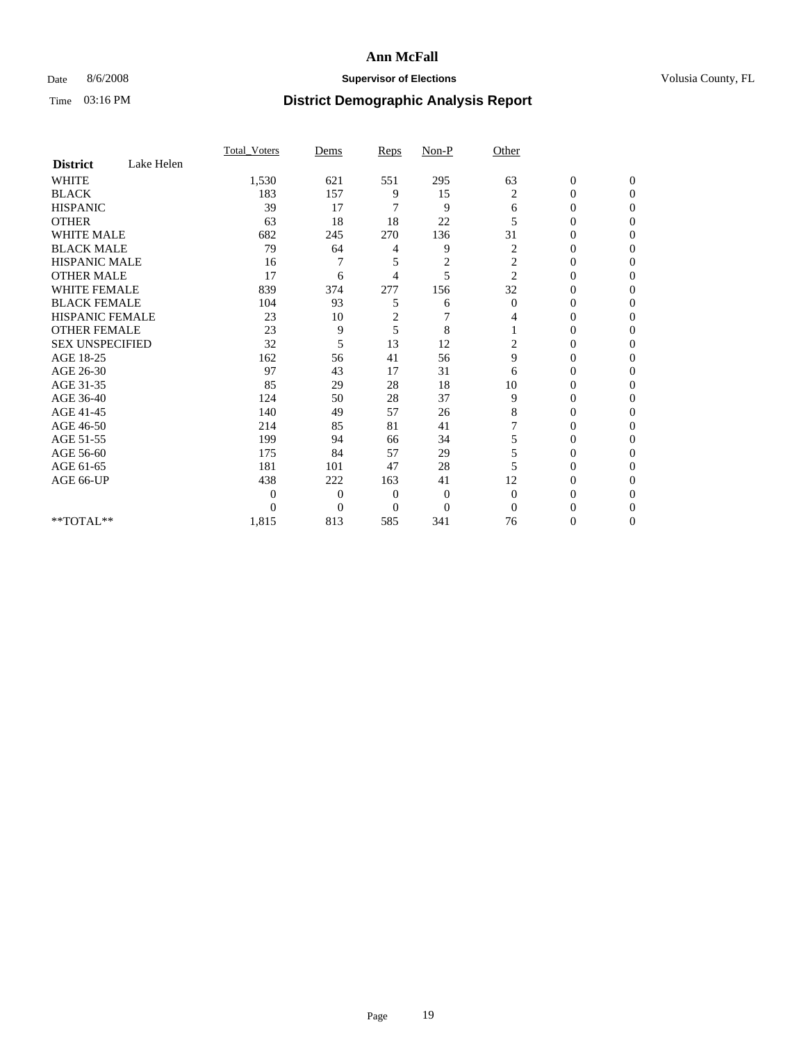## Date 8/6/2008 **Supervisor of Elections Supervisor of Elections** Volusia County, FL

|                        |            | Total Voters   | Dems           | Reps         | $Non-P$        | Other          |                  |                  |
|------------------------|------------|----------------|----------------|--------------|----------------|----------------|------------------|------------------|
| <b>District</b>        | Lake Helen |                |                |              |                |                |                  |                  |
| <b>WHITE</b>           |            | 1,530          | 621            | 551          | 295            | 63             | $\boldsymbol{0}$ | $\boldsymbol{0}$ |
| <b>BLACK</b>           |            | 183            | 157            | 9            | 15             | $\overline{c}$ | 0                | $\Omega$         |
| <b>HISPANIC</b>        |            | 39             | 17             | 7            | 9              | 6              | $\mathbf{0}$     | $\Omega$         |
| <b>OTHER</b>           |            | 63             | 18             | 18           | 22             | 5              | 0                | $\mathbf{0}$     |
| <b>WHITE MALE</b>      |            | 682            | 245            | 270          | 136            | 31             | 0                | $\Omega$         |
| <b>BLACK MALE</b>      |            | 79             | 64             | 4            | 9              | $\overline{c}$ | $\overline{0}$   | $\Omega$         |
| <b>HISPANIC MALE</b>   |            | 16             | 7              | 5            | $\overline{c}$ | $\overline{c}$ | 0                | 0                |
| <b>OTHER MALE</b>      |            | 17             | 6              | 4            | 5              | $\overline{c}$ | $\theta$         | $\Omega$         |
| WHITE FEMALE           |            | 839            | 374            | 277          | 156            | 32             | $\overline{0}$   | $\Omega$         |
| <b>BLACK FEMALE</b>    |            | 104            | 93             | 5            | 6              | $\bf{0}$       | 0                | 0                |
| <b>HISPANIC FEMALE</b> |            | 23             | 10             | 2            | 7              | 4              | $\theta$         | $\Omega$         |
| <b>OTHER FEMALE</b>    |            | 23             | 9              | 5            | 8              |                | 0                | $\Omega$         |
| <b>SEX UNSPECIFIED</b> |            | 32             | 5              | 13           | 12             | 2              | 0                | $\Omega$         |
| AGE 18-25              |            | 162            | 56             | 41           | 56             | 9              | 0                | $\Omega$         |
| AGE 26-30              |            | 97             | 43             | 17           | 31             | 6              | 0                | 0                |
| AGE 31-35              |            | 85             | 29             | 28           | 18             | 10             | $\overline{0}$   | $\mathbf{0}$     |
| AGE 36-40              |            | 124            | 50             | 28           | 37             | 9              | $\overline{0}$   | $\mathbf{0}$     |
| AGE 41-45              |            | 140            | 49             | 57           | 26             | 8              | 0                | 0                |
| AGE 46-50              |            | 214            | 85             | 81           | 41             |                | $\overline{0}$   | $\theta$         |
| AGE 51-55              |            | 199            | 94             | 66           | 34             | 5              | $\overline{0}$   | $\Omega$         |
| AGE 56-60              |            | 175            | 84             | 57           | 29             | 5              | 0                | 0                |
| AGE 61-65              |            | 181            | 101            | 47           | 28             | 5              | 0                | $\mathbf{0}$     |
| AGE 66-UP              |            | 438            | 222            | 163          | 41             | 12             | 0                | $\Omega$         |
|                        |            | $\overline{0}$ | $\overline{0}$ | $\mathbf{0}$ | $\mathbf{0}$   | $\mathbf{0}$   | $\theta$         | $\Omega$         |
|                        |            | $\theta$       | $\theta$       | $\Omega$     | $\overline{0}$ | $\Omega$       | 0                | $\Omega$         |
| **TOTAL**              |            | 1,815          | 813            | 585          | 341            | 76             | 0                | $\mathbf{0}$     |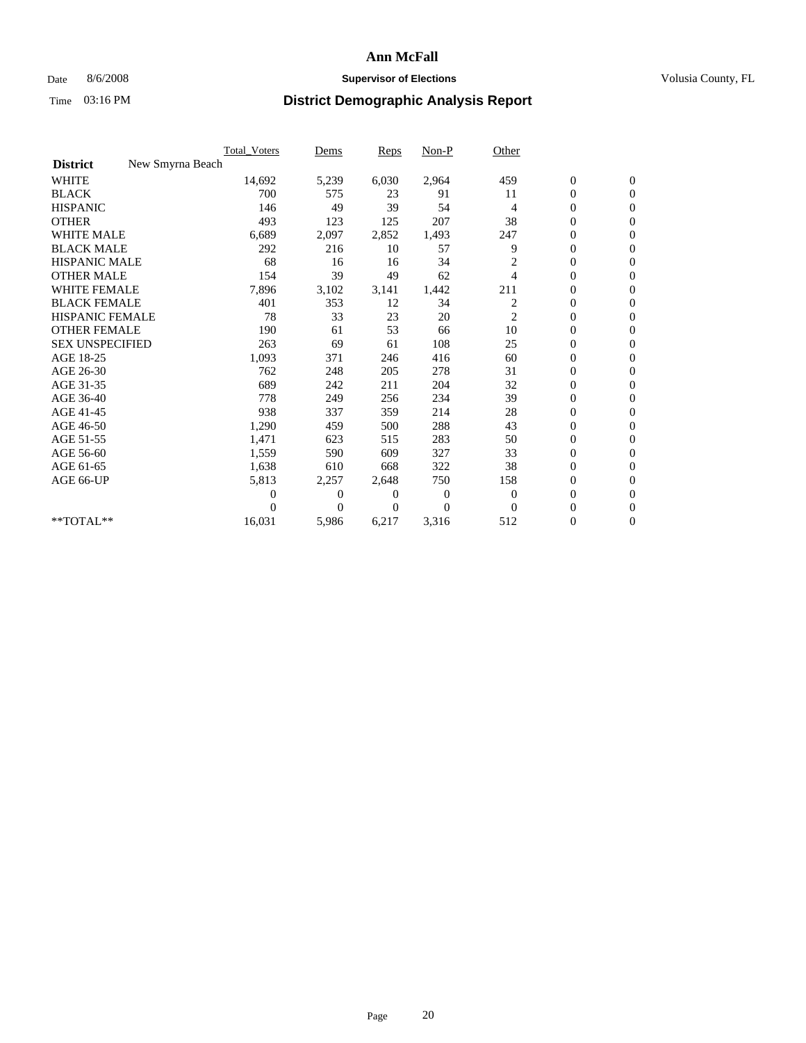## Date 8/6/2008 **Supervisor of Elections Supervisor of Elections** Volusia County, FL

|                        |                  | <b>Total Voters</b> | Dems           | <b>Reps</b>    | Non-P        | Other          |                  |                  |  |
|------------------------|------------------|---------------------|----------------|----------------|--------------|----------------|------------------|------------------|--|
| <b>District</b>        | New Smyrna Beach |                     |                |                |              |                |                  |                  |  |
| <b>WHITE</b>           |                  | 14,692              | 5,239          | 6,030          | 2,964        | 459            | $\boldsymbol{0}$ | $\boldsymbol{0}$ |  |
| <b>BLACK</b>           |                  | 700                 | 575            | 23             | 91           | 11             | $\boldsymbol{0}$ | $\mathbf{0}$     |  |
| <b>HISPANIC</b>        |                  | 146                 | 49             | 39             | 54           | 4              | $\overline{0}$   | $\mathbf{0}$     |  |
| <b>OTHER</b>           |                  | 493                 | 123            | 125            | 207          | 38             | $\overline{0}$   | $\mathbf{0}$     |  |
| <b>WHITE MALE</b>      |                  | 6,689               | 2,097          | 2,852          | 1,493        | 247            | $\boldsymbol{0}$ | $\mathbf{0}$     |  |
| <b>BLACK MALE</b>      |                  | 292                 | 216            | 10             | 57           | 9              | $\overline{0}$   | $\mathbf{0}$     |  |
| <b>HISPANIC MALE</b>   |                  | 68                  | 16             | 16             | 34           | 2              | 0                | $\Omega$         |  |
| <b>OTHER MALE</b>      |                  | 154                 | 39             | 49             | 62           | 4              | $\overline{0}$   | $\mathbf{0}$     |  |
| <b>WHITE FEMALE</b>    |                  | 7,896               | 3,102          | 3,141          | 1,442        | 211            | $\boldsymbol{0}$ | $\mathbf{0}$     |  |
| <b>BLACK FEMALE</b>    |                  | 401                 | 353            | 12             | 34           | $\overline{c}$ | $\boldsymbol{0}$ | $\overline{0}$   |  |
| <b>HISPANIC FEMALE</b> |                  | 78                  | 33             | 23             | 20           | $\overline{c}$ | $\boldsymbol{0}$ | $\mathbf{0}$     |  |
| <b>OTHER FEMALE</b>    |                  | 190                 | 61             | 53             | 66           | 10             | $\mathbf{0}$     | $\mathbf{0}$     |  |
| <b>SEX UNSPECIFIED</b> |                  | 263                 | 69             | 61             | 108          | 25             | $\boldsymbol{0}$ | $\Omega$         |  |
| AGE 18-25              |                  | 1,093               | 371            | 246            | 416          | 60             | $\boldsymbol{0}$ | $\mathbf{0}$     |  |
| AGE 26-30              |                  | 762                 | 248            | 205            | 278          | 31             | $\overline{0}$   | $\Omega$         |  |
| AGE 31-35              |                  | 689                 | 242            | 211            | 204          | 32             | $\boldsymbol{0}$ | $\mathbf{0}$     |  |
| AGE 36-40              |                  | 778                 | 249            | 256            | 234          | 39             | $\boldsymbol{0}$ | $\mathbf{0}$     |  |
| AGE 41-45              |                  | 938                 | 337            | 359            | 214          | 28             | $\boldsymbol{0}$ | $\mathbf{0}$     |  |
| AGE 46-50              |                  | 1,290               | 459            | 500            | 288          | 43             | $\boldsymbol{0}$ | $\Omega$         |  |
| AGE 51-55              |                  | 1,471               | 623            | 515            | 283          | 50             | $\boldsymbol{0}$ | $\mathbf{0}$     |  |
| AGE 56-60              |                  | 1,559               | 590            | 609            | 327          | 33             | $\overline{0}$   | $\mathbf{0}$     |  |
| AGE 61-65              |                  | 1,638               | 610            | 668            | 322          | 38             | $\overline{0}$   | $\overline{0}$   |  |
| AGE 66-UP              |                  | 5,813               | 2,257          | 2,648          | 750          | 158            | $\boldsymbol{0}$ | $\mathbf{0}$     |  |
|                        |                  | 0                   | $\overline{0}$ | 0              | $\mathbf{0}$ | $\mathbf{0}$   | $\mathbf{0}$     | $\mathbf{0}$     |  |
|                        |                  | 0                   | $\overline{0}$ | $\overline{0}$ | $\theta$     | $\mathbf{0}$   | 0                | $\mathbf{0}$     |  |
| **TOTAL**              |                  | 16,031              | 5,986          | 6,217          | 3,316        | 512            | 0                | $\boldsymbol{0}$ |  |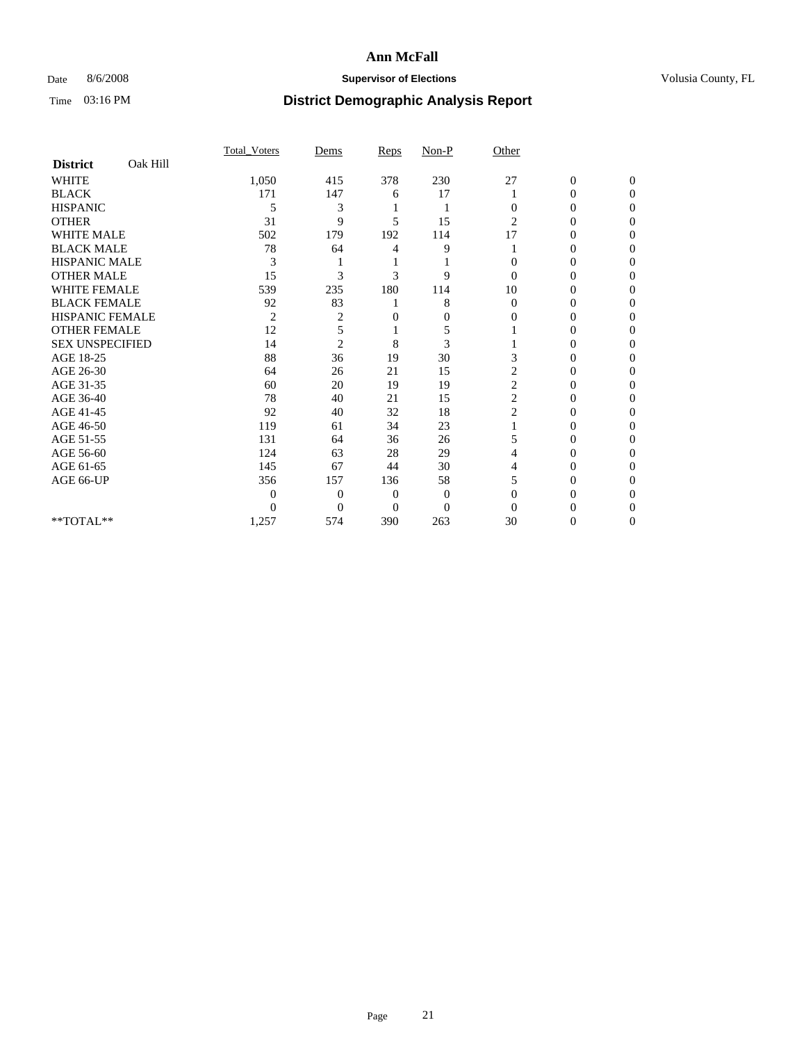## Date 8/6/2008 **Supervisor of Elections Supervisor of Elections** Volusia County, FL

|                        |          | Total Voters   | Dems           | Reps     | $Non-P$        | Other          |                  |              |  |
|------------------------|----------|----------------|----------------|----------|----------------|----------------|------------------|--------------|--|
| <b>District</b>        | Oak Hill |                |                |          |                |                |                  |              |  |
| <b>WHITE</b>           |          | 1,050          | 415            | 378      | 230            | 27             | $\boldsymbol{0}$ | $\mathbf{0}$ |  |
| <b>BLACK</b>           |          | 171            | 147            | 6        | 17             |                | $\overline{0}$   | 0            |  |
| <b>HISPANIC</b>        |          | 5              | 3              |          |                | $\Omega$       | 0                | $\Omega$     |  |
| <b>OTHER</b>           |          | 31             | 9              | 5        | 15             | 2              | 0                | 0            |  |
| <b>WHITE MALE</b>      |          | 502            | 179            | 192      | 114            | 17             | 0                | 0            |  |
| <b>BLACK MALE</b>      |          | 78             | 64             | 4        | 9              |                | 0                | 0            |  |
| <b>HISPANIC MALE</b>   |          | 3              |                |          |                | 0              | 0                | 0            |  |
| <b>OTHER MALE</b>      |          | 15             | 3              | 3        | 9              | $\Omega$       | 0                | 0            |  |
| WHITE FEMALE           |          | 539            | 235            | 180      | 114            | 10             | 0                | 0            |  |
| <b>BLACK FEMALE</b>    |          | 92             | 83             |          | 8              | $\Omega$       | 0                | 0            |  |
| HISPANIC FEMALE        |          | $\overline{2}$ | 2              | $\theta$ | $\overline{0}$ | 0              | 0                | 0            |  |
| <b>OTHER FEMALE</b>    |          | 12             | 5              |          | 5              |                | 0                | $\Omega$     |  |
| <b>SEX UNSPECIFIED</b> |          | 14             | $\overline{2}$ | 8        | 3              |                | 0                | 0            |  |
| AGE 18-25              |          | 88             | 36             | 19       | 30             | 3              | 0                | 0            |  |
| AGE 26-30              |          | 64             | 26             | 21       | 15             | 2              | 0                | 0            |  |
| AGE 31-35              |          | 60             | 20             | 19       | 19             | $\overline{c}$ | 0                | 0            |  |
| AGE 36-40              |          | 78             | 40             | 21       | 15             | $\overline{c}$ | 0                | 0            |  |
| AGE 41-45              |          | 92             | 40             | 32       | 18             | $\overline{c}$ | 0                | 0            |  |
| AGE 46-50              |          | 119            | 61             | 34       | 23             |                | 0                | 0            |  |
| AGE 51-55              |          | 131            | 64             | 36       | 26             | 5              | 0                | 0            |  |
| AGE 56-60              |          | 124            | 63             | 28       | 29             | 4              | 0                | 0            |  |
| AGE 61-65              |          | 145            | 67             | 44       | 30             | 4              | 0                | 0            |  |
| AGE 66-UP              |          | 356            | 157            | 136      | 58             | 5              | 0                | 0            |  |
|                        |          | 0              | $\overline{0}$ | 0        | $\mathbf{0}$   | $\Omega$       | 0                | 0            |  |
|                        |          | $\Omega$       | $\overline{0}$ | $\Omega$ | $\Omega$       | $\Omega$       |                  | 0            |  |
| **TOTAL**              |          | 1,257          | 574            | 390      | 263            | 30             | 0                | $\mathbf{0}$ |  |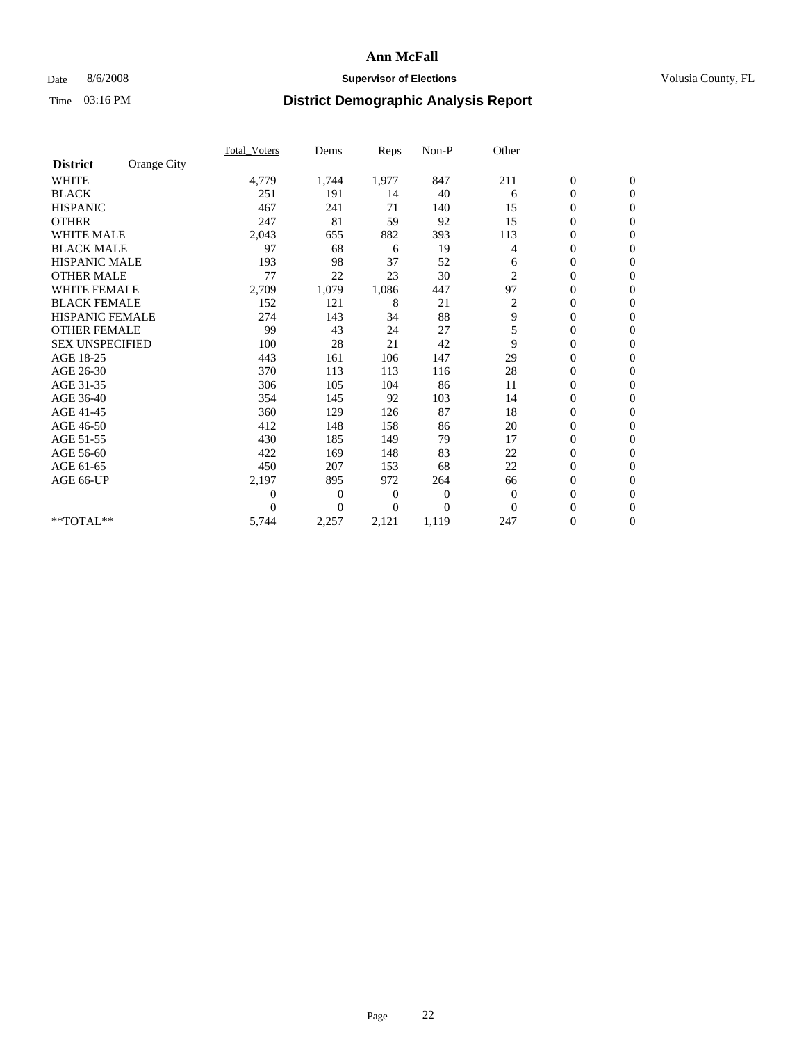## Date 8/6/2008 **Supervisor of Elections Supervisor of Elections** Volusia County, FL

|                        |             | Total Voters     | Dems           | <b>Reps</b> | $Non-P$        | Other          |                  |                  |  |
|------------------------|-------------|------------------|----------------|-------------|----------------|----------------|------------------|------------------|--|
| <b>District</b>        | Orange City |                  |                |             |                |                |                  |                  |  |
| <b>WHITE</b>           |             | 4,779            | 1,744          | 1,977       | 847            | 211            | $\boldsymbol{0}$ | $\boldsymbol{0}$ |  |
| <b>BLACK</b>           |             | 251              | 191            | 14          | 40             | 6              | $\boldsymbol{0}$ | $\mathbf{0}$     |  |
| <b>HISPANIC</b>        |             | 467              | 241            | 71          | 140            | 15             | $\overline{0}$   | $\mathbf{0}$     |  |
| <b>OTHER</b>           |             | 247              | 81             | 59          | 92             | 15             | $\boldsymbol{0}$ | $\Omega$         |  |
| <b>WHITE MALE</b>      |             | 2,043            | 655            | 882         | 393            | 113            | $\overline{0}$   | $\mathbf{0}$     |  |
| <b>BLACK MALE</b>      |             | 97               | 68             | 6           | 19             | $\overline{4}$ | $\boldsymbol{0}$ | $\mathbf{0}$     |  |
| <b>HISPANIC MALE</b>   |             | 193              | 98             | 37          | 52             | 6              | $\boldsymbol{0}$ | $\mathbf{0}$     |  |
| <b>OTHER MALE</b>      |             | 77               | 22             | 23          | 30             | 2              | $\boldsymbol{0}$ | $\mathbf{0}$     |  |
| <b>WHITE FEMALE</b>    |             | 2,709            | 1,079          | 1,086       | 447            | 97             | $\overline{0}$   | $\mathbf{0}$     |  |
| <b>BLACK FEMALE</b>    |             | 152              | 121            | 8           | 21             | 2              | $\boldsymbol{0}$ | $\mathbf{0}$     |  |
| <b>HISPANIC FEMALE</b> |             | 274              | 143            | 34          | 88             | 9              | $\boldsymbol{0}$ | $\mathbf{0}$     |  |
| <b>OTHER FEMALE</b>    |             | 99               | 43             | 24          | 27             | 5              | $\mathbf{0}$     | $\mathbf{0}$     |  |
| <b>SEX UNSPECIFIED</b> |             | 100              | 28             | 21          | 42             | 9              | $\overline{0}$   | $\mathbf{0}$     |  |
| AGE 18-25              |             | 443              | 161            | 106         | 147            | 29             | $\overline{0}$   | $\mathbf{0}$     |  |
| AGE 26-30              |             | 370              | 113            | 113         | 116            | 28             | $\overline{0}$   | $\mathbf{0}$     |  |
| AGE 31-35              |             | 306              | 105            | 104         | 86             | 11             | $\boldsymbol{0}$ | $\mathbf{0}$     |  |
| AGE 36-40              |             | 354              | 145            | 92          | 103            | 14             | $\boldsymbol{0}$ | $\mathbf{0}$     |  |
| AGE 41-45              |             | 360              | 129            | 126         | 87             | 18             | $\overline{0}$   | $\mathbf{0}$     |  |
| AGE 46-50              |             | 412              | 148            | 158         | 86             | 20             | $\boldsymbol{0}$ | $\mathbf{0}$     |  |
| AGE 51-55              |             | 430              | 185            | 149         | 79             | 17             | $\boldsymbol{0}$ | $\mathbf{0}$     |  |
| AGE 56-60              |             | 422              | 169            | 148         | 83             | 22             | $\overline{0}$   | $\Omega$         |  |
| AGE 61-65              |             | 450              | 207            | 153         | 68             | 22             | $\overline{0}$   | $\mathbf{0}$     |  |
| AGE 66-UP              |             | 2,197            | 895            | 972         | 264            | 66             | $\boldsymbol{0}$ | $\mathbf{0}$     |  |
|                        |             | $\boldsymbol{0}$ | $\overline{0}$ | 0           | $\overline{0}$ | $\mathbf{0}$   | $\overline{0}$   | $\mathbf{0}$     |  |
|                        |             | $\theta$         | $\theta$       | $\Omega$    | $\theta$       | $\mathbf{0}$   | $\boldsymbol{0}$ | $\mathbf{0}$     |  |
| **TOTAL**              |             | 5,744            | 2,257          | 2,121       | 1,119          | 247            | 0                | $\mathbf{0}$     |  |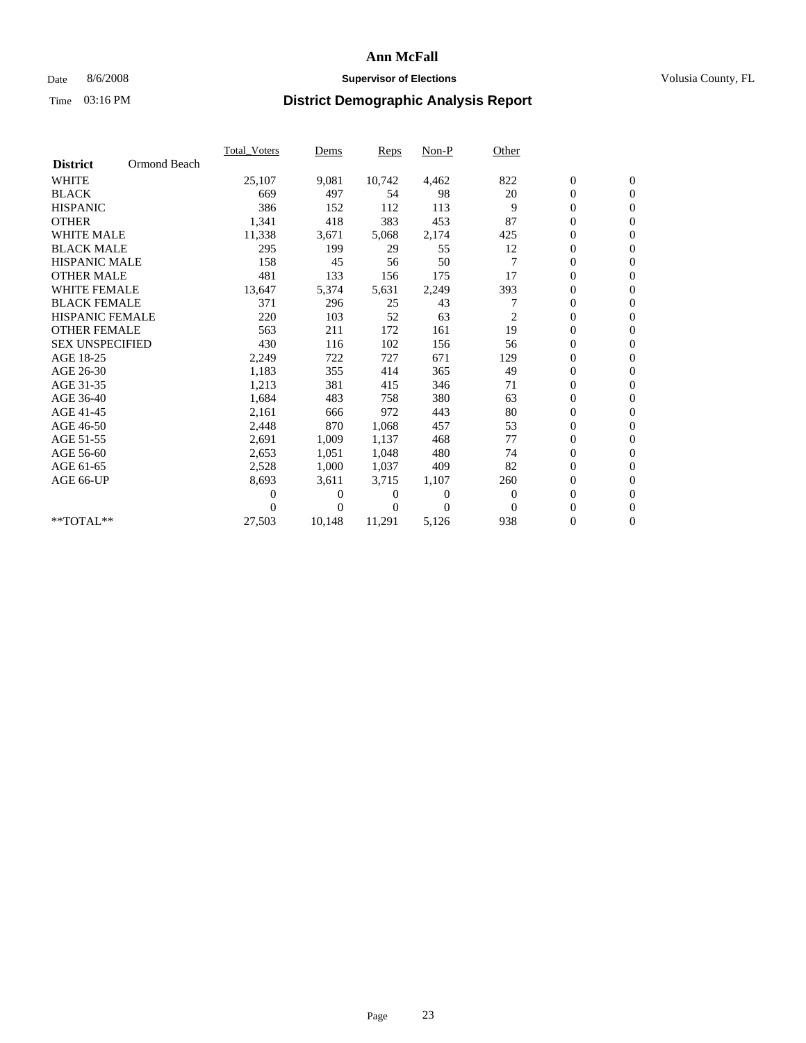## Date 8/6/2008 **Supervisor of Elections Supervisor of Elections** Volusia County, FL

|                        |              | <b>Total Voters</b> | Dems           | Reps   | $Non-P$  | Other          |                  |                  |  |
|------------------------|--------------|---------------------|----------------|--------|----------|----------------|------------------|------------------|--|
| <b>District</b>        | Ormond Beach |                     |                |        |          |                |                  |                  |  |
| <b>WHITE</b>           |              | 25,107              | 9,081          | 10,742 | 4,462    | 822            | $\boldsymbol{0}$ | $\boldsymbol{0}$ |  |
| <b>BLACK</b>           |              | 669                 | 497            | 54     | 98       | 20             | $\overline{0}$   | $\mathbf{0}$     |  |
| <b>HISPANIC</b>        |              | 386                 | 152            | 112    | 113      | 9              | $\overline{0}$   | $\mathbf{0}$     |  |
| <b>OTHER</b>           |              | 1,341               | 418            | 383    | 453      | 87             | 0                | $\mathbf{0}$     |  |
| <b>WHITE MALE</b>      |              | 11,338              | 3,671          | 5,068  | 2,174    | 425            | $\boldsymbol{0}$ | $\mathbf{0}$     |  |
| <b>BLACK MALE</b>      |              | 295                 | 199            | 29     | 55       | 12             | $\boldsymbol{0}$ | $\mathbf{0}$     |  |
| <b>HISPANIC MALE</b>   |              | 158                 | 45             | 56     | 50       | $\overline{7}$ | 0                | $\mathbf{0}$     |  |
| <b>OTHER MALE</b>      |              | 481                 | 133            | 156    | 175      | 17             | $\boldsymbol{0}$ | $\mathbf{0}$     |  |
| <b>WHITE FEMALE</b>    |              | 13,647              | 5,374          | 5,631  | 2,249    | 393            | 0                | $\mathbf{0}$     |  |
| <b>BLACK FEMALE</b>    |              | 371                 | 296            | 25     | 43       | 7              | 0                | $\Omega$         |  |
| <b>HISPANIC FEMALE</b> |              | 220                 | 103            | 52     | 63       | 2              | $\boldsymbol{0}$ | $\mathbf{0}$     |  |
| <b>OTHER FEMALE</b>    |              | 563                 | 211            | 172    | 161      | 19             | 0                | $\mathbf{0}$     |  |
| <b>SEX UNSPECIFIED</b> |              | 430                 | 116            | 102    | 156      | 56             | 0                | $\Omega$         |  |
| AGE 18-25              |              | 2,249               | 722            | 727    | 671      | 129            | $\overline{0}$   | $\mathbf{0}$     |  |
| AGE 26-30              |              | 1,183               | 355            | 414    | 365      | 49             | 0                | $\mathbf{0}$     |  |
| AGE 31-35              |              | 1,213               | 381            | 415    | 346      | 71             | 0                | $\mathbf{0}$     |  |
| AGE 36-40              |              | 1,684               | 483            | 758    | 380      | 63             | $\boldsymbol{0}$ | $\mathbf{0}$     |  |
| AGE 41-45              |              | 2,161               | 666            | 972    | 443      | 80             | $\boldsymbol{0}$ | $\mathbf{0}$     |  |
| AGE 46-50              |              | 2,448               | 870            | 1,068  | 457      | 53             | 0                | $\Omega$         |  |
| AGE 51-55              |              | 2,691               | 1,009          | 1,137  | 468      | 77             | $\boldsymbol{0}$ | $\mathbf{0}$     |  |
| AGE 56-60              |              | 2,653               | 1,051          | 1,048  | 480      | 74             | 0                | $\mathbf{0}$     |  |
| AGE 61-65              |              | 2,528               | 1,000          | 1,037  | 409      | 82             | 0                | $\Omega$         |  |
| AGE 66-UP              |              | 8,693               | 3,611          | 3,715  | 1,107    | 260            | $\overline{0}$   | $\mathbf{0}$     |  |
|                        |              | 0                   | 0              | 0      | $\theta$ | $\theta$       | 0                | $\mathbf{0}$     |  |
|                        |              | 0                   | $\overline{0}$ | 0      | $\Omega$ | $\Omega$       | 0                | $\mathbf{0}$     |  |
| $*$ TOTAL $**$         |              | 27,503              | 10,148         | 11,291 | 5,126    | 938            | $\overline{0}$   | $\boldsymbol{0}$ |  |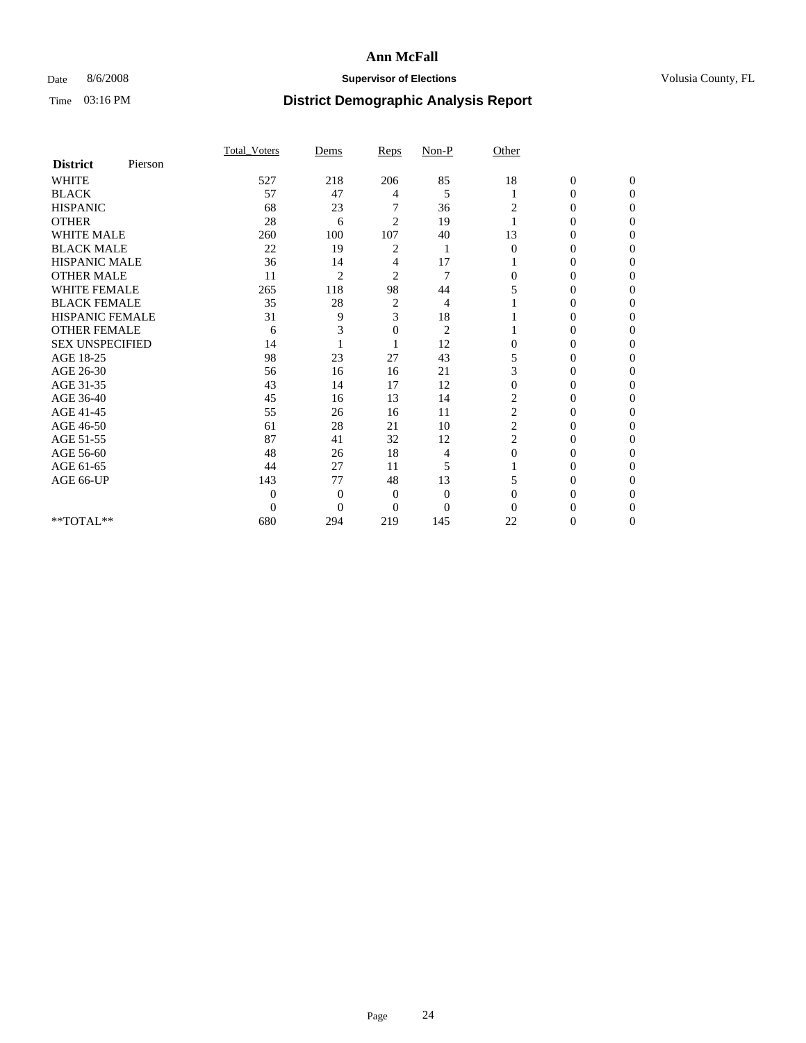## Date 8/6/2008 **Supervisor of Elections Supervisor of Elections** Volusia County, FL

|                        |         | Total Voters | Dems           | Reps           | $Non-P$        | Other          |                  |              |  |
|------------------------|---------|--------------|----------------|----------------|----------------|----------------|------------------|--------------|--|
| <b>District</b>        | Pierson |              |                |                |                |                |                  |              |  |
| <b>WHITE</b>           |         | 527          | 218            | 206            | 85             | 18             | $\boldsymbol{0}$ | $\mathbf{0}$ |  |
| <b>BLACK</b>           |         | 57           | 47             | 4              | 5              |                | $\mathbf{0}$     | $\Omega$     |  |
| <b>HISPANIC</b>        |         | 68           | 23             |                | 36             | 2              | 0                | $\Omega$     |  |
| <b>OTHER</b>           |         | 28           | 6              | $\overline{2}$ | 19             |                | 0                | $\Omega$     |  |
| <b>WHITE MALE</b>      |         | 260          | 100            | 107            | 40             | 13             | 0                | 0            |  |
| <b>BLACK MALE</b>      |         | 22           | 19             | 2              | 1              | $\Omega$       | 0                | $\Omega$     |  |
| HISPANIC MALE          |         | 36           | 14             | 4              | 17             |                | 0                | $\Omega$     |  |
| <b>OTHER MALE</b>      |         | 11           | $\overline{2}$ | $\overline{2}$ | 7              | 0              | 0                | 0            |  |
| <b>WHITE FEMALE</b>    |         | 265          | 118            | 98             | 44             | 5              | 0                | $\Omega$     |  |
| <b>BLACK FEMALE</b>    |         | 35           | 28             | $\overline{c}$ | 4              |                | 0                | 0            |  |
| <b>HISPANIC FEMALE</b> |         | 31           | 9              | 3              | 18             |                | 0                | 0            |  |
| <b>OTHER FEMALE</b>    |         | 6            | 3              | 0              | $\overline{2}$ |                | 0                | 0            |  |
| <b>SEX UNSPECIFIED</b> |         | 14           |                |                | 12             | $\overline{0}$ | 0                | 0            |  |
| AGE 18-25              |         | 98           | 23             | 27             | 43             | 5              | 0                | $\Omega$     |  |
| AGE 26-30              |         | 56           | 16             | 16             | 21             | 3              | 0                | 0            |  |
| AGE 31-35              |         | 43           | 14             | 17             | 12             | $\overline{0}$ | 0                | 0            |  |
| AGE 36-40              |         | 45           | 16             | 13             | 14             | $\overline{c}$ | 0                | 0            |  |
| AGE 41-45              |         | 55           | 26             | 16             | 11             | 2              | 0                | $\Omega$     |  |
| AGE 46-50              |         | 61           | 28             | 21             | 10             | $\overline{c}$ | 0                | $\Omega$     |  |
| AGE 51-55              |         | 87           | 41             | 32             | 12             | $\overline{c}$ | 0                | 0            |  |
| AGE 56-60              |         | 48           | 26             | 18             | 4              | $\Omega$       | 0                | 0            |  |
| AGE 61-65              |         | 44           | 27             | 11             | 5              |                | 0                | 0            |  |
| AGE 66-UP              |         | 143          | 77             | 48             | 13             | 5              | 0                | 0            |  |
|                        |         | $\theta$     | $\overline{0}$ | $\mathbf{0}$   | $\Omega$       | $\Omega$       | 0                | 0            |  |
|                        |         | $\theta$     | $\overline{0}$ | $\overline{0}$ | $\theta$       | $\Omega$       |                  | 0            |  |
| **TOTAL**              |         | 680          | 294            | 219            | 145            | 22             | 0                | 0            |  |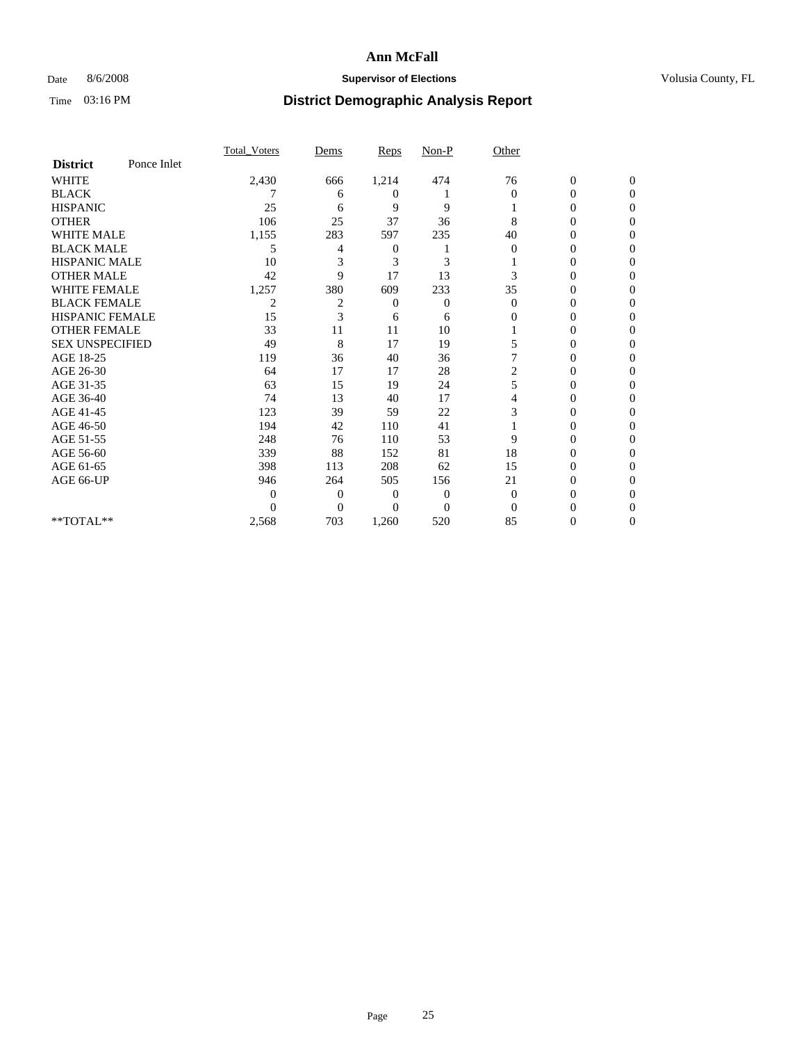## Date 8/6/2008 **Supervisor of Elections Supervisor of Elections** Volusia County, FL

|                        |             | Total Voters   | Dems           | <b>Reps</b>  | $Non-P$        | Other        |                  |              |  |
|------------------------|-------------|----------------|----------------|--------------|----------------|--------------|------------------|--------------|--|
| <b>District</b>        | Ponce Inlet |                |                |              |                |              |                  |              |  |
| <b>WHITE</b>           |             | 2,430          | 666            | 1,214        | 474            | 76           | $\boldsymbol{0}$ | $\mathbf{0}$ |  |
| <b>BLACK</b>           |             |                | 6              | 0            |                | $\Omega$     | $\overline{0}$   | $\Omega$     |  |
| <b>HISPANIC</b>        |             | 25             | 6              | 9            | 9              |              | 0                | $\Omega$     |  |
| <b>OTHER</b>           |             | 106            | 25             | 37           | 36             | 8            | 0                | 0            |  |
| <b>WHITE MALE</b>      |             | 1,155          | 283            | 597          | 235            | 40           | 0                | 0            |  |
| <b>BLACK MALE</b>      |             | 5              | 4              | 0            |                | $\Omega$     | 0                | $\Omega$     |  |
| HISPANIC MALE          |             | 10             | 3              | 3            | 3              |              | 0                | $\Omega$     |  |
| <b>OTHER MALE</b>      |             | 42             | 9              | 17           | 13             | 3            | 0                | 0            |  |
| <b>WHITE FEMALE</b>    |             | 1,257          | 380            | 609          | 233            | 35           | 0                | $\Omega$     |  |
| <b>BLACK FEMALE</b>    |             | $\overline{2}$ | $\overline{c}$ | $\mathbf{0}$ | $\overline{0}$ | $\mathbf{0}$ | $\overline{0}$   | 0            |  |
| <b>HISPANIC FEMALE</b> |             | 15             | 3              | 6            | 6              | 0            | 0                | 0            |  |
| <b>OTHER FEMALE</b>    |             | 33             | 11             | 11           | 10             |              | 0                | 0            |  |
| <b>SEX UNSPECIFIED</b> |             | 49             | 8              | 17           | 19             | 5            | 0                | 0            |  |
| AGE 18-25              |             | 119            | 36             | 40           | 36             |              | 0                | $\Omega$     |  |
| AGE 26-30              |             | 64             | 17             | 17           | 28             | 2            | 0                | 0            |  |
| AGE 31-35              |             | 63             | 15             | 19           | 24             | 5            | 0                | 0            |  |
| AGE 36-40              |             | 74             | 13             | 40           | 17             | 4            | 0                | 0            |  |
| AGE 41-45              |             | 123            | 39             | 59           | 22             | 3            | 0                | $\Omega$     |  |
| AGE 46-50              |             | 194            | 42             | 110          | 41             |              | 0                | $\Omega$     |  |
| AGE 51-55              |             | 248            | 76             | 110          | 53             | 9            | 0                | 0            |  |
| AGE 56-60              |             | 339            | 88             | 152          | 81             | 18           | 0                | 0            |  |
| AGE 61-65              |             | 398            | 113            | 208          | 62             | 15           | 0                | 0            |  |
| AGE 66-UP              |             | 946            | 264            | 505          | 156            | 21           | 0                | 0            |  |
|                        |             | 0              | $\overline{0}$ | 0            | $\mathbf{0}$   | $\Omega$     | 0                | 0            |  |
|                        |             | $\Omega$       | $\overline{0}$ | $\Omega$     | $\overline{0}$ | $\Omega$     |                  | 0            |  |
| **TOTAL**              |             | 2,568          | 703            | 1,260        | 520            | 85           | 0                | 0            |  |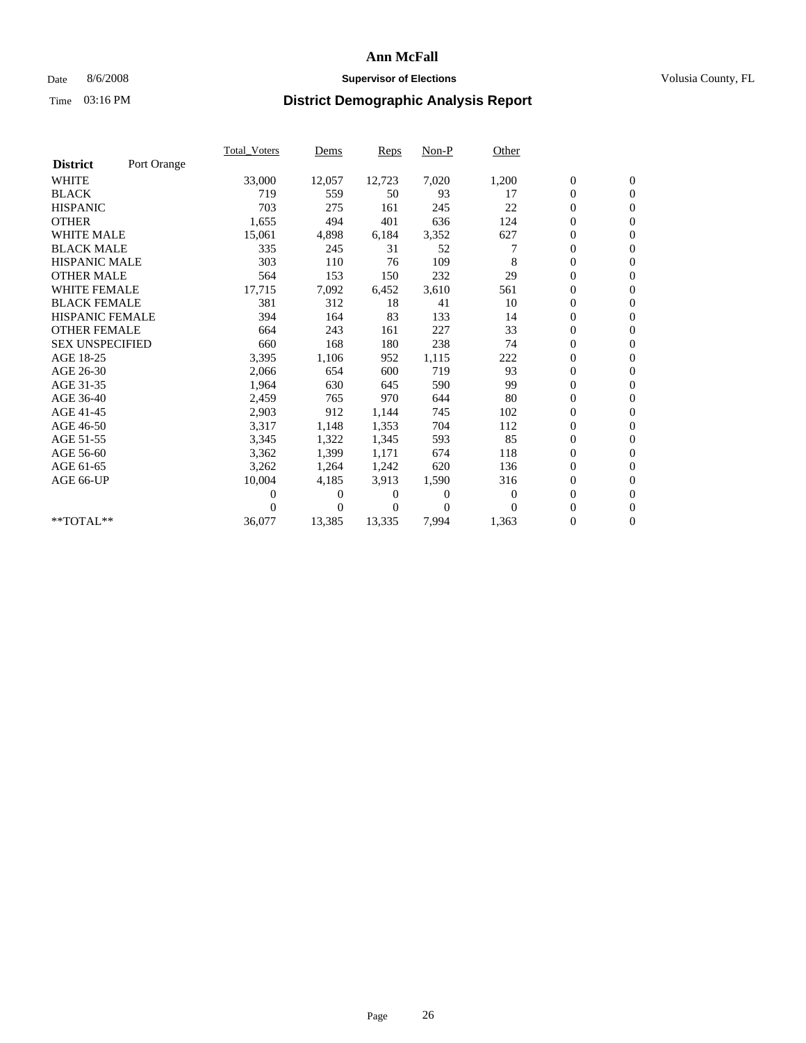## Date 8/6/2008 **Supervisor of Elections Supervisor of Elections** Volusia County, FL

|                        |             | <b>Total_Voters</b> | Dems     | Reps   | Non-P    | Other            |                  |                  |  |
|------------------------|-------------|---------------------|----------|--------|----------|------------------|------------------|------------------|--|
| <b>District</b>        | Port Orange |                     |          |        |          |                  |                  |                  |  |
| <b>WHITE</b>           |             | 33,000              | 12,057   | 12,723 | 7,020    | 1,200            | $\boldsymbol{0}$ | $\boldsymbol{0}$ |  |
| <b>BLACK</b>           |             | 719                 | 559      | 50     | 93       | 17               | $\boldsymbol{0}$ | $\mathbf{0}$     |  |
| <b>HISPANIC</b>        |             | 703                 | 275      | 161    | 245      | 22               | $\overline{0}$   | $\mathbf{0}$     |  |
| <b>OTHER</b>           |             | 1,655               | 494      | 401    | 636      | 124              | 0                | $\mathbf{0}$     |  |
| <b>WHITE MALE</b>      |             | 15,061              | 4,898    | 6,184  | 3,352    | 627              | $\boldsymbol{0}$ | $\mathbf{0}$     |  |
| <b>BLACK MALE</b>      |             | 335                 | 245      | 31     | 52       |                  | $\boldsymbol{0}$ | $\mathbf{0}$     |  |
| <b>HISPANIC MALE</b>   |             | 303                 | 110      | 76     | 109      | 8                | 0                | $\mathbf{0}$     |  |
| <b>OTHER MALE</b>      |             | 564                 | 153      | 150    | 232      | 29               | 0                | $\mathbf{0}$     |  |
| <b>WHITE FEMALE</b>    |             | 17,715              | 7,092    | 6,452  | 3,610    | 561              | 0                | $\mathbf{0}$     |  |
| <b>BLACK FEMALE</b>    |             | 381                 | 312      | 18     | 41       | 10               | $\boldsymbol{0}$ | $\mathbf{0}$     |  |
| <b>HISPANIC FEMALE</b> |             | 394                 | 164      | 83     | 133      | 14               | 0                | $\mathbf{0}$     |  |
| <b>OTHER FEMALE</b>    |             | 664                 | 243      | 161    | 227      | 33               | $\overline{0}$   | $\mathbf{0}$     |  |
| <b>SEX UNSPECIFIED</b> |             | 660                 | 168      | 180    | 238      | 74               | 0                | $\mathbf{0}$     |  |
| AGE 18-25              |             | 3,395               | 1,106    | 952    | 1,115    | 222              | $\boldsymbol{0}$ | $\mathbf{0}$     |  |
| AGE 26-30              |             | 2,066               | 654      | 600    | 719      | 93               | $\overline{0}$   | $\mathbf{0}$     |  |
| AGE 31-35              |             | 1,964               | 630      | 645    | 590      | 99               | 0                | $\mathbf{0}$     |  |
| AGE 36-40              |             | 2,459               | 765      | 970    | 644      | 80               | 0                | $\mathbf{0}$     |  |
| AGE 41-45              |             | 2,903               | 912      | 1,144  | 745      | 102              | $\overline{0}$   | $\mathbf{0}$     |  |
| AGE 46-50              |             | 3,317               | 1,148    | 1,353  | 704      | 112              | $\boldsymbol{0}$ | $\mathbf{0}$     |  |
| AGE 51-55              |             | 3,345               | 1,322    | 1,345  | 593      | 85               | 0                | $\mathbf{0}$     |  |
| AGE 56-60              |             | 3,362               | 1,399    | 1,171  | 674      | 118              | $\boldsymbol{0}$ | $\Omega$         |  |
| AGE 61-65              |             | 3,262               | 1,264    | 1,242  | 620      | 136              | $\overline{0}$   | $\mathbf{0}$     |  |
| AGE 66-UP              |             | 10,004              | 4,185    | 3,913  | 1,590    | 316              | 0                | $\mathbf{0}$     |  |
|                        |             | 0                   | 0        | 0      | $\theta$ | $\boldsymbol{0}$ | 0                | $\mathbf{0}$     |  |
|                        |             | 0                   | $\Omega$ | 0      | $\Omega$ | $\Omega$         | $\overline{0}$   | $\mathbf{0}$     |  |
| **TOTAL**              |             | 36,077              | 13,385   | 13,335 | 7,994    | 1,363            | 0                | $\overline{0}$   |  |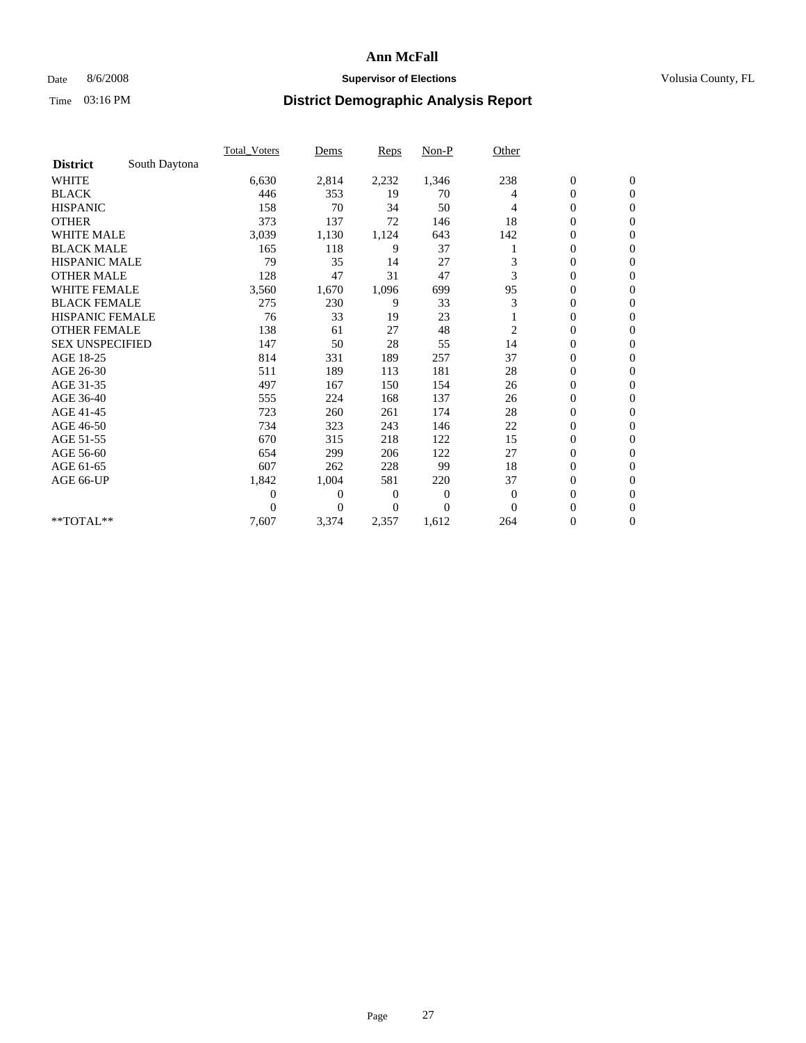## Date 8/6/2008 **Supervisor of Elections Supervisor of Elections** Volusia County, FL

|                        |               | Total Voters   | Dems           | <b>Reps</b> | $Non-P$      | Other        |                  |                  |  |
|------------------------|---------------|----------------|----------------|-------------|--------------|--------------|------------------|------------------|--|
| <b>District</b>        | South Daytona |                |                |             |              |              |                  |                  |  |
| <b>WHITE</b>           |               | 6,630          | 2,814          | 2,232       | 1,346        | 238          | $\boldsymbol{0}$ | $\boldsymbol{0}$ |  |
| <b>BLACK</b>           |               | 446            | 353            | 19          | 70           | 4            | $\boldsymbol{0}$ | $\mathbf{0}$     |  |
| <b>HISPANIC</b>        |               | 158            | 70             | 34          | 50           | 4            | $\overline{0}$   | $\mathbf{0}$     |  |
| <b>OTHER</b>           |               | 373            | 137            | 72          | 146          | 18           | $\boldsymbol{0}$ | $\Omega$         |  |
| <b>WHITE MALE</b>      |               | 3,039          | 1,130          | 1,124       | 643          | 142          | $\overline{0}$   | $\mathbf{0}$     |  |
| <b>BLACK MALE</b>      |               | 165            | 118            | 9           | 37           |              | $\boldsymbol{0}$ | $\mathbf{0}$     |  |
| <b>HISPANIC MALE</b>   |               | 79             | 35             | 14          | 27           | 3            | $\boldsymbol{0}$ | $\mathbf{0}$     |  |
| <b>OTHER MALE</b>      |               | 128            | 47             | 31          | 47           | 3            | $\boldsymbol{0}$ | $\mathbf{0}$     |  |
| WHITE FEMALE           |               | 3,560          | 1,670          | 1,096       | 699          | 95           | $\overline{0}$   | $\mathbf{0}$     |  |
| <b>BLACK FEMALE</b>    |               | 275            | 230            | 9           | 33           | 3            | $\boldsymbol{0}$ | $\mathbf{0}$     |  |
| <b>HISPANIC FEMALE</b> |               | 76             | 33             | 19          | 23           |              | $\boldsymbol{0}$ | $\mathbf{0}$     |  |
| <b>OTHER FEMALE</b>    |               | 138            | 61             | 27          | 48           | 2            | $\mathbf{0}$     | $\Omega$         |  |
| <b>SEX UNSPECIFIED</b> |               | 147            | 50             | 28          | 55           | 14           | $\boldsymbol{0}$ | $\mathbf{0}$     |  |
| AGE 18-25              |               | 814            | 331            | 189         | 257          | 37           | $\overline{0}$   | $\mathbf{0}$     |  |
| AGE 26-30              |               | 511            | 189            | 113         | 181          | 28           | $\overline{0}$   | $\mathbf{0}$     |  |
| AGE 31-35              |               | 497            | 167            | 150         | 154          | 26           | $\boldsymbol{0}$ | $\mathbf{0}$     |  |
| AGE 36-40              |               | 555            | 224            | 168         | 137          | 26           | 0                | $\mathbf{0}$     |  |
| AGE 41-45              |               | 723            | 260            | 261         | 174          | 28           | $\overline{0}$   | $\mathbf{0}$     |  |
| AGE 46-50              |               | 734            | 323            | 243         | 146          | 22           | $\boldsymbol{0}$ | $\mathbf{0}$     |  |
| AGE 51-55              |               | 670            | 315            | 218         | 122          | 15           | $\boldsymbol{0}$ | $\mathbf{0}$     |  |
| AGE 56-60              |               | 654            | 299            | 206         | 122          | 27           | $\overline{0}$   | $\Omega$         |  |
| AGE 61-65              |               | 607            | 262            | 228         | 99           | 18           | $\mathbf{0}$     | $\mathbf{0}$     |  |
| AGE 66-UP              |               | 1,842          | 1,004          | 581         | 220          | 37           | $\boldsymbol{0}$ | $\mathbf{0}$     |  |
|                        |               | $\overline{0}$ | $\overline{0}$ | 0           | $\mathbf{0}$ | $\mathbf{0}$ | $\overline{0}$   | $\mathbf{0}$     |  |
|                        |               | $\theta$       | $\theta$       | $\Omega$    | $\theta$     | $\Omega$     | $\overline{0}$   | $\mathbf{0}$     |  |
| **TOTAL**              |               | 7,607          | 3,374          | 2,357       | 1,612        | 264          | 0                | $\mathbf{0}$     |  |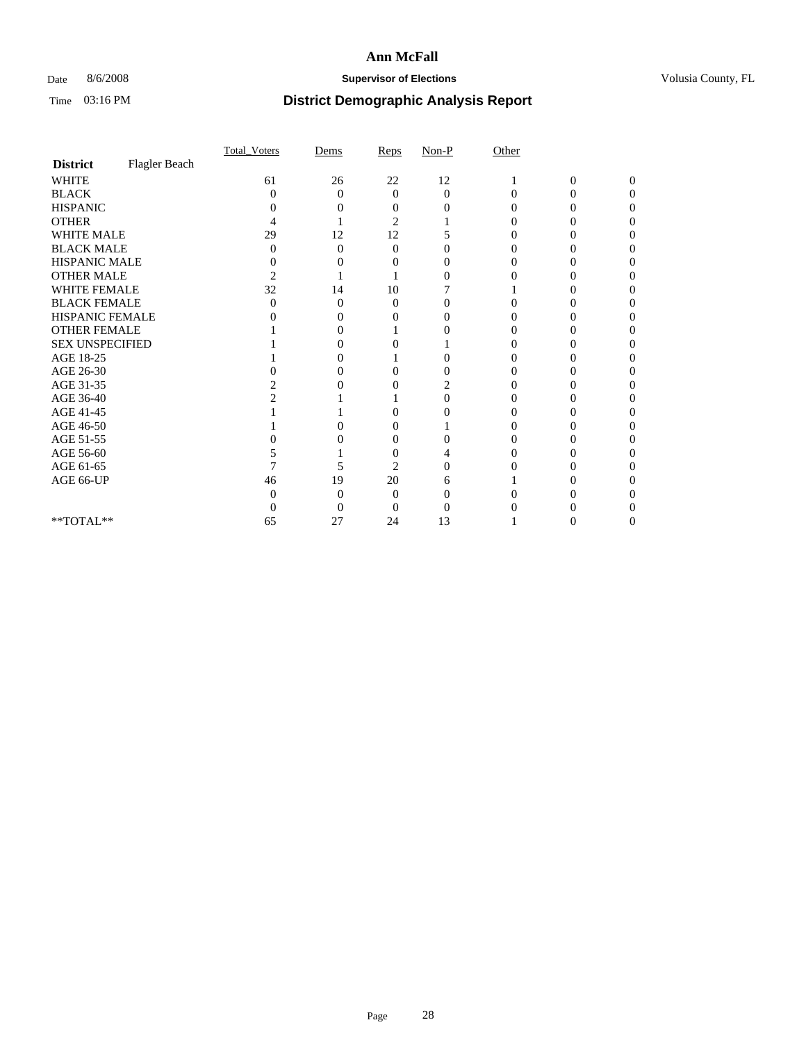### Date 8/6/2008 **Supervisor of Elections Supervisor of Elections** Volusia County, FL

|                        |               | Total Voters   | Dems              | Reps              | $Non-P$  | Other    |                |              |  |
|------------------------|---------------|----------------|-------------------|-------------------|----------|----------|----------------|--------------|--|
| <b>District</b>        | Flagler Beach |                |                   |                   |          |          |                |              |  |
| <b>WHITE</b>           |               | 61             | 26                | 22                | 12       |          | $\overline{0}$ | $\mathbf{0}$ |  |
| <b>BLACK</b>           |               | 0              | $\theta$          | $\Omega$          | $\Omega$ | $\Omega$ | 0              | 0            |  |
| <b>HISPANIC</b>        |               |                |                   | $\mathbf{\Omega}$ |          |          |                |              |  |
| <b>OTHER</b>           |               |                |                   | 2                 |          |          |                |              |  |
| WHITE MALE             |               | 29             | 12                | 12                |          |          |                |              |  |
| <b>BLACK MALE</b>      |               | 0              | 0                 | $\Omega$          |          |          |                |              |  |
| HISPANIC MALE          |               | 0              |                   |                   |          |          |                |              |  |
| <b>OTHER MALE</b>      |               | $\overline{c}$ |                   |                   | 0        |          |                |              |  |
| WHITE FEMALE           |               | 32             | 14                | 10                |          |          |                |              |  |
| <b>BLACK FEMALE</b>    |               | 0              | $\theta$          | $\theta$          | 0        |          |                |              |  |
| HISPANIC FEMALE        |               |                |                   |                   | 0        |          |                |              |  |
| <b>OTHER FEMALE</b>    |               |                |                   |                   |          |          |                |              |  |
| <b>SEX UNSPECIFIED</b> |               |                |                   |                   |          |          |                |              |  |
| AGE 18-25              |               |                |                   |                   | 0        |          |                |              |  |
| AGE 26-30              |               |                | $\mathbf{\Omega}$ | 0                 |          |          |                |              |  |
| AGE 31-35              |               |                |                   |                   | 2        |          |                |              |  |
| AGE 36-40              |               |                |                   |                   | 0        |          |                |              |  |
| AGE 41-45              |               |                |                   | 0                 |          |          |                |              |  |
| AGE 46-50              |               |                |                   |                   |          |          |                |              |  |
| AGE 51-55              |               |                |                   | 0                 |          |          |                |              |  |
| AGE 56-60              |               |                |                   | $\theta$          |          |          |                |              |  |
| AGE 61-65              |               |                |                   | $\overline{2}$    |          |          |                |              |  |
| AGE 66-UP              |               | 46             | 19                | 20                | h        |          |                |              |  |
|                        |               |                | 0                 | $\Omega$          |          |          |                |              |  |
|                        |               |                | 0                 | 0                 |          |          |                |              |  |
| **TOTAL**              |               | 65             | 27                | 24                | 13       |          |                |              |  |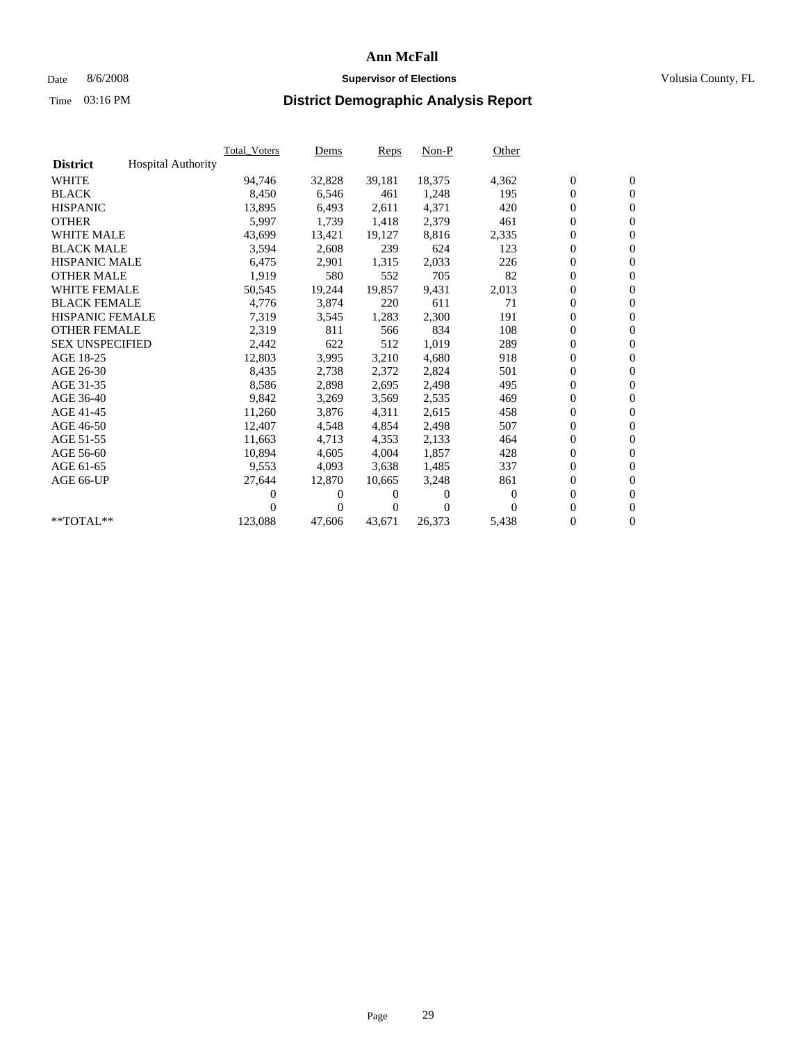## Date 8/6/2008 **Supervisor of Elections Supervisor of Elections** Volusia County, FL

|                        |                           | <b>Total Voters</b> | Dems           | <b>Reps</b>  | $Non-P$      | Other        |                  |                  |  |
|------------------------|---------------------------|---------------------|----------------|--------------|--------------|--------------|------------------|------------------|--|
| <b>District</b>        | <b>Hospital Authority</b> |                     |                |              |              |              |                  |                  |  |
| <b>WHITE</b>           |                           | 94,746              | 32,828         | 39,181       | 18,375       | 4,362        | $\boldsymbol{0}$ | $\boldsymbol{0}$ |  |
| <b>BLACK</b>           |                           | 8,450               | 6,546          | 461          | 1,248        | 195          | $\boldsymbol{0}$ | $\mathbf{0}$     |  |
| <b>HISPANIC</b>        |                           | 13,895              | 6,493          | 2,611        | 4,371        | 420          | $\boldsymbol{0}$ | $\mathbf{0}$     |  |
| <b>OTHER</b>           |                           | 5,997               | 1,739          | 1,418        | 2,379        | 461          | $\boldsymbol{0}$ | $\mathbf{0}$     |  |
| <b>WHITE MALE</b>      |                           | 43,699              | 13,421         | 19,127       | 8,816        | 2,335        | $\boldsymbol{0}$ | $\mathbf{0}$     |  |
| <b>BLACK MALE</b>      |                           | 3,594               | 2.608          | 239          | 624          | 123          | $\mathbf{0}$     | $\mathbf{0}$     |  |
| <b>HISPANIC MALE</b>   |                           | 6,475               | 2,901          | 1,315        | 2,033        | 226          | $\boldsymbol{0}$ | $\mathbf{0}$     |  |
| <b>OTHER MALE</b>      |                           | 1,919               | 580            | 552          | 705          | 82           | $\boldsymbol{0}$ | $\mathbf{0}$     |  |
| <b>WHITE FEMALE</b>    |                           | 50,545              | 19,244         | 19,857       | 9,431        | 2,013        | $\boldsymbol{0}$ | $\mathbf{0}$     |  |
| <b>BLACK FEMALE</b>    |                           | 4,776               | 3,874          | 220          | 611          | 71           | $\boldsymbol{0}$ | $\mathbf{0}$     |  |
| <b>HISPANIC FEMALE</b> |                           | 7,319               | 3,545          | 1,283        | 2,300        | 191          | $\boldsymbol{0}$ | $\mathbf{0}$     |  |
| <b>OTHER FEMALE</b>    |                           | 2,319               | 811            | 566          | 834          | 108          | $\mathbf{0}$     | $\mathbf{0}$     |  |
| <b>SEX UNSPECIFIED</b> |                           | 2,442               | 622            | 512          | 1,019        | 289          | $\boldsymbol{0}$ | $\mathbf{0}$     |  |
| AGE 18-25              |                           | 12,803              | 3,995          | 3,210        | 4,680        | 918          | $\boldsymbol{0}$ | $\mathbf{0}$     |  |
| AGE 26-30              |                           | 8,435               | 2,738          | 2,372        | 2,824        | 501          | $\mathbf{0}$     | $\mathbf{0}$     |  |
| AGE 31-35              |                           | 8,586               | 2,898          | 2,695        | 2,498        | 495          | $\boldsymbol{0}$ | $\mathbf{0}$     |  |
| AGE 36-40              |                           | 9,842               | 3,269          | 3,569        | 2,535        | 469          | $\boldsymbol{0}$ | $\mathbf{0}$     |  |
| AGE 41-45              |                           | 11,260              | 3,876          | 4,311        | 2,615        | 458          | $\boldsymbol{0}$ | $\mathbf{0}$     |  |
| AGE 46-50              |                           | 12,407              | 4,548          | 4,854        | 2,498        | 507          | $\boldsymbol{0}$ | $\mathbf{0}$     |  |
| AGE 51-55              |                           | 11,663              | 4,713          | 4,353        | 2,133        | 464          | $\boldsymbol{0}$ | $\mathbf{0}$     |  |
| AGE 56-60              |                           | 10.894              | 4.605          | 4.004        | 1,857        | 428          | $\boldsymbol{0}$ | $\mathbf{0}$     |  |
| AGE 61-65              |                           | 9,553               | 4,093          | 3,638        | 1,485        | 337          | $\mathbf{0}$     | $\mathbf{0}$     |  |
| AGE 66-UP              |                           | 27,644              | 12,870         | 10,665       | 3,248        | 861          | $\boldsymbol{0}$ | $\mathbf{0}$     |  |
|                        |                           | 0                   | 0              | $\theta$     | $\mathbf{0}$ | $\mathbf{0}$ | $\mathbf{0}$     | $\mathbf{0}$     |  |
|                        |                           | 0                   | $\overline{0}$ | $\mathbf{0}$ | $\Omega$     | $\Omega$     | $\boldsymbol{0}$ | $\mathbf{0}$     |  |
| **TOTAL**              |                           | 123,088             | 47,606         | 43,671       | 26,373       | 5,438        | 0                | $\boldsymbol{0}$ |  |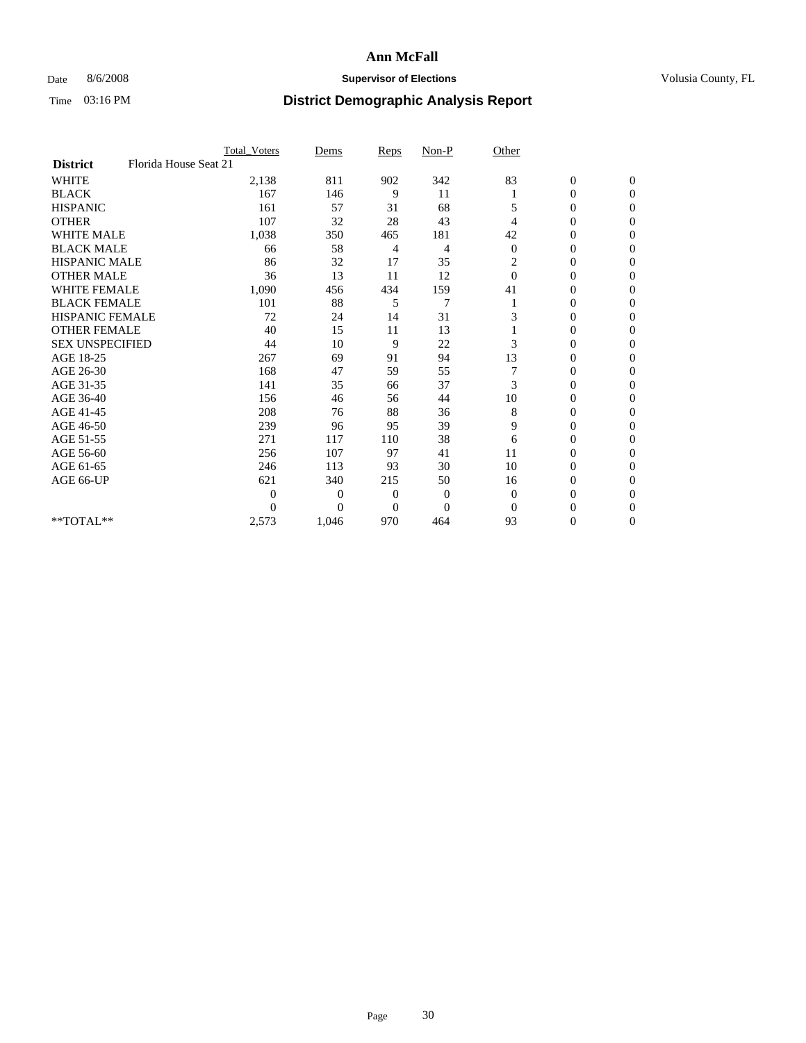## Date 8/6/2008 **Supervisor of Elections Supervisor of Elections** Volusia County, FL

|                        |                       | Total Voters | Dems           | <b>Reps</b>  | $Non-P$        | Other        |                  |              |  |
|------------------------|-----------------------|--------------|----------------|--------------|----------------|--------------|------------------|--------------|--|
| <b>District</b>        | Florida House Seat 21 |              |                |              |                |              |                  |              |  |
| <b>WHITE</b>           |                       | 2,138        | 811            | 902          | 342            | 83           | $\boldsymbol{0}$ | $\mathbf{0}$ |  |
| <b>BLACK</b>           |                       | 167          | 146            | 9            | 11             |              | $\boldsymbol{0}$ | $\mathbf{0}$ |  |
| <b>HISPANIC</b>        |                       | 161          | 57             | 31           | 68             | 5            | $\mathbf{0}$     | $\Omega$     |  |
| <b>OTHER</b>           |                       | 107          | 32             | 28           | 43             | 4            | 0                | $\Omega$     |  |
| <b>WHITE MALE</b>      |                       | 1,038        | 350            | 465          | 181            | 42           | 0                | $\Omega$     |  |
| <b>BLACK MALE</b>      |                       | 66           | 58             | 4            | 4              | $\mathbf{0}$ | $\mathbf{0}$     | $\Omega$     |  |
| <b>HISPANIC MALE</b>   |                       | 86           | 32             | 17           | 35             | 2            | $\boldsymbol{0}$ | $\Omega$     |  |
| <b>OTHER MALE</b>      |                       | 36           | 13             | 11           | 12             | $\Omega$     | 0                | $\Omega$     |  |
| <b>WHITE FEMALE</b>    |                       | 1,090        | 456            | 434          | 159            | 41           | 0                | $\Omega$     |  |
| <b>BLACK FEMALE</b>    |                       | 101          | 88             | 5            | $\overline{7}$ |              | $\overline{0}$   | $\mathbf{0}$ |  |
| <b>HISPANIC FEMALE</b> |                       | 72           | 24             | 14           | 31             | 3            | 0                | $\Omega$     |  |
| <b>OTHER FEMALE</b>    |                       | 40           | 15             | 11           | 13             |              | 0                | 0            |  |
| <b>SEX UNSPECIFIED</b> |                       | 44           | 10             | 9            | 22             | 3            | 0                | $\Omega$     |  |
| AGE 18-25              |                       | 267          | 69             | 91           | 94             | 13           | 0                | $\mathbf{0}$ |  |
| AGE 26-30              |                       | 168          | 47             | 59           | 55             |              | 0                | $\Omega$     |  |
| AGE 31-35              |                       | 141          | 35             | 66           | 37             | 3            | 0                | $\Omega$     |  |
| AGE 36-40              |                       | 156          | 46             | 56           | 44             | 10           | 0                | $\mathbf{0}$ |  |
| AGE 41-45              |                       | 208          | 76             | 88           | 36             | 8            | 0                | $\Omega$     |  |
| AGE 46-50              |                       | 239          | 96             | 95           | 39             | 9            | $\overline{0}$   | $\Omega$     |  |
| AGE 51-55              |                       | 271          | 117            | 110          | 38             | 6            | 0                | 0            |  |
| AGE 56-60              |                       | 256          | 107            | 97           | 41             | 11           | 0                | $\Omega$     |  |
| AGE 61-65              |                       | 246          | 113            | 93           | 30             | 10           | 0                | $\Omega$     |  |
| AGE 66-UP              |                       | 621          | 340            | 215          | 50             | 16           | 0                | 0            |  |
|                        |                       | $\theta$     | $\overline{0}$ | $\mathbf{0}$ | $\mathbf{0}$   | $\Omega$     | 0                | $\Omega$     |  |
|                        |                       | $\Omega$     | $\overline{0}$ | $\mathbf{0}$ | $\overline{0}$ | $\Omega$     | $\theta$         | $\Omega$     |  |
| **TOTAL**              |                       | 2,573        | 1,046          | 970          | 464            | 93           | 0                | $\mathbf{0}$ |  |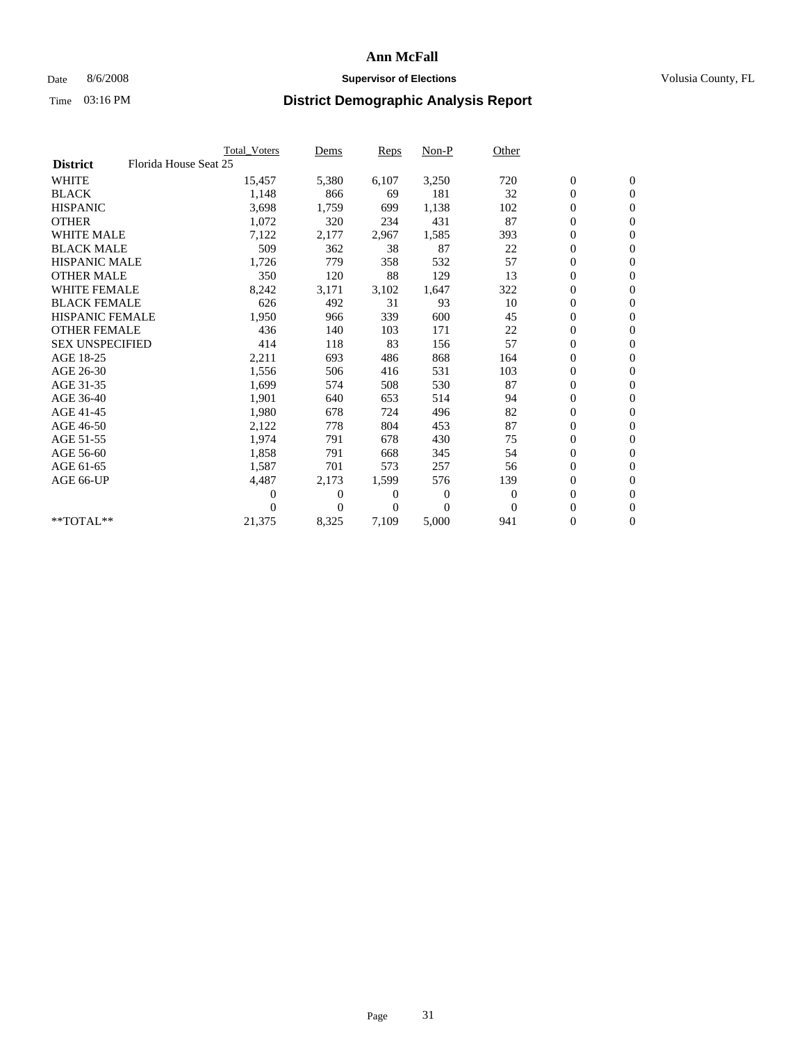## Date 8/6/2008 **Supervisor of Elections Supervisor of Elections** Volusia County, FL

|                        |                       | Total Voters   | Dems           | <b>Reps</b>  | $Non-P$      | Other        |                  |                  |  |
|------------------------|-----------------------|----------------|----------------|--------------|--------------|--------------|------------------|------------------|--|
| <b>District</b>        | Florida House Seat 25 |                |                |              |              |              |                  |                  |  |
| <b>WHITE</b>           |                       | 15,457         | 5,380          | 6,107        | 3,250        | 720          | $\boldsymbol{0}$ | $\boldsymbol{0}$ |  |
| <b>BLACK</b>           |                       | 1,148          | 866            | 69           | 181          | 32           | $\boldsymbol{0}$ | $\mathbf{0}$     |  |
| <b>HISPANIC</b>        |                       | 3,698          | 1,759          | 699          | 1,138        | 102          | $\boldsymbol{0}$ | $\mathbf{0}$     |  |
| <b>OTHER</b>           |                       | 1,072          | 320            | 234          | 431          | 87           | $\boldsymbol{0}$ | $\mathbf{0}$     |  |
| <b>WHITE MALE</b>      |                       | 7,122          | 2,177          | 2,967        | 1,585        | 393          | $\boldsymbol{0}$ | $\mathbf{0}$     |  |
| <b>BLACK MALE</b>      |                       | 509            | 362            | 38           | 87           | 22           | $\overline{0}$   | $\mathbf{0}$     |  |
| <b>HISPANIC MALE</b>   |                       | 1,726          | 779            | 358          | 532          | 57           | $\boldsymbol{0}$ | $\Omega$         |  |
| <b>OTHER MALE</b>      |                       | 350            | 120            | 88           | 129          | 13           | $\boldsymbol{0}$ | $\mathbf{0}$     |  |
| <b>WHITE FEMALE</b>    |                       | 8,242          | 3,171          | 3,102        | 1,647        | 322          | $\boldsymbol{0}$ | $\mathbf{0}$     |  |
| <b>BLACK FEMALE</b>    |                       | 626            | 492            | 31           | 93           | 10           | $\boldsymbol{0}$ | $\mathbf{0}$     |  |
| <b>HISPANIC FEMALE</b> |                       | 1,950          | 966            | 339          | 600          | 45           | $\boldsymbol{0}$ | $\mathbf{0}$     |  |
| <b>OTHER FEMALE</b>    |                       | 436            | 140            | 103          | 171          | 22           | $\mathbf{0}$     | $\mathbf{0}$     |  |
| <b>SEX UNSPECIFIED</b> |                       | 414            | 118            | 83           | 156          | 57           | $\boldsymbol{0}$ | $\mathbf{0}$     |  |
| AGE 18-25              |                       | 2,211          | 693            | 486          | 868          | 164          | $\boldsymbol{0}$ | $\mathbf{0}$     |  |
| AGE 26-30              |                       | 1,556          | 506            | 416          | 531          | 103          | $\boldsymbol{0}$ | $\mathbf{0}$     |  |
| AGE 31-35              |                       | 1,699          | 574            | 508          | 530          | 87           | $\boldsymbol{0}$ | $\mathbf{0}$     |  |
| AGE 36-40              |                       | 1,901          | 640            | 653          | 514          | 94           | $\boldsymbol{0}$ | $\mathbf{0}$     |  |
| AGE 41-45              |                       | 1,980          | 678            | 724          | 496          | 82           | $\boldsymbol{0}$ | $\mathbf{0}$     |  |
| AGE 46-50              |                       | 2,122          | 778            | 804          | 453          | 87           | $\boldsymbol{0}$ | $\Omega$         |  |
| AGE 51-55              |                       | 1,974          | 791            | 678          | 430          | 75           | $\boldsymbol{0}$ | $\mathbf{0}$     |  |
| AGE 56-60              |                       | 1,858          | 791            | 668          | 345          | 54           | $\overline{0}$   | $\mathbf{0}$     |  |
| AGE 61-65              |                       | 1,587          | 701            | 573          | 257          | 56           | $\overline{0}$   | $\mathbf{0}$     |  |
| AGE 66-UP              |                       | 4,487          | 2,173          | 1,599        | 576          | 139          | $\boldsymbol{0}$ | $\mathbf{0}$     |  |
|                        |                       | $\overline{0}$ | $\overline{0}$ | 0            | $\mathbf{0}$ | $\mathbf{0}$ | $\mathbf{0}$     | $\mathbf{0}$     |  |
|                        |                       | $\Omega$       | $\overline{0}$ | $\mathbf{0}$ | $\theta$     | $\mathbf{0}$ | $\boldsymbol{0}$ | $\mathbf{0}$     |  |
| **TOTAL**              |                       | 21,375         | 8,325          | 7,109        | 5,000        | 941          | 0                | $\boldsymbol{0}$ |  |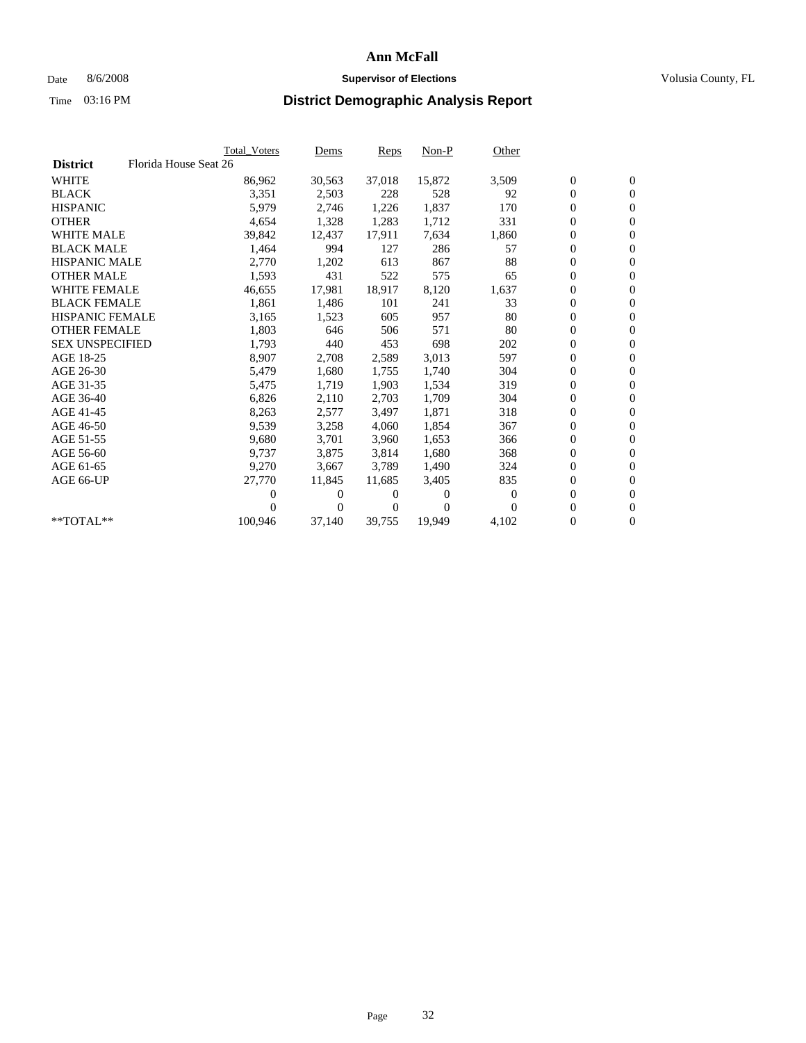## Date 8/6/2008 **Supervisor of Elections Supervisor of Elections** Volusia County, FL

|                        |                       | <b>Total Voters</b> | Dems   | Reps           | $Non-P$        | Other    |                  |                  |  |
|------------------------|-----------------------|---------------------|--------|----------------|----------------|----------|------------------|------------------|--|
| <b>District</b>        | Florida House Seat 26 |                     |        |                |                |          |                  |                  |  |
| <b>WHITE</b>           |                       | 86,962              | 30,563 | 37,018         | 15,872         | 3,509    | $\boldsymbol{0}$ | $\mathbf{0}$     |  |
| <b>BLACK</b>           |                       | 3,351               | 2,503  | 228            | 528            | 92       | $\boldsymbol{0}$ | $\mathbf{0}$     |  |
| <b>HISPANIC</b>        |                       | 5,979               | 2,746  | 1,226          | 1,837          | 170      | 0                | $\mathbf{0}$     |  |
| <b>OTHER</b>           |                       | 4,654               | 1,328  | 1,283          | 1,712          | 331      | 0                | $\Omega$         |  |
| <b>WHITE MALE</b>      |                       | 39,842              | 12,437 | 17,911         | 7,634          | 1,860    | $\boldsymbol{0}$ | $\mathbf{0}$     |  |
| <b>BLACK MALE</b>      |                       | 1,464               | 994    | 127            | 286            | 57       | $\boldsymbol{0}$ | $\mathbf{0}$     |  |
| <b>HISPANIC MALE</b>   |                       | 2,770               | 1,202  | 613            | 867            | 88       | 0                | $\mathbf{0}$     |  |
| <b>OTHER MALE</b>      |                       | 1,593               | 431    | 522            | 575            | 65       | $\overline{0}$   | $\mathbf{0}$     |  |
| <b>WHITE FEMALE</b>    |                       | 46,655              | 17,981 | 18,917         | 8,120          | 1,637    | 0                | $\mathbf{0}$     |  |
| <b>BLACK FEMALE</b>    |                       | 1,861               | 1,486  | 101            | 241            | 33       | 0                | $\mathbf{0}$     |  |
| <b>HISPANIC FEMALE</b> |                       | 3,165               | 1,523  | 605            | 957            | 80       | $\overline{0}$   | $\mathbf{0}$     |  |
| <b>OTHER FEMALE</b>    |                       | 1,803               | 646    | 506            | 571            | 80       | 0                | $\overline{0}$   |  |
| <b>SEX UNSPECIFIED</b> |                       | 1,793               | 440    | 453            | 698            | 202      | 0                | $\mathbf{0}$     |  |
| AGE 18-25              |                       | 8,907               | 2,708  | 2,589          | 3,013          | 597      | $\boldsymbol{0}$ | $\mathbf{0}$     |  |
| AGE 26-30              |                       | 5,479               | 1,680  | 1,755          | 1,740          | 304      | 0                | $\boldsymbol{0}$ |  |
| AGE 31-35              |                       | 5,475               | 1,719  | 1,903          | 1,534          | 319      | 0                | $\mathbf{0}$     |  |
| AGE 36-40              |                       | 6,826               | 2,110  | 2,703          | 1,709          | 304      | $\boldsymbol{0}$ | $\mathbf{0}$     |  |
| AGE 41-45              |                       | 8,263               | 2,577  | 3,497          | 1,871          | 318      | 0                | $\boldsymbol{0}$ |  |
| AGE 46-50              |                       | 9,539               | 3,258  | 4,060          | 1,854          | 367      | 0                | $\mathbf{0}$     |  |
| AGE 51-55              |                       | 9,680               | 3,701  | 3,960          | 1,653          | 366      | $\boldsymbol{0}$ | $\mathbf{0}$     |  |
| AGE 56-60              |                       | 9,737               | 3,875  | 3,814          | 1,680          | 368      | 0                | $\mathbf{0}$     |  |
| AGE 61-65              |                       | 9,270               | 3,667  | 3,789          | 1,490          | 324      | 0                | $\mathbf{0}$     |  |
| AGE 66-UP              |                       | 27,770              | 11,845 | 11.685         | 3,405          | 835      | $\overline{0}$   | $\mathbf{0}$     |  |
|                        |                       | 0                   | 0      | $\overline{0}$ | $\overline{0}$ | $\theta$ | $\boldsymbol{0}$ | $\boldsymbol{0}$ |  |
|                        |                       | 0                   | 0      | 0              | 0              |          | 0                | $\mathbf{0}$     |  |
| $*$ TOTAL $**$         |                       | 100,946             | 37,140 | 39,755         | 19,949         | 4,102    | 0                | $\mathbf{0}$     |  |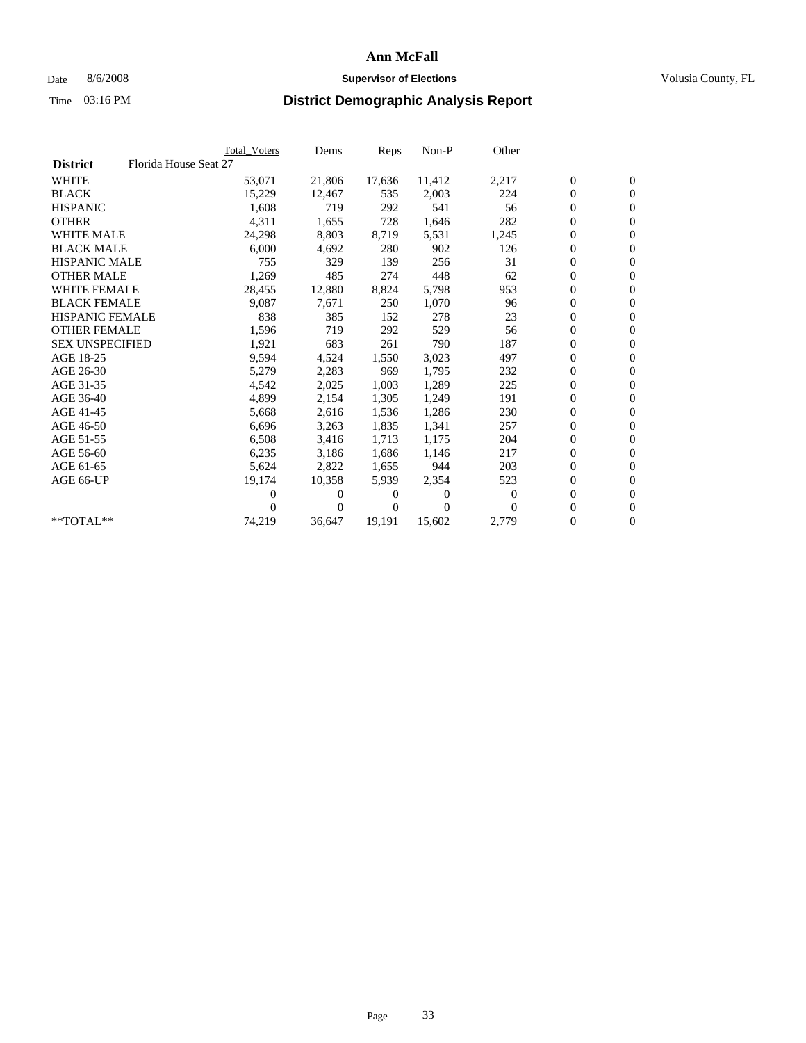## Date 8/6/2008 **Supervisor of Elections Supervisor of Elections** Volusia County, FL

|                        | Total Voters          | <u>Dems</u>    | <b>Reps</b> | $Non-P$  | Other        |                  |                  |  |
|------------------------|-----------------------|----------------|-------------|----------|--------------|------------------|------------------|--|
| <b>District</b>        | Florida House Seat 27 |                |             |          |              |                  |                  |  |
| <b>WHITE</b>           | 53,071                | 21,806         | 17,636      | 11,412   | 2,217        | $\boldsymbol{0}$ | $\boldsymbol{0}$ |  |
| <b>BLACK</b>           | 15,229                | 12,467         | 535         | 2,003    | 224          | $\boldsymbol{0}$ | $\mathbf{0}$     |  |
| <b>HISPANIC</b>        | 1,608                 | 719            | 292         | 541      | 56           | $\overline{0}$   | $\mathbf{0}$     |  |
| <b>OTHER</b>           | 4,311                 | 1,655          | 728         | 1,646    | 282          | 0                | $\overline{0}$   |  |
| <b>WHITE MALE</b>      | 24,298                | 8,803          | 8,719       | 5,531    | 1,245        | $\boldsymbol{0}$ | $\mathbf{0}$     |  |
| <b>BLACK MALE</b>      | 6,000                 | 4,692          | 280         | 902      | 126          | $\boldsymbol{0}$ | $\mathbf{0}$     |  |
| <b>HISPANIC MALE</b>   | 755                   | 329            | 139         | 256      | 31           | $\boldsymbol{0}$ | $\overline{0}$   |  |
| <b>OTHER MALE</b>      | 1,269                 | 485            | 274         | 448      | 62           | $\boldsymbol{0}$ | $\mathbf{0}$     |  |
| <b>WHITE FEMALE</b>    | 28,455                | 12,880         | 8,824       | 5,798    | 953          | $\mathbf{0}$     | $\mathbf{0}$     |  |
| <b>BLACK FEMALE</b>    | 9,087                 | 7,671          | 250         | 1,070    | 96           | $\boldsymbol{0}$ | $\Omega$         |  |
| <b>HISPANIC FEMALE</b> | 838                   | 385            | 152         | 278      | 23           | $\boldsymbol{0}$ | $\mathbf{0}$     |  |
| <b>OTHER FEMALE</b>    | 1,596                 | 719            | 292         | 529      | 56           | $\overline{0}$   | $\mathbf{0}$     |  |
| <b>SEX UNSPECIFIED</b> | 1,921                 | 683            | 261         | 790      | 187          | $\boldsymbol{0}$ | $\mathbf{0}$     |  |
| AGE 18-25              | 9,594                 | 4,524          | 1,550       | 3,023    | 497          | $\boldsymbol{0}$ | $\mathbf{0}$     |  |
| AGE 26-30              | 5,279                 | 2,283          | 969         | 1,795    | 232          | $\overline{0}$   | $\mathbf{0}$     |  |
| AGE 31-35              | 4,542                 | 2,025          | 1,003       | 1,289    | 225          | $\boldsymbol{0}$ | $\mathbf{0}$     |  |
| AGE 36-40              | 4,899                 | 2,154          | 1,305       | 1,249    | 191          | $\boldsymbol{0}$ | $\mathbf{0}$     |  |
| AGE 41-45              | 5,668                 | 2,616          | 1,536       | 1,286    | 230          | $\boldsymbol{0}$ | $\mathbf{0}$     |  |
| AGE 46-50              | 6,696                 | 3,263          | 1,835       | 1,341    | 257          | 0                | $\Omega$         |  |
| AGE 51-55              | 6,508                 | 3,416          | 1,713       | 1,175    | 204          | $\boldsymbol{0}$ | $\mathbf{0}$     |  |
| AGE 56-60              | 6,235                 | 3,186          | 1,686       | 1.146    | 217          | $\mathbf{0}$     | $\mathbf{0}$     |  |
| AGE 61-65              | 5,624                 | 2,822          | 1,655       | 944      | 203          | 0                | $\overline{0}$   |  |
| AGE 66-UP              | 19,174                | 10,358         | 5,939       | 2,354    | 523          | $\mathbf{0}$     | $\mathbf{0}$     |  |
|                        | 0                     | 0              | 0           | 0        | $\mathbf{0}$ | $\boldsymbol{0}$ | $\mathbf{0}$     |  |
|                        | 0                     | $\overline{0}$ | 0           | $\Omega$ | $\Omega$     | 0                | $\mathbf{0}$     |  |
| $*$ TOTAL $**$         | 74,219                | 36,647         | 19,191      | 15,602   | 2,779        | 0                | $\boldsymbol{0}$ |  |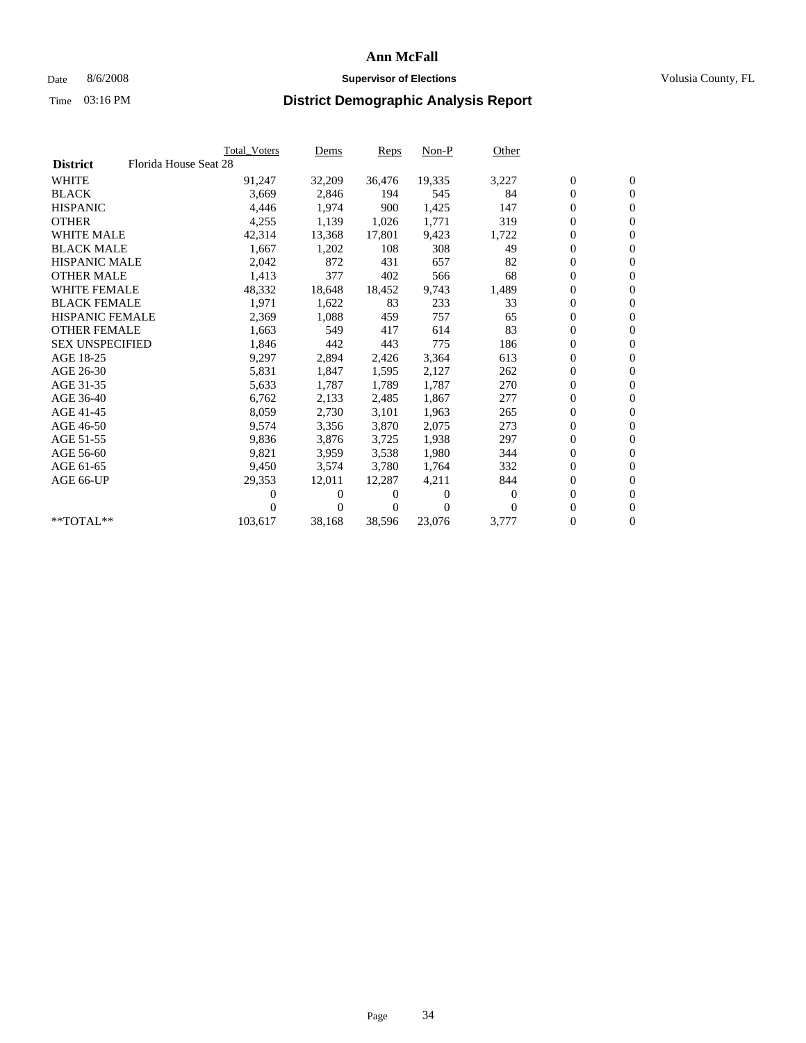## Date 8/6/2008 **Supervisor of Elections Supervisor of Elections** Volusia County, FL

|                        | Total Voters          | <u>Dems</u>                | <b>Reps</b> | $Non-P$      | Other    |                  |                  |  |
|------------------------|-----------------------|----------------------------|-------------|--------------|----------|------------------|------------------|--|
| <b>District</b>        | Florida House Seat 28 |                            |             |              |          |                  |                  |  |
| <b>WHITE</b>           | 91,247                | 32,209                     | 36,476      | 19,335       | 3,227    | $\boldsymbol{0}$ | $\boldsymbol{0}$ |  |
| <b>BLACK</b>           | 3,669                 | 2,846                      | 194         | 545          | 84       | $\overline{0}$   | $\mathbf{0}$     |  |
| <b>HISPANIC</b>        | 4,446                 | 1,974                      | 900         | 1,425        | 147      | $\overline{0}$   | $\mathbf{0}$     |  |
| <b>OTHER</b>           | 4,255                 | 1,139                      | 1,026       | 1,771        | 319      | 0                | $\mathbf{0}$     |  |
| <b>WHITE MALE</b>      | 42,314                | 13,368                     | 17,801      | 9,423        | 1,722    | $\boldsymbol{0}$ | $\mathbf{0}$     |  |
| <b>BLACK MALE</b>      | 1,667                 | 1,202                      | 108         | 308          | 49       | $\boldsymbol{0}$ | $\mathbf{0}$     |  |
| <b>HISPANIC MALE</b>   | 2,042                 | 872                        | 431         | 657          | 82       | 0                | $\mathbf{0}$     |  |
| <b>OTHER MALE</b>      | 1,413                 | 377                        | 402         | 566          | 68       | $\boldsymbol{0}$ | $\mathbf{0}$     |  |
| <b>WHITE FEMALE</b>    | 48,332                | 18,648                     | 18,452      | 9,743        | 1,489    | $\mathbf{0}$     | $\mathbf{0}$     |  |
| <b>BLACK FEMALE</b>    | 1,971                 | 1,622                      | 83          | 233          | 33       | $\boldsymbol{0}$ | $\Omega$         |  |
| <b>HISPANIC FEMALE</b> | 2,369                 | 1,088                      | 459         | 757          | 65       | $\boldsymbol{0}$ | $\mathbf{0}$     |  |
| <b>OTHER FEMALE</b>    | 1,663                 | 549                        | 417         | 614          | 83       | $\overline{0}$   | $\mathbf{0}$     |  |
| <b>SEX UNSPECIFIED</b> | 1,846                 | 442                        | 443         | 775          | 186      | 0                | $\mathbf{0}$     |  |
| AGE 18-25              | 9,297                 | 2,894                      | 2,426       | 3,364        | 613      | $\boldsymbol{0}$ | $\mathbf{0}$     |  |
| AGE 26-30              | 5,831                 | 1,847                      | 1,595       | 2,127        | 262      | $\overline{0}$   | $\mathbf{0}$     |  |
| AGE 31-35              | 5,633                 | 1,787                      | 1,789       | 1,787        | 270      | $\boldsymbol{0}$ | $\mathbf{0}$     |  |
| AGE 36-40              | 6,762                 | 2,133                      | 2,485       | 1,867        | 277      | $\boldsymbol{0}$ | $\mathbf{0}$     |  |
| AGE 41-45              | 8,059                 | 2,730                      | 3,101       | 1,963        | 265      | $\boldsymbol{0}$ | $\mathbf{0}$     |  |
| AGE 46-50              | 9,574                 | 3,356                      | 3,870       | 2,075        | 273      | 0                | $\Omega$         |  |
| AGE 51-55              | 9,836                 | 3,876                      | 3,725       | 1,938        | 297      | $\boldsymbol{0}$ | $\mathbf{0}$     |  |
| AGE 56-60              | 9,821                 | 3,959                      | 3,538       | 1,980        | 344      | $\mathbf{0}$     | $\mathbf{0}$     |  |
| AGE 61-65              | 9,450                 | 3,574                      | 3,780       | 1,764        | 332      | 0                | $\mathbf{0}$     |  |
| AGE 66-UP              | 29,353                | 12,011                     | 12,287      | 4,211        | 844      | $\mathbf{0}$     | $\mathbf{0}$     |  |
|                        |                       | $\overline{0}$<br>0        | 0           | $\mathbf{0}$ | $\Omega$ | $\boldsymbol{0}$ | $\mathbf{0}$     |  |
|                        |                       | $\overline{0}$<br>$\theta$ | 0           | $\Omega$     | $\Omega$ | 0                | $\mathbf{0}$     |  |
| $*$ TOTAL $**$         | 103,617               | 38,168                     | 38,596      | 23,076       | 3,777    | 0                | $\boldsymbol{0}$ |  |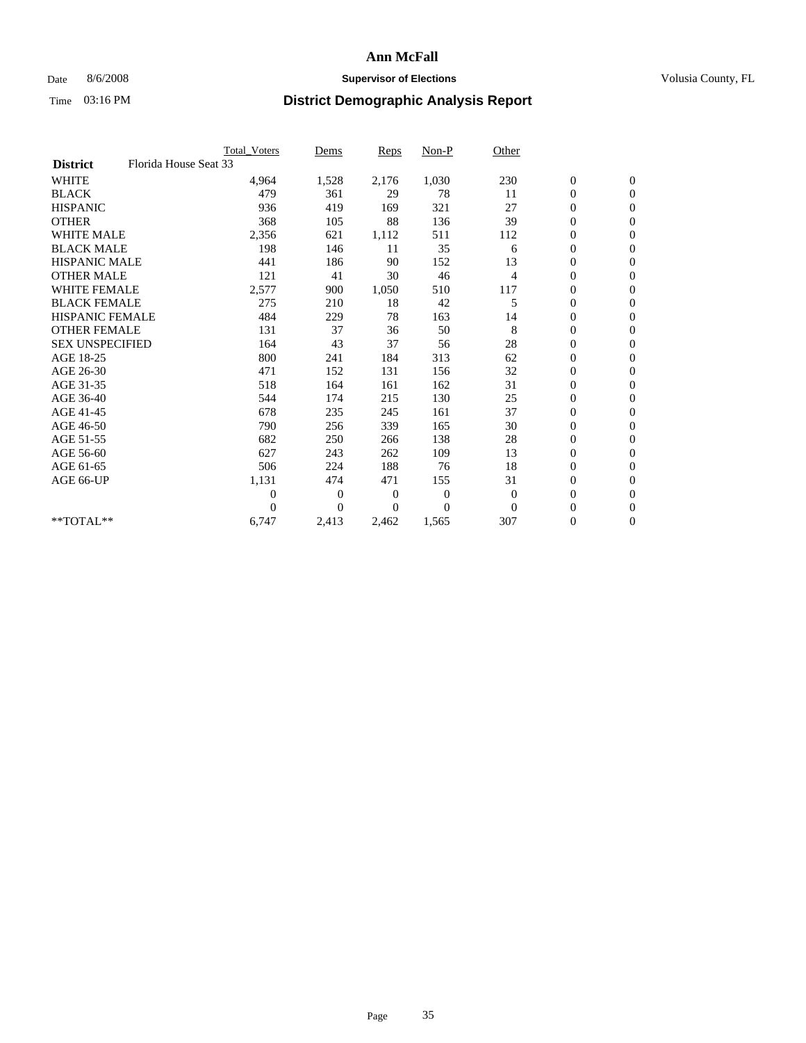### Date 8/6/2008 **Supervisor of Elections Supervisor of Elections** Volusia County, FL

|                        |                       | Total Voters   | Dems           | <b>Reps</b> | Non-P        | Other          |                  |                  |
|------------------------|-----------------------|----------------|----------------|-------------|--------------|----------------|------------------|------------------|
| <b>District</b>        | Florida House Seat 33 |                |                |             |              |                |                  |                  |
| <b>WHITE</b>           |                       | 4,964          | 1,528          | 2,176       | 1,030        | 230            | $\boldsymbol{0}$ | $\boldsymbol{0}$ |
| <b>BLACK</b>           |                       | 479            | 361            | 29          | 78           | 11             | $\boldsymbol{0}$ | $\mathbf{0}$     |
| <b>HISPANIC</b>        |                       | 936            | 419            | 169         | 321          | 27             | $\overline{0}$   | $\mathbf{0}$     |
| <b>OTHER</b>           |                       | 368            | 105            | 88          | 136          | 39             | $\boldsymbol{0}$ | $\mathbf{0}$     |
| <b>WHITE MALE</b>      |                       | 2,356          | 621            | 1,112       | 511          | 112            | $\overline{0}$   | $\mathbf{0}$     |
| <b>BLACK MALE</b>      |                       | 198            | 146            | 11          | 35           | 6              | $\boldsymbol{0}$ | $\mathbf{0}$     |
| <b>HISPANIC MALE</b>   |                       | 441            | 186            | 90          | 152          | 13             | $\boldsymbol{0}$ | $\mathbf{0}$     |
| <b>OTHER MALE</b>      |                       | 121            | 41             | 30          | 46           | 4              | 0                | $\mathbf{0}$     |
| <b>WHITE FEMALE</b>    |                       | 2,577          | 900            | 1,050       | 510          | 117            | $\overline{0}$   | $\mathbf{0}$     |
| <b>BLACK FEMALE</b>    |                       | 275            | 210            | 18          | 42           | 5              | $\boldsymbol{0}$ | $\mathbf{0}$     |
| <b>HISPANIC FEMALE</b> |                       | 484            | 229            | 78          | 163          | 14             | $\boldsymbol{0}$ | $\mathbf{0}$     |
| <b>OTHER FEMALE</b>    |                       | 131            | 37             | 36          | 50           | 8              | $\mathbf{0}$     | $\mathbf{0}$     |
| <b>SEX UNSPECIFIED</b> |                       | 164            | 43             | 37          | 56           | 28             | $\boldsymbol{0}$ | $\mathbf{0}$     |
| AGE 18-25              |                       | 800            | 241            | 184         | 313          | 62             | 0                | $\mathbf{0}$     |
| AGE 26-30              |                       | 471            | 152            | 131         | 156          | 32             | $\overline{0}$   | $\mathbf{0}$     |
| AGE 31-35              |                       | 518            | 164            | 161         | 162          | 31             | $\boldsymbol{0}$ | $\mathbf{0}$     |
| AGE 36-40              |                       | 544            | 174            | 215         | 130          | 25             | $\boldsymbol{0}$ | $\mathbf{0}$     |
| AGE 41-45              |                       | 678            | 235            | 245         | 161          | 37             | $\overline{0}$   | $\mathbf{0}$     |
| AGE 46-50              |                       | 790            | 256            | 339         | 165          | 30             | $\boldsymbol{0}$ | $\mathbf{0}$     |
| AGE 51-55              |                       | 682            | 250            | 266         | 138          | 28             | $\boldsymbol{0}$ | $\mathbf{0}$     |
| AGE 56-60              |                       | 627            | 243            | 262         | 109          | 13             | $\overline{0}$   | $\Omega$         |
| AGE 61-65              |                       | 506            | 224            | 188         | 76           | 18             | $\mathbf{0}$     | $\mathbf{0}$     |
| AGE 66-UP              |                       | 1,131          | 474            | 471         | 155          | 31             | $\boldsymbol{0}$ | $\mathbf{0}$     |
|                        |                       | $\overline{0}$ | $\overline{0}$ | 0           | $\mathbf{0}$ | $\overline{0}$ | $\overline{0}$   | $\mathbf{0}$     |
|                        |                       | $\Omega$       | $\theta$       | $\Omega$    | $\theta$     | $\mathbf{0}$   | $\boldsymbol{0}$ | $\mathbf{0}$     |
| **TOTAL**              |                       | 6,747          | 2,413          | 2,462       | 1,565        | 307            | 0                | $\mathbf{0}$     |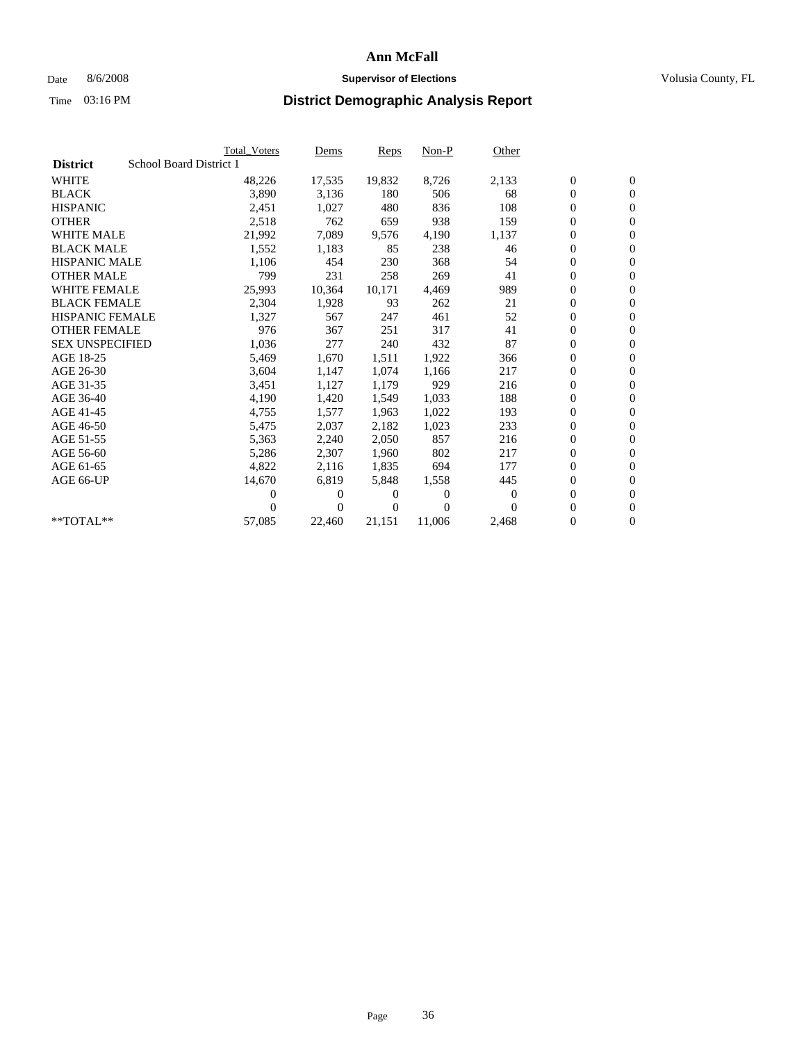## Date 8/6/2008 **Supervisor of Elections Supervisor of Elections** Volusia County, FL

|                        | <b>Total Voters</b>     | Dems           | <b>Reps</b> | $Non-P$  | Other    |                  |                  |  |
|------------------------|-------------------------|----------------|-------------|----------|----------|------------------|------------------|--|
| <b>District</b>        | School Board District 1 |                |             |          |          |                  |                  |  |
| <b>WHITE</b>           | 48,226                  | 17,535         | 19,832      | 8,726    | 2,133    | $\boldsymbol{0}$ | $\boldsymbol{0}$ |  |
| <b>BLACK</b>           | 3,890                   | 3,136          | 180         | 506      | 68       | $\overline{0}$   | $\mathbf{0}$     |  |
| <b>HISPANIC</b>        | 2,451                   | 1,027          | 480         | 836      | 108      | $\overline{0}$   | $\mathbf{0}$     |  |
| <b>OTHER</b>           | 2,518                   | 762            | 659         | 938      | 159      | 0                | $\mathbf{0}$     |  |
| <b>WHITE MALE</b>      | 21,992                  | 7,089          | 9,576       | 4,190    | 1,137    | $\boldsymbol{0}$ | $\mathbf{0}$     |  |
| <b>BLACK MALE</b>      | 1,552                   | 1,183          | 85          | 238      | 46       | $\boldsymbol{0}$ | $\mathbf{0}$     |  |
| <b>HISPANIC MALE</b>   | 1,106                   | 454            | 230         | 368      | 54       | $\boldsymbol{0}$ | $\mathbf{0}$     |  |
| <b>OTHER MALE</b>      | 799                     | 231            | 258         | 269      | 41       | $\boldsymbol{0}$ | $\mathbf{0}$     |  |
| <b>WHITE FEMALE</b>    | 25,993                  | 10,364         | 10,171      | 4.469    | 989      | $\mathbf{0}$     | $\mathbf{0}$     |  |
| <b>BLACK FEMALE</b>    | 2,304                   | 1,928          | 93          | 262      | 21       | $\boldsymbol{0}$ | $\Omega$         |  |
| <b>HISPANIC FEMALE</b> | 1,327                   | 567            | 247         | 461      | 52       | $\boldsymbol{0}$ | $\mathbf{0}$     |  |
| <b>OTHER FEMALE</b>    | 976                     | 367            | 251         | 317      | 41       | $\overline{0}$   | $\mathbf{0}$     |  |
| <b>SEX UNSPECIFIED</b> | 1,036                   | 277            | 240         | 432      | 87       | $\boldsymbol{0}$ | $\mathbf{0}$     |  |
| AGE 18-25              | 5,469                   | 1,670          | 1,511       | 1,922    | 366      | $\boldsymbol{0}$ | $\mathbf{0}$     |  |
| AGE 26-30              | 3,604                   | 1,147          | 1,074       | 1,166    | 217      | $\overline{0}$   | $\mathbf{0}$     |  |
| AGE 31-35              | 3,451                   | 1,127          | 1,179       | 929      | 216      | $\boldsymbol{0}$ | $\mathbf{0}$     |  |
| AGE 36-40              | 4,190                   | 1,420          | 1,549       | 1,033    | 188      | $\boldsymbol{0}$ | $\mathbf{0}$     |  |
| AGE 41-45              | 4,755                   | 1,577          | 1,963       | 1,022    | 193      | $\boldsymbol{0}$ | $\mathbf{0}$     |  |
| AGE 46-50              | 5,475                   | 2,037          | 2,182       | 1,023    | 233      | 0                | $\Omega$         |  |
| AGE 51-55              | 5,363                   | 2,240          | 2,050       | 857      | 216      | $\boldsymbol{0}$ | $\mathbf{0}$     |  |
| AGE 56-60              | 5,286                   | 2,307          | 1.960       | 802      | 217      | $\mathbf{0}$     | $\mathbf{0}$     |  |
| AGE 61-65              | 4,822                   | 2,116          | 1,835       | 694      | 177      | 0                | $\mathbf{0}$     |  |
| AGE 66-UP              | 14,670                  | 6,819          | 5,848       | 1,558    | 445      | $\mathbf{0}$     | $\mathbf{0}$     |  |
|                        | 0                       | 0              | 0           | 0        | $\bf{0}$ | $\overline{0}$   | $\mathbf{0}$     |  |
|                        | 0                       | $\overline{0}$ | 0           | $\Omega$ | 0        | 0                | $\mathbf{0}$     |  |
| $*$ TOTAL $**$         | 57,085                  | 22,460         | 21,151      | 11,006   | 2,468    | 0                | $\boldsymbol{0}$ |  |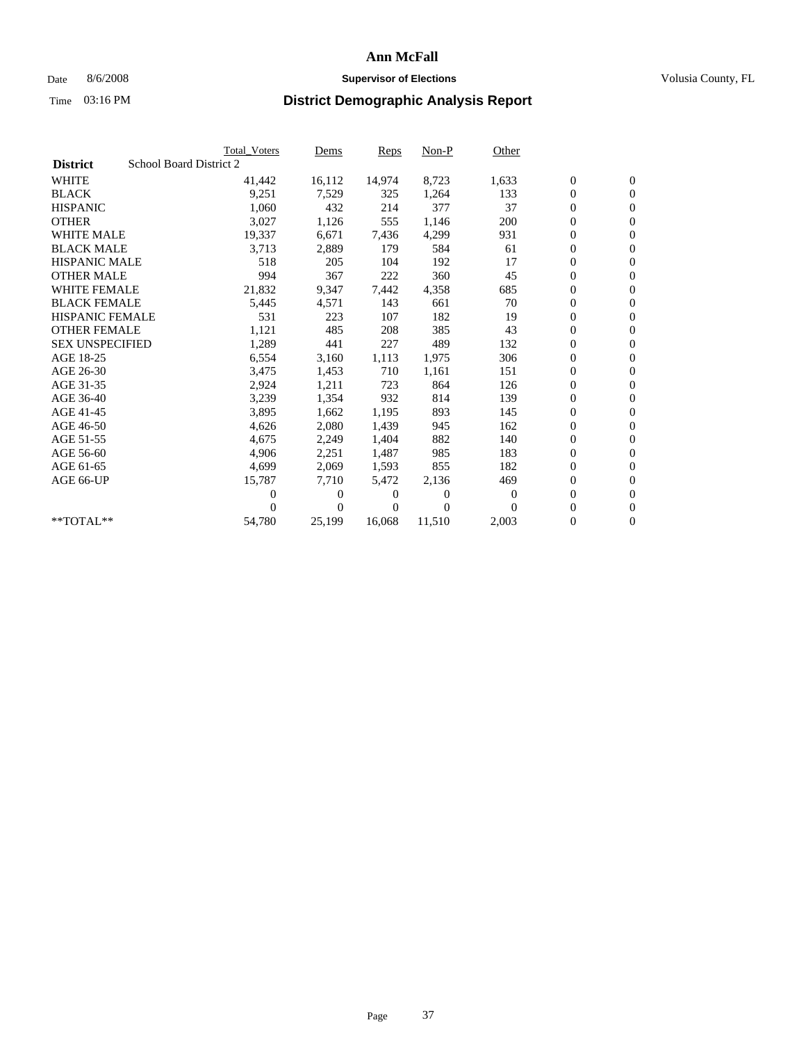## Date 8/6/2008 **Supervisor of Elections Supervisor of Elections** Volusia County, FL

|                        | <b>Total Voters</b>     | Dems           | <b>Reps</b> | $Non-P$      | Other    |                  |                  |  |
|------------------------|-------------------------|----------------|-------------|--------------|----------|------------------|------------------|--|
| <b>District</b>        | School Board District 2 |                |             |              |          |                  |                  |  |
| <b>WHITE</b>           | 41,442                  | 16,112         | 14,974      | 8,723        | 1,633    | $\boldsymbol{0}$ | $\boldsymbol{0}$ |  |
| <b>BLACK</b>           | 9,251                   | 7,529          | 325         | 1,264        | 133      | $\boldsymbol{0}$ | $\mathbf{0}$     |  |
| <b>HISPANIC</b>        | 1,060                   | 432            | 214         | 377          | 37       | $\overline{0}$   | $\mathbf{0}$     |  |
| <b>OTHER</b>           | 3,027                   | 1,126          | 555         | 1,146        | 200      | 0                | $\mathbf{0}$     |  |
| <b>WHITE MALE</b>      | 19,337                  | 6,671          | 7,436       | 4,299        | 931      | $\boldsymbol{0}$ | $\mathbf{0}$     |  |
| <b>BLACK MALE</b>      | 3,713                   | 2,889          | 179         | 584          | 61       | $\boldsymbol{0}$ | $\mathbf{0}$     |  |
| <b>HISPANIC MALE</b>   | 518                     | 205            | 104         | 192          | 17       | $\boldsymbol{0}$ | $\mathbf{0}$     |  |
| <b>OTHER MALE</b>      | 994                     | 367            | 222         | 360          | 45       | $\boldsymbol{0}$ | $\mathbf{0}$     |  |
| <b>WHITE FEMALE</b>    | 21,832                  | 9,347          | 7,442       | 4,358        | 685      | $\mathbf{0}$     | $\mathbf{0}$     |  |
| <b>BLACK FEMALE</b>    | 5,445                   | 4,571          | 143         | 661          | 70       | $\boldsymbol{0}$ | $\Omega$         |  |
| <b>HISPANIC FEMALE</b> | 531                     | 223            | 107         | 182          | 19       | $\boldsymbol{0}$ | $\mathbf{0}$     |  |
| <b>OTHER FEMALE</b>    | 1,121                   | 485            | 208         | 385          | 43       | $\overline{0}$   | $\mathbf{0}$     |  |
| <b>SEX UNSPECIFIED</b> | 1,289                   | 441            | 227         | 489          | 132      | $\boldsymbol{0}$ | $\mathbf{0}$     |  |
| AGE 18-25              | 6,554                   | 3,160          | 1,113       | 1,975        | 306      | $\boldsymbol{0}$ | $\mathbf{0}$     |  |
| AGE 26-30              | 3,475                   | 1,453          | 710         | 1,161        | 151      | $\overline{0}$   | $\mathbf{0}$     |  |
| AGE 31-35              | 2,924                   | 1,211          | 723         | 864          | 126      | $\boldsymbol{0}$ | $\mathbf{0}$     |  |
| AGE 36-40              | 3,239                   | 1,354          | 932         | 814          | 139      | $\boldsymbol{0}$ | $\mathbf{0}$     |  |
| AGE 41-45              | 3,895                   | 1,662          | 1,195       | 893          | 145      | $\boldsymbol{0}$ | $\mathbf{0}$     |  |
| AGE 46-50              | 4,626                   | 2,080          | 1,439       | 945          | 162      | 0                | $\mathbf{0}$     |  |
| AGE 51-55              | 4,675                   | 2,249          | 1,404       | 882          | 140      | $\boldsymbol{0}$ | $\boldsymbol{0}$ |  |
| AGE 56-60              | 4,906                   | 2,251          | 1,487       | 985          | 183      | $\mathbf{0}$     | $\mathbf{0}$     |  |
| AGE 61-65              | 4,699                   | 2,069          | 1,593       | 855          | 182      | 0                | $\mathbf{0}$     |  |
| AGE 66-UP              | 15,787                  | 7,710          | 5,472       | 2,136        | 469      | $\mathbf{0}$     | $\mathbf{0}$     |  |
|                        | 0                       | $\overline{0}$ | 0           | $\mathbf{0}$ | $\Omega$ | $\overline{0}$   | $\mathbf{0}$     |  |
|                        | 0                       | $\overline{0}$ | 0           | $\Omega$     | $\Omega$ | 0                | $\mathbf{0}$     |  |
| $*$ TOTAL $**$         | 54,780                  | 25,199         | 16,068      | 11,510       | 2,003    | $\boldsymbol{0}$ | $\boldsymbol{0}$ |  |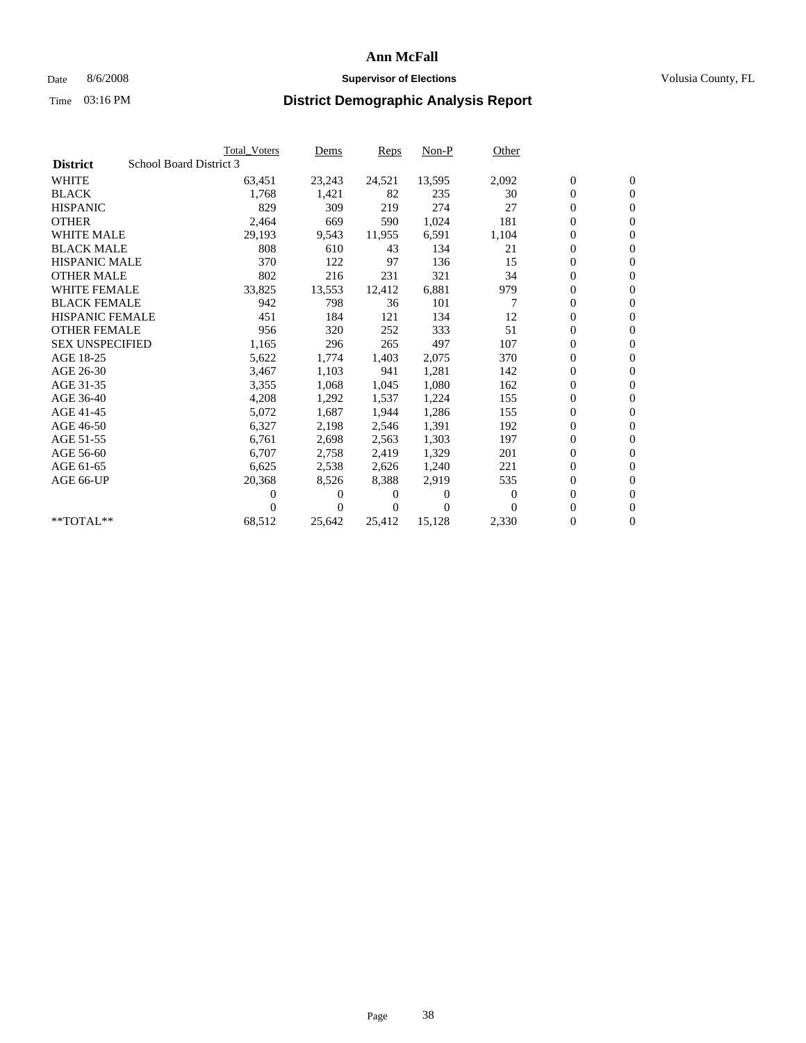## Date 8/6/2008 **Supervisor of Elections Supervisor of Elections** Volusia County, FL

|                        |                         | <b>Total Voters</b> | Dems     | Reps   | $Non-P$  | Other            |                  |                  |  |
|------------------------|-------------------------|---------------------|----------|--------|----------|------------------|------------------|------------------|--|
| <b>District</b>        | School Board District 3 |                     |          |        |          |                  |                  |                  |  |
| <b>WHITE</b>           |                         | 63,451              | 23,243   | 24,521 | 13,595   | 2,092            | $\boldsymbol{0}$ | $\boldsymbol{0}$ |  |
| <b>BLACK</b>           |                         | 1,768               | 1,421    | 82     | 235      | 30               | $\boldsymbol{0}$ | $\mathbf{0}$     |  |
| <b>HISPANIC</b>        |                         | 829                 | 309      | 219    | 274      | 27               | 0                | $\mathbf{0}$     |  |
| <b>OTHER</b>           |                         | 2,464               | 669      | 590    | 1,024    | 181              | 0                | $\mathbf{0}$     |  |
| <b>WHITE MALE</b>      |                         | 29,193              | 9,543    | 11,955 | 6,591    | 1,104            | 0                | $\mathbf{0}$     |  |
| <b>BLACK MALE</b>      |                         | 808                 | 610      | 43     | 134      | 21               | 0                | $\mathbf{0}$     |  |
| <b>HISPANIC MALE</b>   |                         | 370                 | 122      | 97     | 136      | 15               | 0                | $\mathbf{0}$     |  |
| <b>OTHER MALE</b>      |                         | 802                 | 216      | 231    | 321      | 34               | 0                | $\mathbf{0}$     |  |
| <b>WHITE FEMALE</b>    |                         | 33,825              | 13,553   | 12,412 | 6,881    | 979              | 0                | $\mathbf{0}$     |  |
| <b>BLACK FEMALE</b>    |                         | 942                 | 798      | 36     | 101      | $\overline{7}$   | 0                | $\mathbf{0}$     |  |
| <b>HISPANIC FEMALE</b> |                         | 451                 | 184      | 121    | 134      | 12               | 0                | $\mathbf{0}$     |  |
| <b>OTHER FEMALE</b>    |                         | 956                 | 320      | 252    | 333      | 51               | 0                | $\mathbf{0}$     |  |
| <b>SEX UNSPECIFIED</b> |                         | 1,165               | 296      | 265    | 497      | 107              | 0                | $\Omega$         |  |
| AGE 18-25              |                         | 5,622               | 1,774    | 1,403  | 2,075    | 370              | 0                | $\mathbf{0}$     |  |
| AGE 26-30              |                         | 3,467               | 1,103    | 941    | 1,281    | 142              | 0                | $\Omega$         |  |
| AGE 31-35              |                         | 3,355               | 1,068    | 1,045  | 1,080    | 162              | 0                | $\mathbf{0}$     |  |
| AGE 36-40              |                         | 4,208               | 1,292    | 1,537  | 1,224    | 155              | 0                | $\mathbf{0}$     |  |
| AGE 41-45              |                         | 5,072               | 1,687    | 1,944  | 1,286    | 155              | 0                | $\mathbf{0}$     |  |
| AGE 46-50              |                         | 6,327               | 2,198    | 2,546  | 1,391    | 192              | 0                | $\Omega$         |  |
| AGE 51-55              |                         | 6,761               | 2,698    | 2,563  | 1,303    | 197              | 0                | $\mathbf{0}$     |  |
| AGE 56-60              |                         | 6,707               | 2,758    | 2.419  | 1.329    | 201              | 0                | $\mathbf{0}$     |  |
| AGE 61-65              |                         | 6,625               | 2,538    | 2,626  | 1,240    | 221              | 0                | $\mathbf{0}$     |  |
| AGE 66-UP              |                         | 20,368              | 8,526    | 8,388  | 2,919    | 535              | 0                | $\mathbf{0}$     |  |
|                        |                         | 0                   | $\theta$ | 0      | $\theta$ | $\boldsymbol{0}$ | 0                | $\mathbf{0}$     |  |
|                        |                         | 0                   | 0        | 0      | $\Omega$ | $\Omega$         | 0                | $\overline{0}$   |  |
| **TOTAL**              |                         | 68,512              | 25,642   | 25,412 | 15,128   | 2,330            | 0                | $\boldsymbol{0}$ |  |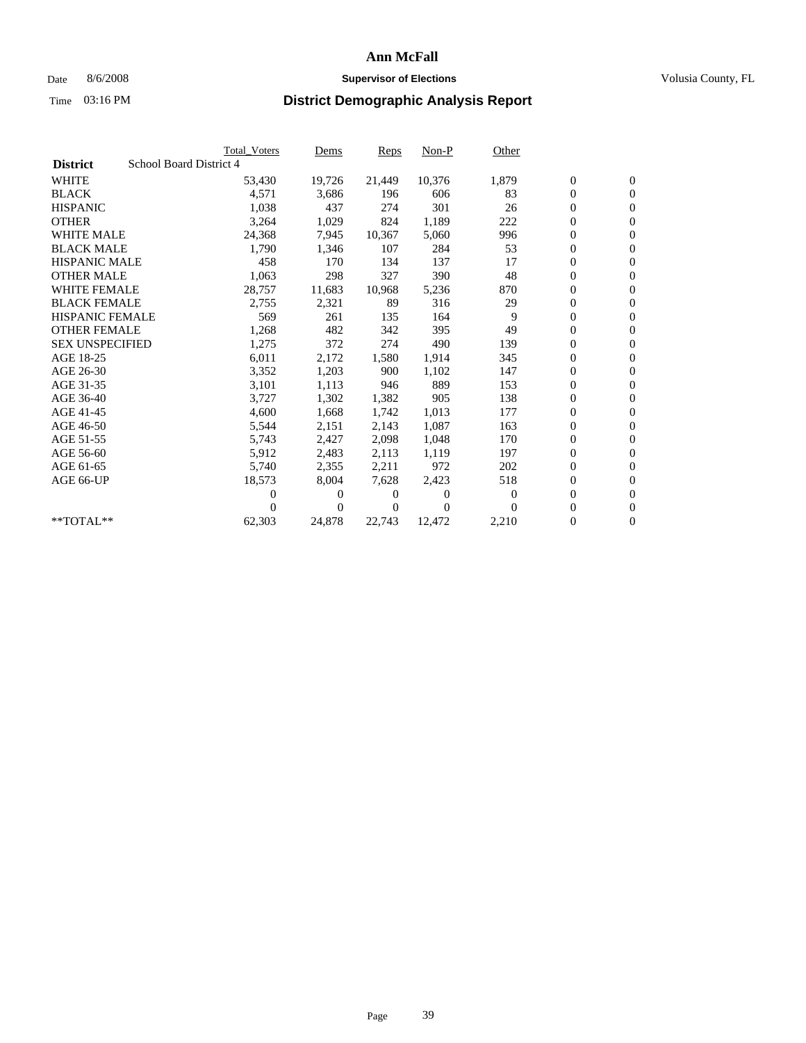## Date 8/6/2008 **Supervisor of Elections Supervisor of Elections** Volusia County, FL

|                                            | <b>Total Voters</b> | Dems           | <b>Reps</b> | $Non-P$      | Other    |                  |                  |  |
|--------------------------------------------|---------------------|----------------|-------------|--------------|----------|------------------|------------------|--|
| School Board District 4<br><b>District</b> |                     |                |             |              |          |                  |                  |  |
| <b>WHITE</b>                               | 53,430              | 19,726         | 21,449      | 10,376       | 1,879    | $\boldsymbol{0}$ | $\boldsymbol{0}$ |  |
| <b>BLACK</b>                               | 4,571               | 3,686          | 196         | 606          | 83       | $\boldsymbol{0}$ | $\mathbf{0}$     |  |
| <b>HISPANIC</b>                            | 1,038               | 437            | 274         | 301          | 26       | $\overline{0}$   | $\mathbf{0}$     |  |
| <b>OTHER</b>                               | 3,264               | 1,029          | 824         | 1,189        | 222      | 0                | $\mathbf{0}$     |  |
| <b>WHITE MALE</b>                          | 24,368              | 7,945          | 10,367      | 5,060        | 996      | $\boldsymbol{0}$ | $\mathbf{0}$     |  |
| <b>BLACK MALE</b>                          | 1,790               | 1,346          | 107         | 284          | 53       | $\overline{0}$   | $\mathbf{0}$     |  |
| <b>HISPANIC MALE</b>                       | 458                 | 170            | 134         | 137          | 17       | $\boldsymbol{0}$ | $\Omega$         |  |
| <b>OTHER MALE</b>                          | 1,063               | 298            | 327         | 390          | 48       | $\overline{0}$   | $\mathbf{0}$     |  |
| <b>WHITE FEMALE</b>                        | 28,757              | 11,683         | 10,968      | 5,236        | 870      | $\boldsymbol{0}$ | $\mathbf{0}$     |  |
| <b>BLACK FEMALE</b>                        | 2,755               | 2,321          | 89          | 316          | 29       | $\boldsymbol{0}$ | $\mathbf{0}$     |  |
| <b>HISPANIC FEMALE</b>                     | 569                 | 261            | 135         | 164          | 9        | 0                | $\mathbf{0}$     |  |
| <b>OTHER FEMALE</b>                        | 1,268               | 482            | 342         | 395          | 49       | $\mathbf{0}$     | $\mathbf{0}$     |  |
| <b>SEX UNSPECIFIED</b>                     | 1,275               | 372            | 274         | 490          | 139      | $\boldsymbol{0}$ | $\mathbf{0}$     |  |
| AGE 18-25                                  | 6,011               | 2,172          | 1,580       | 1,914        | 345      | $\boldsymbol{0}$ | $\mathbf{0}$     |  |
| AGE 26-30                                  | 3,352               | 1,203          | 900         | 1,102        | 147      | $\overline{0}$   | $\mathbf{0}$     |  |
| AGE 31-35                                  | 3,101               | 1,113          | 946         | 889          | 153      | $\boldsymbol{0}$ | $\mathbf{0}$     |  |
| AGE 36-40                                  | 3,727               | 1,302          | 1,382       | 905          | 138      | $\boldsymbol{0}$ | $\mathbf{0}$     |  |
| AGE 41-45                                  | 4,600               | 1,668          | 1,742       | 1,013        | 177      | $\boldsymbol{0}$ | $\mathbf{0}$     |  |
| AGE 46-50                                  | 5,544               | 2,151          | 2,143       | 1,087        | 163      | 0                | $\Omega$         |  |
| AGE 51-55                                  | 5,743               | 2,427          | 2,098       | 1.048        | 170      | $\boldsymbol{0}$ | $\mathbf{0}$     |  |
| AGE 56-60                                  | 5,912               | 2,483          | 2.113       | 1,119        | 197      | $\overline{0}$   | $\mathbf{0}$     |  |
| AGE 61-65                                  | 5,740               | 2,355          | 2,211       | 972          | 202      | 0                | $\mathbf{0}$     |  |
| AGE 66-UP                                  | 18,573              | 8,004          | 7,628       | 2,423        | 518      | $\boldsymbol{0}$ | $\mathbf{0}$     |  |
|                                            | 0                   | 0              | 0           | $\mathbf{0}$ | $\bf{0}$ | $\mathbf{0}$     | $\mathbf{0}$     |  |
|                                            | 0                   | $\overline{0}$ | 0           | $\Omega$     | 0        | 0                | $\mathbf{0}$     |  |
| **TOTAL**                                  | 62,303              | 24,878         | 22,743      | 12,472       | 2,210    | 0                | $\boldsymbol{0}$ |  |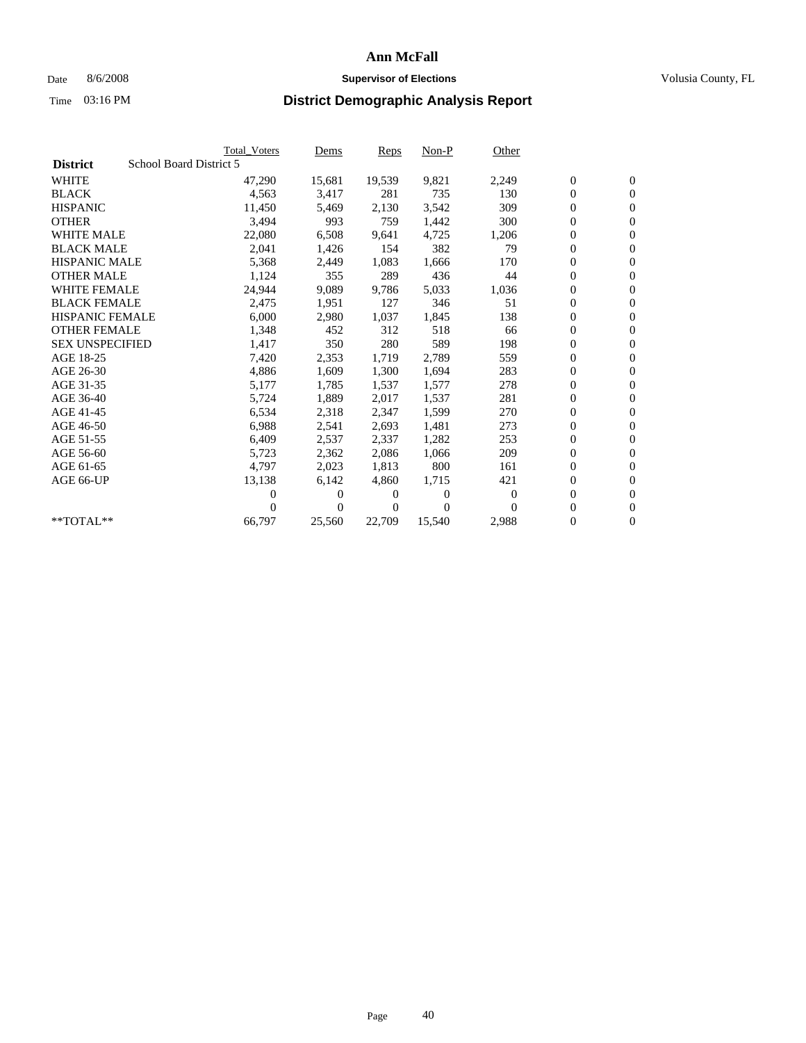## Date 8/6/2008 **Supervisor of Elections Supervisor of Elections** Volusia County, FL

|                        |                         | <b>Total Voters</b> | Dems           | <b>Reps</b> | $Non-P$      | Other        |                  |                  |
|------------------------|-------------------------|---------------------|----------------|-------------|--------------|--------------|------------------|------------------|
| <b>District</b>        | School Board District 5 |                     |                |             |              |              |                  |                  |
| <b>WHITE</b>           |                         | 47,290              | 15,681         | 19,539      | 9,821        | 2,249        | $\boldsymbol{0}$ | $\mathbf{0}$     |
| <b>BLACK</b>           |                         | 4,563               | 3,417          | 281         | 735          | 130          | $\overline{0}$   | $\mathbf{0}$     |
| <b>HISPANIC</b>        |                         | 11,450              | 5,469          | 2,130       | 3,542        | 309          | $\overline{0}$   | $\mathbf{0}$     |
| <b>OTHER</b>           |                         | 3,494               | 993            | 759         | 1,442        | 300          | 0                | $\mathbf{0}$     |
| <b>WHITE MALE</b>      |                         | 22,080              | 6,508          | 9,641       | 4,725        | 1,206        | $\boldsymbol{0}$ | $\mathbf{0}$     |
| <b>BLACK MALE</b>      |                         | 2,041               | 1,426          | 154         | 382          | 79           | $\overline{0}$   | $\mathbf{0}$     |
| <b>HISPANIC MALE</b>   |                         | 5,368               | 2,449          | 1,083       | 1,666        | 170          | 0                | $\mathbf{0}$     |
| <b>OTHER MALE</b>      |                         | 1,124               | 355            | 289         | 436          | 44           | $\boldsymbol{0}$ | $\mathbf{0}$     |
| <b>WHITE FEMALE</b>    |                         | 24,944              | 9,089          | 9,786       | 5,033        | 1,036        | $\overline{0}$   | $\mathbf{0}$     |
| <b>BLACK FEMALE</b>    |                         | 2,475               | 1,951          | 127         | 346          | 51           | $\boldsymbol{0}$ | $\Omega$         |
| <b>HISPANIC FEMALE</b> |                         | 6,000               | 2,980          | 1,037       | 1,845        | 138          | $\boldsymbol{0}$ | $\mathbf{0}$     |
| <b>OTHER FEMALE</b>    |                         | 1,348               | 452            | 312         | 518          | 66           | $\overline{0}$   | $\mathbf{0}$     |
| <b>SEX UNSPECIFIED</b> |                         | 1,417               | 350            | 280         | 589          | 198          | 0                | $\mathbf{0}$     |
| AGE 18-25              |                         | 7,420               | 2,353          | 1,719       | 2,789        | 559          | $\overline{0}$   | $\mathbf{0}$     |
| AGE 26-30              |                         | 4,886               | 1,609          | 1,300       | 1,694        | 283          | $\overline{0}$   | $\mathbf{0}$     |
| AGE 31-35              |                         | 5,177               | 1,785          | 1,537       | 1,577        | 278          | 0                | $\mathbf{0}$     |
| AGE 36-40              |                         | 5,724               | 1,889          | 2,017       | 1,537        | 281          | $\boldsymbol{0}$ | $\mathbf{0}$     |
| AGE 41-45              |                         | 6,534               | 2,318          | 2,347       | 1,599        | 270          | $\boldsymbol{0}$ | $\mathbf{0}$     |
| AGE 46-50              |                         | 6,988               | 2,541          | 2,693       | 1,481        | 273          | 0                | $\Omega$         |
| AGE 51-55              |                         | 6,409               | 2,537          | 2,337       | 1,282        | 253          | $\boldsymbol{0}$ | $\mathbf{0}$     |
| AGE 56-60              |                         | 5,723               | 2,362          | 2.086       | 1.066        | 209          | $\mathbf{0}$     | $\mathbf{0}$     |
| AGE 61-65              |                         | 4,797               | 2,023          | 1,813       | 800          | 161          | 0                | $\mathbf{0}$     |
| AGE 66-UP              |                         | 13,138              | 6,142          | 4,860       | 1,715        | 421          | $\mathbf{0}$     | $\mathbf{0}$     |
|                        |                         | 0                   | $\overline{0}$ | 0           | $\mathbf{0}$ | $\mathbf{0}$ | $\overline{0}$   | $\mathbf{0}$     |
|                        |                         | 0                   | $\overline{0}$ | 0           | $\Omega$     | 0            | 0                | $\mathbf{0}$     |
| $*$ TOTAL $**$         |                         | 66,797              | 25,560         | 22,709      | 15,540       | 2,988        | 0                | $\boldsymbol{0}$ |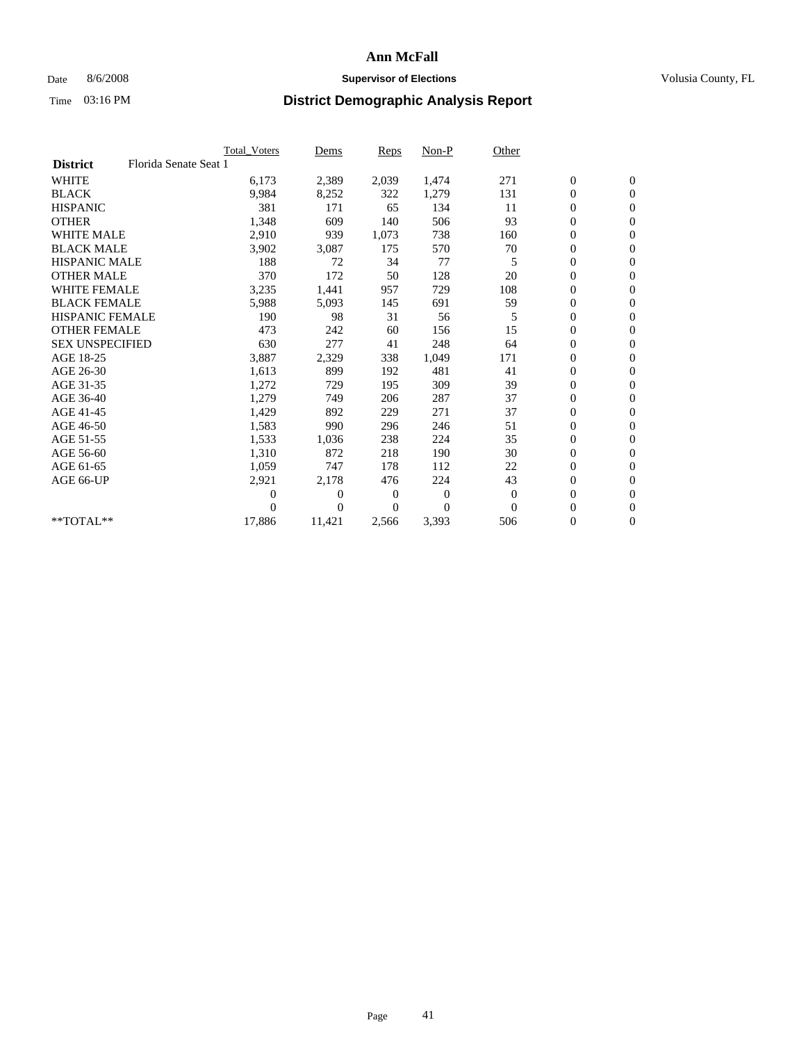## Date 8/6/2008 **Supervisor of Elections Supervisor of Elections** Volusia County, FL

|                        |                       | Total Voters | Dems           | <b>Reps</b> | $Non-P$      | Other        |                  |                  |  |
|------------------------|-----------------------|--------------|----------------|-------------|--------------|--------------|------------------|------------------|--|
| <b>District</b>        | Florida Senate Seat 1 |              |                |             |              |              |                  |                  |  |
| <b>WHITE</b>           |                       | 6,173        | 2,389          | 2,039       | 1,474        | 271          | $\boldsymbol{0}$ | $\boldsymbol{0}$ |  |
| <b>BLACK</b>           |                       | 9,984        | 8,252          | 322         | 1,279        | 131          | $\boldsymbol{0}$ | $\mathbf{0}$     |  |
| <b>HISPANIC</b>        |                       | 381          | 171            | 65          | 134          | 11           | $\overline{0}$   | $\mathbf{0}$     |  |
| <b>OTHER</b>           |                       | 1,348        | 609            | 140         | 506          | 93           | $\boldsymbol{0}$ | $\mathbf{0}$     |  |
| <b>WHITE MALE</b>      |                       | 2,910        | 939            | 1,073       | 738          | 160          | $\boldsymbol{0}$ | $\mathbf{0}$     |  |
| <b>BLACK MALE</b>      |                       | 3,902        | 3,087          | 175         | 570          | 70           | $\boldsymbol{0}$ | $\mathbf{0}$     |  |
| <b>HISPANIC MALE</b>   |                       | 188          | 72             | 34          | 77           | 5            | $\boldsymbol{0}$ | $\overline{0}$   |  |
| <b>OTHER MALE</b>      |                       | 370          | 172            | 50          | 128          | 20           | $\boldsymbol{0}$ | $\mathbf{0}$     |  |
| <b>WHITE FEMALE</b>    |                       | 3,235        | 1,441          | 957         | 729          | 108          | $\mathbf{0}$     | $\mathbf{0}$     |  |
| <b>BLACK FEMALE</b>    |                       | 5,988        | 5,093          | 145         | 691          | 59           | $\boldsymbol{0}$ | $\mathbf{0}$     |  |
| <b>HISPANIC FEMALE</b> |                       | 190          | 98             | 31          | 56           | 5            | $\boldsymbol{0}$ | $\mathbf{0}$     |  |
| <b>OTHER FEMALE</b>    |                       | 473          | 242            | 60          | 156          | 15           | $\mathbf{0}$     | $\mathbf{0}$     |  |
| <b>SEX UNSPECIFIED</b> |                       | 630          | 277            | 41          | 248          | 64           | $\boldsymbol{0}$ | $\mathbf{0}$     |  |
| AGE 18-25              |                       | 3,887        | 2,329          | 338         | 1,049        | 171          | $\boldsymbol{0}$ | $\mathbf{0}$     |  |
| AGE 26-30              |                       | 1,613        | 899            | 192         | 481          | 41           | $\overline{0}$   | $\mathbf{0}$     |  |
| AGE 31-35              |                       | 1,272        | 729            | 195         | 309          | 39           | $\boldsymbol{0}$ | $\mathbf{0}$     |  |
| AGE 36-40              |                       | 1,279        | 749            | 206         | 287          | 37           | $\boldsymbol{0}$ | $\mathbf{0}$     |  |
| AGE 41-45              |                       | 1,429        | 892            | 229         | 271          | 37           | $\overline{0}$   | $\mathbf{0}$     |  |
| AGE 46-50              |                       | 1,583        | 990            | 296         | 246          | 51           | $\boldsymbol{0}$ | $\mathbf{0}$     |  |
| AGE 51-55              |                       | 1,533        | 1,036          | 238         | 224          | 35           | $\boldsymbol{0}$ | $\mathbf{0}$     |  |
| AGE 56-60              |                       | 1,310        | 872            | 218         | 190          | 30           | $\overline{0}$   | $\Omega$         |  |
| AGE 61-65              |                       | 1,059        | 747            | 178         | 112          | 22           | $\mathbf{0}$     | $\mathbf{0}$     |  |
| AGE 66-UP              |                       | 2,921        | 2,178          | 476         | 224          | 43           | $\boldsymbol{0}$ | $\mathbf{0}$     |  |
|                        |                       | 0            | $\overline{0}$ | 0           | $\mathbf{0}$ | $\mathbf{0}$ | $\overline{0}$   | $\mathbf{0}$     |  |
|                        |                       | $\theta$     | $\theta$       | $\Omega$    | $\Omega$     | $\Omega$     | $\boldsymbol{0}$ | $\mathbf{0}$     |  |
| **TOTAL**              |                       | 17,886       | 11,421         | 2,566       | 3,393        | 506          | 0                | $\mathbf{0}$     |  |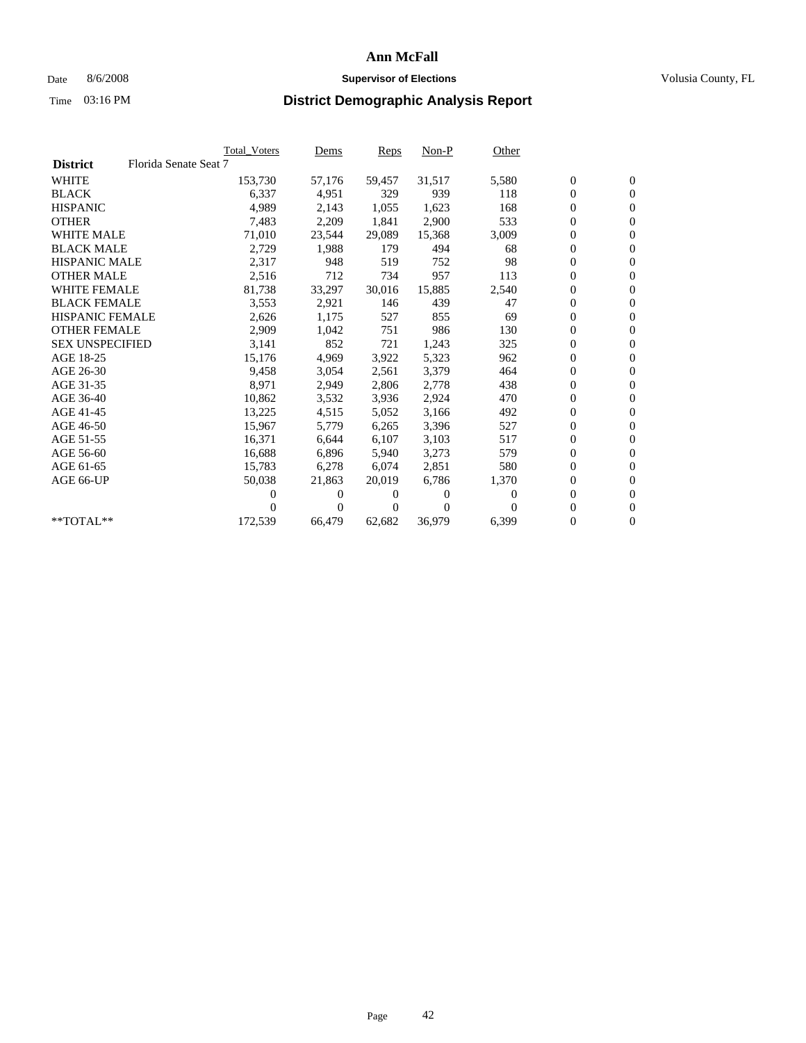## Date 8/6/2008 **Supervisor of Elections Supervisor of Elections** Volusia County, FL

|                        |                       | <b>Total Voters</b> | Dems   | Reps   | $Non-P$  | Other    |                  |                  |  |
|------------------------|-----------------------|---------------------|--------|--------|----------|----------|------------------|------------------|--|
| <b>District</b>        | Florida Senate Seat 7 |                     |        |        |          |          |                  |                  |  |
| <b>WHITE</b>           |                       | 153,730             | 57,176 | 59,457 | 31,517   | 5,580    | $\boldsymbol{0}$ | $\boldsymbol{0}$ |  |
| <b>BLACK</b>           |                       | 6,337               | 4,951  | 329    | 939      | 118      | $\overline{0}$   | $\mathbf{0}$     |  |
| <b>HISPANIC</b>        |                       | 4,989               | 2,143  | 1,055  | 1,623    | 168      | $\overline{0}$   | $\mathbf{0}$     |  |
| <b>OTHER</b>           |                       | 7,483               | 2,209  | 1,841  | 2,900    | 533      | 0                | $\mathbf{0}$     |  |
| <b>WHITE MALE</b>      |                       | 71,010              | 23,544 | 29,089 | 15,368   | 3,009    | 0                | $\mathbf{0}$     |  |
| <b>BLACK MALE</b>      |                       | 2,729               | 1,988  | 179    | 494      | 68       | $\boldsymbol{0}$ | $\mathbf{0}$     |  |
| <b>HISPANIC MALE</b>   |                       | 2,317               | 948    | 519    | 752      | 98       | 0                | $\mathbf{0}$     |  |
| <b>OTHER MALE</b>      |                       | 2,516               | 712    | 734    | 957      | 113      | 0                | $\mathbf{0}$     |  |
| <b>WHITE FEMALE</b>    |                       | 81,738              | 33,297 | 30,016 | 15,885   | 2,540    | 0                | $\mathbf{0}$     |  |
| <b>BLACK FEMALE</b>    |                       | 3,553               | 2,921  | 146    | 439      | 47       | 0                | $\Omega$         |  |
| <b>HISPANIC FEMALE</b> |                       | 2,626               | 1,175  | 527    | 855      | 69       | $\boldsymbol{0}$ | $\mathbf{0}$     |  |
| <b>OTHER FEMALE</b>    |                       | 2,909               | 1,042  | 751    | 986      | 130      | 0                | $\mathbf{0}$     |  |
| <b>SEX UNSPECIFIED</b> |                       | 3,141               | 852    | 721    | 1,243    | 325      | 0                | $\mathbf{0}$     |  |
| AGE 18-25              |                       | 15,176              | 4,969  | 3,922  | 5,323    | 962      | $\overline{0}$   | $\mathbf{0}$     |  |
| AGE 26-30              |                       | 9,458               | 3,054  | 2,561  | 3,379    | 464      | 0                | $\mathbf{0}$     |  |
| AGE 31-35              |                       | 8,971               | 2,949  | 2,806  | 2,778    | 438      | 0                | $\mathbf{0}$     |  |
| AGE 36-40              |                       | 10,862              | 3,532  | 3,936  | 2,924    | 470      | $\overline{0}$   | $\mathbf{0}$     |  |
| AGE 41-45              |                       | 13,225              | 4,515  | 5,052  | 3,166    | 492      | 0                | $\mathbf{0}$     |  |
| AGE 46-50              |                       | 15,967              | 5,779  | 6,265  | 3,396    | 527      | 0                | $\Omega$         |  |
| AGE 51-55              |                       | 16,371              | 6,644  | 6,107  | 3,103    | 517      | $\boldsymbol{0}$ | $\mathbf{0}$     |  |
| AGE 56-60              |                       | 16.688              | 6.896  | 5.940  | 3,273    | 579      | 0                | $\mathbf{0}$     |  |
| AGE 61-65              |                       | 15,783              | 6,278  | 6,074  | 2,851    | 580      | 0                | $\Omega$         |  |
| AGE 66-UP              |                       | 50,038              | 21,863 | 20,019 | 6,786    | 1,370    | 0                | $\mathbf{0}$     |  |
|                        |                       | 0                   | 0      | 0      | $\theta$ | $\Omega$ | 0                | $\mathbf{0}$     |  |
|                        |                       | 0                   | 0      | 0      | $\Omega$ |          | 0                | $\mathbf{0}$     |  |
| $*$ TOTAL $**$         |                       | 172,539             | 66,479 | 62,682 | 36,979   | 6,399    | 0                | $\boldsymbol{0}$ |  |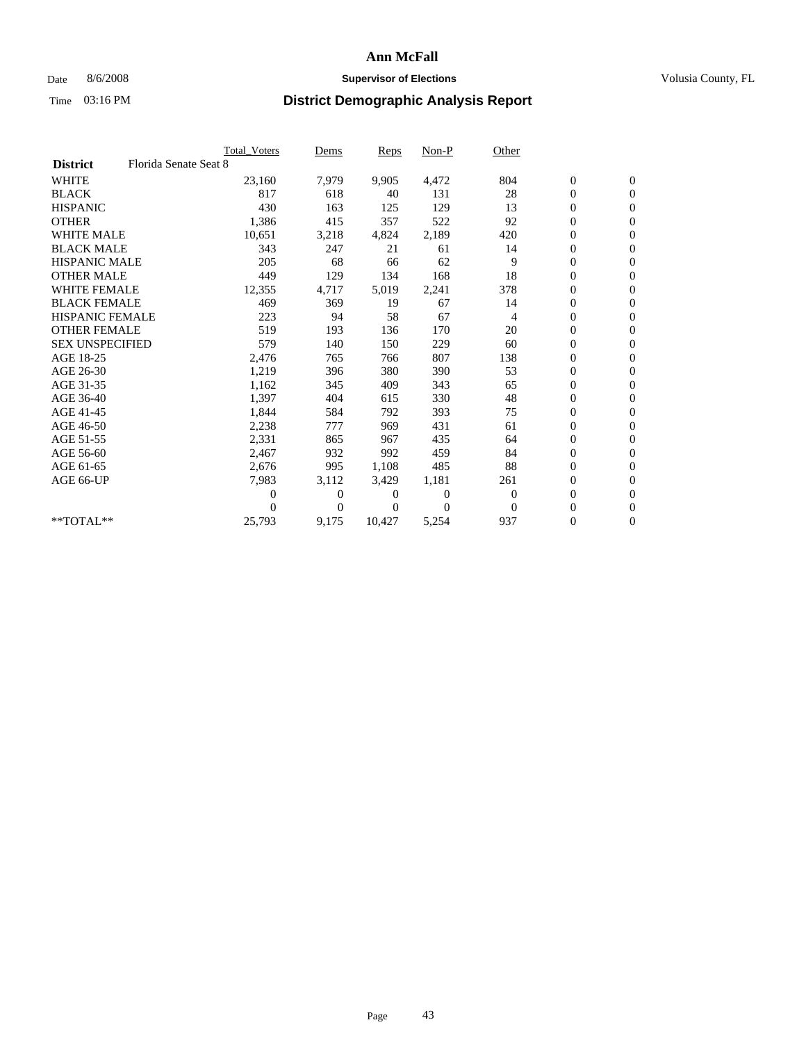### Date 8/6/2008 **Supervisor of Elections Supervisor of Elections** Volusia County, FL

|                        |                       | Total Voters | Dems           | <b>Reps</b> | Non-P        | Other    |                  |                  |  |
|------------------------|-----------------------|--------------|----------------|-------------|--------------|----------|------------------|------------------|--|
| <b>District</b>        | Florida Senate Seat 8 |              |                |             |              |          |                  |                  |  |
| <b>WHITE</b>           |                       | 23,160       | 7,979          | 9,905       | 4,472        | 804      | $\boldsymbol{0}$ | $\boldsymbol{0}$ |  |
| <b>BLACK</b>           |                       | 817          | 618            | 40          | 131          | 28       | $\boldsymbol{0}$ | $\mathbf{0}$     |  |
| <b>HISPANIC</b>        |                       | 430          | 163            | 125         | 129          | 13       | $\overline{0}$   | $\mathbf{0}$     |  |
| <b>OTHER</b>           |                       | 1,386        | 415            | 357         | 522          | 92       | $\boldsymbol{0}$ | $\mathbf{0}$     |  |
| <b>WHITE MALE</b>      |                       | 10,651       | 3,218          | 4,824       | 2,189        | 420      | $\overline{0}$   | $\mathbf{0}$     |  |
| <b>BLACK MALE</b>      |                       | 343          | 247            | 21          | 61           | 14       | $\boldsymbol{0}$ | $\mathbf{0}$     |  |
| <b>HISPANIC MALE</b>   |                       | 205          | 68             | 66          | 62           | 9        | $\boldsymbol{0}$ | $\mathbf{0}$     |  |
| <b>OTHER MALE</b>      |                       | 449          | 129            | 134         | 168          | 18       | 0                | $\mathbf{0}$     |  |
| <b>WHITE FEMALE</b>    |                       | 12,355       | 4,717          | 5,019       | 2,241        | 378      | $\overline{0}$   | $\mathbf{0}$     |  |
| <b>BLACK FEMALE</b>    |                       | 469          | 369            | 19          | 67           | 14       | $\boldsymbol{0}$ | $\mathbf{0}$     |  |
| HISPANIC FEMALE        |                       | 223          | 94             | 58          | 67           | 4        | $\boldsymbol{0}$ | $\mathbf{0}$     |  |
| <b>OTHER FEMALE</b>    |                       | 519          | 193            | 136         | 170          | 20       | $\mathbf{0}$     | $\mathbf{0}$     |  |
| <b>SEX UNSPECIFIED</b> |                       | 579          | 140            | 150         | 229          | 60       | $\boldsymbol{0}$ | $\mathbf{0}$     |  |
| AGE 18-25              |                       | 2,476        | 765            | 766         | 807          | 138      | $\overline{0}$   | $\mathbf{0}$     |  |
| AGE 26-30              |                       | 1,219        | 396            | 380         | 390          | 53       | $\overline{0}$   | $\mathbf{0}$     |  |
| AGE 31-35              |                       | 1,162        | 345            | 409         | 343          | 65       | $\boldsymbol{0}$ | $\mathbf{0}$     |  |
| AGE 36-40              |                       | 1,397        | 404            | 615         | 330          | 48       | 0                | $\mathbf{0}$     |  |
| AGE 41-45              |                       | 1,844        | 584            | 792         | 393          | 75       | $\overline{0}$   | $\mathbf{0}$     |  |
| AGE 46-50              |                       | 2,238        | 777            | 969         | 431          | 61       | $\boldsymbol{0}$ | $\mathbf{0}$     |  |
| AGE 51-55              |                       | 2,331        | 865            | 967         | 435          | 64       | $\boldsymbol{0}$ | $\mathbf{0}$     |  |
| AGE 56-60              |                       | 2,467        | 932            | 992         | 459          | 84       | $\boldsymbol{0}$ | $\Omega$         |  |
| AGE 61-65              |                       | 2,676        | 995            | 1,108       | 485          | 88       | $\mathbf{0}$     | $\mathbf{0}$     |  |
| AGE 66-UP              |                       | 7,983        | 3,112          | 3,429       | 1,181        | 261      | $\boldsymbol{0}$ | $\mathbf{0}$     |  |
|                        |                       | 0            | $\overline{0}$ | 0           | $\mathbf{0}$ | $\bf{0}$ | $\overline{0}$   | $\mathbf{0}$     |  |
|                        |                       | $\theta$     | $\Omega$       | 0           | $\Omega$     | $\Omega$ | $\boldsymbol{0}$ | $\mathbf{0}$     |  |
| $*$ TOTAL $**$         |                       | 25,793       | 9,175          | 10,427      | 5,254        | 937      | 0                | $\mathbf{0}$     |  |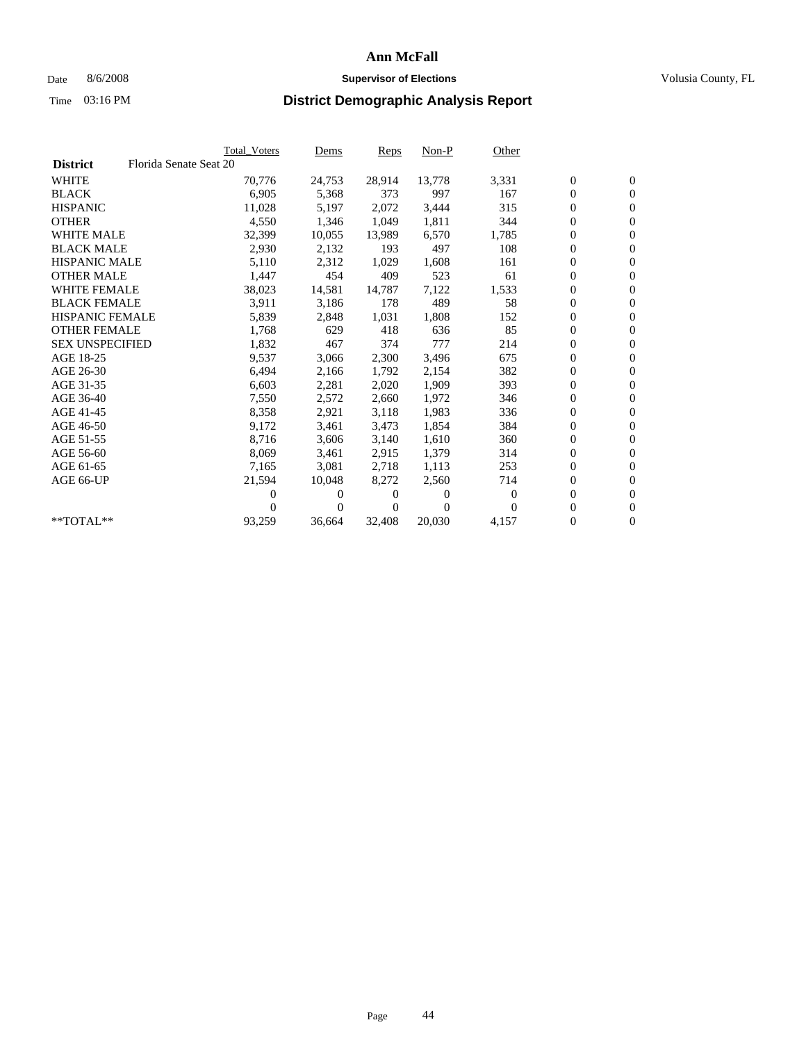## Date 8/6/2008 **Supervisor of Elections Supervisor of Elections** Volusia County, FL

|                        |                        | <b>Total Voters</b> | Dems     | Reps   | $Non-P$  | Other    |                  |                  |  |
|------------------------|------------------------|---------------------|----------|--------|----------|----------|------------------|------------------|--|
| <b>District</b>        | Florida Senate Seat 20 |                     |          |        |          |          |                  |                  |  |
| <b>WHITE</b>           |                        | 70,776              | 24,753   | 28,914 | 13,778   | 3,331    | $\boldsymbol{0}$ | $\boldsymbol{0}$ |  |
| <b>BLACK</b>           |                        | 6,905               | 5,368    | 373    | 997      | 167      | 0                | $\mathbf{0}$     |  |
| <b>HISPANIC</b>        |                        | 11,028              | 5,197    | 2,072  | 3,444    | 315      | 0                | $\mathbf{0}$     |  |
| <b>OTHER</b>           |                        | 4,550               | 1,346    | 1,049  | 1,811    | 344      | 0                | $\mathbf{0}$     |  |
| <b>WHITE MALE</b>      |                        | 32,399              | 10,055   | 13,989 | 6,570    | 1,785    | 0                | $\mathbf{0}$     |  |
| <b>BLACK MALE</b>      |                        | 2,930               | 2,132    | 193    | 497      | 108      | 0                | $\mathbf{0}$     |  |
| <b>HISPANIC MALE</b>   |                        | 5,110               | 2,312    | 1,029  | 1,608    | 161      | 0                | $\mathbf{0}$     |  |
| <b>OTHER MALE</b>      |                        | 1,447               | 454      | 409    | 523      | 61       | 0                | $\mathbf{0}$     |  |
| <b>WHITE FEMALE</b>    |                        | 38,023              | 14,581   | 14,787 | 7,122    | 1,533    | $\boldsymbol{0}$ | $\mathbf{0}$     |  |
| <b>BLACK FEMALE</b>    |                        | 3,911               | 3,186    | 178    | 489      | 58       | 0                | $\mathbf{0}$     |  |
| <b>HISPANIC FEMALE</b> |                        | 5,839               | 2,848    | 1,031  | 1,808    | 152      | 0                | $\mathbf{0}$     |  |
| <b>OTHER FEMALE</b>    |                        | 1,768               | 629      | 418    | 636      | 85       | 0                | $\mathbf{0}$     |  |
| <b>SEX UNSPECIFIED</b> |                        | 1,832               | 467      | 374    | 777      | 214      | 0                | $\mathbf{0}$     |  |
| AGE 18-25              |                        | 9,537               | 3,066    | 2,300  | 3,496    | 675      | 0                | $\mathbf{0}$     |  |
| AGE 26-30              |                        | 6,494               | 2,166    | 1,792  | 2,154    | 382      | 0                | $\mathbf{0}$     |  |
| AGE 31-35              |                        | 6,603               | 2,281    | 2,020  | 1,909    | 393      | 0                | $\mathbf{0}$     |  |
| AGE 36-40              |                        | 7,550               | 2,572    | 2,660  | 1,972    | 346      | 0                | $\mathbf{0}$     |  |
| AGE 41-45              |                        | 8,358               | 2,921    | 3,118  | 1,983    | 336      | 0                | $\mathbf{0}$     |  |
| AGE 46-50              |                        | 9,172               | 3,461    | 3,473  | 1,854    | 384      | 0                | $\mathbf{0}$     |  |
| AGE 51-55              |                        | 8,716               | 3,606    | 3,140  | 1,610    | 360      | 0                | $\mathbf{0}$     |  |
| AGE 56-60              |                        | 8,069               | 3,461    | 2.915  | 1,379    | 314      | 0                | $\mathbf{0}$     |  |
| AGE 61-65              |                        | 7,165               | 3,081    | 2,718  | 1,113    | 253      | 0                | $\mathbf{0}$     |  |
| AGE 66-UP              |                        | 21,594              | 10,048   | 8,272  | 2,560    | 714      | 0                | $\mathbf{0}$     |  |
|                        |                        | 0                   | $\theta$ | 0      | $\theta$ | $\theta$ | 0                | $\mathbf{0}$     |  |
|                        |                        | 0                   | 0        | 0      | $\Omega$ | $\Omega$ | 0                | $\mathbf{0}$     |  |
| **TOTAL**              |                        | 93,259              | 36,664   | 32,408 | 20,030   | 4,157    | 0                | $\boldsymbol{0}$ |  |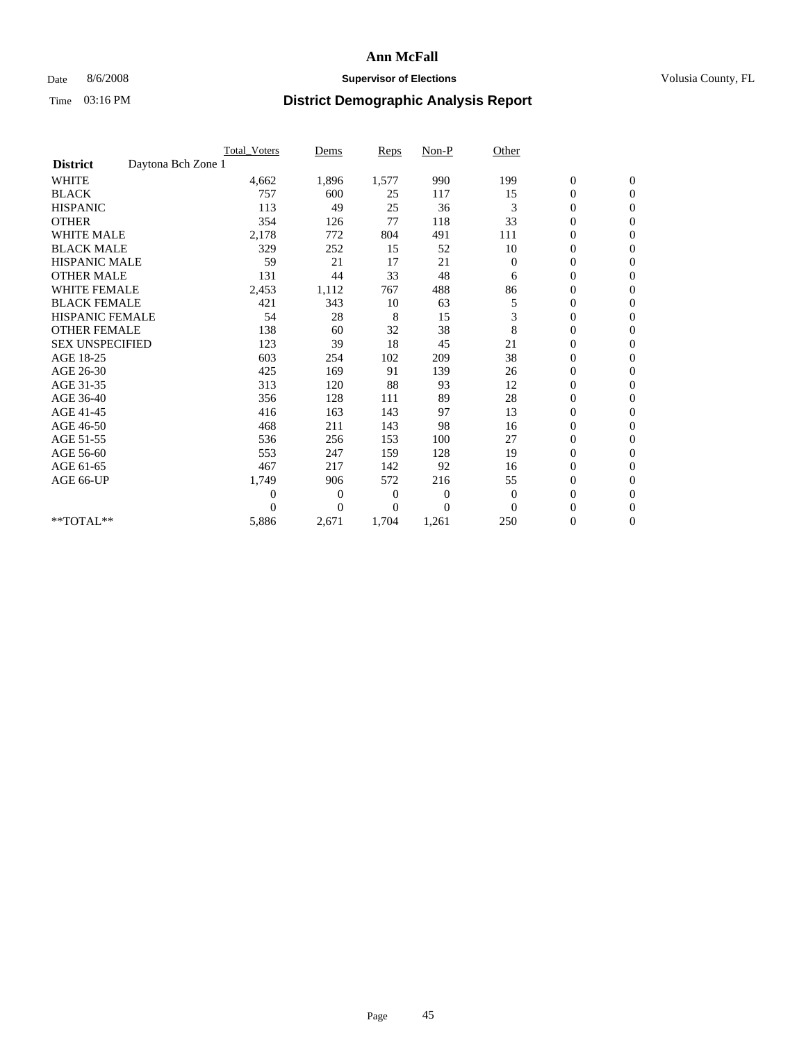## Date 8/6/2008 **Supervisor of Elections Supervisor of Elections** Volusia County, FL

|                                       | <b>Total_Voters</b> | Dems           | <b>Reps</b> | $Non-P$      | Other        |                  |                  |  |
|---------------------------------------|---------------------|----------------|-------------|--------------|--------------|------------------|------------------|--|
| Daytona Bch Zone 1<br><b>District</b> |                     |                |             |              |              |                  |                  |  |
| <b>WHITE</b>                          | 4,662               | 1,896          | 1,577       | 990          | 199          | $\boldsymbol{0}$ | $\boldsymbol{0}$ |  |
| <b>BLACK</b>                          | 757                 | 600            | 25          | 117          | 15           | $\boldsymbol{0}$ | $\mathbf{0}$     |  |
| <b>HISPANIC</b>                       | 113                 | 49             | 25          | 36           | 3            | $\overline{0}$   | $\mathbf{0}$     |  |
| <b>OTHER</b>                          | 354                 | 126            | 77          | 118          | 33           | $\boldsymbol{0}$ | $\Omega$         |  |
| <b>WHITE MALE</b>                     | 2,178               | 772            | 804         | 491          | 111          | $\overline{0}$   | $\mathbf{0}$     |  |
| <b>BLACK MALE</b>                     | 329                 | 252            | 15          | 52           | 10           | $\boldsymbol{0}$ | $\mathbf{0}$     |  |
| <b>HISPANIC MALE</b>                  | 59                  | 21             | 17          | 21           | $\mathbf{0}$ | $\boldsymbol{0}$ | $\mathbf{0}$     |  |
| <b>OTHER MALE</b>                     | 131                 | 44             | 33          | 48           | 6            | $\boldsymbol{0}$ | $\mathbf{0}$     |  |
| <b>WHITE FEMALE</b>                   | 2,453               | 1,112          | 767         | 488          | 86           | $\overline{0}$   | $\mathbf{0}$     |  |
| <b>BLACK FEMALE</b>                   | 421                 | 343            | 10          | 63           | 5            | $\boldsymbol{0}$ | $\mathbf{0}$     |  |
| <b>HISPANIC FEMALE</b>                | 54                  | 28             | 8           | 15           | 3            | $\boldsymbol{0}$ | $\mathbf{0}$     |  |
| <b>OTHER FEMALE</b>                   | 138                 | 60             | 32          | 38           | 8            | $\mathbf{0}$     | $\mathbf{0}$     |  |
| <b>SEX UNSPECIFIED</b>                | 123                 | 39             | 18          | 45           | 21           | $\boldsymbol{0}$ | $\mathbf{0}$     |  |
| AGE 18-25                             | 603                 | 254            | 102         | 209          | 38           | $\overline{0}$   | $\mathbf{0}$     |  |
| AGE 26-30                             | 425                 | 169            | 91          | 139          | 26           | $\overline{0}$   | $\mathbf{0}$     |  |
| AGE 31-35                             | 313                 | 120            | 88          | 93           | 12           | $\boldsymbol{0}$ | $\mathbf{0}$     |  |
| AGE 36-40                             | 356                 | 128            | 111         | 89           | 28           | $\boldsymbol{0}$ | $\mathbf{0}$     |  |
| AGE 41-45                             | 416                 | 163            | 143         | 97           | 13           | $\overline{0}$   | $\mathbf{0}$     |  |
| AGE 46-50                             | 468                 | 211            | 143         | 98           | 16           | $\boldsymbol{0}$ | $\mathbf{0}$     |  |
| AGE 51-55                             | 536                 | 256            | 153         | 100          | 27           | $\boldsymbol{0}$ | $\mathbf{0}$     |  |
| AGE 56-60                             | 553                 | 247            | 159         | 128          | 19           | $\boldsymbol{0}$ | $\Omega$         |  |
| AGE 61-65                             | 467                 | 217            | 142         | 92           | 16           | $\overline{0}$   | $\mathbf{0}$     |  |
| AGE 66-UP                             | 1,749               | 906            | 572         | 216          | 55           | $\boldsymbol{0}$ | $\mathbf{0}$     |  |
|                                       | $\overline{0}$      | $\overline{0}$ | 0           | $\mathbf{0}$ | $\theta$     | $\overline{0}$   | $\mathbf{0}$     |  |
|                                       | $\Omega$            | $\overline{0}$ | $\Omega$    | $\Omega$     | $\Omega$     | $\boldsymbol{0}$ | $\mathbf{0}$     |  |
| **TOTAL**                             | 5,886               | 2,671          | 1,704       | 1,261        | 250          | 0                | $\mathbf{0}$     |  |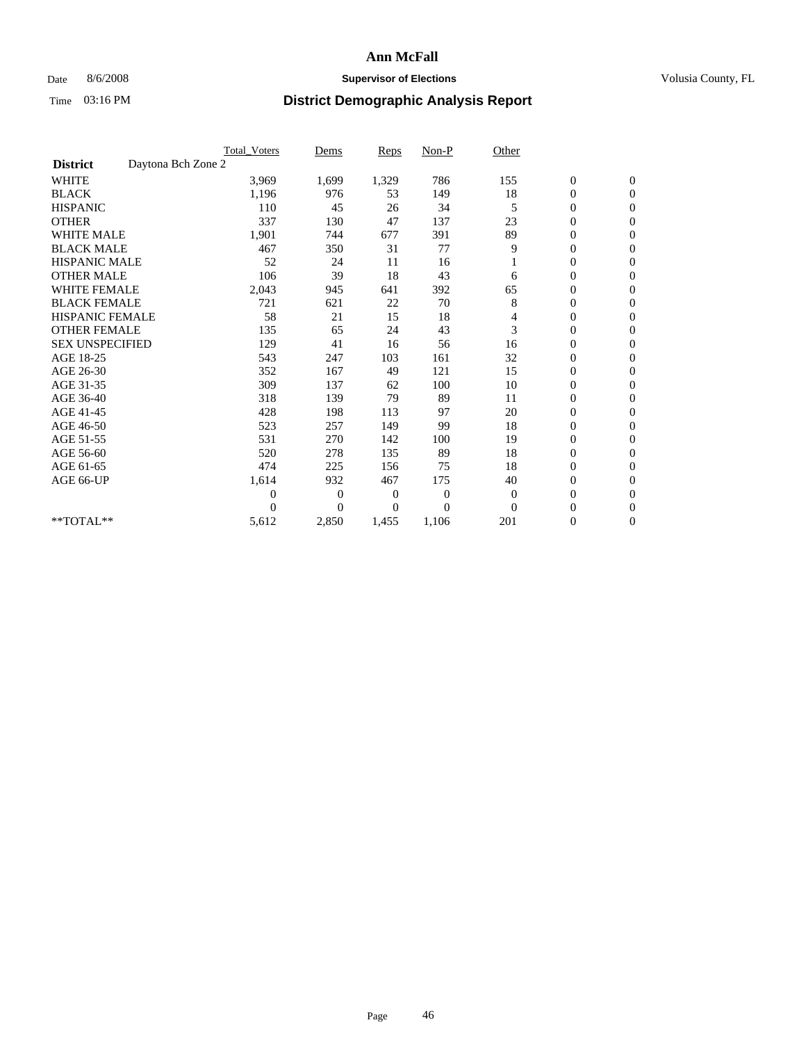## Date 8/6/2008 **Supervisor of Elections Supervisor of Elections** Volusia County, FL

|                        | <b>Total Voters</b> | Dems           | <b>Reps</b> | $Non-P$      | Other        |                  |                  |  |
|------------------------|---------------------|----------------|-------------|--------------|--------------|------------------|------------------|--|
| <b>District</b>        | Daytona Bch Zone 2  |                |             |              |              |                  |                  |  |
| <b>WHITE</b>           | 3,969               | 1,699          | 1,329       | 786          | 155          | $\boldsymbol{0}$ | $\boldsymbol{0}$ |  |
| <b>BLACK</b>           | 1,196               | 976            | 53          | 149          | 18           | $\boldsymbol{0}$ | $\mathbf{0}$     |  |
| <b>HISPANIC</b>        | 110                 | 45             | 26          | 34           | 5            | $\overline{0}$   | $\mathbf{0}$     |  |
| <b>OTHER</b>           | 337                 | 130            | 47          | 137          | 23           | $\boldsymbol{0}$ | $\Omega$         |  |
| <b>WHITE MALE</b>      | 1,901               | 744            | 677         | 391          | 89           | $\overline{0}$   | $\mathbf{0}$     |  |
| <b>BLACK MALE</b>      | 467                 | 350            | 31          | 77           | 9            | $\overline{0}$   | $\mathbf{0}$     |  |
| <b>HISPANIC MALE</b>   | 52                  | 24             | 11          | 16           |              | 0                | $\mathbf{0}$     |  |
| <b>OTHER MALE</b>      | 106                 | 39             | 18          | 43           | 6            | $\boldsymbol{0}$ | $\mathbf{0}$     |  |
| <b>WHITE FEMALE</b>    | 2,043               | 945            | 641         | 392          | 65           | $\overline{0}$   | $\mathbf{0}$     |  |
| <b>BLACK FEMALE</b>    | 721                 | 621            | 22          | 70           | 8            | $\boldsymbol{0}$ | $\mathbf{0}$     |  |
| <b>HISPANIC FEMALE</b> | 58                  | 21             | 15          | 18           | 4            | $\boldsymbol{0}$ | $\mathbf{0}$     |  |
| <b>OTHER FEMALE</b>    | 135                 | 65             | 24          | 43           | 3            | $\mathbf{0}$     | $\mathbf{0}$     |  |
| <b>SEX UNSPECIFIED</b> | 129                 | 41             | 16          | 56           | 16           | $\boldsymbol{0}$ | $\mathbf{0}$     |  |
| AGE 18-25              | 543                 | 247            | 103         | 161          | 32           | $\mathbf{0}$     | $\mathbf{0}$     |  |
| AGE 26-30              | 352                 | 167            | 49          | 121          | 15           | $\overline{0}$   | $\mathbf{0}$     |  |
| AGE 31-35              | 309                 | 137            | 62          | 100          | 10           | $\boldsymbol{0}$ | $\mathbf{0}$     |  |
| AGE 36-40              | 318                 | 139            | 79          | 89           | 11           | $\boldsymbol{0}$ | $\mathbf{0}$     |  |
| AGE 41-45              | 428                 | 198            | 113         | 97           | 20           | $\overline{0}$   | $\mathbf{0}$     |  |
| AGE 46-50              | 523                 | 257            | 149         | 99           | 18           | $\boldsymbol{0}$ | $\mathbf{0}$     |  |
| AGE 51-55              | 531                 | 270            | 142         | 100          | 19           | $\boldsymbol{0}$ | $\mathbf{0}$     |  |
| AGE 56-60              | 520                 | 278            | 135         | 89           | 18           | $\overline{0}$   | $\Omega$         |  |
| AGE 61-65              | 474                 | 225            | 156         | 75           | 18           | $\overline{0}$   | $\mathbf{0}$     |  |
| AGE 66-UP              | 1,614               | 932            | 467         | 175          | 40           | $\boldsymbol{0}$ | $\mathbf{0}$     |  |
|                        | $\overline{0}$      | $\overline{0}$ | 0           | $\mathbf{0}$ | $\mathbf{0}$ | $\overline{0}$   | $\mathbf{0}$     |  |
|                        | $\theta$            | $\theta$       | $\Omega$    | $\theta$     | $\Omega$     | $\boldsymbol{0}$ | $\mathbf{0}$     |  |
| **TOTAL**              | 5,612               | 2,850          | 1,455       | 1,106        | 201          | 0                | $\mathbf{0}$     |  |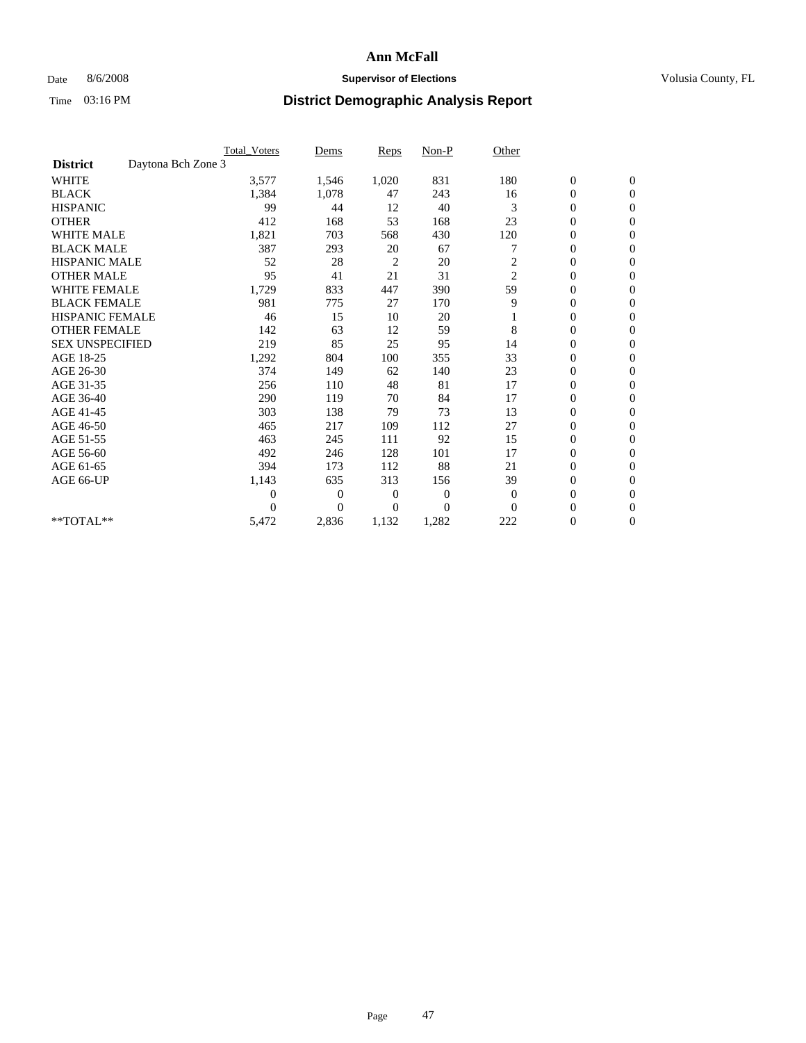## Date 8/6/2008 **Supervisor of Elections Supervisor of Elections** Volusia County, FL

|                        | <b>Total Voters</b> | Dems           | <b>Reps</b>    | $Non-P$        | Other          |                  |                |  |
|------------------------|---------------------|----------------|----------------|----------------|----------------|------------------|----------------|--|
| <b>District</b>        | Daytona Bch Zone 3  |                |                |                |                |                  |                |  |
| <b>WHITE</b>           | 3,577               | 1,546          | 1,020          | 831            | 180            | $\boldsymbol{0}$ | $\mathbf{0}$   |  |
| <b>BLACK</b>           | 1,384               | 1,078          | 47             | 243            | 16             | $\boldsymbol{0}$ | $\mathbf{0}$   |  |
| <b>HISPANIC</b>        | 99                  | 44             | 12             | 40             | 3              | $\overline{0}$   | $\mathbf{0}$   |  |
| <b>OTHER</b>           | 412                 | 168            | 53             | 168            | 23             | $\overline{0}$   | $\mathbf{0}$   |  |
| <b>WHITE MALE</b>      | 1,821               | 703            | 568            | 430            | 120            | $\boldsymbol{0}$ | $\mathbf{0}$   |  |
| <b>BLACK MALE</b>      | 387                 | 293            | 20             | 67             |                | $\boldsymbol{0}$ | $\mathbf{0}$   |  |
| <b>HISPANIC MALE</b>   | 52                  | 28             | $\overline{c}$ | 20             | 2              | $\boldsymbol{0}$ | $\Omega$       |  |
| <b>OTHER MALE</b>      | 95                  | 41             | 21             | 31             | $\overline{2}$ | 0                | $\mathbf{0}$   |  |
| <b>WHITE FEMALE</b>    | 1,729               | 833            | 447            | 390            | 59             | $\overline{0}$   | $\mathbf{0}$   |  |
| <b>BLACK FEMALE</b>    | 981                 | 775            | 27             | 170            | 9              | $\boldsymbol{0}$ | $\mathbf{0}$   |  |
| <b>HISPANIC FEMALE</b> | 46                  | 15             | 10             | 20             |                | $\boldsymbol{0}$ | $\mathbf{0}$   |  |
| <b>OTHER FEMALE</b>    | 142                 | 63             | 12             | 59             | 8              | $\overline{0}$   | $\Omega$       |  |
| <b>SEX UNSPECIFIED</b> | 219                 | 85             | 25             | 95             | 14             | $\overline{0}$   | $\mathbf{0}$   |  |
| AGE 18-25              | 1,292               | 804            | 100            | 355            | 33             | $\overline{0}$   | $\mathbf{0}$   |  |
| AGE 26-30              | 374                 | 149            | 62             | 140            | 23             | $\overline{0}$   | $\mathbf{0}$   |  |
| AGE 31-35              | 256                 | 110            | 48             | 81             | 17             | $\boldsymbol{0}$ | $\mathbf{0}$   |  |
| AGE 36-40              | 290                 | 119            | 70             | 84             | 17             | $\boldsymbol{0}$ | $\mathbf{0}$   |  |
| AGE 41-45              | 303                 | 138            | 79             | 73             | 13             | $\overline{0}$   | $\mathbf{0}$   |  |
| AGE 46-50              | 465                 | 217            | 109            | 112            | 27             | $\mathbf{0}$     | $\mathbf{0}$   |  |
| AGE 51-55              | 463                 | 245            | 111            | 92             | 15             | $\boldsymbol{0}$ | $\mathbf{0}$   |  |
| AGE 56-60              | 492                 | 246            | 128            | 101            | 17             | $\boldsymbol{0}$ | $\Omega$       |  |
| AGE 61-65              | 394                 | 173            | 112            | 88             | 21             | $\boldsymbol{0}$ | $\overline{0}$ |  |
| AGE 66-UP              | 1,143               | 635            | 313            | 156            | 39             | $\overline{0}$   | $\mathbf{0}$   |  |
|                        | $\theta$            | 0              | $\mathbf{0}$   | 0              | $\mathbf{0}$   | $\overline{0}$   | $\Omega$       |  |
|                        | $\theta$            | $\overline{0}$ | $\mathbf{0}$   | $\overline{0}$ | $\Omega$       | $\overline{0}$   | $\overline{0}$ |  |
| **TOTAL**              | 5,472               | 2,836          | 1,132          | 1,282          | 222            | 0                | $\mathbf{0}$   |  |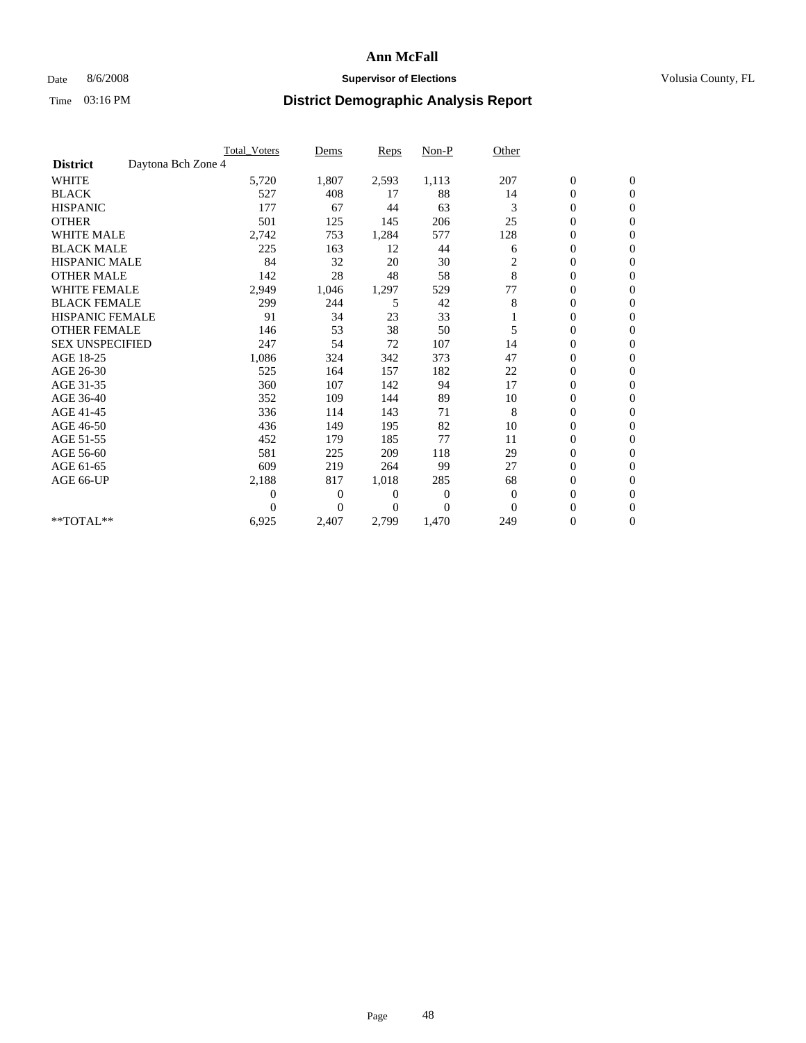## Date 8/6/2008 **Supervisor of Elections Supervisor of Elections** Volusia County, FL

|                        |                    | <b>Total Voters</b> | Dems           | <b>Reps</b>    | $Non-P$        | Other          |                  |                  |  |
|------------------------|--------------------|---------------------|----------------|----------------|----------------|----------------|------------------|------------------|--|
| <b>District</b>        | Daytona Bch Zone 4 |                     |                |                |                |                |                  |                  |  |
| <b>WHITE</b>           |                    | 5,720               | 1,807          | 2,593          | 1,113          | 207            | $\boldsymbol{0}$ | $\boldsymbol{0}$ |  |
| <b>BLACK</b>           |                    | 527                 | 408            | 17             | 88             | 14             | $\boldsymbol{0}$ | $\mathbf{0}$     |  |
| <b>HISPANIC</b>        |                    | 177                 | 67             | 44             | 63             | 3              | $\overline{0}$   | $\Omega$         |  |
| <b>OTHER</b>           |                    | 501                 | 125            | 145            | 206            | 25             | 0                | $\mathbf{0}$     |  |
| <b>WHITE MALE</b>      |                    | 2,742               | 753            | 1,284          | 577            | 128            | $\boldsymbol{0}$ | $\mathbf{0}$     |  |
| <b>BLACK MALE</b>      |                    | 225                 | 163            | 12             | 44             | 6              | $\overline{0}$   | $\mathbf{0}$     |  |
| <b>HISPANIC MALE</b>   |                    | 84                  | 32             | 20             | 30             | $\overline{c}$ | 0                | $\Omega$         |  |
| <b>OTHER MALE</b>      |                    | 142                 | 28             | 48             | 58             | 8              | $\overline{0}$   | $\mathbf{0}$     |  |
| <b>WHITE FEMALE</b>    |                    | 2,949               | 1,046          | 1,297          | 529            | 77             | $\mathbf{0}$     | $\mathbf{0}$     |  |
| <b>BLACK FEMALE</b>    |                    | 299                 | 244            | 5              | 42             | 8              | $\overline{0}$   | $\mathbf{0}$     |  |
| <b>HISPANIC FEMALE</b> |                    | 91                  | 34             | 23             | 33             |                | $\boldsymbol{0}$ | $\mathbf{0}$     |  |
| <b>OTHER FEMALE</b>    |                    | 146                 | 53             | 38             | 50             | 5              | $\mathbf{0}$     | $\mathbf{0}$     |  |
| <b>SEX UNSPECIFIED</b> |                    | 247                 | 54             | 72             | 107            | 14             | $\boldsymbol{0}$ | $\Omega$         |  |
| AGE 18-25              |                    | 1,086               | 324            | 342            | 373            | 47             | $\overline{0}$   | $\mathbf{0}$     |  |
| AGE 26-30              |                    | 525                 | 164            | 157            | 182            | 22             | $\overline{0}$   | $\Omega$         |  |
| AGE 31-35              |                    | 360                 | 107            | 142            | 94             | 17             | $\boldsymbol{0}$ | $\mathbf{0}$     |  |
| AGE 36-40              |                    | 352                 | 109            | 144            | 89             | 10             | $\boldsymbol{0}$ | $\mathbf{0}$     |  |
| AGE 41-45              |                    | 336                 | 114            | 143            | 71             | 8              | $\boldsymbol{0}$ | $\Omega$         |  |
| AGE 46-50              |                    | 436                 | 149            | 195            | 82             | 10             | $\boldsymbol{0}$ | $\Omega$         |  |
| AGE 51-55              |                    | 452                 | 179            | 185            | 77             | 11             | $\overline{0}$   | $\mathbf{0}$     |  |
| AGE 56-60              |                    | 581                 | 225            | 209            | 118            | 29             | $\overline{0}$   | $\mathbf{0}$     |  |
| AGE 61-65              |                    | 609                 | 219            | 264            | 99             | 27             | 0                | $\Omega$         |  |
| AGE 66-UP              |                    | 2,188               | 817            | 1,018          | 285            | 68             | $\boldsymbol{0}$ | $\mathbf{0}$     |  |
|                        |                    | $\overline{0}$      | $\overline{0}$ | 0              | $\overline{0}$ | $\overline{0}$ | $\mathbf{0}$     | $\mathbf{0}$     |  |
|                        |                    | $\Omega$            | $\overline{0}$ | $\overline{0}$ | $\Omega$       | $\mathbf{0}$   | 0                | $\mathbf{0}$     |  |
| **TOTAL**              |                    | 6,925               | 2,407          | 2,799          | 1,470          | 249            | 0                | $\boldsymbol{0}$ |  |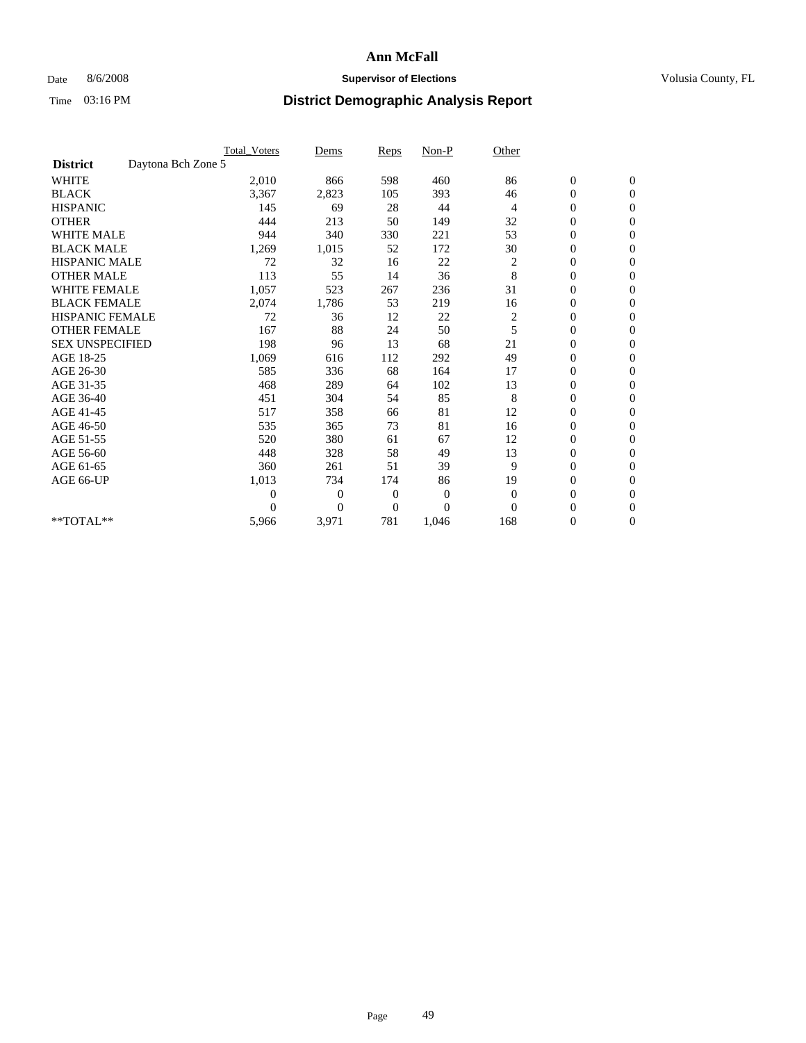## Date 8/6/2008 **Supervisor of Elections Supervisor of Elections** Volusia County, FL

|                        |                    | <b>Total Voters</b> | Dems           | <b>Reps</b>  | $Non-P$      | Other          |                  |                  |  |
|------------------------|--------------------|---------------------|----------------|--------------|--------------|----------------|------------------|------------------|--|
| <b>District</b>        | Daytona Bch Zone 5 |                     |                |              |              |                |                  |                  |  |
| <b>WHITE</b>           |                    | 2,010               | 866            | 598          | 460          | 86             | $\boldsymbol{0}$ | $\boldsymbol{0}$ |  |
| <b>BLACK</b>           |                    | 3,367               | 2,823          | 105          | 393          | 46             | $\boldsymbol{0}$ | $\mathbf{0}$     |  |
| <b>HISPANIC</b>        |                    | 145                 | 69             | 28           | 44           | $\overline{4}$ | $\overline{0}$   | $\mathbf{0}$     |  |
| <b>OTHER</b>           |                    | 444                 | 213            | 50           | 149          | 32             | $\boldsymbol{0}$ | $\Omega$         |  |
| <b>WHITE MALE</b>      |                    | 944                 | 340            | 330          | 221          | 53             | $\overline{0}$   | $\mathbf{0}$     |  |
| <b>BLACK MALE</b>      |                    | 1,269               | 1,015          | 52           | 172          | 30             | $\boldsymbol{0}$ | $\mathbf{0}$     |  |
| <b>HISPANIC MALE</b>   |                    | 72                  | 32             | 16           | 22           | $\overline{c}$ | $\boldsymbol{0}$ | $\overline{0}$   |  |
| <b>OTHER MALE</b>      |                    | 113                 | 55             | 14           | 36           | 8              | $\boldsymbol{0}$ | $\mathbf{0}$     |  |
| <b>WHITE FEMALE</b>    |                    | 1,057               | 523            | 267          | 236          | 31             | $\overline{0}$   | $\mathbf{0}$     |  |
| <b>BLACK FEMALE</b>    |                    | 2,074               | 1,786          | 53           | 219          | 16             | $\boldsymbol{0}$ | $\mathbf{0}$     |  |
| <b>HISPANIC FEMALE</b> |                    | 72                  | 36             | 12           | 22           | $\overline{c}$ | 0                | $\mathbf{0}$     |  |
| <b>OTHER FEMALE</b>    |                    | 167                 | 88             | 24           | 50           | 5              | $\mathbf{0}$     | $\mathbf{0}$     |  |
| <b>SEX UNSPECIFIED</b> |                    | 198                 | 96             | 13           | 68           | 21             | $\overline{0}$   | $\mathbf{0}$     |  |
| AGE 18-25              |                    | 1,069               | 616            | 112          | 292          | 49             | $\mathbf{0}$     | $\mathbf{0}$     |  |
| AGE 26-30              |                    | 585                 | 336            | 68           | 164          | 17             | $\overline{0}$   | $\mathbf{0}$     |  |
| AGE 31-35              |                    | 468                 | 289            | 64           | 102          | 13             | $\boldsymbol{0}$ | $\mathbf{0}$     |  |
| AGE 36-40              |                    | 451                 | 304            | 54           | 85           | 8              | 0                | $\mathbf{0}$     |  |
| AGE 41-45              |                    | 517                 | 358            | 66           | 81           | 12             | $\overline{0}$   | $\mathbf{0}$     |  |
| AGE 46-50              |                    | 535                 | 365            | 73           | 81           | 16             | $\boldsymbol{0}$ | $\mathbf{0}$     |  |
| AGE 51-55              |                    | 520                 | 380            | 61           | 67           | 12             | $\boldsymbol{0}$ | $\mathbf{0}$     |  |
| AGE 56-60              |                    | 448                 | 328            | 58           | 49           | 13             | $\overline{0}$   | $\Omega$         |  |
| AGE 61-65              |                    | 360                 | 261            | 51           | 39           | 9              | $\overline{0}$   | $\mathbf{0}$     |  |
| AGE 66-UP              |                    | 1,013               | 734            | 174          | 86           | 19             | $\boldsymbol{0}$ | $\mathbf{0}$     |  |
|                        |                    | $\overline{0}$      | $\overline{0}$ | 0            | $\mathbf{0}$ | $\mathbf{0}$   | $\overline{0}$   | $\mathbf{0}$     |  |
|                        |                    | $\theta$            | $\overline{0}$ | $\mathbf{0}$ | $\theta$     | $\Omega$       | $\boldsymbol{0}$ | $\mathbf{0}$     |  |
| **TOTAL**              |                    | 5,966               | 3,971          | 781          | 1,046        | 168            | 0                | $\mathbf{0}$     |  |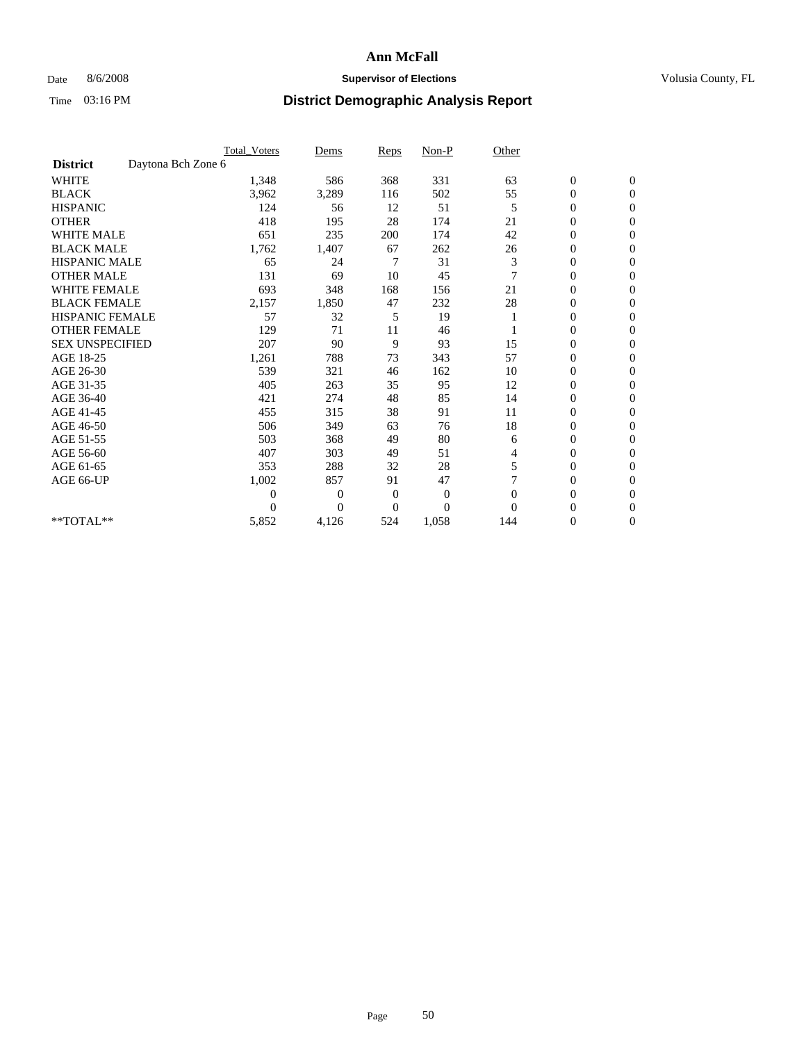## Date 8/6/2008 **Supervisor of Elections Supervisor of Elections** Volusia County, FL

|                        |                    | <b>Total_Voters</b> | Dems           | <b>Reps</b>    | $Non-P$      | Other    |                  |                |  |
|------------------------|--------------------|---------------------|----------------|----------------|--------------|----------|------------------|----------------|--|
| <b>District</b>        | Daytona Bch Zone 6 |                     |                |                |              |          |                  |                |  |
| <b>WHITE</b>           |                    | 1,348               | 586            | 368            | 331          | 63       | $\boldsymbol{0}$ | $\mathbf{0}$   |  |
| <b>BLACK</b>           |                    | 3,962               | 3,289          | 116            | 502          | 55       | $\boldsymbol{0}$ | $\mathbf{0}$   |  |
| <b>HISPANIC</b>        |                    | 124                 | 56             | 12             | 51           | 5        | $\mathbf{0}$     | $\mathbf{0}$   |  |
| <b>OTHER</b>           |                    | 418                 | 195            | 28             | 174          | 21       | $\overline{0}$   | $\Omega$       |  |
| <b>WHITE MALE</b>      |                    | 651                 | 235            | 200            | 174          | 42       | 0                | $\mathbf{0}$   |  |
| <b>BLACK MALE</b>      |                    | 1,762               | 1,407          | 67             | 262          | 26       | $\boldsymbol{0}$ | $\mathbf{0}$   |  |
| <b>HISPANIC MALE</b>   |                    | 65                  | 24             | 7              | 31           | 3        | $\boldsymbol{0}$ | $\Omega$       |  |
| <b>OTHER MALE</b>      |                    | 131                 | 69             | 10             | 45           |          | 0                | $\mathbf{0}$   |  |
| <b>WHITE FEMALE</b>    |                    | 693                 | 348            | 168            | 156          | 21       | $\overline{0}$   | $\Omega$       |  |
| <b>BLACK FEMALE</b>    |                    | 2,157               | 1,850          | 47             | 232          | 28       | $\boldsymbol{0}$ | $\mathbf{0}$   |  |
| <b>HISPANIC FEMALE</b> |                    | 57                  | 32             | 5              | 19           |          | $\boldsymbol{0}$ | $\mathbf{0}$   |  |
| <b>OTHER FEMALE</b>    |                    | 129                 | 71             | 11             | 46           |          | $\overline{0}$   | $\Omega$       |  |
| <b>SEX UNSPECIFIED</b> |                    | 207                 | 90             | 9              | 93           | 15       | $\overline{0}$   | $\overline{0}$ |  |
| AGE 18-25              |                    | 1,261               | 788            | 73             | 343          | 57       | 0                | $\mathbf{0}$   |  |
| AGE 26-30              |                    | 539                 | 321            | 46             | 162          | 10       | $\overline{0}$   | $\mathbf{0}$   |  |
| AGE 31-35              |                    | 405                 | 263            | 35             | 95           | 12       | $\boldsymbol{0}$ | $\overline{0}$ |  |
| AGE 36-40              |                    | 421                 | 274            | 48             | 85           | 14       | 0                | $\mathbf{0}$   |  |
| AGE 41-45              |                    | 455                 | 315            | 38             | 91           | 11       | $\overline{0}$   | $\mathbf{0}$   |  |
| AGE 46-50              |                    | 506                 | 349            | 63             | 76           | 18       | $\overline{0}$   | $\overline{0}$ |  |
| AGE 51-55              |                    | 503                 | 368            | 49             | 80           | 6        | $\boldsymbol{0}$ | $\mathbf{0}$   |  |
| AGE 56-60              |                    | 407                 | 303            | 49             | 51           | 4        | $\overline{0}$   | $\Omega$       |  |
| AGE 61-65              |                    | 353                 | 288            | 32             | 28           | 5        | $\boldsymbol{0}$ | $\overline{0}$ |  |
| AGE 66-UP              |                    | 1,002               | 857            | 91             | 47           |          | 0                | $\mathbf{0}$   |  |
|                        |                    | $\theta$            | $\overline{0}$ | $\overline{0}$ | $\mathbf{0}$ | $\Omega$ | 0                | $\Omega$       |  |
|                        |                    | $\theta$            | $\overline{0}$ | $\overline{0}$ | $\theta$     | $\Omega$ | $\overline{0}$   | $\overline{0}$ |  |
| **TOTAL**              |                    | 5,852               | 4,126          | 524            | 1,058        | 144      | 0                | $\overline{0}$ |  |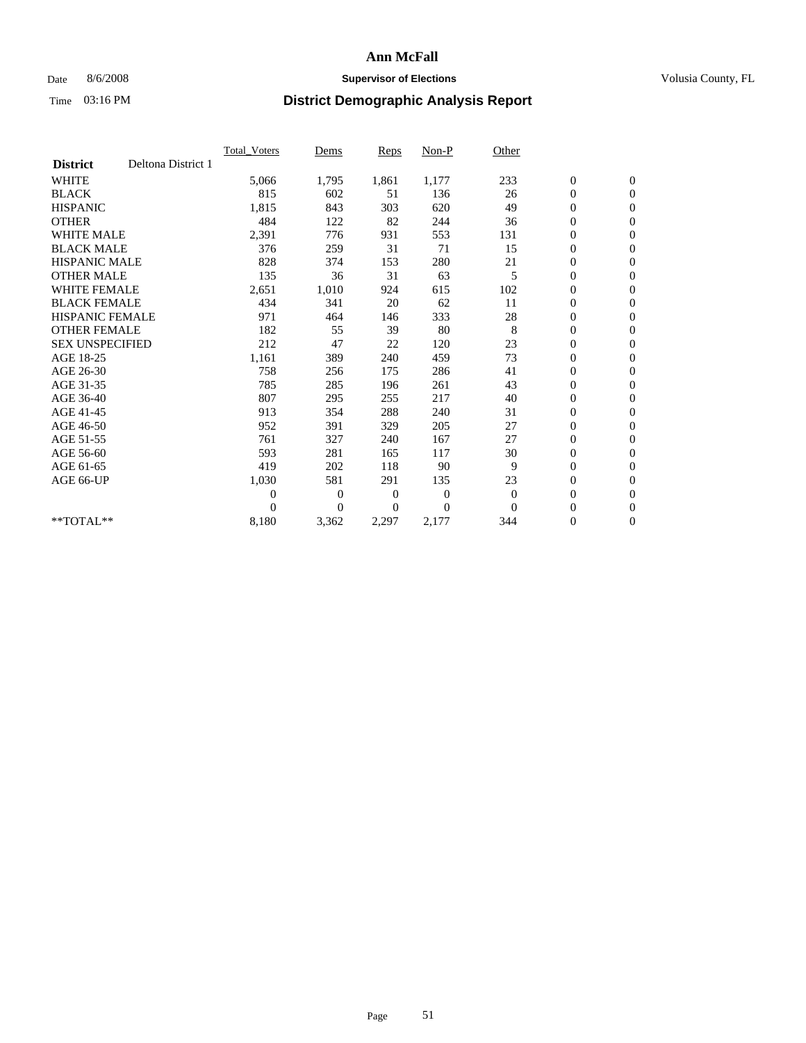## Date 8/6/2008 **Supervisor of Elections Supervisor of Elections** Volusia County, FL

|                        |                    | Total Voters   | Dems           | <b>Reps</b> | Non-P        | Other    |                  |                  |  |
|------------------------|--------------------|----------------|----------------|-------------|--------------|----------|------------------|------------------|--|
| <b>District</b>        | Deltona District 1 |                |                |             |              |          |                  |                  |  |
| <b>WHITE</b>           |                    | 5,066          | 1,795          | 1,861       | 1,177        | 233      | $\boldsymbol{0}$ | $\boldsymbol{0}$ |  |
| <b>BLACK</b>           |                    | 815            | 602            | 51          | 136          | 26       | $\boldsymbol{0}$ | $\mathbf{0}$     |  |
| <b>HISPANIC</b>        |                    | 1,815          | 843            | 303         | 620          | 49       | $\overline{0}$   | $\mathbf{0}$     |  |
| <b>OTHER</b>           |                    | 484            | 122            | 82          | 244          | 36       | $\boldsymbol{0}$ | $\mathbf{0}$     |  |
| <b>WHITE MALE</b>      |                    | 2,391          | 776            | 931         | 553          | 131      | $\boldsymbol{0}$ | $\mathbf{0}$     |  |
| <b>BLACK MALE</b>      |                    | 376            | 259            | 31          | 71           | 15       | $\boldsymbol{0}$ | $\mathbf{0}$     |  |
| <b>HISPANIC MALE</b>   |                    | 828            | 374            | 153         | 280          | 21       | $\boldsymbol{0}$ | $\mathbf{0}$     |  |
| <b>OTHER MALE</b>      |                    | 135            | 36             | 31          | 63           | 5        | $\boldsymbol{0}$ | $\mathbf{0}$     |  |
| <b>WHITE FEMALE</b>    |                    | 2,651          | 1,010          | 924         | 615          | 102      | $\overline{0}$   | $\mathbf{0}$     |  |
| <b>BLACK FEMALE</b>    |                    | 434            | 341            | 20          | 62           | 11       | $\boldsymbol{0}$ | $\mathbf{0}$     |  |
| <b>HISPANIC FEMALE</b> |                    | 971            | 464            | 146         | 333          | 28       | $\boldsymbol{0}$ | $\mathbf{0}$     |  |
| <b>OTHER FEMALE</b>    |                    | 182            | 55             | 39          | 80           | 8        | $\mathbf{0}$     | $\mathbf{0}$     |  |
| <b>SEX UNSPECIFIED</b> |                    | 212            | 47             | 22          | 120          | 23       | $\boldsymbol{0}$ | $\mathbf{0}$     |  |
| AGE 18-25              |                    | 1,161          | 389            | 240         | 459          | 73       | $\boldsymbol{0}$ | $\mathbf{0}$     |  |
| AGE 26-30              |                    | 758            | 256            | 175         | 286          | 41       | $\overline{0}$   | $\mathbf{0}$     |  |
| AGE 31-35              |                    | 785            | 285            | 196         | 261          | 43       | $\boldsymbol{0}$ | $\mathbf{0}$     |  |
| AGE 36-40              |                    | 807            | 295            | 255         | 217          | 40       | $\boldsymbol{0}$ | $\mathbf{0}$     |  |
| AGE 41-45              |                    | 913            | 354            | 288         | 240          | 31       | $\overline{0}$   | $\mathbf{0}$     |  |
| AGE 46-50              |                    | 952            | 391            | 329         | 205          | 27       | $\boldsymbol{0}$ | $\mathbf{0}$     |  |
| AGE 51-55              |                    | 761            | 327            | 240         | 167          | 27       | $\boldsymbol{0}$ | $\mathbf{0}$     |  |
| AGE 56-60              |                    | 593            | 281            | 165         | 117          | 30       | $\boldsymbol{0}$ | $\mathbf{0}$     |  |
| AGE 61-65              |                    | 419            | 202            | 118         | 90           | 9        | $\mathbf{0}$     | $\mathbf{0}$     |  |
| AGE 66-UP              |                    | 1,030          | 581            | 291         | 135          | 23       | $\boldsymbol{0}$ | $\mathbf{0}$     |  |
|                        |                    | $\overline{0}$ | $\overline{0}$ | 0           | $\mathbf{0}$ | $\theta$ | $\overline{0}$   | $\mathbf{0}$     |  |
|                        |                    | $\Omega$       | $\overline{0}$ | $\Omega$    | $\theta$     | $\Omega$ | $\boldsymbol{0}$ | $\boldsymbol{0}$ |  |
| **TOTAL**              |                    | 8,180          | 3,362          | 2,297       | 2,177        | 344      | 0                | $\mathbf{0}$     |  |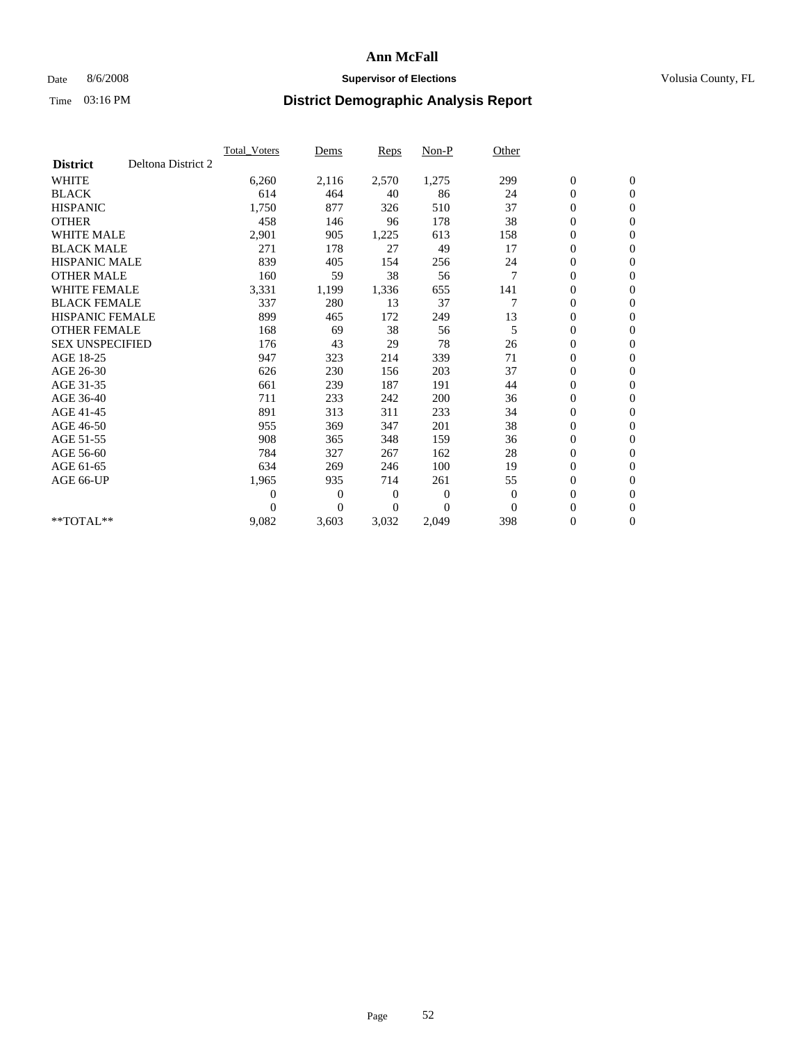## Date 8/6/2008 **Supervisor of Elections Supervisor of Elections** Volusia County, FL

|                        |                    | <b>Total Voters</b> | Dems           | <b>Reps</b> | Non-P          | Other          |                  |                  |  |
|------------------------|--------------------|---------------------|----------------|-------------|----------------|----------------|------------------|------------------|--|
| <b>District</b>        | Deltona District 2 |                     |                |             |                |                |                  |                  |  |
| <b>WHITE</b>           |                    | 6,260               | 2,116          | 2,570       | 1,275          | 299            | $\boldsymbol{0}$ | $\boldsymbol{0}$ |  |
| <b>BLACK</b>           |                    | 614                 | 464            | 40          | 86             | 24             | $\boldsymbol{0}$ | $\mathbf{0}$     |  |
| <b>HISPANIC</b>        |                    | 1,750               | 877            | 326         | 510            | 37             | $\overline{0}$   | $\mathbf{0}$     |  |
| <b>OTHER</b>           |                    | 458                 | 146            | 96          | 178            | 38             | $\boldsymbol{0}$ | $\mathbf{0}$     |  |
| <b>WHITE MALE</b>      |                    | 2,901               | 905            | 1,225       | 613            | 158            | $\boldsymbol{0}$ | $\mathbf{0}$     |  |
| <b>BLACK MALE</b>      |                    | 271                 | 178            | 27          | 49             | 17             | $\boldsymbol{0}$ | $\mathbf{0}$     |  |
| <b>HISPANIC MALE</b>   |                    | 839                 | 405            | 154         | 256            | 24             | 0                | $\mathbf{0}$     |  |
| <b>OTHER MALE</b>      |                    | 160                 | 59             | 38          | 56             | $\overline{7}$ | $\boldsymbol{0}$ | $\mathbf{0}$     |  |
| <b>WHITE FEMALE</b>    |                    | 3,331               | 1,199          | 1,336       | 655            | 141            | $\overline{0}$   | $\mathbf{0}$     |  |
| <b>BLACK FEMALE</b>    |                    | 337                 | 280            | 13          | 37             | 7              | $\boldsymbol{0}$ | $\mathbf{0}$     |  |
| <b>HISPANIC FEMALE</b> |                    | 899                 | 465            | 172         | 249            | 13             | $\boldsymbol{0}$ | $\mathbf{0}$     |  |
| <b>OTHER FEMALE</b>    |                    | 168                 | 69             | 38          | 56             | 5              | $\mathbf{0}$     | $\mathbf{0}$     |  |
| <b>SEX UNSPECIFIED</b> |                    | 176                 | 43             | 29          | 78             | 26             | $\boldsymbol{0}$ | $\mathbf{0}$     |  |
| AGE 18-25              |                    | 947                 | 323            | 214         | 339            | 71             | $\boldsymbol{0}$ | $\mathbf{0}$     |  |
| AGE 26-30              |                    | 626                 | 230            | 156         | 203            | 37             | $\overline{0}$   | $\mathbf{0}$     |  |
| AGE 31-35              |                    | 661                 | 239            | 187         | 191            | 44             | $\boldsymbol{0}$ | $\mathbf{0}$     |  |
| AGE 36-40              |                    | 711                 | 233            | 242         | 200            | 36             | $\boldsymbol{0}$ | $\mathbf{0}$     |  |
| AGE 41-45              |                    | 891                 | 313            | 311         | 233            | 34             | $\overline{0}$   | $\mathbf{0}$     |  |
| AGE 46-50              |                    | 955                 | 369            | 347         | 201            | 38             | $\boldsymbol{0}$ | $\mathbf{0}$     |  |
| AGE 51-55              |                    | 908                 | 365            | 348         | 159            | 36             | $\boldsymbol{0}$ | $\mathbf{0}$     |  |
| AGE 56-60              |                    | 784                 | 327            | 267         | 162            | 28             | $\boldsymbol{0}$ | $\Omega$         |  |
| AGE 61-65              |                    | 634                 | 269            | 246         | 100            | 19             | $\overline{0}$   | $\mathbf{0}$     |  |
| AGE 66-UP              |                    | 1,965               | 935            | 714         | 261            | 55             | $\boldsymbol{0}$ | $\mathbf{0}$     |  |
|                        |                    | $\overline{0}$      | $\overline{0}$ | 0           | $\overline{0}$ | $\mathbf{0}$   | $\overline{0}$   | $\mathbf{0}$     |  |
|                        |                    | $\Omega$            | $\theta$       | $\Omega$    | $\theta$       | $\Omega$       | $\boldsymbol{0}$ | $\mathbf{0}$     |  |
| $*$ TOTAL $**$         |                    | 9,082               | 3,603          | 3,032       | 2,049          | 398            | 0                | $\mathbf{0}$     |  |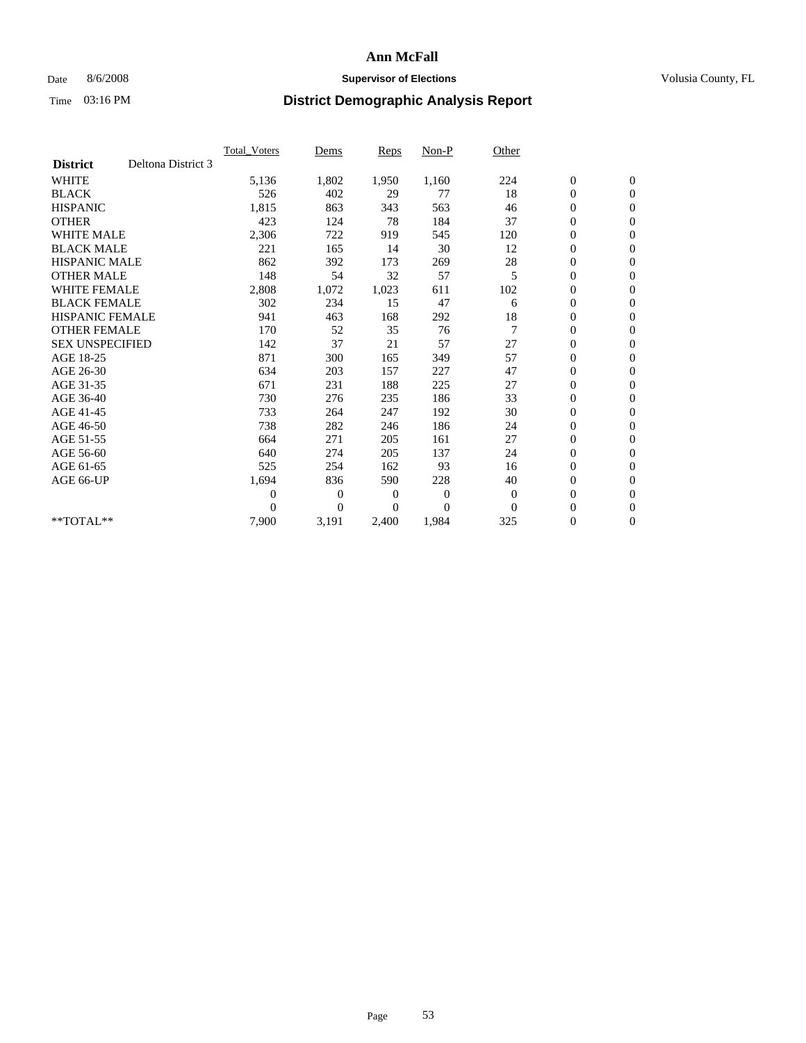### Date 8/6/2008 **Supervisor of Elections Supervisor of Elections** Volusia County, FL

|                        |                    | <b>Total Voters</b> | Dems           | Reps           | Non-P          | Other          |                  |                  |  |
|------------------------|--------------------|---------------------|----------------|----------------|----------------|----------------|------------------|------------------|--|
| <b>District</b>        | Deltona District 3 |                     |                |                |                |                |                  |                  |  |
| <b>WHITE</b>           |                    | 5,136               | 1,802          | 1,950          | 1,160          | 224            | $\boldsymbol{0}$ | $\boldsymbol{0}$ |  |
| <b>BLACK</b>           |                    | 526                 | 402            | 29             | 77             | 18             | $\boldsymbol{0}$ | $\mathbf{0}$     |  |
| <b>HISPANIC</b>        |                    | 1,815               | 863            | 343            | 563            | 46             | $\boldsymbol{0}$ | $\mathbf{0}$     |  |
| <b>OTHER</b>           |                    | 423                 | 124            | 78             | 184            | 37             | 0                | $\mathbf{0}$     |  |
| <b>WHITE MALE</b>      |                    | 2,306               | 722            | 919            | 545            | 120            | 0                | $\mathbf{0}$     |  |
| <b>BLACK MALE</b>      |                    | 221                 | 165            | 14             | 30             | 12             | $\overline{0}$   | $\mathbf{0}$     |  |
| <b>HISPANIC MALE</b>   |                    | 862                 | 392            | 173            | 269            | 28             | 0                | $\mathbf{0}$     |  |
| <b>OTHER MALE</b>      |                    | 148                 | 54             | 32             | 57             | 5              | 0                | $\mathbf{0}$     |  |
| <b>WHITE FEMALE</b>    |                    | 2,808               | 1,072          | 1,023          | 611            | 102            | $\boldsymbol{0}$ | $\mathbf{0}$     |  |
| <b>BLACK FEMALE</b>    |                    | 302                 | 234            | 15             | 47             | 6              | 0                | $\mathbf{0}$     |  |
| HISPANIC FEMALE        |                    | 941                 | 463            | 168            | 292            | 18             | 0                | $\mathbf{0}$     |  |
| <b>OTHER FEMALE</b>    |                    | 170                 | 52             | 35             | 76             | $\overline{7}$ | $\overline{0}$   | $\mathbf{0}$     |  |
| <b>SEX UNSPECIFIED</b> |                    | 142                 | 37             | 21             | 57             | 27             | 0                | $\Omega$         |  |
| AGE 18-25              |                    | 871                 | 300            | 165            | 349            | 57             | $\boldsymbol{0}$ | $\mathbf{0}$     |  |
| AGE 26-30              |                    | 634                 | 203            | 157            | 227            | 47             | $\boldsymbol{0}$ | $\Omega$         |  |
| AGE 31-35              |                    | 671                 | 231            | 188            | 225            | 27             | 0                | $\mathbf{0}$     |  |
| AGE 36-40              |                    | 730                 | 276            | 235            | 186            | 33             | 0                | $\mathbf{0}$     |  |
| AGE 41-45              |                    | 733                 | 264            | 247            | 192            | 30             | 0                | $\mathbf{0}$     |  |
| AGE 46-50              |                    | 738                 | 282            | 246            | 186            | 24             | 0                | $\Omega$         |  |
| AGE 51-55              |                    | 664                 | 271            | 205            | 161            | 27             | $\boldsymbol{0}$ | $\mathbf{0}$     |  |
| AGE 56-60              |                    | 640                 | 274            | 205            | 137            | 24             | 0                | $\mathbf{0}$     |  |
| AGE 61-65              |                    | 525                 | 254            | 162            | 93             | 16             | 0                | $\mathbf{0}$     |  |
| AGE 66-UP              |                    | 1,694               | 836            | 590            | 228            | 40             | 0                | $\mathbf{0}$     |  |
|                        |                    | 0                   | $\mathbf{0}$   | $\overline{0}$ | $\overline{0}$ | $\theta$       | $\overline{0}$   | $\mathbf{0}$     |  |
|                        |                    | 0                   | $\overline{0}$ | 0              | $\Omega$       | $\theta$       | 0                | $\mathbf{0}$     |  |
| **TOTAL**              |                    | 7,900               | 3,191          | 2,400          | 1,984          | 325            | 0                | $\boldsymbol{0}$ |  |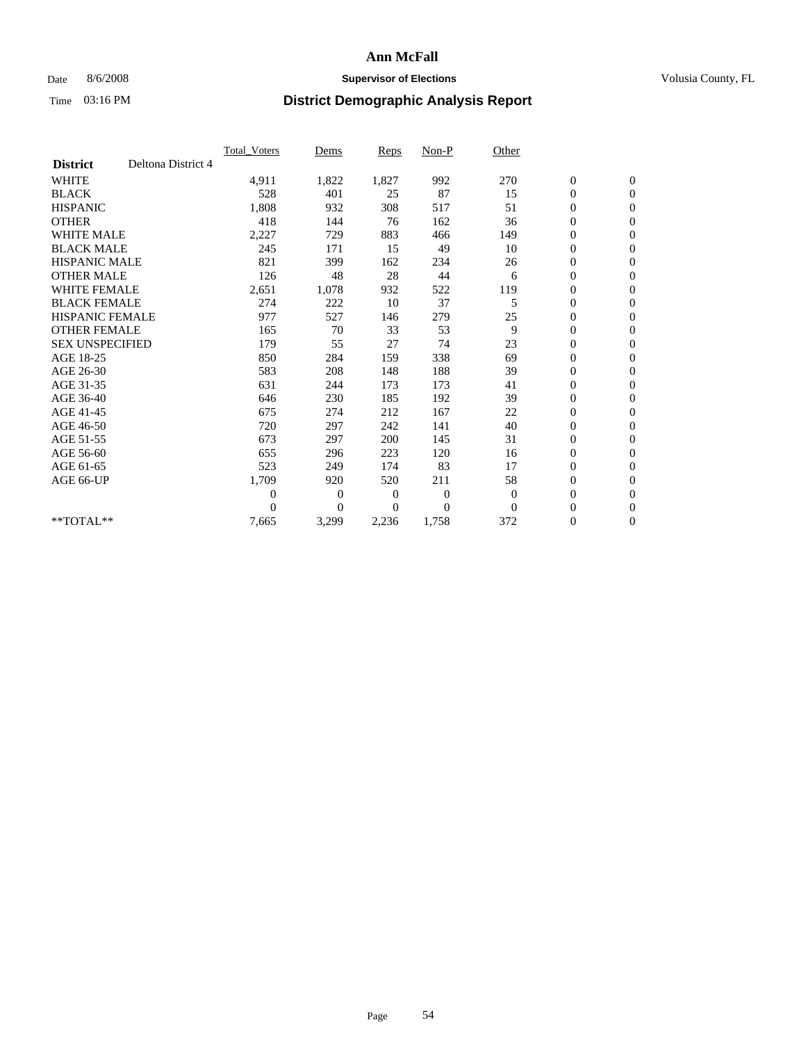## Date 8/6/2008 **Supervisor of Elections Supervisor of Elections** Volusia County, FL

|                        |                    | Total Voters   | Dems           | <b>Reps</b> | Non-P        | Other    |                  |                  |  |
|------------------------|--------------------|----------------|----------------|-------------|--------------|----------|------------------|------------------|--|
| <b>District</b>        | Deltona District 4 |                |                |             |              |          |                  |                  |  |
| <b>WHITE</b>           |                    | 4,911          | 1,822          | 1,827       | 992          | 270      | $\boldsymbol{0}$ | $\boldsymbol{0}$ |  |
| <b>BLACK</b>           |                    | 528            | 401            | 25          | 87           | 15       | $\boldsymbol{0}$ | $\mathbf{0}$     |  |
| <b>HISPANIC</b>        |                    | 1,808          | 932            | 308         | 517          | 51       | $\overline{0}$   | $\mathbf{0}$     |  |
| <b>OTHER</b>           |                    | 418            | 144            | 76          | 162          | 36       | $\boldsymbol{0}$ | $\mathbf{0}$     |  |
| <b>WHITE MALE</b>      |                    | 2,227          | 729            | 883         | 466          | 149      | $\overline{0}$   | $\mathbf{0}$     |  |
| <b>BLACK MALE</b>      |                    | 245            | 171            | 15          | 49           | 10       | $\boldsymbol{0}$ | $\mathbf{0}$     |  |
| <b>HISPANIC MALE</b>   |                    | 821            | 399            | 162         | 234          | 26       | $\boldsymbol{0}$ | $\mathbf{0}$     |  |
| <b>OTHER MALE</b>      |                    | 126            | 48             | 28          | 44           | 6        | $\boldsymbol{0}$ | $\mathbf{0}$     |  |
| <b>WHITE FEMALE</b>    |                    | 2,651          | 1,078          | 932         | 522          | 119      | $\overline{0}$   | $\mathbf{0}$     |  |
| <b>BLACK FEMALE</b>    |                    | 274            | 222            | 10          | 37           | 5        | $\boldsymbol{0}$ | $\mathbf{0}$     |  |
| <b>HISPANIC FEMALE</b> |                    | 977            | 527            | 146         | 279          | 25       | $\boldsymbol{0}$ | $\mathbf{0}$     |  |
| <b>OTHER FEMALE</b>    |                    | 165            | 70             | 33          | 53           | 9        | $\mathbf{0}$     | $\mathbf{0}$     |  |
| <b>SEX UNSPECIFIED</b> |                    | 179            | 55             | 27          | 74           | 23       | $\boldsymbol{0}$ | $\mathbf{0}$     |  |
| AGE 18-25              |                    | 850            | 284            | 159         | 338          | 69       | $\overline{0}$   | $\mathbf{0}$     |  |
| AGE 26-30              |                    | 583            | 208            | 148         | 188          | 39       | $\overline{0}$   | $\mathbf{0}$     |  |
| AGE 31-35              |                    | 631            | 244            | 173         | 173          | 41       | $\boldsymbol{0}$ | $\mathbf{0}$     |  |
| AGE 36-40              |                    | 646            | 230            | 185         | 192          | 39       | $\boldsymbol{0}$ | $\mathbf{0}$     |  |
| AGE 41-45              |                    | 675            | 274            | 212         | 167          | 22       | $\overline{0}$   | $\mathbf{0}$     |  |
| AGE 46-50              |                    | 720            | 297            | 242         | 141          | 40       | $\boldsymbol{0}$ | $\mathbf{0}$     |  |
| AGE 51-55              |                    | 673            | 297            | 200         | 145          | 31       | $\boldsymbol{0}$ | $\mathbf{0}$     |  |
| AGE 56-60              |                    | 655            | 296            | 223         | 120          | 16       | $\boldsymbol{0}$ | $\Omega$         |  |
| AGE 61-65              |                    | 523            | 249            | 174         | 83           | 17       | $\mathbf{0}$     | $\mathbf{0}$     |  |
| AGE 66-UP              |                    | 1,709          | 920            | 520         | 211          | 58       | $\boldsymbol{0}$ | $\mathbf{0}$     |  |
|                        |                    | $\overline{0}$ | $\overline{0}$ | 0           | $\mathbf{0}$ | $\theta$ | $\overline{0}$   | $\mathbf{0}$     |  |
|                        |                    | $\theta$       | $\overline{0}$ | $\Omega$    | $\theta$     | $\Omega$ | $\boldsymbol{0}$ | $\mathbf{0}$     |  |
| **TOTAL**              |                    | 7,665          | 3,299          | 2,236       | 1,758        | 372      | 0                | $\mathbf{0}$     |  |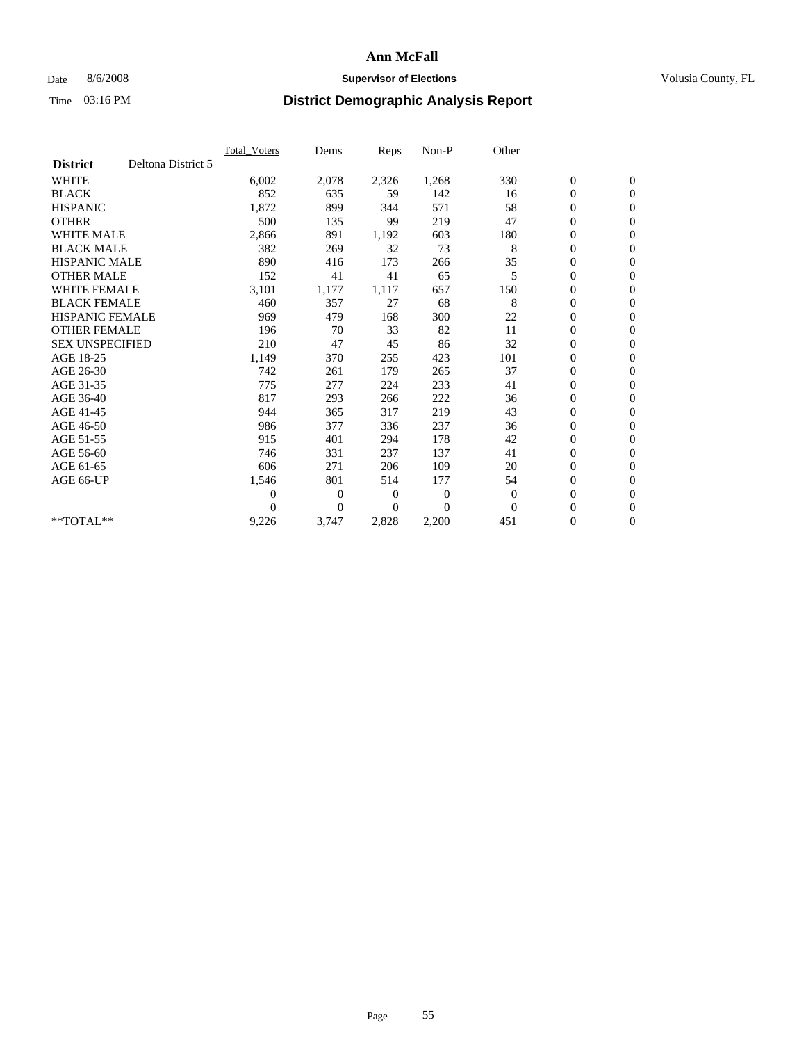### Date 8/6/2008 **Supervisor of Elections Supervisor of Elections** Volusia County, FL

|                        |                    | <b>Total Voters</b> | Dems           | <b>Reps</b> | Non-P        | Other    |                  |                  |  |
|------------------------|--------------------|---------------------|----------------|-------------|--------------|----------|------------------|------------------|--|
| <b>District</b>        | Deltona District 5 |                     |                |             |              |          |                  |                  |  |
| <b>WHITE</b>           |                    | 6,002               | 2,078          | 2,326       | 1,268        | 330      | $\boldsymbol{0}$ | $\boldsymbol{0}$ |  |
| <b>BLACK</b>           |                    | 852                 | 635            | 59          | 142          | 16       | $\boldsymbol{0}$ | $\mathbf{0}$     |  |
| <b>HISPANIC</b>        |                    | 1,872               | 899            | 344         | 571          | 58       | $\overline{0}$   | $\mathbf{0}$     |  |
| <b>OTHER</b>           |                    | 500                 | 135            | 99          | 219          | 47       | $\boldsymbol{0}$ | $\mathbf{0}$     |  |
| <b>WHITE MALE</b>      |                    | 2,866               | 891            | 1,192       | 603          | 180      | $\boldsymbol{0}$ | $\mathbf{0}$     |  |
| <b>BLACK MALE</b>      |                    | 382                 | 269            | 32          | 73           | 8        | $\boldsymbol{0}$ | $\mathbf{0}$     |  |
| <b>HISPANIC MALE</b>   |                    | 890                 | 416            | 173         | 266          | 35       | $\boldsymbol{0}$ | $\mathbf{0}$     |  |
| <b>OTHER MALE</b>      |                    | 152                 | 41             | 41          | 65           | 5        | $\boldsymbol{0}$ | $\mathbf{0}$     |  |
| <b>WHITE FEMALE</b>    |                    | 3,101               | 1,177          | 1,117       | 657          | 150      | $\overline{0}$   | $\mathbf{0}$     |  |
| <b>BLACK FEMALE</b>    |                    | 460                 | 357            | 27          | 68           | 8        | $\boldsymbol{0}$ | $\mathbf{0}$     |  |
| <b>HISPANIC FEMALE</b> |                    | 969                 | 479            | 168         | 300          | 22       | 0                | $\mathbf{0}$     |  |
| <b>OTHER FEMALE</b>    |                    | 196                 | 70             | 33          | 82           | 11       | $\mathbf{0}$     | $\mathbf{0}$     |  |
| <b>SEX UNSPECIFIED</b> |                    | 210                 | 47             | 45          | 86           | 32       | $\boldsymbol{0}$ | $\mathbf{0}$     |  |
| AGE 18-25              |                    | 1,149               | 370            | 255         | 423          | 101      | 0                | $\mathbf{0}$     |  |
| AGE 26-30              |                    | 742                 | 261            | 179         | 265          | 37       | $\overline{0}$   | $\mathbf{0}$     |  |
| AGE 31-35              |                    | 775                 | 277            | 224         | 233          | 41       | $\boldsymbol{0}$ | $\mathbf{0}$     |  |
| AGE 36-40              |                    | 817                 | 293            | 266         | 222          | 36       | 0                | $\mathbf{0}$     |  |
| AGE 41-45              |                    | 944                 | 365            | 317         | 219          | 43       | $\overline{0}$   | $\mathbf{0}$     |  |
| AGE 46-50              |                    | 986                 | 377            | 336         | 237          | 36       | $\boldsymbol{0}$ | $\mathbf{0}$     |  |
| AGE 51-55              |                    | 915                 | 401            | 294         | 178          | 42       | $\boldsymbol{0}$ | $\mathbf{0}$     |  |
| AGE 56-60              |                    | 746                 | 331            | 237         | 137          | 41       | $\boldsymbol{0}$ | $\Omega$         |  |
| AGE 61-65              |                    | 606                 | 271            | 206         | 109          | 20       | $\mathbf{0}$     | $\mathbf{0}$     |  |
| AGE 66-UP              |                    | 1,546               | 801            | 514         | 177          | 54       | $\boldsymbol{0}$ | $\mathbf{0}$     |  |
|                        |                    | $\overline{0}$      | $\overline{0}$ | 0           | $\mathbf{0}$ | $\theta$ | $\overline{0}$   | $\mathbf{0}$     |  |
|                        |                    | $\Omega$            | $\overline{0}$ | $\Omega$    | $\Omega$     | $\Omega$ | $\boldsymbol{0}$ | $\mathbf{0}$     |  |
| $*$ TOTAL $**$         |                    | 9,226               | 3,747          | 2,828       | 2,200        | 451      | 0                | $\mathbf{0}$     |  |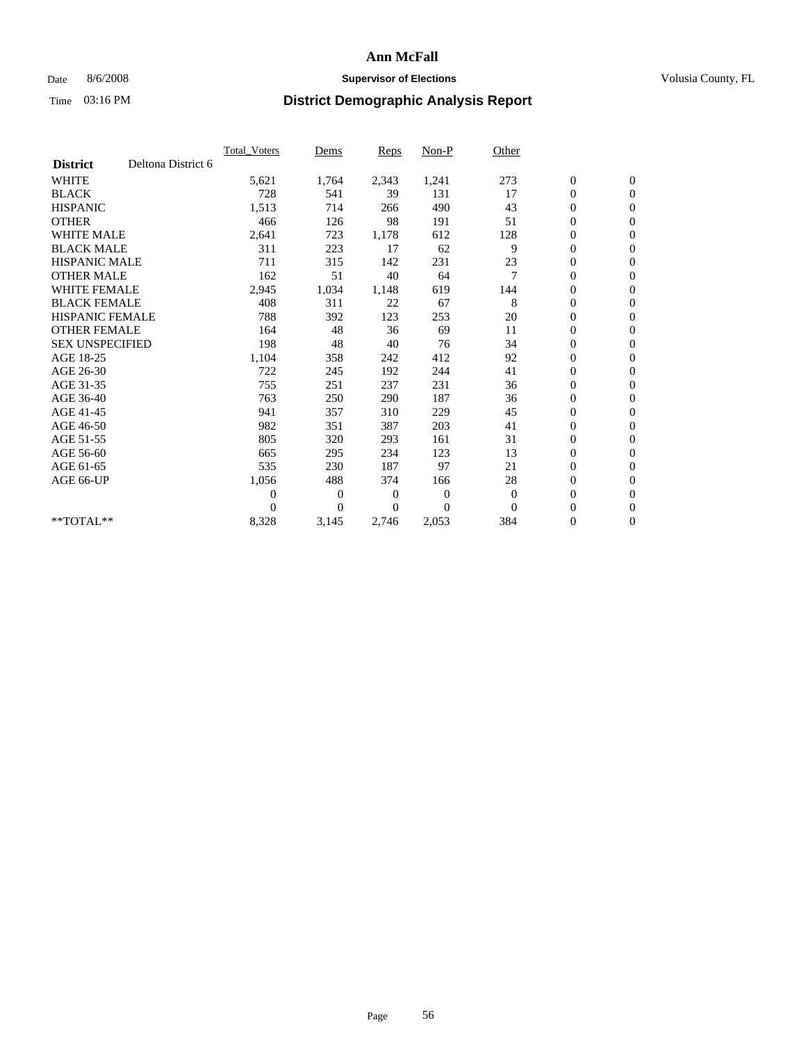## Date 8/6/2008 **Supervisor of Elections Supervisor of Elections** Volusia County, FL

|                        |                    | Total Voters   | Dems           | <b>Reps</b> | Non-P        | Other    |                  |                  |  |
|------------------------|--------------------|----------------|----------------|-------------|--------------|----------|------------------|------------------|--|
| <b>District</b>        | Deltona District 6 |                |                |             |              |          |                  |                  |  |
| <b>WHITE</b>           |                    | 5,621          | 1,764          | 2,343       | 1,241        | 273      | $\boldsymbol{0}$ | $\boldsymbol{0}$ |  |
| <b>BLACK</b>           |                    | 728            | 541            | 39          | 131          | 17       | $\boldsymbol{0}$ | $\mathbf{0}$     |  |
| <b>HISPANIC</b>        |                    | 1,513          | 714            | 266         | 490          | 43       | $\overline{0}$   | $\mathbf{0}$     |  |
| <b>OTHER</b>           |                    | 466            | 126            | 98          | 191          | 51       | $\boldsymbol{0}$ | $\mathbf{0}$     |  |
| <b>WHITE MALE</b>      |                    | 2,641          | 723            | 1,178       | 612          | 128      | $\boldsymbol{0}$ | $\mathbf{0}$     |  |
| <b>BLACK MALE</b>      |                    | 311            | 223            | 17          | 62           | 9        | $\boldsymbol{0}$ | $\mathbf{0}$     |  |
| <b>HISPANIC MALE</b>   |                    | 711            | 315            | 142         | 231          | 23       | $\boldsymbol{0}$ | $\mathbf{0}$     |  |
| <b>OTHER MALE</b>      |                    | 162            | 51             | 40          | 64           | 7        | $\boldsymbol{0}$ | $\mathbf{0}$     |  |
| <b>WHITE FEMALE</b>    |                    | 2,945          | 1,034          | 1,148       | 619          | 144      | $\overline{0}$   | $\mathbf{0}$     |  |
| <b>BLACK FEMALE</b>    |                    | 408            | 311            | 22          | 67           | 8        | $\boldsymbol{0}$ | $\mathbf{0}$     |  |
| <b>HISPANIC FEMALE</b> |                    | 788            | 392            | 123         | 253          | 20       | $\boldsymbol{0}$ | $\mathbf{0}$     |  |
| <b>OTHER FEMALE</b>    |                    | 164            | 48             | 36          | 69           | 11       | $\mathbf{0}$     | $\mathbf{0}$     |  |
| <b>SEX UNSPECIFIED</b> |                    | 198            | 48             | 40          | 76           | 34       | $\boldsymbol{0}$ | $\mathbf{0}$     |  |
| AGE 18-25              |                    | 1,104          | 358            | 242         | 412          | 92       | $\overline{0}$   | $\mathbf{0}$     |  |
| AGE 26-30              |                    | 722            | 245            | 192         | 244          | 41       | $\overline{0}$   | $\mathbf{0}$     |  |
| AGE 31-35              |                    | 755            | 251            | 237         | 231          | 36       | $\boldsymbol{0}$ | $\mathbf{0}$     |  |
| AGE 36-40              |                    | 763            | 250            | 290         | 187          | 36       | $\boldsymbol{0}$ | $\mathbf{0}$     |  |
| AGE 41-45              |                    | 941            | 357            | 310         | 229          | 45       | $\overline{0}$   | $\mathbf{0}$     |  |
| AGE 46-50              |                    | 982            | 351            | 387         | 203          | 41       | $\boldsymbol{0}$ | $\mathbf{0}$     |  |
| AGE 51-55              |                    | 805            | 320            | 293         | 161          | 31       | $\boldsymbol{0}$ | $\mathbf{0}$     |  |
| AGE 56-60              |                    | 665            | 295            | 234         | 123          | 13       | $\boldsymbol{0}$ | $\mathbf{0}$     |  |
| AGE 61-65              |                    | 535            | 230            | 187         | 97           | 21       | $\overline{0}$   | $\mathbf{0}$     |  |
| AGE 66-UP              |                    | 1,056          | 488            | 374         | 166          | 28       | $\boldsymbol{0}$ | $\mathbf{0}$     |  |
|                        |                    | $\overline{0}$ | $\overline{0}$ | 0           | $\mathbf{0}$ | $\theta$ | $\overline{0}$   | $\mathbf{0}$     |  |
|                        |                    | $\Omega$       | $\theta$       | $\Omega$    | $\theta$     | $\Omega$ | $\boldsymbol{0}$ | $\mathbf{0}$     |  |
| $*$ TOTAL $**$         |                    | 8,328          | 3,145          | 2,746       | 2,053        | 384      | 0                | $\mathbf{0}$     |  |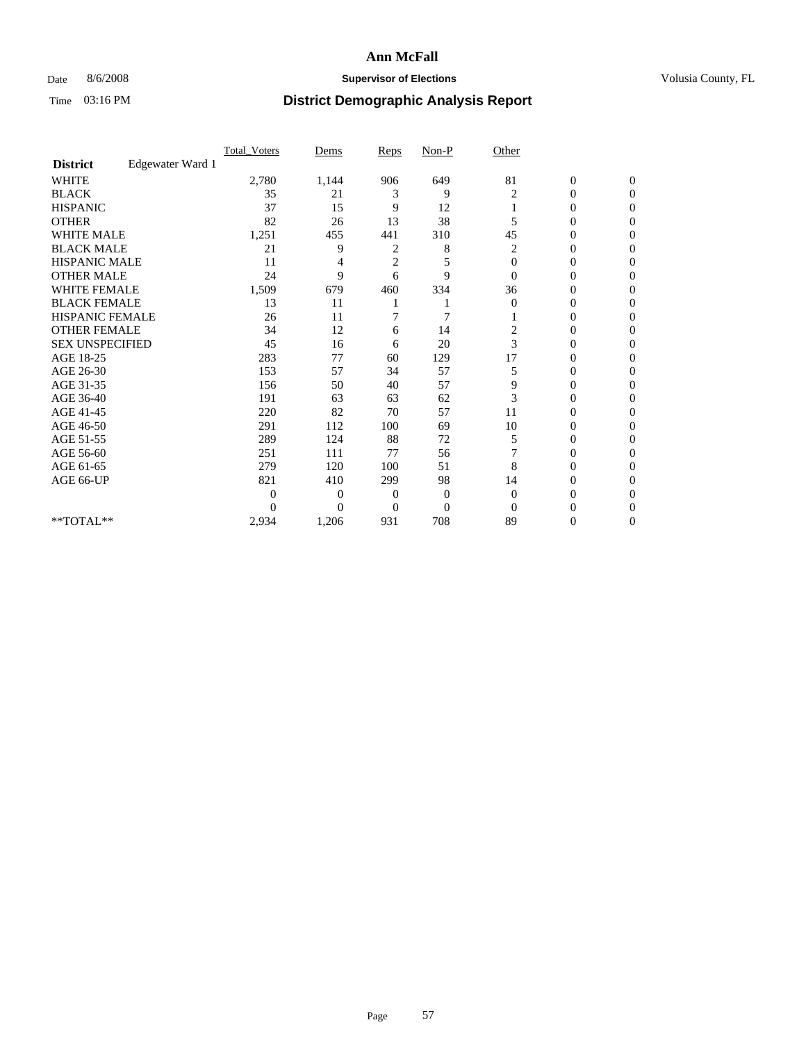### Date 8/6/2008 **Supervisor of Elections Supervisor of Elections** Volusia County, FL

|                        |                  | Total Voters | Dems           | Reps           | $Non-P$        | Other          |                  |              |  |
|------------------------|------------------|--------------|----------------|----------------|----------------|----------------|------------------|--------------|--|
| <b>District</b>        | Edgewater Ward 1 |              |                |                |                |                |                  |              |  |
| <b>WHITE</b>           |                  | 2,780        | 1,144          | 906            | 649            | 81             | $\boldsymbol{0}$ | $\mathbf{0}$ |  |
| <b>BLACK</b>           |                  | 35           | 21             | 3              | 9              | 2              | $\overline{0}$   | $\Omega$     |  |
| <b>HISPANIC</b>        |                  | 37           | 15             | 9              | 12             |                | 0                | $\Omega$     |  |
| <b>OTHER</b>           |                  | 82           | 26             | 13             | 38             | 5              | 0                | $\Omega$     |  |
| <b>WHITE MALE</b>      |                  | 1,251        | 455            | 441            | 310            | 45             | 0                | 0            |  |
| <b>BLACK MALE</b>      |                  | 21           | 9              | 2              | 8              | 2              | 0                | $\Omega$     |  |
| HISPANIC MALE          |                  | 11           |                | $\overline{c}$ | 5              | $\mathbf{0}$   | 0                | $\Omega$     |  |
| <b>OTHER MALE</b>      |                  | 24           | 9              | 6              | 9              | $\Omega$       | 0                | 0            |  |
| <b>WHITE FEMALE</b>    |                  | 1,509        | 679            | 460            | 334            | 36             | 0                | $\Omega$     |  |
| <b>BLACK FEMALE</b>    |                  | 13           | 11             |                |                | $\overline{0}$ | $\overline{0}$   | $\Omega$     |  |
| <b>HISPANIC FEMALE</b> |                  | 26           | 11             | 7              | 7              |                | 0                | 0            |  |
| <b>OTHER FEMALE</b>    |                  | 34           | 12             | 6              | 14             | 2              | 0                | 0            |  |
| <b>SEX UNSPECIFIED</b> |                  | 45           | 16             | 6              | 20             | 3              | 0                | $\Omega$     |  |
| AGE 18-25              |                  | 283          | 77             | 60             | 129            | 17             | 0                | $\Omega$     |  |
| AGE 26-30              |                  | 153          | 57             | 34             | 57             | 5              | 0                | $\Omega$     |  |
| AGE 31-35              |                  | 156          | 50             | 40             | 57             | 9              | 0                | $\Omega$     |  |
| AGE 36-40              |                  | 191          | 63             | 63             | 62             | 3              | 0                | 0            |  |
| AGE 41-45              |                  | 220          | 82             | 70             | 57             | 11             | 0                | $\Omega$     |  |
| AGE 46-50              |                  | 291          | 112            | 100            | 69             | 10             | 0                | $\Omega$     |  |
| AGE 51-55              |                  | 289          | 124            | 88             | 72             | 5              | 0                | 0            |  |
| AGE 56-60              |                  | 251          | 111            | 77             | 56             |                | 0                | $\Omega$     |  |
| AGE 61-65              |                  | 279          | 120            | 100            | 51             | 8              | $\overline{0}$   | $\Omega$     |  |
| AGE 66-UP              |                  | 821          | 410            | 299            | 98             | 14             | 0                | 0            |  |
|                        |                  | 0            | $\overline{0}$ | $\mathbf{0}$   | $\mathbf{0}$   | $\Omega$       | 0                | $\Omega$     |  |
|                        |                  | 0            | $\overline{0}$ | $\overline{0}$ | $\overline{0}$ | $\Omega$       |                  | 0            |  |
| **TOTAL**              |                  | 2,934        | 1,206          | 931            | 708            | 89             | 0                | 0            |  |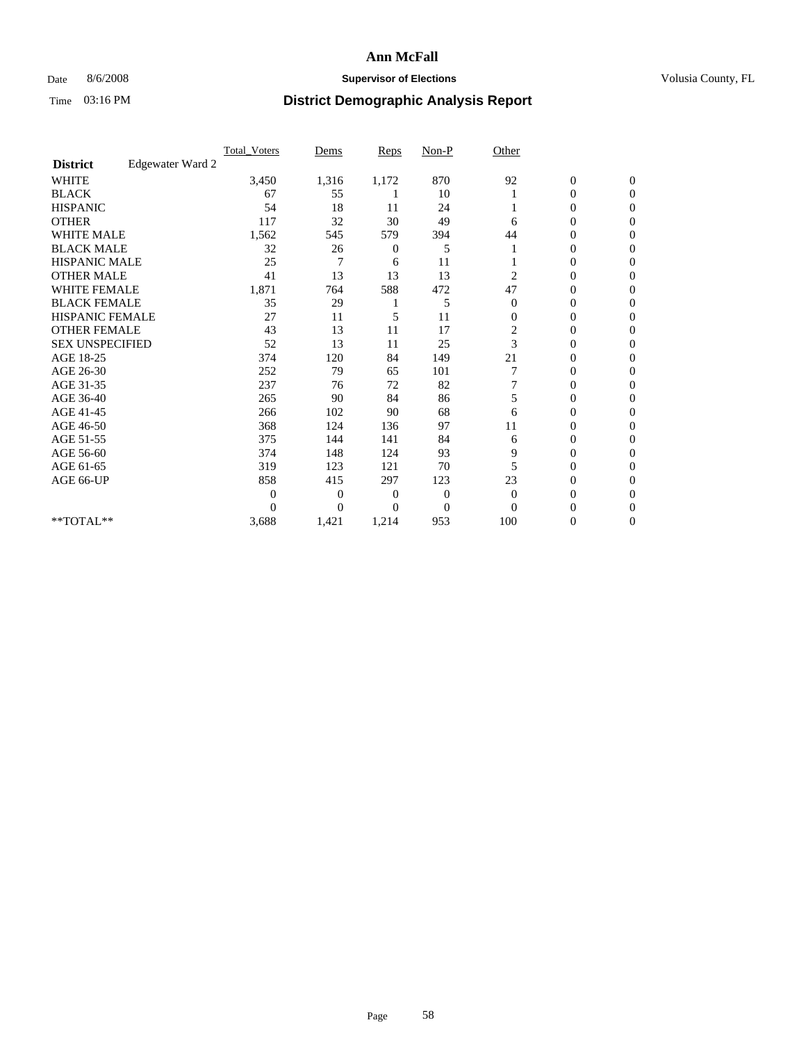## Date 8/6/2008 **Supervisor of Elections Supervisor of Elections** Volusia County, FL

|                        |                  | <b>Total Voters</b> | Dems           | <b>Reps</b>  | $Non-P$        | Other        |                  |              |  |
|------------------------|------------------|---------------------|----------------|--------------|----------------|--------------|------------------|--------------|--|
| <b>District</b>        | Edgewater Ward 2 |                     |                |              |                |              |                  |              |  |
| <b>WHITE</b>           |                  | 3,450               | 1,316          | 1,172        | 870            | 92           | $\boldsymbol{0}$ | $\mathbf{0}$ |  |
| <b>BLACK</b>           |                  | 67                  | 55             |              | 10             |              | $\overline{0}$   | $\mathbf{0}$ |  |
| <b>HISPANIC</b>        |                  | 54                  | 18             | 11           | 24             |              | 0                | $\Omega$     |  |
| <b>OTHER</b>           |                  | 117                 | 32             | 30           | 49             | 6            | 0                | $\Omega$     |  |
| <b>WHITE MALE</b>      |                  | 1,562               | 545            | 579          | 394            | 44           | 0                | $\Omega$     |  |
| <b>BLACK MALE</b>      |                  | 32                  | 26             | 0            | 5              |              | $\mathbf{0}$     | $\Omega$     |  |
| HISPANIC MALE          |                  | 25                  | 7              | 6            | 11             |              | $\overline{0}$   | $\Omega$     |  |
| <b>OTHER MALE</b>      |                  | 41                  | 13             | 13           | 13             | 2            | 0                | 0            |  |
| <b>WHITE FEMALE</b>    |                  | 1,871               | 764            | 588          | 472            | 47           | 0                | $\Omega$     |  |
| <b>BLACK FEMALE</b>    |                  | 35                  | 29             |              | 5              | $\mathbf{0}$ | $\overline{0}$   | $\mathbf{0}$ |  |
| <b>HISPANIC FEMALE</b> |                  | 27                  | 11             | 5            | 11             | $\mathbf{0}$ | 0                | $\Omega$     |  |
| <b>OTHER FEMALE</b>    |                  | 43                  | 13             | 11           | 17             | 2            | 0                | 0            |  |
| <b>SEX UNSPECIFIED</b> |                  | 52                  | 13             | 11           | 25             | 3            | 0                | $\Omega$     |  |
| AGE 18-25              |                  | 374                 | 120            | 84           | 149            | 21           | 0                | $\mathbf{0}$ |  |
| AGE 26-30              |                  | 252                 | 79             | 65           | 101            |              | 0                | $\Omega$     |  |
| AGE 31-35              |                  | 237                 | 76             | 72           | 82             |              | 0                | $\Omega$     |  |
| AGE 36-40              |                  | 265                 | 90             | 84           | 86             | 5            | 0                | $\Omega$     |  |
| AGE 41-45              |                  | 266                 | 102            | 90           | 68             | 6            | 0                | $\Omega$     |  |
| AGE 46-50              |                  | 368                 | 124            | 136          | 97             | 11           | 0                | $\Omega$     |  |
| AGE 51-55              |                  | 375                 | 144            | 141          | 84             | 6            | 0                | 0            |  |
| AGE 56-60              |                  | 374                 | 148            | 124          | 93             | 9            | 0                | $\Omega$     |  |
| AGE 61-65              |                  | 319                 | 123            | 121          | 70             | 5            | 0                | $\Omega$     |  |
| AGE 66-UP              |                  | 858                 | 415            | 297          | 123            | 23           | 0                | 0            |  |
|                        |                  | $\theta$            | $\overline{0}$ | $\mathbf{0}$ | $\mathbf{0}$   | $\Omega$     | 0                | $\Omega$     |  |
|                        |                  | $\Omega$            | $\overline{0}$ | 0            | $\overline{0}$ | $\Omega$     | 0                | $\Omega$     |  |
| **TOTAL**              |                  | 3,688               | 1,421          | 1,214        | 953            | 100          | 0                | 0            |  |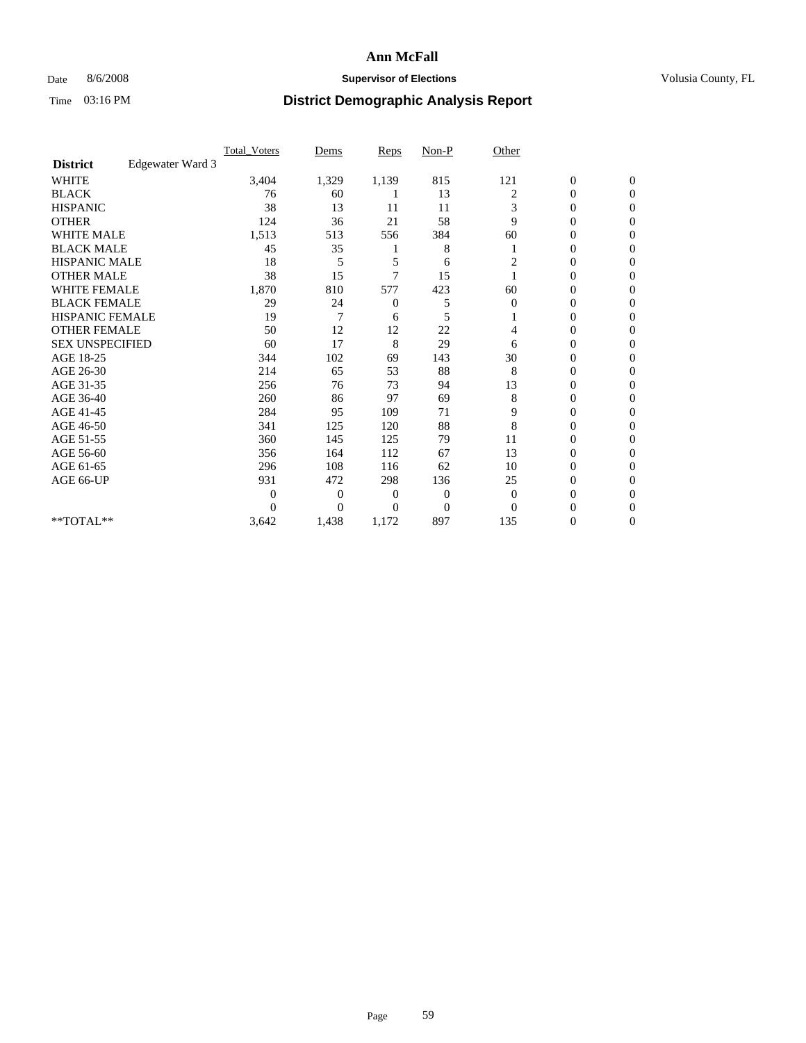## Date 8/6/2008 **Supervisor of Elections Supervisor of Elections** Volusia County, FL

|                        |                  | <b>Total_Voters</b> | Dems           | <b>Reps</b>    | $Non-P$        | Other          |                  |                |  |
|------------------------|------------------|---------------------|----------------|----------------|----------------|----------------|------------------|----------------|--|
| <b>District</b>        | Edgewater Ward 3 |                     |                |                |                |                |                  |                |  |
| <b>WHITE</b>           |                  | 3,404               | 1,329          | 1,139          | 815            | 121            | $\boldsymbol{0}$ | $\mathbf{0}$   |  |
| <b>BLACK</b>           |                  | 76                  | 60             |                | 13             | 2              | $\boldsymbol{0}$ | $\mathbf{0}$   |  |
| <b>HISPANIC</b>        |                  | 38                  | 13             | 11             | 11             | 3              | 0                | $\Omega$       |  |
| <b>OTHER</b>           |                  | 124                 | 36             | 21             | 58             | 9              | 0                | $\Omega$       |  |
| <b>WHITE MALE</b>      |                  | 1,513               | 513            | 556            | 384            | 60             | 0                | $\Omega$       |  |
| <b>BLACK MALE</b>      |                  | 45                  | 35             |                | 8              |                | $\mathbf{0}$     | $\Omega$       |  |
| HISPANIC MALE          |                  | 18                  | 5              | 5              | 6              | 2              | $\boldsymbol{0}$ | $\Omega$       |  |
| <b>OTHER MALE</b>      |                  | 38                  | 15             | 7              | 15             |                | 0                | 0              |  |
| <b>WHITE FEMALE</b>    |                  | 1,870               | 810            | 577            | 423            | 60             | 0                | $\Omega$       |  |
| <b>BLACK FEMALE</b>    |                  | 29                  | 24             | $\mathbf{0}$   | 5              | $\overline{0}$ | $\overline{0}$   | $\mathbf{0}$   |  |
| <b>HISPANIC FEMALE</b> |                  | 19                  | 7              | 6              | 5              |                | 0                | $\Omega$       |  |
| <b>OTHER FEMALE</b>    |                  | 50                  | 12             | 12             | 22             | 4              | 0                | 0              |  |
| <b>SEX UNSPECIFIED</b> |                  | 60                  | 17             | 8              | 29             | 6              | 0                | $\Omega$       |  |
| AGE 18-25              |                  | 344                 | 102            | 69             | 143            | 30             | 0                | $\mathbf{0}$   |  |
| AGE 26-30              |                  | 214                 | 65             | 53             | 88             | 8              | 0                | $\Omega$       |  |
| AGE 31-35              |                  | 256                 | 76             | 73             | 94             | 13             | 0                | $\Omega$       |  |
| AGE 36-40              |                  | 260                 | 86             | 97             | 69             | 8              | 0                | $\Omega$       |  |
| AGE 41-45              |                  | 284                 | 95             | 109            | 71             | 9              | 0                | $\Omega$       |  |
| AGE 46-50              |                  | 341                 | 125            | 120            | 88             | 8              | $\overline{0}$   | $\Omega$       |  |
| AGE 51-55              |                  | 360                 | 145            | 125            | 79             | 11             | 0                | 0              |  |
| AGE 56-60              |                  | 356                 | 164            | 112            | 67             | 13             | $\overline{0}$   | $\Omega$       |  |
| AGE 61-65              |                  | 296                 | 108            | 116            | 62             | 10             | 0                | $\Omega$       |  |
| AGE 66-UP              |                  | 931                 | 472            | 298            | 136            | 25             | 0                | 0              |  |
|                        |                  | $\theta$            | $\overline{0}$ | $\overline{0}$ | 0              | $\mathbf{0}$   | 0                | $\Omega$       |  |
|                        |                  | $\theta$            | $\overline{0}$ | $\Omega$       | $\overline{0}$ | $\Omega$       | $\theta$         | $\Omega$       |  |
| **TOTAL**              |                  | 3,642               | 1,438          | 1,172          | 897            | 135            | 0                | $\overline{0}$ |  |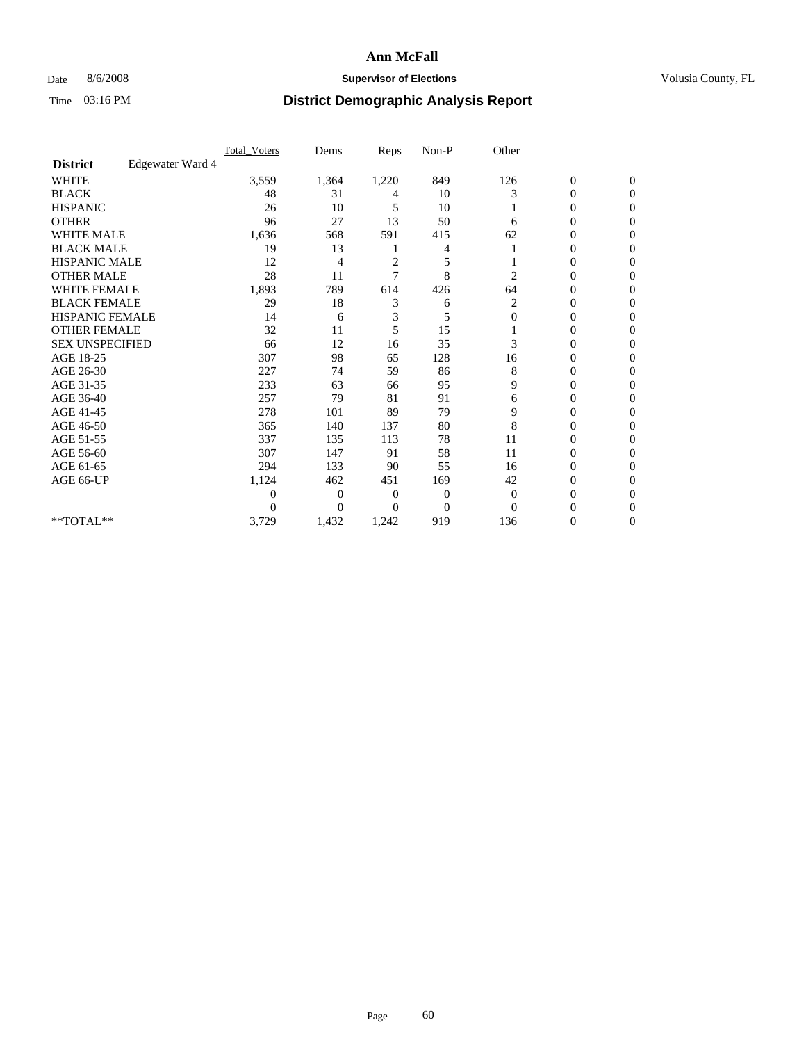## Date 8/6/2008 **Supervisor of Elections Supervisor of Elections** Volusia County, FL

|                        |                  | Total Voters     | Dems           | Reps           | $Non-P$        | Other        |                  |                  |  |
|------------------------|------------------|------------------|----------------|----------------|----------------|--------------|------------------|------------------|--|
| <b>District</b>        | Edgewater Ward 4 |                  |                |                |                |              |                  |                  |  |
| <b>WHITE</b>           |                  | 3,559            | 1,364          | 1,220          | 849            | 126          | $\boldsymbol{0}$ | $\boldsymbol{0}$ |  |
| <b>BLACK</b>           |                  | 48               | 31             | 4              | 10             | 3            | $\overline{0}$   | $\Omega$         |  |
| <b>HISPANIC</b>        |                  | 26               | 10             | 5              | 10             |              | 0                | $\Omega$         |  |
| <b>OTHER</b>           |                  | 96               | 27             | 13             | 50             | 6            | 0                | $\Omega$         |  |
| <b>WHITE MALE</b>      |                  | 1,636            | 568            | 591            | 415            | 62           | 0                | $\Omega$         |  |
| <b>BLACK MALE</b>      |                  | 19               | 13             |                | 4              |              | 0                | $\Omega$         |  |
| <b>HISPANIC MALE</b>   |                  | 12               | 4              | $\overline{2}$ | 5              |              | 0                | 0                |  |
| <b>OTHER MALE</b>      |                  | 28               | 11             | 7              | 8              | 2            | 0                | 0                |  |
| <b>WHITE FEMALE</b>    |                  | 1,893            | 789            | 614            | 426            | 64           | 0                | $\Omega$         |  |
| <b>BLACK FEMALE</b>    |                  | 29               | 18             | 3              | 6              | 2            | 0                | $\Omega$         |  |
| HISPANIC FEMALE        |                  | 14               | 6              | 3              | 5              | $\Omega$     | 0                | $\Omega$         |  |
| <b>OTHER FEMALE</b>    |                  | 32               | 11             | 5              | 15             |              | 0                | $\Omega$         |  |
| <b>SEX UNSPECIFIED</b> |                  | 66               | 12             | 16             | 35             | 3            | 0                | $\Omega$         |  |
| AGE 18-25              |                  | 307              | 98             | 65             | 128            | 16           | 0                | 0                |  |
| AGE 26-30              |                  | 227              | 74             | 59             | 86             | 8            | 0                | $\Omega$         |  |
| AGE 31-35              |                  | 233              | 63             | 66             | 95             | 9            | 0                | $\Omega$         |  |
| AGE 36-40              |                  | 257              | 79             | 81             | 91             | 6            | 0                | 0                |  |
| AGE 41-45              |                  | 278              | 101            | 89             | 79             | 9            | 0                | $\Omega$         |  |
| AGE 46-50              |                  | 365              | 140            | 137            | 80             | 8            | 0                | $\Omega$         |  |
| AGE 51-55              |                  | 337              | 135            | 113            | 78             | 11           | 0                | $\mathbf{0}$     |  |
| AGE 56-60              |                  | 307              | 147            | 91             | 58             | 11           | 0                | 0                |  |
| AGE 61-65              |                  | 294              | 133            | 90             | 55             | 16           | 0                | $\Omega$         |  |
| AGE 66-UP              |                  | 1,124            | 462            | 451            | 169            | 42           | 0                | 0                |  |
|                        |                  | $\boldsymbol{0}$ | $\overline{0}$ | 0              | 0              | $\mathbf{0}$ | 0                | $\Omega$         |  |
|                        |                  | $\theta$         | $\Omega$       | $\Omega$       | $\overline{0}$ | $\Omega$     | 0                | $\Omega$         |  |
| **TOTAL**              |                  | 3,729            | 1,432          | 1,242          | 919            | 136          | 0                | $\mathbf{0}$     |  |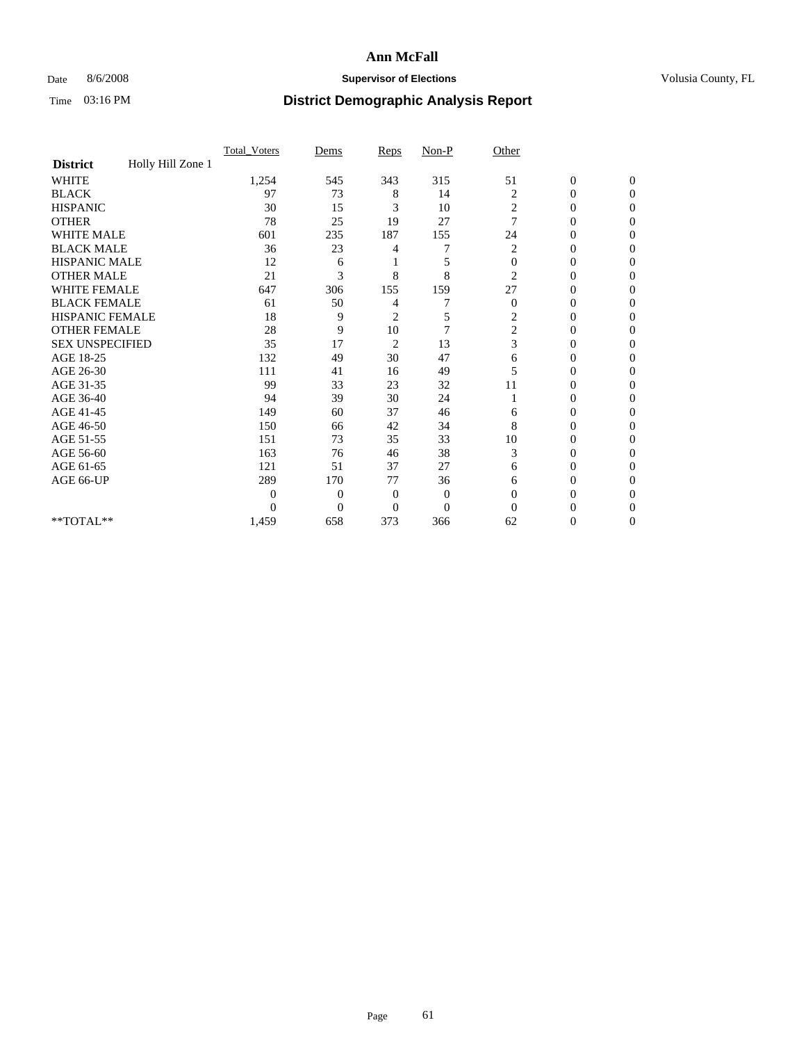### Date 8/6/2008 **Supervisor of Elections Supervisor of Elections** Volusia County, FL

|                        |                   | Total Voters   | Dems           | Reps           | Non-P          | Other          |                  |                  |
|------------------------|-------------------|----------------|----------------|----------------|----------------|----------------|------------------|------------------|
| <b>District</b>        | Holly Hill Zone 1 |                |                |                |                |                |                  |                  |
| <b>WHITE</b>           |                   | 1,254          | 545            | 343            | 315            | 51             | $\boldsymbol{0}$ | $\boldsymbol{0}$ |
| <b>BLACK</b>           |                   | 97             | 73             | 8              | 14             | $\overline{c}$ | 0                | $\Omega$         |
| <b>HISPANIC</b>        |                   | 30             | 15             | 3              | 10             | 2              | $\mathbf{0}$     | $\Omega$         |
| <b>OTHER</b>           |                   | 78             | 25             | 19             | 27             | 7              | 0                | $\Omega$         |
| <b>WHITE MALE</b>      |                   | 601            | 235            | 187            | 155            | 24             | 0                | $\Omega$         |
| <b>BLACK MALE</b>      |                   | 36             | 23             | 4              | 7              | 2              | $\overline{0}$   | $\mathbf{0}$     |
| <b>HISPANIC MALE</b>   |                   | 12             | 6              |                | 5              | $\mathbf{0}$   | 0                | 0                |
| <b>OTHER MALE</b>      |                   | 21             | 3              | 8              | 8              | $\overline{2}$ | $\theta$         | $\Omega$         |
| <b>WHITE FEMALE</b>    |                   | 647            | 306            | 155            | 159            | 27             | $\overline{0}$   | $\Omega$         |
| <b>BLACK FEMALE</b>    |                   | 61             | 50             | 4              | 7              | $\mathbf{0}$   | 0                | $\mathbf{0}$     |
| <b>HISPANIC FEMALE</b> |                   | 18             | 9              | $\overline{c}$ | 5              | 2              | 0                | $\Omega$         |
| <b>OTHER FEMALE</b>    |                   | 28             | 9              | 10             | $\overline{7}$ | $\overline{c}$ | $\overline{0}$   | $\Omega$         |
| <b>SEX UNSPECIFIED</b> |                   | 35             | 17             | $\overline{c}$ | 13             | 3              | 0                | $\mathbf{0}$     |
| AGE 18-25              |                   | 132            | 49             | 30             | 47             | 6              | 0                | $\Omega$         |
| AGE 26-30              |                   | 111            | 41             | 16             | 49             | 5              | 0                | 0                |
| AGE 31-35              |                   | 99             | 33             | 23             | 32             | 11             | $\overline{0}$   | 0                |
| AGE 36-40              |                   | 94             | 39             | 30             | 24             |                | $\overline{0}$   | $\Omega$         |
| AGE 41-45              |                   | 149            | 60             | 37             | 46             | 6              | 0                | 0                |
| AGE 46-50              |                   | 150            | 66             | 42             | 34             | 8              | $\overline{0}$   | $\Omega$         |
| AGE 51-55              |                   | 151            | 73             | 35             | 33             | 10             | 0                | $\Omega$         |
| AGE 56-60              |                   | 163            | 76             | 46             | 38             | 3              | 0                | $\Omega$         |
| AGE 61-65              |                   | 121            | 51             | 37             | 27             | 6              | $\overline{0}$   | $\Omega$         |
| AGE 66-UP              |                   | 289            | 170            | 77             | 36             | 6              | 0                | $\mathbf{0}$     |
|                        |                   | $\overline{0}$ | $\overline{0}$ | $\mathbf{0}$   | $\mathbf{0}$   | $\mathbf{0}$   | 0                | $\Omega$         |
|                        |                   | $\theta$       | $\overline{0}$ | $\mathbf{0}$   | $\overline{0}$ | $\Omega$       | 0                | $\overline{0}$   |
| **TOTAL**              |                   | 1,459          | 658            | 373            | 366            | 62             | 0                | $\mathbf{0}$     |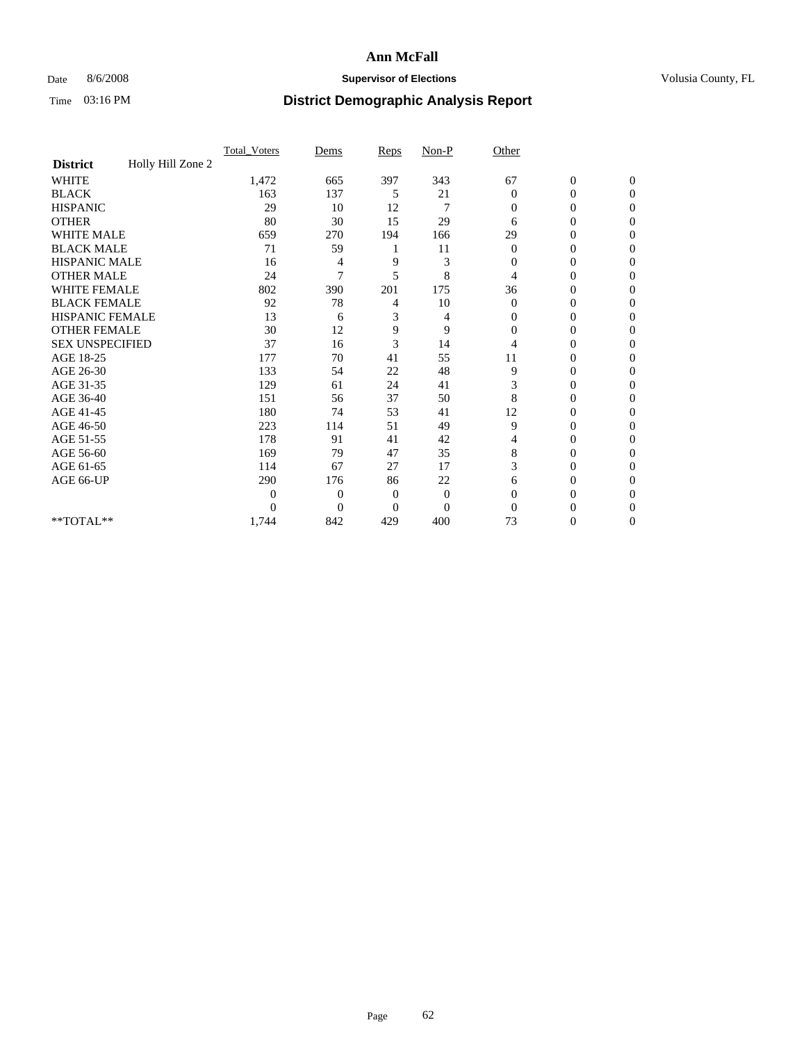## Date 8/6/2008 **Supervisor of Elections Supervisor of Elections** Volusia County, FL

|                        |                   | Total Voters     | Dems           | Reps           | $Non-P$        | Other        |                  |                |  |
|------------------------|-------------------|------------------|----------------|----------------|----------------|--------------|------------------|----------------|--|
| <b>District</b>        | Holly Hill Zone 2 |                  |                |                |                |              |                  |                |  |
| <b>WHITE</b>           |                   | 1,472            | 665            | 397            | 343            | 67           | $\boldsymbol{0}$ | $\mathbf{0}$   |  |
| <b>BLACK</b>           |                   | 163              | 137            | 5              | 21             | $\Omega$     | $\overline{0}$   | $\Omega$       |  |
| <b>HISPANIC</b>        |                   | 29               | 10             | 12             | 7              | $\Omega$     | 0                | $\Omega$       |  |
| <b>OTHER</b>           |                   | 80               | 30             | 15             | 29             | 6            | 0                | $\Omega$       |  |
| <b>WHITE MALE</b>      |                   | 659              | 270            | 194            | 166            | 29           | 0                | 0              |  |
| <b>BLACK MALE</b>      |                   | 71               | 59             |                | 11             | $\mathbf{0}$ | $\mathbf{0}$     | $\Omega$       |  |
| HISPANIC MALE          |                   | 16               | 4              | 9              | 3              | $\mathbf{0}$ | 0                | $\Omega$       |  |
| <b>OTHER MALE</b>      |                   | 24               | 7              | 5              | 8              | 4            | 0                | 0              |  |
| <b>WHITE FEMALE</b>    |                   | 802              | 390            | 201            | 175            | 36           | 0                | $\Omega$       |  |
| <b>BLACK FEMALE</b>    |                   | 92               | 78             | 4              | 10             | $\mathbf{0}$ | $\overline{0}$   | $\Omega$       |  |
| <b>HISPANIC FEMALE</b> |                   | 13               | 6              | 3              | 4              | 0            | 0                | $\Omega$       |  |
| <b>OTHER FEMALE</b>    |                   | 30               | 12             | 9              | 9              | $\Omega$     | 0                | 0              |  |
| <b>SEX UNSPECIFIED</b> |                   | 37               | 16             | 3              | 14             | 4            | 0                | $\Omega$       |  |
| AGE 18-25              |                   | 177              | 70             | 41             | 55             | 11           | 0                | $\overline{0}$ |  |
| AGE 26-30              |                   | 133              | 54             | 22             | 48             | 9            | 0                | $\Omega$       |  |
| AGE 31-35              |                   | 129              | 61             | 24             | 41             | 3            | 0                | $\Omega$       |  |
| AGE 36-40              |                   | 151              | 56             | 37             | 50             | 8            | 0                | 0              |  |
| AGE 41-45              |                   | 180              | 74             | 53             | 41             | 12           | 0                | $\Omega$       |  |
| AGE 46-50              |                   | 223              | 114            | 51             | 49             | 9            | 0                | $\Omega$       |  |
| AGE 51-55              |                   | 178              | 91             | 41             | 42             | 4            | 0                | 0              |  |
| AGE 56-60              |                   | 169              | 79             | 47             | 35             | 8            | 0                | $\Omega$       |  |
| AGE 61-65              |                   | 114              | 67             | 27             | 17             | 3            | $\overline{0}$   | $\Omega$       |  |
| AGE 66-UP              |                   | 290              | 176            | 86             | 22             | 6            | 0                | 0              |  |
|                        |                   | $\boldsymbol{0}$ | $\overline{0}$ | $\mathbf{0}$   | $\mathbf{0}$   | $\Omega$     | 0                | $\Omega$       |  |
|                        |                   | $\theta$         | $\overline{0}$ | $\overline{0}$ | $\overline{0}$ | $\Omega$     |                  | 0              |  |
| **TOTAL**              |                   | 1,744            | 842            | 429            | 400            | 73           | 0                | 0              |  |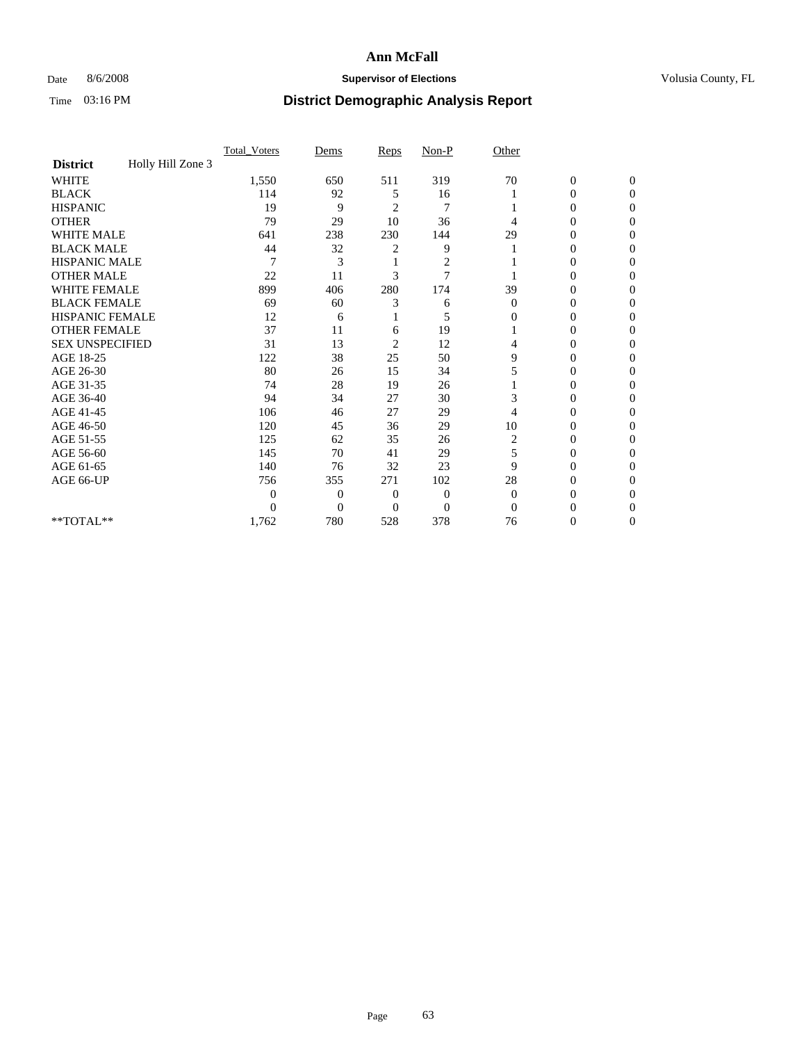## Date 8/6/2008 **Supervisor of Elections Supervisor of Elections** Volusia County, FL

|                        |                   | Total Voters   | Dems           | Reps                    | $Non-P$                 | Other        |                  |                  |  |
|------------------------|-------------------|----------------|----------------|-------------------------|-------------------------|--------------|------------------|------------------|--|
| <b>District</b>        | Holly Hill Zone 3 |                |                |                         |                         |              |                  |                  |  |
| WHITE                  |                   | 1,550          | 650            | 511                     | 319                     | 70           | $\boldsymbol{0}$ | $\boldsymbol{0}$ |  |
| <b>BLACK</b>           |                   | 114            | 92             | 5                       | 16                      |              | $\overline{0}$   | $\Omega$         |  |
| <b>HISPANIC</b>        |                   | 19             | 9              | 2                       | 7                       |              | 0                | $\Omega$         |  |
| <b>OTHER</b>           |                   | 79             | 29             | 10                      | 36                      | 4            | 0                | $\Omega$         |  |
| <b>WHITE MALE</b>      |                   | 641            | 238            | 230                     | 144                     | 29           | 0                | $\Omega$         |  |
| <b>BLACK MALE</b>      |                   | 44             | 32             | 2                       | 9                       |              | 0                | 0                |  |
| <b>HISPANIC MALE</b>   |                   | 7              | 3              |                         | $\overline{\mathbf{c}}$ |              | 0                | 0                |  |
| <b>OTHER MALE</b>      |                   | 22             | 11             | 3                       | $\overline{7}$          |              | $\theta$         | 0                |  |
| <b>WHITE FEMALE</b>    |                   | 899            | 406            | 280                     | 174                     | 39           | 0                | $\Omega$         |  |
| <b>BLACK FEMALE</b>    |                   | 69             | 60             | 3                       | 6                       | $\mathbf{0}$ | 0                | $\Omega$         |  |
| HISPANIC FEMALE        |                   | 12             | 6              |                         | 5                       | 0            | 0                | 0                |  |
| <b>OTHER FEMALE</b>    |                   | 37             | 11             | 6                       | 19                      |              | 0                | $\Omega$         |  |
| <b>SEX UNSPECIFIED</b> |                   | 31             | 13             | $\overline{\mathbf{c}}$ | 12                      | 4            | $\overline{0}$   | 0                |  |
| AGE 18-25              |                   | 122            | 38             | 25                      | 50                      | 9            | 0                | 0                |  |
| AGE 26-30              |                   | 80             | 26             | 15                      | 34                      | 5            | 0                | 0                |  |
| AGE 31-35              |                   | 74             | 28             | 19                      | 26                      |              | 0                | $\Omega$         |  |
| AGE 36-40              |                   | 94             | 34             | 27                      | 30                      | 3            | 0                | 0                |  |
| AGE 41-45              |                   | 106            | 46             | 27                      | 29                      | 4            | 0                | 0                |  |
| AGE 46-50              |                   | 120            | 45             | 36                      | 29                      | 10           | $\overline{0}$   | $\Omega$         |  |
| AGE 51-55              |                   | 125            | 62             | 35                      | 26                      | 2            | 0                | $\Omega$         |  |
| AGE 56-60              |                   | 145            | 70             | 41                      | 29                      | 5            | 0                | 0                |  |
| AGE 61-65              |                   | 140            | 76             | 32                      | 23                      | 9            | $\overline{0}$   | 0                |  |
| AGE 66-UP              |                   | 756            | 355            | 271                     | 102                     | 28           | 0                | 0                |  |
|                        |                   | $\overline{0}$ | $\overline{0}$ | 0                       | $\mathbf{0}$            | $\mathbf{0}$ | 0                | 0                |  |
|                        |                   | $\Omega$       | $\overline{0}$ | $\Omega$                | $\Omega$                | $\Omega$     | 0                | $\Omega$         |  |
| **TOTAL**              |                   | 1,762          | 780            | 528                     | 378                     | 76           | 0                | $\mathbf{0}$     |  |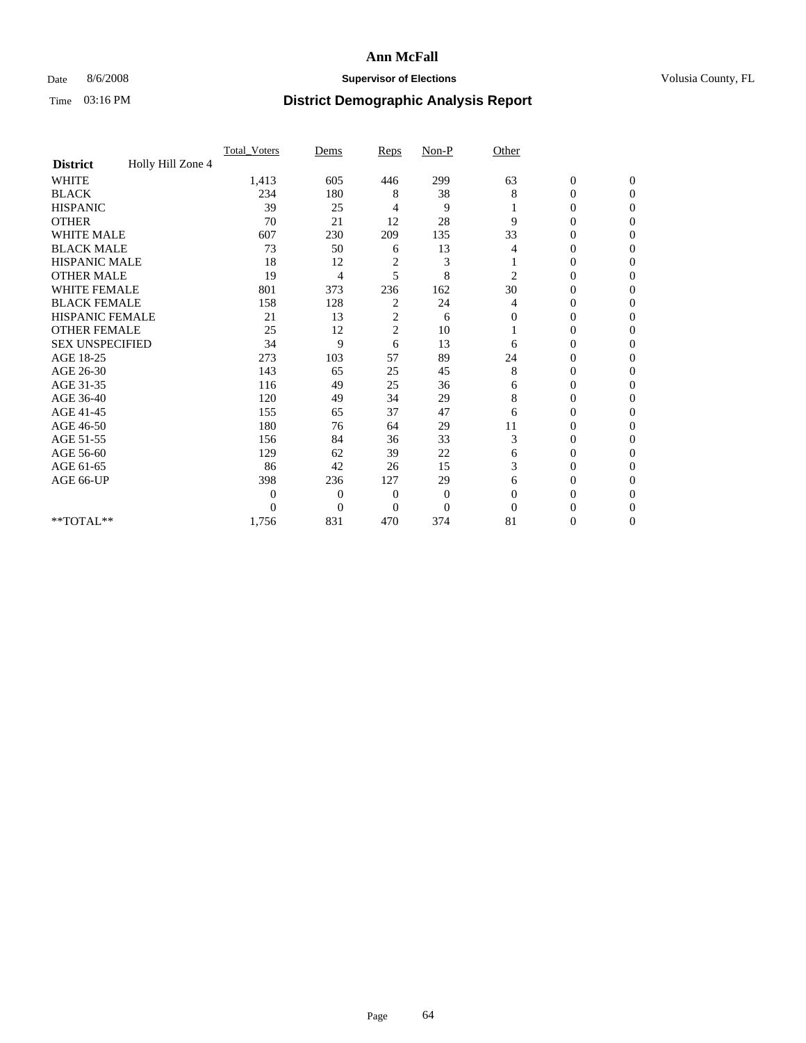## Date 8/6/2008 **Supervisor of Elections Supervisor of Elections** Volusia County, FL

|                        |                   | <b>Total_Voters</b> | Dems         | Reps           | $Non-P$        | Other          |                  |                |  |
|------------------------|-------------------|---------------------|--------------|----------------|----------------|----------------|------------------|----------------|--|
| <b>District</b>        | Holly Hill Zone 4 |                     |              |                |                |                |                  |                |  |
| <b>WHITE</b>           |                   | 1,413               | 605          | 446            | 299            | 63             | $\boldsymbol{0}$ | $\mathbf{0}$   |  |
| <b>BLACK</b>           |                   | 234                 | 180          | 8              | 38             | 8              | 0                | $\Omega$       |  |
| <b>HISPANIC</b>        |                   | 39                  | 25           | 4              | 9              |                | 0                | $\Omega$       |  |
| <b>OTHER</b>           |                   | 70                  | 21           | 12             | 28             | 9              | 0                | $\Omega$       |  |
| <b>WHITE MALE</b>      |                   | 607                 | 230          | 209            | 135            | 33             | 0                | $\Omega$       |  |
| <b>BLACK MALE</b>      |                   | 73                  | 50           | 6              | 13             | 4              | 0                | $\Omega$       |  |
| HISPANIC MALE          |                   | 18                  | 12           | 2              | 3              |                | 0                | $\Omega$       |  |
| <b>OTHER MALE</b>      |                   | 19                  | 4            | 5              | 8              | $\overline{2}$ | 0                | 0              |  |
| <b>WHITE FEMALE</b>    |                   | 801                 | 373          | 236            | 162            | 30             | 0                | $\Omega$       |  |
| <b>BLACK FEMALE</b>    |                   | 158                 | 128          | 2              | 24             | 4              | $\overline{0}$   | $\overline{0}$ |  |
| <b>HISPANIC FEMALE</b> |                   | 21                  | 13           | $\overline{c}$ | 6              | $\Omega$       | 0                | $\Omega$       |  |
| <b>OTHER FEMALE</b>    |                   | 25                  | 12           | $\overline{c}$ | 10             |                | 0                | 0              |  |
| <b>SEX UNSPECIFIED</b> |                   | 34                  | 9            | 6              | 13             | 6              | 0                | $\Omega$       |  |
| AGE 18-25              |                   | 273                 | 103          | 57             | 89             | 24             | 0                | $\overline{0}$ |  |
| AGE 26-30              |                   | 143                 | 65           | 25             | 45             | 8              | 0                | $\Omega$       |  |
| AGE 31-35              |                   | 116                 | 49           | 25             | 36             | 6              | 0                | $\Omega$       |  |
| AGE 36-40              |                   | 120                 | 49           | 34             | 29             | 8              | 0                | $\Omega$       |  |
| AGE 41-45              |                   | 155                 | 65           | 37             | 47             | 6              | 0                | $\Omega$       |  |
| AGE 46-50              |                   | 180                 | 76           | 64             | 29             | 11             | 0                | $\Omega$       |  |
| AGE 51-55              |                   | 156                 | 84           | 36             | 33             | 3              | 0                | 0              |  |
| AGE 56-60              |                   | 129                 | 62           | 39             | 22             | 6              | 0                | $\Omega$       |  |
| AGE 61-65              |                   | 86                  | 42           | 26             | 15             | 3              | $\overline{0}$   | $\Omega$       |  |
| AGE 66-UP              |                   | 398                 | 236          | 127            | 29             | 6              | 0                | 0              |  |
|                        |                   | $\Omega$            | $\mathbf{0}$ | $\overline{0}$ | $\theta$       | $\Omega$       | 0                | $\Omega$       |  |
|                        |                   | $\theta$            | $\theta$     | $\theta$       | $\overline{0}$ | $\Omega$       |                  | $\Omega$       |  |
| **TOTAL**              |                   | 1,756               | 831          | 470            | 374            | 81             | 0                | $\overline{0}$ |  |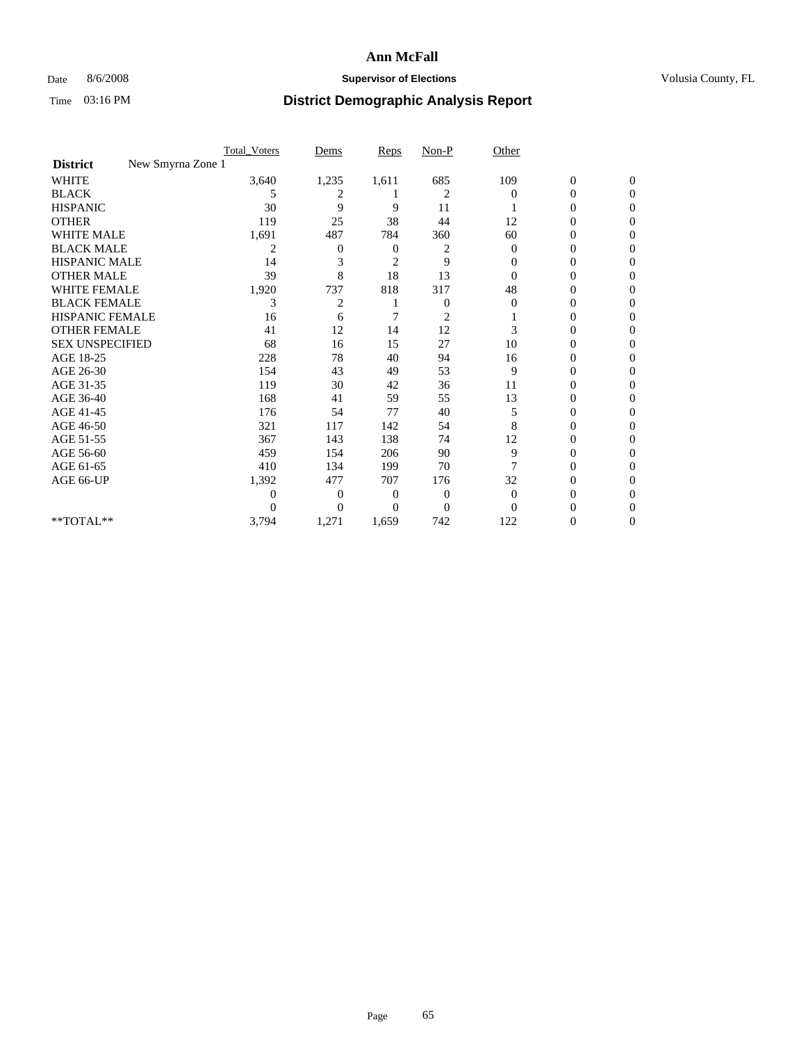## Date 8/6/2008 **Supervisor of Elections Supervisor of Elections** Volusia County, FL

|                                      | <b>Total_Voters</b> | Dems     | <b>Reps</b>    | $Non-P$        | Other        |                  |                  |  |
|--------------------------------------|---------------------|----------|----------------|----------------|--------------|------------------|------------------|--|
| New Smyrna Zone 1<br><b>District</b> |                     |          |                |                |              |                  |                  |  |
| WHITE                                | 3,640               | 1,235    | 1,611          | 685            | 109          | $\boldsymbol{0}$ | $\boldsymbol{0}$ |  |
| <b>BLACK</b>                         | 5                   | 2        |                | 2              | $\Omega$     | $\overline{0}$   | $\Omega$         |  |
| <b>HISPANIC</b>                      | 30                  | 9        | 9              | 11             |              | 0                | $\Omega$         |  |
| <b>OTHER</b>                         | 119                 | 25       | 38             | 44             | 12           | 0                | $\Omega$         |  |
| <b>WHITE MALE</b>                    | 1,691               | 487      | 784            | 360            | 60           | 0                | $\Omega$         |  |
| <b>BLACK MALE</b>                    | 2                   | 0        | 0              | 2              | $\bf{0}$     | 0                | 0                |  |
| <b>HISPANIC MALE</b>                 | 14                  | 3        | $\overline{2}$ | 9              | 0            | 0                | 0                |  |
| <b>OTHER MALE</b>                    | 39                  | 8        | 18             | 13             | 0            | 0                | 0                |  |
| <b>WHITE FEMALE</b>                  | 1,920               | 737      | 818            | 317            | 48           | 0                | $\Omega$         |  |
| <b>BLACK FEMALE</b>                  | 3                   | 2        |                | 0              | $\mathbf{0}$ | 0                | $\Omega$         |  |
| <b>HISPANIC FEMALE</b>               | 16                  | 6        | 7              | 2              |              | 0                | 0                |  |
| <b>OTHER FEMALE</b>                  | 41                  | 12       | 14             | 12             | 3            | 0                | $\Omega$         |  |
| <b>SEX UNSPECIFIED</b>               | 68                  | 16       | 15             | 27             | 10           | $\overline{0}$   | 0                |  |
| AGE 18-25                            | 228                 | 78       | 40             | 94             | 16           | 0                | 0                |  |
| AGE 26-30                            | 154                 | 43       | 49             | 53             | 9            | 0                | 0                |  |
| AGE 31-35                            | 119                 | 30       | 42             | 36             | 11           | 0                | $\Omega$         |  |
| AGE 36-40                            | 168                 | 41       | 59             | 55             | 13           | 0                | 0                |  |
| AGE 41-45                            | 176                 | 54       | 77             | 40             | 5            | 0                | 0                |  |
| AGE 46-50                            | 321                 | 117      | 142            | 54             | 8            | $\overline{0}$   | $\Omega$         |  |
| AGE 51-55                            | 367                 | 143      | 138            | 74             | 12           | 0                | $\Omega$         |  |
| AGE 56-60                            | 459                 | 154      | 206            | 90             | 9            | 0                | 0                |  |
| AGE 61-65                            | 410                 | 134      | 199            | 70             | 7            | $\overline{0}$   | 0                |  |
| AGE 66-UP                            | 1,392               | 477      | 707            | 176            | 32           | 0                | 0                |  |
|                                      | 0                   | 0        | 0              | $\overline{0}$ | $\mathbf{0}$ | 0                | 0                |  |
|                                      | $\theta$            | $\theta$ | $\Omega$       | $\Omega$       | $\Omega$     | 0                | $\Omega$         |  |
| **TOTAL**                            | 3,794               | 1,271    | 1,659          | 742            | 122          | 0                | $\overline{0}$   |  |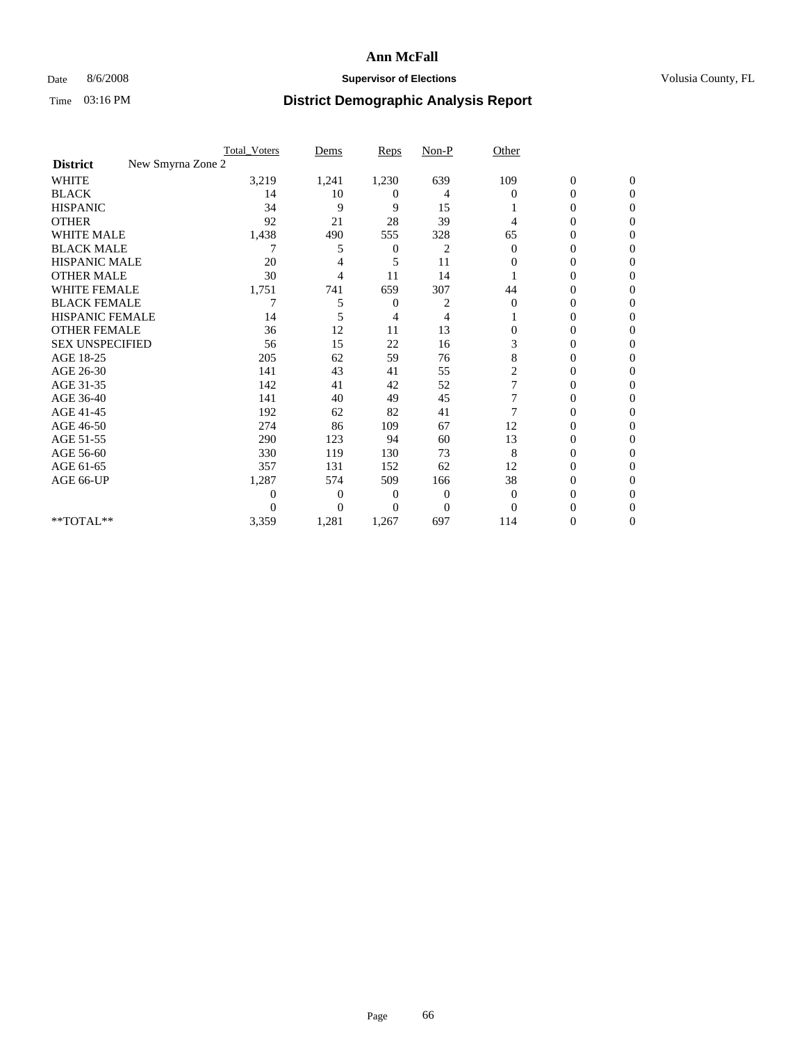## Date 8/6/2008 **Supervisor of Elections Supervisor of Elections** Volusia County, FL

|                        | <b>Total_Voters</b> | Dems                | <b>Reps</b>    | $Non-P$        | Other          |                  |              |  |
|------------------------|---------------------|---------------------|----------------|----------------|----------------|------------------|--------------|--|
| <b>District</b>        | New Smyrna Zone 2   |                     |                |                |                |                  |              |  |
| <b>WHITE</b>           | 3,219               | 1,241               | 1,230          | 639            | 109            | $\boldsymbol{0}$ | $\mathbf{0}$ |  |
| <b>BLACK</b>           |                     | 14<br>10            | 0              | 4              | $\Omega$       | $\overline{0}$   | $\Omega$     |  |
| <b>HISPANIC</b>        |                     | 34<br>9             | 9              | 15             |                | 0                | $\Omega$     |  |
| <b>OTHER</b>           |                     | 92<br>21            | 28             | 39             | 4              | 0                | 0            |  |
| <b>WHITE MALE</b>      | 1,438               | 490                 | 555            | 328            | 65             | 0                | 0            |  |
| <b>BLACK MALE</b>      |                     | 5                   | 0              | 2              | $\Omega$       | 0                | $\Omega$     |  |
| HISPANIC MALE          |                     | 20                  | 5              | 11             | 0              | 0                | $\Omega$     |  |
| <b>OTHER MALE</b>      |                     | 30<br>4             | 11             | 14             |                | 0                | 0            |  |
| <b>WHITE FEMALE</b>    | 1,751               | 741                 | 659            | 307            | 44             | 0                | $\Omega$     |  |
| <b>BLACK FEMALE</b>    |                     | 7<br>5              | $\overline{0}$ | 2              | $\overline{0}$ | 0                | 0            |  |
| <b>HISPANIC FEMALE</b> |                     | 14<br>5             | 4              | 4              |                | 0                | 0            |  |
| <b>OTHER FEMALE</b>    |                     | 36<br>12            | 11             | 13             | 0              | 0                | 0            |  |
| <b>SEX UNSPECIFIED</b> |                     | 15<br>56            | 22             | 16             | 3              | 0                | $\Omega$     |  |
| AGE 18-25              |                     | 205<br>62           | 59             | 76             | 8              | 0                | $\Omega$     |  |
| AGE 26-30              |                     | 141<br>43           | 41             | 55             | 2              | 0                | 0            |  |
| AGE 31-35              |                     | 142<br>41           | 42             | 52             |                | 0                | 0            |  |
| AGE 36-40              |                     | 141<br>40           | 49             | 45             | 7              | 0                | 0            |  |
| AGE 41-45              |                     | 192<br>62           | 82             | 41             |                | 0                | $\Omega$     |  |
| AGE 46-50              |                     | 274<br>86           | 109            | 67             | 12             | 0                | $\Omega$     |  |
| AGE 51-55              |                     | 290<br>123          | 94             | 60             | 13             | 0                | 0            |  |
| AGE 56-60              |                     | 330<br>119          | 130            | 73             | 8              | 0                | 0            |  |
| AGE 61-65              |                     | 357<br>131          | 152            | 62             | 12             | $\overline{0}$   | 0            |  |
| AGE 66-UP              | 1,287               | 574                 | 509            | 166            | 38             | 0                | 0            |  |
|                        |                     | $\overline{0}$<br>0 | 0              | $\overline{0}$ | $\Omega$       | 0                | 0            |  |
|                        |                     | $\overline{0}$<br>0 | 0              | $\overline{0}$ | $\Omega$       |                  | 0            |  |
| **TOTAL**              | 3,359               | 1,281               | 1,267          | 697            | 114            | 0                | 0            |  |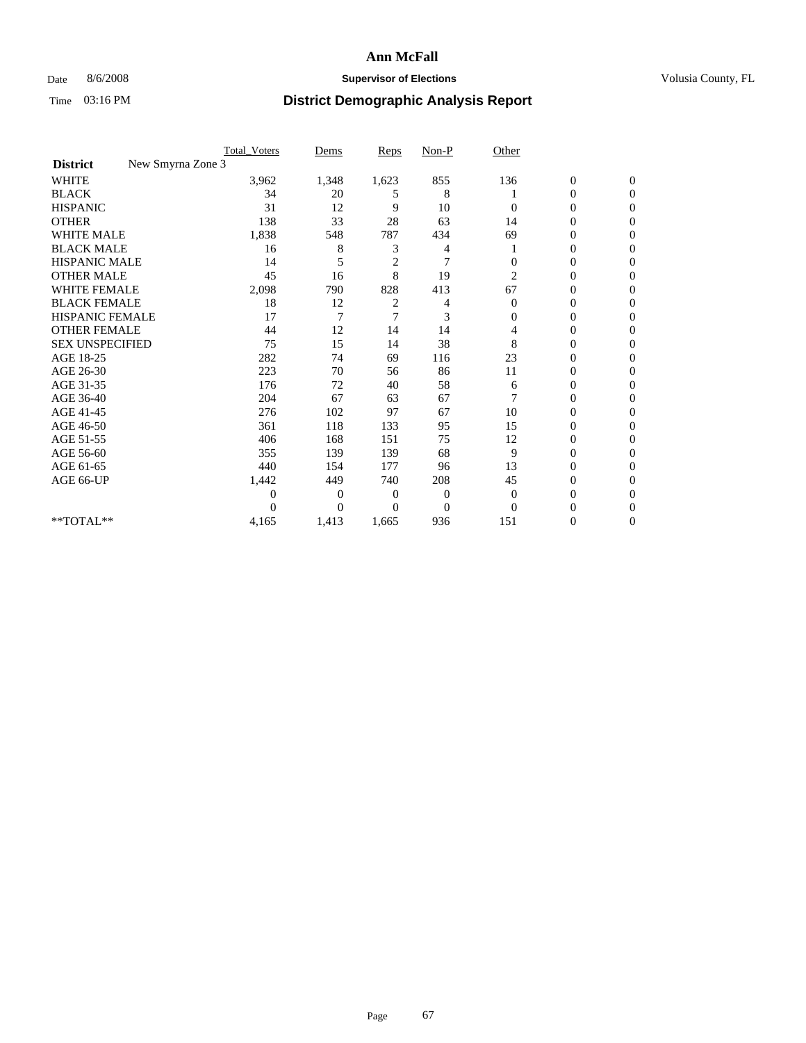## Date 8/6/2008 **Supervisor of Elections Supervisor of Elections** Volusia County, FL

|                        | <b>Total_Voters</b> | Dems     | <b>Reps</b>    | $Non-P$  | Other        |                  |                  |  |
|------------------------|---------------------|----------|----------------|----------|--------------|------------------|------------------|--|
| <b>District</b>        | New Smyrna Zone 3   |          |                |          |              |                  |                  |  |
| WHITE                  | 3,962               | 1,348    | 1,623          | 855      | 136          | $\boldsymbol{0}$ | $\boldsymbol{0}$ |  |
| <b>BLACK</b>           | 34                  | 20       | 5              | 8        |              | $\boldsymbol{0}$ | $\Omega$         |  |
| <b>HISPANIC</b>        | 31                  | 12       | 9              | 10       | $\Omega$     | 0                | $\Omega$         |  |
| <b>OTHER</b>           | 138                 | 33       | 28             | 63       | 14           | 0                | $\Omega$         |  |
| <b>WHITE MALE</b>      | 1,838               | 548      | 787            | 434      | 69           | 0                | $\overline{0}$   |  |
| <b>BLACK MALE</b>      | 16                  | 8        | 3              | 4        |              | $\overline{0}$   | $\Omega$         |  |
| <b>HISPANIC MALE</b>   | 14                  | 5        | $\overline{2}$ | 7        | 0            | 0                | 0                |  |
| <b>OTHER MALE</b>      | 45                  | 16       | 8              | 19       | 2            | 0                | 0                |  |
| <b>WHITE FEMALE</b>    | 2,098               | 790      | 828            | 413      | 67           | 0                | $\Omega$         |  |
| <b>BLACK FEMALE</b>    | 18                  | 12       | 2              | 4        | $\mathbf{0}$ | $\boldsymbol{0}$ | $\Omega$         |  |
| <b>HISPANIC FEMALE</b> | 17                  | 7        | 7              | 3        | 0            | 0                | $\Omega$         |  |
| <b>OTHER FEMALE</b>    | 44                  | 12       | 14             | 14       | 4            | 0                | $\Omega$         |  |
| <b>SEX UNSPECIFIED</b> | 75                  | 15       | 14             | 38       | 8            | 0                | $\Omega$         |  |
| AGE 18-25              | 282                 | 74       | 69             | 116      | 23           | 0                | 0                |  |
| AGE 26-30              | 223                 | 70       | 56             | 86       | 11           | 0                | $\Omega$         |  |
| AGE 31-35              | 176                 | 72       | 40             | 58       | 6            | $\boldsymbol{0}$ | $\Omega$         |  |
| AGE 36-40              | 204                 | 67       | 63             | 67       |              | 0                | 0                |  |
| AGE 41-45              | 276                 | 102      | 97             | 67       | 10           | 0                | $\Omega$         |  |
| AGE 46-50              | 361                 | 118      | 133            | 95       | 15           | 0                | $\Omega$         |  |
| AGE 51-55              | 406                 | 168      | 151            | 75       | 12           | 0                | $\mathbf{0}$     |  |
| AGE 56-60              | 355                 | 139      | 139            | 68       | 9            | 0                | 0                |  |
| AGE 61-65              | 440                 | 154      | 177            | 96       | 13           | $\overline{0}$   | $\Omega$         |  |
| AGE 66-UP              | 1,442               | 449      | 740            | 208      | 45           | 0                | 0                |  |
|                        | 0                   | 0        | 0              | 0        | $\mathbf{0}$ | 0                | $\Omega$         |  |
|                        | $\theta$            | $\Omega$ | $\Omega$       | $\Omega$ | $\Omega$     | 0                | $\Omega$         |  |
| **TOTAL**              | 4,165               | 1,413    | 1,665          | 936      | 151          | 0                | $\mathbf{0}$     |  |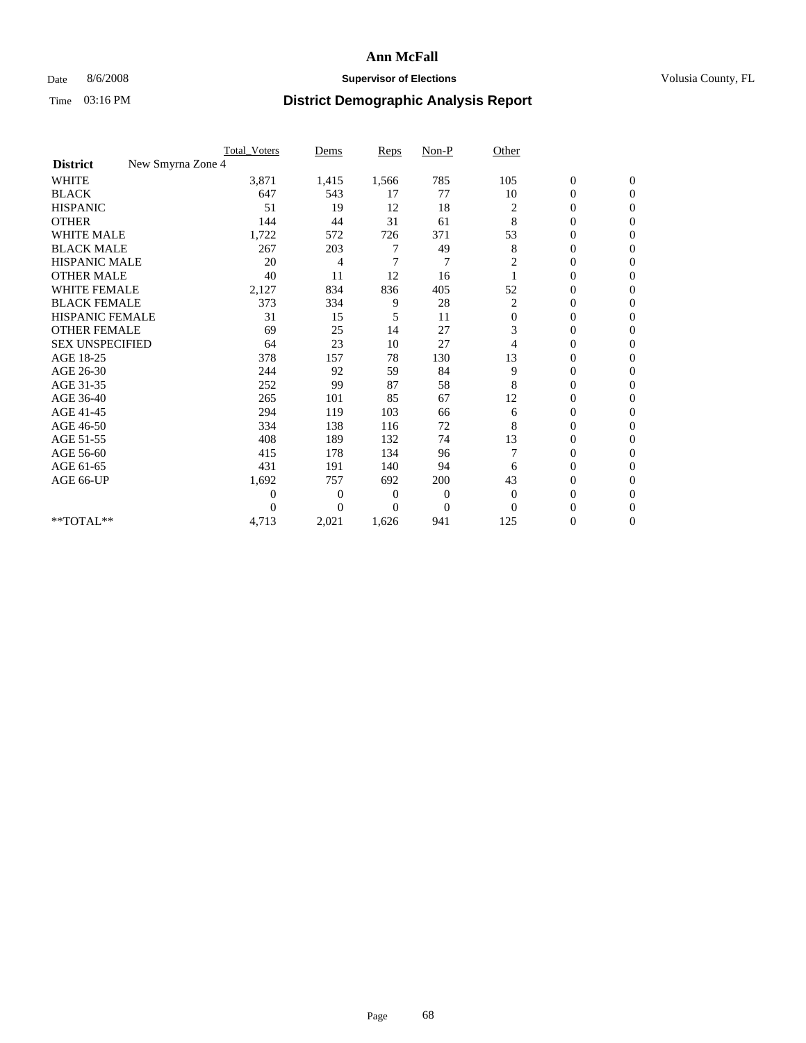## Date 8/6/2008 **Supervisor of Elections Supervisor of Elections** Volusia County, FL

|                                      | <b>Total_Voters</b> | Dems     | <b>Reps</b>  | $Non-P$        | Other          |                  |              |  |
|--------------------------------------|---------------------|----------|--------------|----------------|----------------|------------------|--------------|--|
| New Smyrna Zone 4<br><b>District</b> |                     |          |              |                |                |                  |              |  |
| <b>WHITE</b>                         | 3,871               | 1,415    | 1,566        | 785            | 105            | $\boldsymbol{0}$ | $\mathbf{0}$ |  |
| <b>BLACK</b>                         | 647                 | 543      | 17           | 77             | 10             | $\boldsymbol{0}$ | $\mathbf{0}$ |  |
| <b>HISPANIC</b>                      | 51                  | 19       | 12           | 18             | 2              | $\mathbf{0}$     | $\mathbf{0}$ |  |
| <b>OTHER</b>                         | 144                 | 44       | 31           | 61             | 8              | $\mathbf{0}$     | $\Omega$     |  |
| <b>WHITE MALE</b>                    | 1,722               | 572      | 726          | 371            | 53             | 0                | $\Omega$     |  |
| <b>BLACK MALE</b>                    | 267                 | 203      | 7            | 49             | 8              | $\mathbf{0}$     | $\Omega$     |  |
| HISPANIC MALE                        | 20                  | 4        | 7            | 7              | 2              | $\boldsymbol{0}$ | $\Omega$     |  |
| <b>OTHER MALE</b>                    | 40                  | 11       | 12           | 16             |                | 0                | $\mathbf{0}$ |  |
| <b>WHITE FEMALE</b>                  | 2,127               | 834      | 836          | 405            | 52             | 0                | $\Omega$     |  |
| <b>BLACK FEMALE</b>                  | 373                 | 334      | 9            | 28             | $\overline{c}$ | $\overline{0}$   | $\mathbf{0}$ |  |
| <b>HISPANIC FEMALE</b>               | 31                  | 15       | 5            | 11             | $\mathbf{0}$   | 0                | $\mathbf{0}$ |  |
| <b>OTHER FEMALE</b>                  | 69                  | 25       | 14           | 27             | 3              | 0                | $\Omega$     |  |
| <b>SEX UNSPECIFIED</b>               | 64                  | 23       | 10           | 27             | 4              | $\mathbf{0}$     | $\mathbf{0}$ |  |
| AGE 18-25                            | 378                 | 157      | 78           | 130            | 13             | 0                | $\mathbf{0}$ |  |
| AGE 26-30                            | 244                 | 92       | 59           | 84             | 9              | 0                | $\Omega$     |  |
| AGE 31-35                            | 252                 | 99       | 87           | 58             | 8              | 0                | $\Omega$     |  |
| AGE 36-40                            | 265                 | 101      | 85           | 67             | 12             | 0                | $\mathbf{0}$ |  |
| AGE 41-45                            | 294                 | 119      | 103          | 66             | 6              | $\mathbf{0}$     | $\Omega$     |  |
| AGE 46-50                            | 334                 | 138      | 116          | 72             | 8              | $\overline{0}$   | $\mathbf{0}$ |  |
| AGE 51-55                            | 408                 | 189      | 132          | 74             | 13             | 0                | 0            |  |
| AGE 56-60                            | 415                 | 178      | 134          | 96             |                | $\overline{0}$   | $\Omega$     |  |
| AGE 61-65                            | 431                 | 191      | 140          | 94             | 6              | $\overline{0}$   | $\Omega$     |  |
| AGE 66-UP                            | 1,692               | 757      | 692          | 200            | 43             | 0                | 0            |  |
|                                      | $\theta$            | 0        | $\mathbf{0}$ | $\mathbf{0}$   | $\Omega$       | 0                | $\Omega$     |  |
|                                      | $\theta$            | $\theta$ | $\Omega$     | $\overline{0}$ | $\Omega$       | $\theta$         | $\Omega$     |  |
| **TOTAL**                            | 4,713               | 2,021    | 1,626        | 941            | 125            | 0                | $\mathbf{0}$ |  |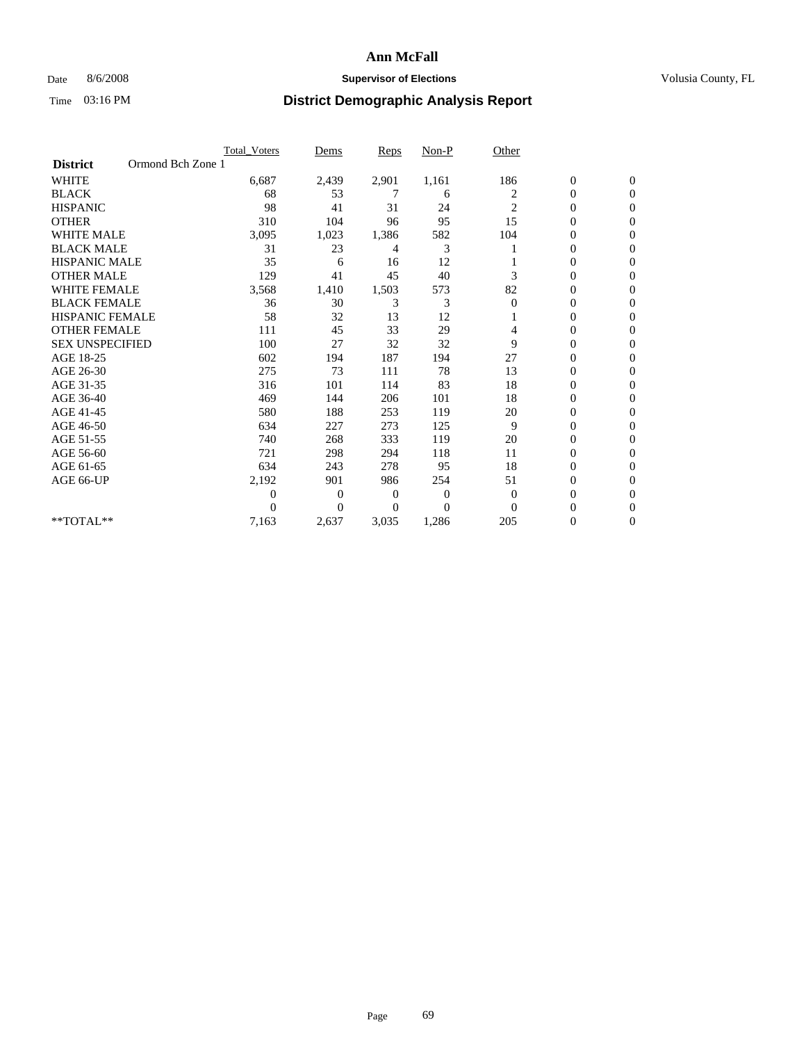### Date 8/6/2008 **Supervisor of Elections Supervisor of Elections** Volusia County, FL

|                        |                   | <b>Total Voters</b> | Dems           | <b>Reps</b> | Non-P    | Other          |                  |                  |  |
|------------------------|-------------------|---------------------|----------------|-------------|----------|----------------|------------------|------------------|--|
| <b>District</b>        | Ormond Bch Zone 1 |                     |                |             |          |                |                  |                  |  |
| <b>WHITE</b>           |                   | 6,687               | 2,439          | 2,901       | 1,161    | 186            | $\boldsymbol{0}$ | $\boldsymbol{0}$ |  |
| <b>BLACK</b>           |                   | 68                  | 53             | 7           | 6        | 2              | 0                | $\Omega$         |  |
| <b>HISPANIC</b>        |                   | 98                  | 41             | 31          | 24       | $\overline{c}$ | $\mathbf{0}$     | $\Omega$         |  |
| <b>OTHER</b>           |                   | 310                 | 104            | 96          | 95       | 15             | 0                | $\Omega$         |  |
| <b>WHITE MALE</b>      |                   | 3,095               | 1,023          | 1,386       | 582      | 104            | 0                | $\mathbf{0}$     |  |
| <b>BLACK MALE</b>      |                   | 31                  | 23             | 4           | 3        |                | 0                | $\Omega$         |  |
| <b>HISPANIC MALE</b>   |                   | 35                  | 6              | 16          | 12       |                | 0                | $\Omega$         |  |
| <b>OTHER MALE</b>      |                   | 129                 | 41             | 45          | 40       | 3              | 0                | 0                |  |
| WHITE FEMALE           |                   | 3,568               | 1,410          | 1,503       | 573      | 82             | 0                | $\mathbf{0}$     |  |
| <b>BLACK FEMALE</b>    |                   | 36                  | 30             | 3           | 3        | $\mathbf{0}$   | 0                | $\Omega$         |  |
| <b>HISPANIC FEMALE</b> |                   | 58                  | 32             | 13          | 12       |                | 0                | $\mathbf{0}$     |  |
| <b>OTHER FEMALE</b>    |                   | 111                 | 45             | 33          | 29       | 4              | 0                | $\Omega$         |  |
| <b>SEX UNSPECIFIED</b> |                   | 100                 | 27             | 32          | 32       | 9              | $\overline{0}$   | $\mathbf{0}$     |  |
| AGE 18-25              |                   | 602                 | 194            | 187         | 194      | 27             | 0                | $\mathbf{0}$     |  |
| AGE 26-30              |                   | 275                 | 73             | 111         | 78       | 13             | 0                | $\Omega$         |  |
| AGE 31-35              |                   | 316                 | 101            | 114         | 83       | 18             | $\boldsymbol{0}$ | $\Omega$         |  |
| AGE 36-40              |                   | 469                 | 144            | 206         | 101      | 18             | 0                | 0                |  |
| AGE 41-45              |                   | 580                 | 188            | 253         | 119      | 20             | 0                | $\Omega$         |  |
| AGE 46-50              |                   | 634                 | 227            | 273         | 125      | 9              | 0                | $\Omega$         |  |
| AGE 51-55              |                   | 740                 | 268            | 333         | 119      | 20             | 0                | $\mathbf{0}$     |  |
| AGE 56-60              |                   | 721                 | 298            | 294         | 118      | 11             | 0                | 0                |  |
| AGE 61-65              |                   | 634                 | 243            | 278         | 95       | 18             | 0                | $\overline{0}$   |  |
| AGE 66-UP              |                   | 2,192               | 901            | 986         | 254      | 51             | 0                | 0                |  |
|                        |                   | $\boldsymbol{0}$    | $\overline{0}$ | 0           | 0        | 0              | 0                | $\Omega$         |  |
|                        |                   | $\theta$            | $\Omega$       | $\Omega$    | $\Omega$ | $\Omega$       | 0                | $\Omega$         |  |
| **TOTAL**              |                   | 7,163               | 2,637          | 3,035       | 1,286    | 205            | 0                | $\overline{0}$   |  |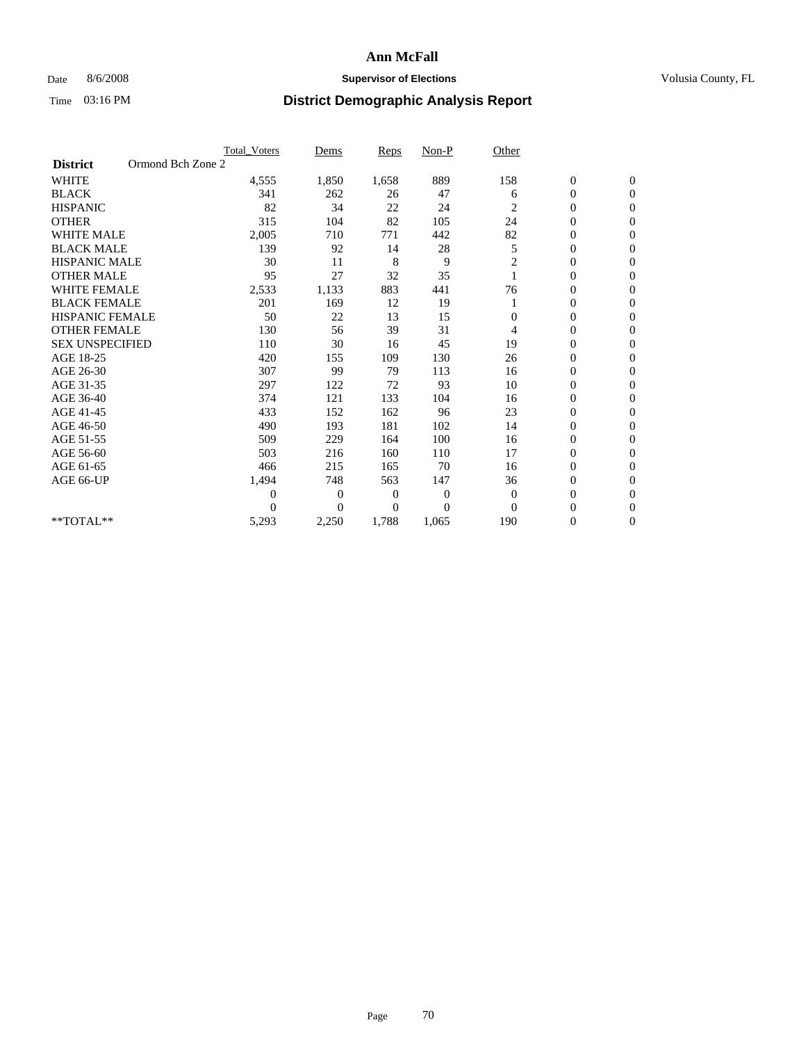### Date 8/6/2008 **Supervisor of Elections Supervisor of Elections** Volusia County, FL

|                        |                   | <b>Total Voters</b> | Dems           | <b>Reps</b>  | Non-P    | Other          |                  |                |  |
|------------------------|-------------------|---------------------|----------------|--------------|----------|----------------|------------------|----------------|--|
| <b>District</b>        | Ormond Bch Zone 2 |                     |                |              |          |                |                  |                |  |
| <b>WHITE</b>           |                   | 4,555               | 1,850          | 1,658        | 889      | 158            | $\boldsymbol{0}$ | $\mathbf{0}$   |  |
| <b>BLACK</b>           |                   | 341                 | 262            | 26           | 47       | 6              | $\boldsymbol{0}$ | $\mathbf{0}$   |  |
| <b>HISPANIC</b>        |                   | 82                  | 34             | 22           | 24       | 2              | $\overline{0}$   | $\mathbf{0}$   |  |
| <b>OTHER</b>           |                   | 315                 | 104            | 82           | 105      | 24             | 0                | $\mathbf{0}$   |  |
| <b>WHITE MALE</b>      |                   | 2,005               | 710            | 771          | 442      | 82             | 0                | $\mathbf{0}$   |  |
| <b>BLACK MALE</b>      |                   | 139                 | 92             | 14           | 28       | 5              | $\boldsymbol{0}$ | $\mathbf{0}$   |  |
| <b>HISPANIC MALE</b>   |                   | 30                  | 11             | 8            | 9        | $\overline{c}$ | $\boldsymbol{0}$ | $\Omega$       |  |
| <b>OTHER MALE</b>      |                   | 95                  | 27             | 32           | 35       |                | 0                | $\mathbf{0}$   |  |
| <b>WHITE FEMALE</b>    |                   | 2,533               | 1,133          | 883          | 441      | 76             | 0                | $\mathbf{0}$   |  |
| <b>BLACK FEMALE</b>    |                   | 201                 | 169            | 12           | 19       |                | $\boldsymbol{0}$ | $\mathbf{0}$   |  |
| HISPANIC FEMALE        |                   | 50                  | 22             | 13           | 15       | 0              | $\boldsymbol{0}$ | $\mathbf{0}$   |  |
| <b>OTHER FEMALE</b>    |                   | 130                 | 56             | 39           | 31       | 4              | 0                | $\Omega$       |  |
| <b>SEX UNSPECIFIED</b> |                   | 110                 | 30             | 16           | 45       | 19             | $\overline{0}$   | $\mathbf{0}$   |  |
| AGE 18-25              |                   | 420                 | 155            | 109          | 130      | 26             | 0                | $\mathbf{0}$   |  |
| AGE 26-30              |                   | 307                 | 99             | 79           | 113      | 16             | $\overline{0}$   | $\mathbf{0}$   |  |
| AGE 31-35              |                   | 297                 | 122            | 72           | 93       | 10             | $\boldsymbol{0}$ | $\mathbf{0}$   |  |
| AGE 36-40              |                   | 374                 | 121            | 133          | 104      | 16             | 0                | $\mathbf{0}$   |  |
| AGE 41-45              |                   | 433                 | 152            | 162          | 96       | 23             | $\overline{0}$   | $\mathbf{0}$   |  |
| AGE 46-50              |                   | 490                 | 193            | 181          | 102      | 14             | $\overline{0}$   | $\mathbf{0}$   |  |
| AGE 51-55              |                   | 509                 | 229            | 164          | 100      | 16             | $\boldsymbol{0}$ | $\mathbf{0}$   |  |
| AGE 56-60              |                   | 503                 | 216            | 160          | 110      | 17             | $\boldsymbol{0}$ | $\Omega$       |  |
| AGE 61-65              |                   | 466                 | 215            | 165          | 70       | 16             | $\boldsymbol{0}$ | $\mathbf{0}$   |  |
| AGE 66-UP              |                   | 1,494               | 748            | 563          | 147      | 36             | $\overline{0}$   | $\mathbf{0}$   |  |
|                        |                   | $\boldsymbol{0}$    | 0              | $\mathbf{0}$ | 0        | $\mathbf{0}$   | $\overline{0}$   | $\Omega$       |  |
|                        |                   | $\theta$            | $\overline{0}$ | $\mathbf{0}$ | $\theta$ | $\Omega$       | $\overline{0}$   | $\overline{0}$ |  |
| **TOTAL**              |                   | 5,293               | 2,250          | 1,788        | 1,065    | 190            | 0                | $\mathbf{0}$   |  |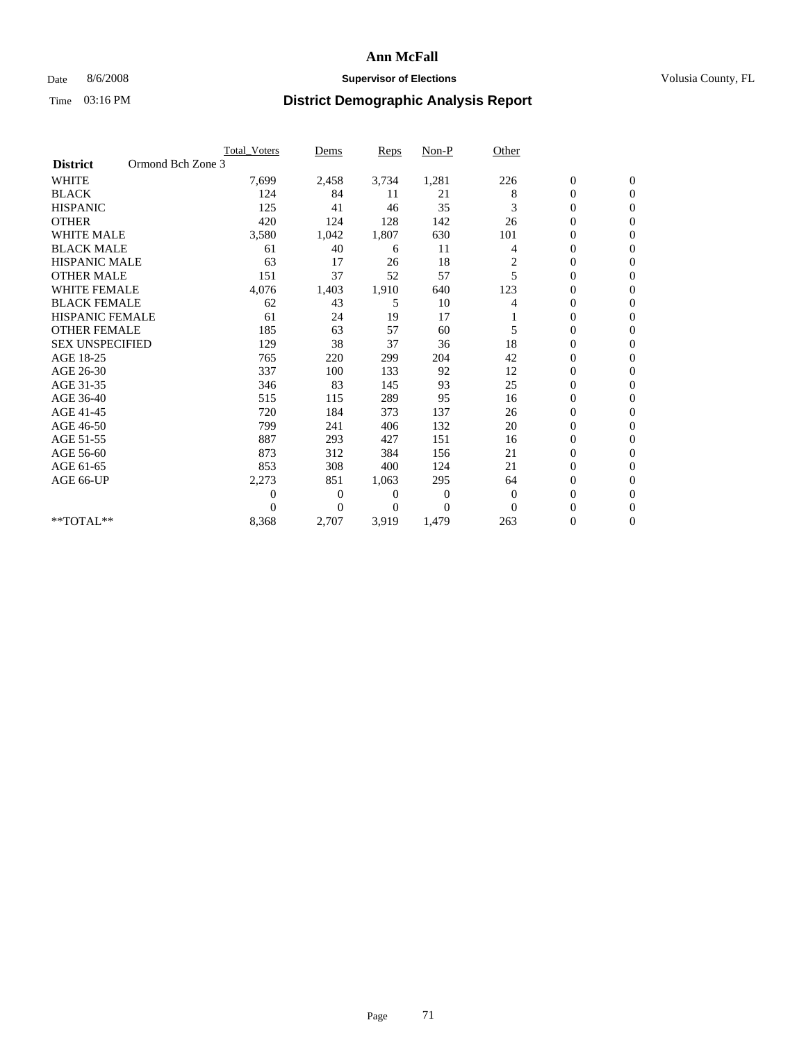## Date 8/6/2008 **Supervisor of Elections Supervisor of Elections** Volusia County, FL

|                        | <b>Total Voters</b> | Dems           | <b>Reps</b>  | Non-P        | Other          |                  |                  |  |
|------------------------|---------------------|----------------|--------------|--------------|----------------|------------------|------------------|--|
| <b>District</b>        | Ormond Bch Zone 3   |                |              |              |                |                  |                  |  |
| <b>WHITE</b>           | 7,699               | 2,458          | 3,734        | 1,281        | 226            | $\boldsymbol{0}$ | $\boldsymbol{0}$ |  |
| <b>BLACK</b>           | 124                 | 84             | 11           | 21           | 8              | $\boldsymbol{0}$ | $\mathbf{0}$     |  |
| <b>HISPANIC</b>        | 125                 | 41             | 46           | 35           | 3              | $\overline{0}$   | $\mathbf{0}$     |  |
| <b>OTHER</b>           | 420                 | 124            | 128          | 142          | 26             | 0                | $\mathbf{0}$     |  |
| <b>WHITE MALE</b>      | 3,580               | 1,042          | 1,807        | 630          | 101            | $\boldsymbol{0}$ | $\mathbf{0}$     |  |
| <b>BLACK MALE</b>      | 61                  | 40             | 6            | 11           | 4              | $\mathbf{0}$     | $\mathbf{0}$     |  |
| <b>HISPANIC MALE</b>   | 63                  | 17             | 26           | 18           | $\overline{c}$ | 0                | $\Omega$         |  |
| <b>OTHER MALE</b>      | 151                 | 37             | 52           | 57           | 5              | $\overline{0}$   | $\mathbf{0}$     |  |
| <b>WHITE FEMALE</b>    | 4,076               | 1,403          | 1,910        | 640          | 123            | $\mathbf{0}$     | $\mathbf{0}$     |  |
| <b>BLACK FEMALE</b>    | 62                  | 43             | 5            | 10           | 4              | $\overline{0}$   | $\mathbf{0}$     |  |
| <b>HISPANIC FEMALE</b> | 61                  | 24             | 19           | 17           |                | $\boldsymbol{0}$ | $\mathbf{0}$     |  |
| <b>OTHER FEMALE</b>    | 185                 | 63             | 57           | 60           | 5              | $\mathbf{0}$     | $\mathbf{0}$     |  |
| <b>SEX UNSPECIFIED</b> | 129                 | 38             | 37           | 36           | 18             | 0                | $\Omega$         |  |
| AGE 18-25              | 765                 | 220            | 299          | 204          | 42             | $\overline{0}$   | $\mathbf{0}$     |  |
| AGE 26-30              | 337                 | 100            | 133          | 92           | 12             | $\overline{0}$   | $\Omega$         |  |
| AGE 31-35              | 346                 | 83             | 145          | 93           | 25             | $\boldsymbol{0}$ | $\mathbf{0}$     |  |
| AGE 36-40              | 515                 | 115            | 289          | 95           | 16             | $\boldsymbol{0}$ | $\mathbf{0}$     |  |
| AGE 41-45              | 720                 | 184            | 373          | 137          | 26             | $\boldsymbol{0}$ | $\mathbf{0}$     |  |
| AGE 46-50              | 799                 | 241            | 406          | 132          | 20             | 0                | $\Omega$         |  |
| AGE 51-55              | 887                 | 293            | 427          | 151          | 16             | $\overline{0}$   | $\mathbf{0}$     |  |
| AGE 56-60              | 873                 | 312            | 384          | 156          | 21             | $\overline{0}$   | $\mathbf{0}$     |  |
| AGE 61-65              | 853                 | 308            | 400          | 124          | 21             | 0                | $\Omega$         |  |
| AGE 66-UP              | 2,273               | 851            | 1,063        | 295          | 64             | $\boldsymbol{0}$ | $\mathbf{0}$     |  |
|                        | $\boldsymbol{0}$    | $\overline{0}$ | 0            | $\mathbf{0}$ | $\overline{0}$ | $\mathbf{0}$     | $\mathbf{0}$     |  |
|                        | $\Omega$            | $\overline{0}$ | $\mathbf{0}$ | $\mathbf{0}$ | $\mathbf{0}$   | 0                | $\mathbf{0}$     |  |
| **TOTAL**              | 8,368               | 2,707          | 3,919        | 1,479        | 263            | 0                | $\boldsymbol{0}$ |  |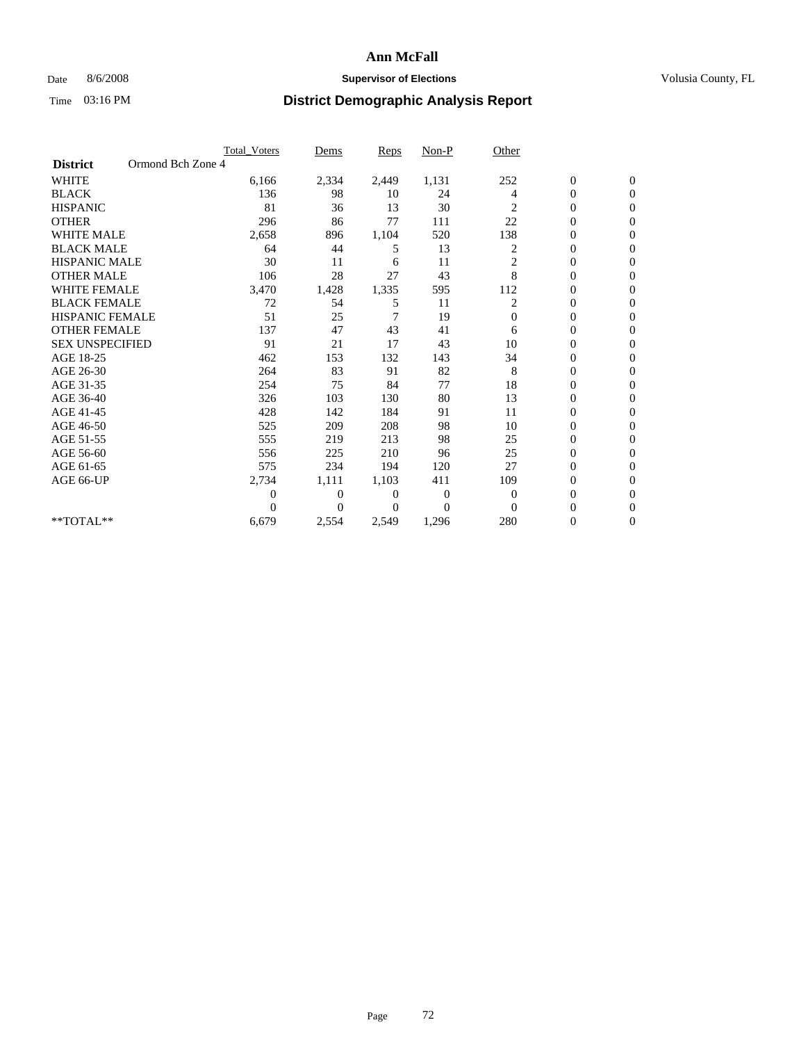### Date 8/6/2008 **Supervisor of Elections Supervisor of Elections** Volusia County, FL

|                        |                   | Total Voters   | Dems           | Reps         | Non-P        | Other          |                  |                  |
|------------------------|-------------------|----------------|----------------|--------------|--------------|----------------|------------------|------------------|
| <b>District</b>        | Ormond Bch Zone 4 |                |                |              |              |                |                  |                  |
| <b>WHITE</b>           |                   | 6,166          | 2,334          | 2,449        | 1,131        | 252            | $\boldsymbol{0}$ | $\boldsymbol{0}$ |
| <b>BLACK</b>           |                   | 136            | 98             | 10           | 24           | 4              | 0                | $\Omega$         |
| <b>HISPANIC</b>        |                   | 81             | 36             | 13           | 30           | 2              | $\overline{0}$   | $\mathbf{0}$     |
| <b>OTHER</b>           |                   | 296            | 86             | 77           | 111          | 22             | 0                | $\mathbf{0}$     |
| <b>WHITE MALE</b>      |                   | 2,658          | 896            | 1,104        | 520          | 138            | $\overline{0}$   | $\mathbf{0}$     |
| <b>BLACK MALE</b>      |                   | 64             | 44             | 5            | 13           | $\overline{c}$ | $\boldsymbol{0}$ | $\mathbf{0}$     |
| <b>HISPANIC MALE</b>   |                   | 30             | 11             | 6            | 11           | $\overline{c}$ | $\boldsymbol{0}$ | $\mathbf{0}$     |
| <b>OTHER MALE</b>      |                   | 106            | 28             | 27           | 43           | 8              | $\overline{0}$   | $\Omega$         |
| <b>WHITE FEMALE</b>    |                   | 3,470          | 1,428          | 1,335        | 595          | 112            | $\boldsymbol{0}$ | $\mathbf{0}$     |
| <b>BLACK FEMALE</b>    |                   | 72             | 54             | 5            | 11           | 2              | 0                | $\mathbf{0}$     |
| <b>HISPANIC FEMALE</b> |                   | 51             | 25             | 7            | 19           | $\Omega$       | $\overline{0}$   | $\Omega$         |
| <b>OTHER FEMALE</b>    |                   | 137            | 47             | 43           | 41           | 6              | $\overline{0}$   | $\Omega$         |
| <b>SEX UNSPECIFIED</b> |                   | 91             | 21             | 17           | 43           | 10             | $\boldsymbol{0}$ | $\mathbf{0}$     |
| AGE 18-25              |                   | 462            | 153            | 132          | 143          | 34             | 0                | $\mathbf{0}$     |
| AGE 26-30              |                   | 264            | 83             | 91           | 82           | 8              | 0                | $\mathbf{0}$     |
| AGE 31-35              |                   | 254            | 75             | 84           | 77           | 18             | $\overline{0}$   | $\mathbf{0}$     |
| AGE 36-40              |                   | 326            | 103            | 130          | 80           | 13             | $\overline{0}$   | $\mathbf{0}$     |
| AGE 41-45              |                   | 428            | 142            | 184          | 91           | 11             | 0                | $\Omega$         |
| AGE 46-50              |                   | 525            | 209            | 208          | 98           | 10             | $\boldsymbol{0}$ | $\mathbf{0}$     |
| AGE 51-55              |                   | 555            | 219            | 213          | 98           | 25             | $\boldsymbol{0}$ | $\mathbf{0}$     |
| AGE 56-60              |                   | 556            | 225            | 210          | 96           | 25             | 0                | 0                |
| AGE 61-65              |                   | 575            | 234            | 194          | 120          | 27             | $\overline{0}$   | $\mathbf{0}$     |
| AGE 66-UP              |                   | 2,734          | 1,111          | 1,103        | 411          | 109            | $\boldsymbol{0}$ | $\mathbf{0}$     |
|                        |                   | $\overline{0}$ | $\overline{0}$ | $\mathbf{0}$ | $\mathbf{0}$ | $\overline{0}$ | $\overline{0}$   | $\mathbf{0}$     |
|                        |                   | $\theta$       | $\Omega$       | $\Omega$     | $\theta$     | $\Omega$       | $\overline{0}$   | $\mathbf{0}$     |
| **TOTAL**              |                   | 6,679          | 2,554          | 2,549        | 1,296        | 280            | 0                | $\mathbf{0}$     |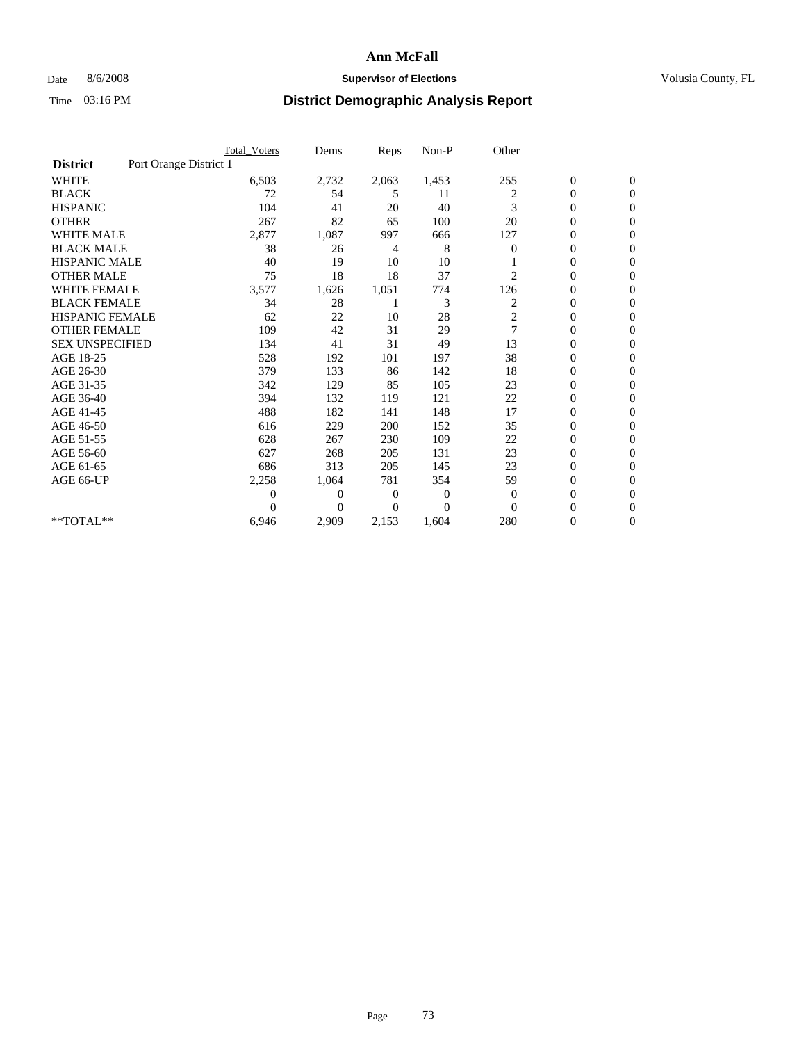#### Date 8/6/2008 **Supervisor of Elections Supervisor of Elections** Volusia County, FL

|                        |                        | <b>Total Voters</b> | Dems           | <b>Reps</b> | $Non-P$  | Other                   |                  |                  |
|------------------------|------------------------|---------------------|----------------|-------------|----------|-------------------------|------------------|------------------|
| <b>District</b>        | Port Orange District 1 |                     |                |             |          |                         |                  |                  |
| <b>WHITE</b>           |                        | 6,503               | 2,732          | 2,063       | 1,453    | 255                     | $\boldsymbol{0}$ | $\boldsymbol{0}$ |
| <b>BLACK</b>           |                        | 72                  | 54             | 5           | 11       | 2                       | $\boldsymbol{0}$ | $\mathbf{0}$     |
| <b>HISPANIC</b>        |                        | 104                 | 41             | 20          | 40       | 3                       | $\overline{0}$   | $\mathbf{0}$     |
| <b>OTHER</b>           |                        | 267                 | 82             | 65          | 100      | 20                      | 0                | $\Omega$         |
| <b>WHITE MALE</b>      |                        | 2,877               | 1,087          | 997         | 666      | 127                     | $\overline{0}$   | $\mathbf{0}$     |
| <b>BLACK MALE</b>      |                        | 38                  | 26             | 4           | 8        | $\bf{0}$                | $\overline{0}$   | $\mathbf{0}$     |
| <b>HISPANIC MALE</b>   |                        | 40                  | 19             | 10          | 10       |                         | $\overline{0}$   | $\mathbf{0}$     |
| <b>OTHER MALE</b>      |                        | 75                  | 18             | 18          | 37       | 2                       | 0                | $\mathbf{0}$     |
| <b>WHITE FEMALE</b>    |                        | 3,577               | 1,626          | 1,051       | 774      | 126                     | $\overline{0}$   | $\mathbf{0}$     |
| <b>BLACK FEMALE</b>    |                        | 34                  | 28             |             | 3        | 2                       | $\boldsymbol{0}$ | $\Omega$         |
| <b>HISPANIC FEMALE</b> |                        | 62                  | 22             | 10          | 28       | $\overline{\mathbf{c}}$ | 0                | $\mathbf{0}$     |
| <b>OTHER FEMALE</b>    |                        | 109                 | 42             | 31          | 29       | $\overline{7}$          | $\mathbf{0}$     | $\Omega$         |
| <b>SEX UNSPECIFIED</b> |                        | 134                 | 41             | 31          | 49       | 13                      | $\overline{0}$   | $\mathbf{0}$     |
| AGE 18-25              |                        | 528                 | 192            | 101         | 197      | 38                      | $\overline{0}$   | $\mathbf{0}$     |
| AGE 26-30              |                        | 379                 | 133            | 86          | 142      | 18                      | $\overline{0}$   | $\mathbf{0}$     |
| AGE 31-35              |                        | 342                 | 129            | 85          | 105      | 23                      | $\boldsymbol{0}$ | $\mathbf{0}$     |
| AGE 36-40              |                        | 394                 | 132            | 119         | 121      | 22                      | 0                | $\mathbf{0}$     |
| AGE 41-45              |                        | 488                 | 182            | 141         | 148      | 17                      | $\overline{0}$   | $\Omega$         |
| AGE 46-50              |                        | 616                 | 229            | 200         | 152      | 35                      | $\boldsymbol{0}$ | $\Omega$         |
| AGE 51-55              |                        | 628                 | 267            | 230         | 109      | 22                      | $\boldsymbol{0}$ | $\mathbf{0}$     |
| AGE 56-60              |                        | 627                 | 268            | 205         | 131      | 23                      | $\overline{0}$   | $\Omega$         |
| AGE 61-65              |                        | 686                 | 313            | 205         | 145      | 23                      | $\overline{0}$   | $\mathbf{0}$     |
| AGE 66-UP              |                        | 2,258               | 1,064          | 781         | 354      | 59                      | $\boldsymbol{0}$ | $\mathbf{0}$     |
|                        |                        | 0                   | $\overline{0}$ | 0           | 0        | $\mathbf{0}$            | $\overline{0}$   | $\mathbf{0}$     |
|                        |                        | $\theta$            | $\Omega$       | $\Omega$    | $\Omega$ | $\Omega$                | $\overline{0}$   | $\mathbf{0}$     |
| **TOTAL**              |                        | 6,946               | 2,909          | 2,153       | 1,604    | 280                     | 0                | $\mathbf{0}$     |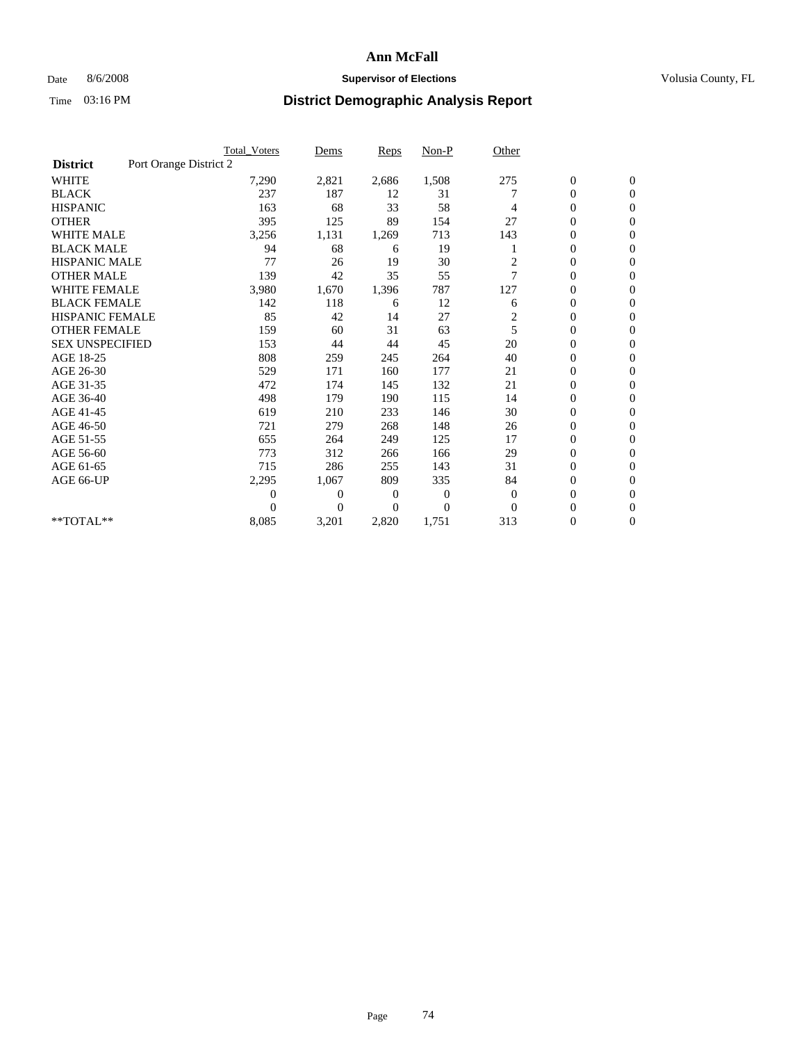## Date 8/6/2008 **Supervisor of Elections Supervisor of Elections** Volusia County, FL

|                        |                        | <b>Total Voters</b> | Dems           | <b>Reps</b> | $Non-P$  | Other          |                  |                  |
|------------------------|------------------------|---------------------|----------------|-------------|----------|----------------|------------------|------------------|
| <b>District</b>        | Port Orange District 2 |                     |                |             |          |                |                  |                  |
| <b>WHITE</b>           |                        | 7,290               | 2,821          | 2,686       | 1,508    | 275            | $\boldsymbol{0}$ | $\boldsymbol{0}$ |
| <b>BLACK</b>           |                        | 237                 | 187            | 12          | 31       |                | $\boldsymbol{0}$ | $\mathbf{0}$     |
| <b>HISPANIC</b>        |                        | 163                 | 68             | 33          | 58       | 4              | $\overline{0}$   | $\mathbf{0}$     |
| <b>OTHER</b>           |                        | 395                 | 125            | 89          | 154      | 27             | $\boldsymbol{0}$ | $\Omega$         |
| <b>WHITE MALE</b>      |                        | 3,256               | 1,131          | 1,269       | 713      | 143            | $\overline{0}$   | $\mathbf{0}$     |
| <b>BLACK MALE</b>      |                        | 94                  | 68             | 6           | 19       |                | $\boldsymbol{0}$ | $\mathbf{0}$     |
| <b>HISPANIC MALE</b>   |                        | 77                  | 26             | 19          | 30       | $\overline{c}$ | $\boldsymbol{0}$ | $\mathbf{0}$     |
| <b>OTHER MALE</b>      |                        | 139                 | 42             | 35          | 55       | 7              | $\boldsymbol{0}$ | $\mathbf{0}$     |
| <b>WHITE FEMALE</b>    |                        | 3,980               | 1,670          | 1,396       | 787      | 127            | $\overline{0}$   | $\mathbf{0}$     |
| <b>BLACK FEMALE</b>    |                        | 142                 | 118            | 6           | 12       | 6              | $\boldsymbol{0}$ | $\mathbf{0}$     |
| <b>HISPANIC FEMALE</b> |                        | 85                  | 42             | 14          | 27       | 2              | $\boldsymbol{0}$ | $\mathbf{0}$     |
| <b>OTHER FEMALE</b>    |                        | 159                 | 60             | 31          | 63       | 5              | $\mathbf{0}$     | $\mathbf{0}$     |
| <b>SEX UNSPECIFIED</b> |                        | 153                 | 44             | 44          | 45       | 20             | $\overline{0}$   | $\mathbf{0}$     |
| AGE 18-25              |                        | 808                 | 259            | 245         | 264      | 40             | $\overline{0}$   | $\mathbf{0}$     |
| AGE 26-30              |                        | 529                 | 171            | 160         | 177      | 21             | $\overline{0}$   | $\mathbf{0}$     |
| AGE 31-35              |                        | 472                 | 174            | 145         | 132      | 21             | $\boldsymbol{0}$ | $\mathbf{0}$     |
| AGE 36-40              |                        | 498                 | 179            | 190         | 115      | 14             | 0                | $\mathbf{0}$     |
| AGE 41-45              |                        | 619                 | 210            | 233         | 146      | 30             | $\overline{0}$   | $\mathbf{0}$     |
| AGE 46-50              |                        | 721                 | 279            | 268         | 148      | 26             | $\boldsymbol{0}$ | $\mathbf{0}$     |
| AGE 51-55              |                        | 655                 | 264            | 249         | 125      | 17             | $\boldsymbol{0}$ | $\mathbf{0}$     |
| AGE 56-60              |                        | 773                 | 312            | 266         | 166      | 29             | $\overline{0}$   | $\Omega$         |
| AGE 61-65              |                        | 715                 | 286            | 255         | 143      | 31             | $\overline{0}$   | $\mathbf{0}$     |
| AGE 66-UP              |                        | 2,295               | 1,067          | 809         | 335      | 84             | $\boldsymbol{0}$ | $\mathbf{0}$     |
|                        |                        | $\overline{0}$      | $\overline{0}$ | 0           | $\bf{0}$ | $\mathbf{0}$   | $\overline{0}$   | $\mathbf{0}$     |
|                        |                        | $\theta$            | $\overline{0}$ | $\Omega$    | $\Omega$ | $\Omega$       | $\overline{0}$   | $\mathbf{0}$     |
| **TOTAL**              |                        | 8,085               | 3,201          | 2,820       | 1,751    | 313            | 0                | $\mathbf{0}$     |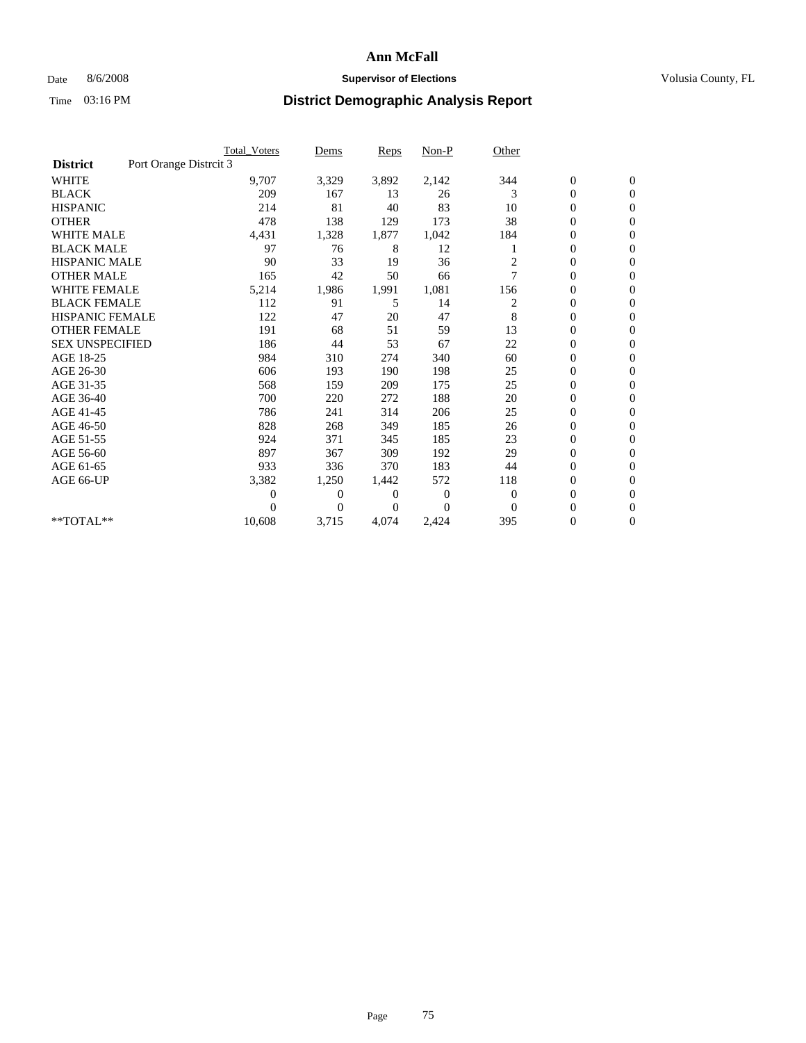## Date 8/6/2008 **Supervisor of Elections Supervisor of Elections** Volusia County, FL

|                        | <b>Total Voters</b>    | Dems           | <b>Reps</b>    | $Non-P$      | Other          |                  |                  |  |
|------------------------|------------------------|----------------|----------------|--------------|----------------|------------------|------------------|--|
| <b>District</b>        | Port Orange Distrcit 3 |                |                |              |                |                  |                  |  |
| <b>WHITE</b>           | 9,707                  | 3,329          | 3,892          | 2,142        | 344            | $\boldsymbol{0}$ | $\boldsymbol{0}$ |  |
| <b>BLACK</b>           | 209                    | 167            | 13             | 26           | 3              | $\boldsymbol{0}$ | $\mathbf{0}$     |  |
| <b>HISPANIC</b>        | 214                    | 81             | 40             | 83           | 10             | $\overline{0}$   | $\mathbf{0}$     |  |
| <b>OTHER</b>           | 478                    | 138            | 129            | 173          | 38             | $\overline{0}$   | $\mathbf{0}$     |  |
| <b>WHITE MALE</b>      | 4,431                  | 1,328          | 1,877          | 1,042        | 184            | $\boldsymbol{0}$ | $\mathbf{0}$     |  |
| <b>BLACK MALE</b>      | 97                     | 76             | 8              | 12           |                | $\overline{0}$   | $\mathbf{0}$     |  |
| <b>HISPANIC MALE</b>   | 90                     | 33             | 19             | 36           | 2              | 0                | $\Omega$         |  |
| <b>OTHER MALE</b>      | 165                    | 42             | 50             | 66           | 7              | $\overline{0}$   | $\mathbf{0}$     |  |
| <b>WHITE FEMALE</b>    | 5,214                  | 1,986          | 1,991          | 1,081        | 156            | $\boldsymbol{0}$ | $\mathbf{0}$     |  |
| <b>BLACK FEMALE</b>    | 112                    | 91             | 5              | 14           | $\overline{c}$ | $\boldsymbol{0}$ | $\mathbf{0}$     |  |
| <b>HISPANIC FEMALE</b> | 122                    | 47             | 20             | 47           | 8              | $\boldsymbol{0}$ | $\mathbf{0}$     |  |
| <b>OTHER FEMALE</b>    | 191                    | 68             | 51             | 59           | 13             | $\mathbf{0}$     | $\mathbf{0}$     |  |
| <b>SEX UNSPECIFIED</b> | 186                    | 44             | 53             | 67           | 22             | $\boldsymbol{0}$ | $\Omega$         |  |
| AGE 18-25              | 984                    | 310            | 274            | 340          | 60             | $\boldsymbol{0}$ | $\mathbf{0}$     |  |
| AGE 26-30              | 606                    | 193            | 190            | 198          | 25             | $\overline{0}$   | $\Omega$         |  |
| AGE 31-35              | 568                    | 159            | 209            | 175          | 25             | $\boldsymbol{0}$ | $\mathbf{0}$     |  |
| AGE 36-40              | 700                    | 220            | 272            | 188          | 20             | $\boldsymbol{0}$ | $\mathbf{0}$     |  |
| AGE 41-45              | 786                    | 241            | 314            | 206          | 25             | $\boldsymbol{0}$ | $\mathbf{0}$     |  |
| AGE 46-50              | 828                    | 268            | 349            | 185          | 26             | $\boldsymbol{0}$ | $\Omega$         |  |
| AGE 51-55              | 924                    | 371            | 345            | 185          | 23             | $\overline{0}$   | $\mathbf{0}$     |  |
| AGE 56-60              | 897                    | 367            | 309            | 192          | 29             | $\overline{0}$   | $\mathbf{0}$     |  |
| AGE 61-65              | 933                    | 336            | 370            | 183          | 44             | 0                | $\mathbf{0}$     |  |
| AGE 66-UP              | 3,382                  | 1,250          | 1,442          | 572          | 118            | $\overline{0}$   | $\mathbf{0}$     |  |
|                        | $\overline{0}$         | $\overline{0}$ | 0              | $\mathbf{0}$ | $\mathbf{0}$   | $\mathbf{0}$     | $\mathbf{0}$     |  |
|                        | 0                      | $\overline{0}$ | $\overline{0}$ | $\Omega$     | $\mathbf{0}$   | 0                | $\mathbf{0}$     |  |
| **TOTAL**              | 10,608                 | 3,715          | 4,074          | 2,424        | 395            | 0                | $\boldsymbol{0}$ |  |